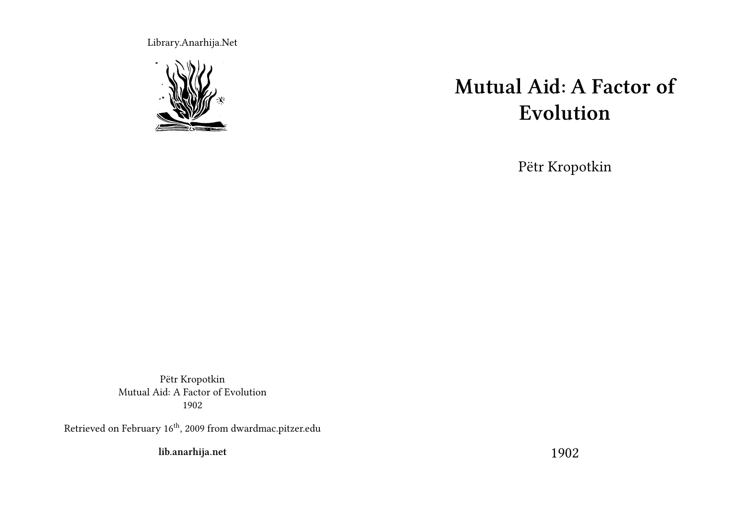Library.Anarhija.Net



#### **Mutual Aid: A Factor of Evolution**

Pëtr Kropotkin

Pëtr Kropotkin Mutual Aid: A Factor of Evolution 1902

Retrieved on February  $16^{\rm th}$ , 2009 from dwardmac.pitzer.edu

**lib.anarhija.net**

1902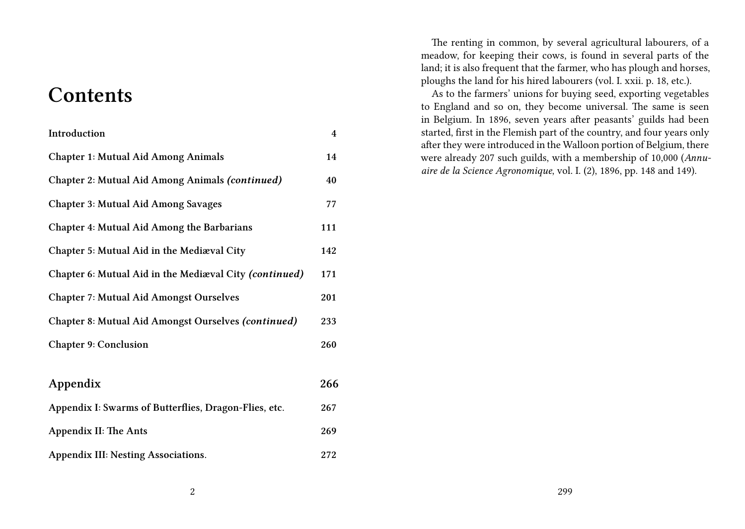#### **Contents**

| Introduction                                           | $\overline{\mathbf{4}}$ |
|--------------------------------------------------------|-------------------------|
| <b>Chapter 1: Mutual Aid Among Animals</b>             | 14                      |
| Chapter 2: Mutual Aid Among Animals (continued)        | 40                      |
| <b>Chapter 3: Mutual Aid Among Savages</b>             | 77                      |
| <b>Chapter 4: Mutual Aid Among the Barbarians</b>      | 111                     |
| Chapter 5: Mutual Aid in the Mediæval City             | 142                     |
| Chapter 6: Mutual Aid in the Mediaval City (continued) | 171                     |
| <b>Chapter 7: Mutual Aid Amongst Ourselves</b>         | 201                     |
| Chapter 8: Mutual Aid Amongst Ourselves (continued)    | 233                     |
| <b>Chapter 9: Conclusion</b>                           | 260                     |
|                                                        |                         |
| Appendix                                               | 266                     |
| Appendix I: Swarms of Butterflies, Dragon-Flies, etc.  | 267                     |
| <b>Appendix II: The Ants</b>                           | 269                     |
| <b>Appendix III: Nesting Associations.</b>             | 272                     |

The renting in common, by several agricultural labourers, of a meadow, for keeping their cows, is found in several parts of the land; it is also frequent that the farmer, who has plough and horses, ploughs the land for his hired labourers (vol. I. xxii. p. 18, etc.).

As to the farmers' unions for buying seed, exporting vegetables to England and so on, they become universal. The same is seen in Belgium. In 1896, seven years after peasants' guilds had been started, first in the Flemish part of the country, and four years only after they were introduced in the Walloon portion of Belgium, there were already 207 such guilds, with a membership of 10,000 (*Annuaire de la Science Agronomique*, vol. I. (2), 1896, pp. 148 and 149).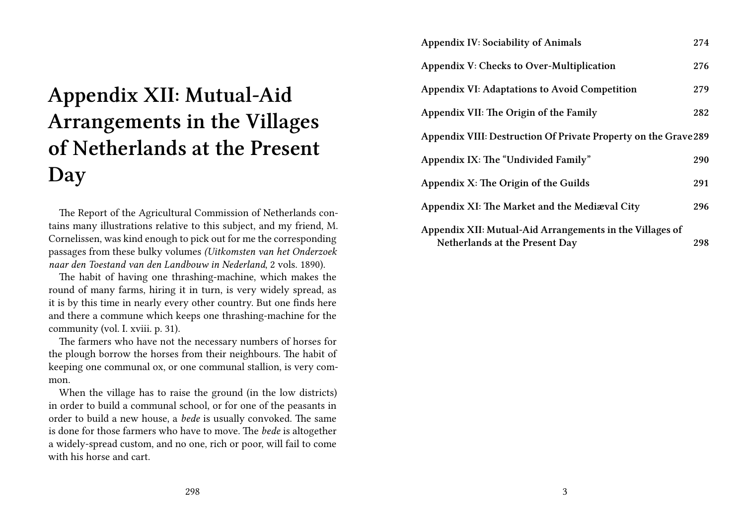# **Appendix XII: Mutual-Aid Arrangements in the Villages of Netherlands at the Present Day**

The Report of the Agricultural Commission of Netherlands contains many illustrations relative to this subject, and my friend, M. Cornelissen, was kind enough to pick out for me the corresponding passages from these bulky volumes *(Uitkomsten van het Onderzoek naar den Toestand van den Landbouw in Nederland*, 2 vols. 1890).

The habit of having one thrashing-machine, which makes the round of many farms, hiring it in turn, is very widely spread, as it is by this time in nearly every other country. But one finds here and there a commune which keeps one thrashing-machine for the community (vol. I. xviii. p. 31).

The farmers who have not the necessary numbers of horses for the plough borrow the horses from their neighbours. The habit of keeping one communal ox, or one communal stallion, is very common.

When the village has to raise the ground (in the low districts) in order to build a communal school, or for one of the peasants in order to build a new house, a *bede* is usually convoked. The same is done for those farmers who have to move. The *bede* is altogether a widely-spread custom, and no one, rich or poor, will fail to come with his horse and cart.

| <b>Appendix IV: Sociability of Animals</b>                                                        | 274 |
|---------------------------------------------------------------------------------------------------|-----|
| Appendix V: Checks to Over-Multiplication                                                         | 276 |
| <b>Appendix VI: Adaptations to Avoid Competition</b>                                              | 279 |
| Appendix VII: The Origin of the Family                                                            | 282 |
| Appendix VIII: Destruction Of Private Property on the Grave 289                                   |     |
| Appendix IX: The "Undivided Family"                                                               | 290 |
| Appendix X: The Origin of the Guilds                                                              | 291 |
| Appendix XI: The Market and the Mediaval City                                                     | 296 |
| Appendix XII: Mutual-Aid Arrangements in the Villages of<br><b>Netherlands at the Present Day</b> | 298 |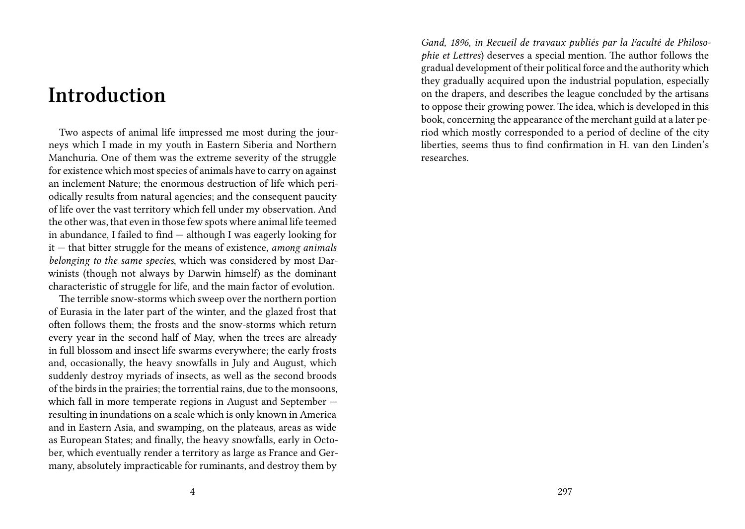#### **Introduction**

Two aspects of animal life impressed me most during the journeys which I made in my youth in Eastern Siberia and Northern Manchuria. One of them was the extreme severity of the struggle for existence which most species of animals have to carry on against an inclement Nature; the enormous destruction of life which periodically results from natural agencies; and the consequent paucity of life over the vast territory which fell under my observation. And the other was, that even in those few spots where animal life teemed in abundance, I failed to find — although I was eagerly looking for it — that bitter struggle for the means of existence, *among animals belonging to the same species*, which was considered by most Darwinists (though not always by Darwin himself) as the dominant characteristic of struggle for life, and the main factor of evolution.

The terrible snow-storms which sweep over the northern portion of Eurasia in the later part of the winter, and the glazed frost that often follows them; the frosts and the snow-storms which return every year in the second half of May, when the trees are already in full blossom and insect life swarms everywhere; the early frosts and, occasionally, the heavy snowfalls in July and August, which suddenly destroy myriads of insects, as well as the second broods of the birds in the prairies; the torrential rains, due to the monsoons, which fall in more temperate regions in August and September resulting in inundations on a scale which is only known in America and in Eastern Asia, and swamping, on the plateaus, areas as wide as European States; and finally, the heavy snowfalls, early in October, which eventually render a territory as large as France and Germany, absolutely impracticable for ruminants, and destroy them by

*Gand, 1896, in Recueil de travaux publiés par la Faculté de Philosophie et Lettres*) deserves a special mention. The author follows the gradual development of their political force and the authority which they gradually acquired upon the industrial population, especially on the drapers, and describes the league concluded by the artisans to oppose their growing power. The idea, which is developed in this book, concerning the appearance of the merchant guild at a later period which mostly corresponded to a period of decline of the city liberties, seems thus to find confirmation in H. van den Linden's researches.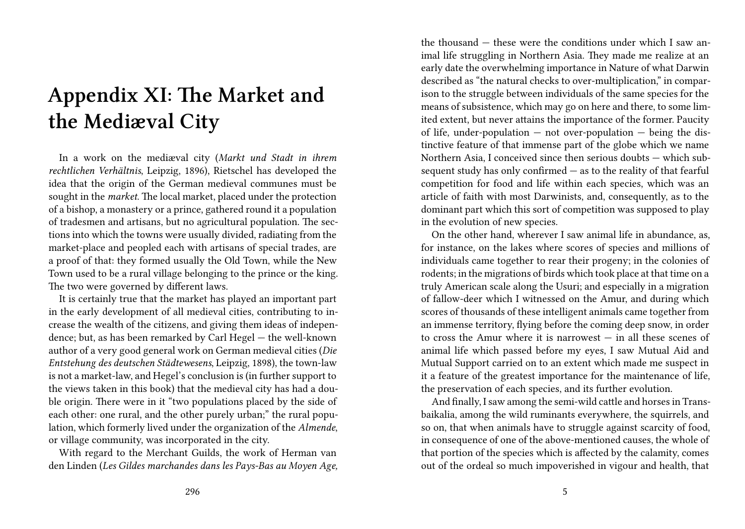## **Appendix XI: The Market and the Mediæval City**

In a work on the mediæval city (*Markt und Stadt in ihrem rechtlichen Verhältnis*, Leipzig, 1896), Rietschel has developed the idea that the origin of the German medieval communes must be sought in the *market*. The local market, placed under the protection of a bishop, a monastery or a prince, gathered round it a population of tradesmen and artisans, but no agricultural population. The sections into which the towns were usually divided, radiating from the market-place and peopled each with artisans of special trades, are a proof of that: they formed usually the Old Town, while the New Town used to be a rural village belonging to the prince or the king. The two were governed by different laws.

It is certainly true that the market has played an important part in the early development of all medieval cities, contributing to increase the wealth of the citizens, and giving them ideas of independence; but, as has been remarked by Carl Hegel — the well-known author of a very good general work on German medieval cities (*Die Entstehung des deutschen Städtewesens*, Leipzig, 1898), the town-law is not a market-law, and Hegel's conclusion is (in further support to the views taken in this book) that the medieval city has had a double origin. There were in it "two populations placed by the side of each other: one rural, and the other purely urban;" the rural population, which formerly lived under the organization of the *Almende*, or village community, was incorporated in the city.

With regard to the Merchant Guilds, the work of Herman van den Linden (*Les Gildes marchandes dans les Pays-Bas au Moyen Age,* the thousand — these were the conditions under which I saw animal life struggling in Northern Asia. They made me realize at an early date the overwhelming importance in Nature of what Darwin described as "the natural checks to over-multiplication," in comparison to the struggle between individuals of the same species for the means of subsistence, which may go on here and there, to some limited extent, but never attains the importance of the former. Paucity of life, under-population  $-$  not over-population  $-$  being the distinctive feature of that immense part of the globe which we name Northern Asia, I conceived since then serious doubts — which subsequent study has only confirmed  $-$  as to the reality of that fearful competition for food and life within each species, which was an article of faith with most Darwinists, and, consequently, as to the dominant part which this sort of competition was supposed to play in the evolution of new species.

On the other hand, wherever I saw animal life in abundance, as, for instance, on the lakes where scores of species and millions of individuals came together to rear their progeny; in the colonies of rodents; in the migrations of birds which took place at that time on a truly American scale along the Usuri; and especially in a migration of fallow-deer which I witnessed on the Amur, and during which scores of thousands of these intelligent animals came together from an immense territory, flying before the coming deep snow, in order to cross the Amur where it is narrowest — in all these scenes of animal life which passed before my eyes, I saw Mutual Aid and Mutual Support carried on to an extent which made me suspect in it a feature of the greatest importance for the maintenance of life, the preservation of each species, and its further evolution.

And finally, I saw among the semi-wild cattle and horses in Transbaikalia, among the wild ruminants everywhere, the squirrels, and so on, that when animals have to struggle against scarcity of food, in consequence of one of the above-mentioned causes, the whole of that portion of the species which is affected by the calamity, comes out of the ordeal so much impoverished in vigour and health, that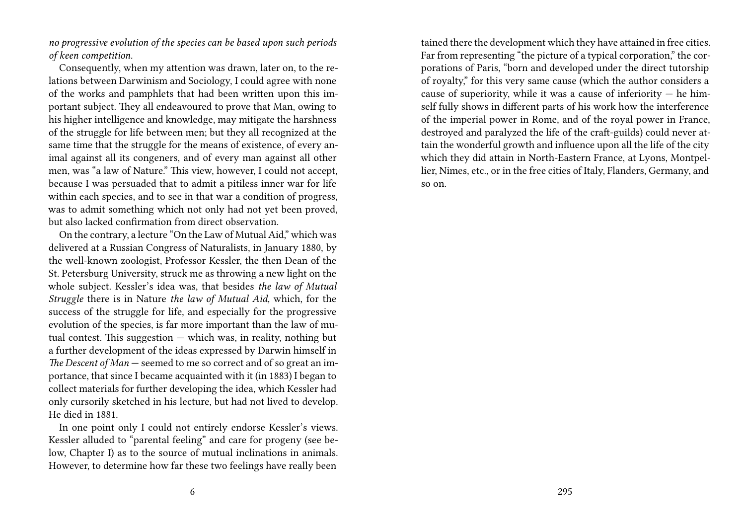*no progressive evolution of the species can be based upon such periods of keen competition.*

Consequently, when my attention was drawn, later on, to the relations between Darwinism and Sociology, I could agree with none of the works and pamphlets that had been written upon this important subject. They all endeavoured to prove that Man, owing to his higher intelligence and knowledge, may mitigate the harshness of the struggle for life between men; but they all recognized at the same time that the struggle for the means of existence, of every animal against all its congeners, and of every man against all other men, was "a law of Nature." This view, however, I could not accept, because I was persuaded that to admit a pitiless inner war for life within each species, and to see in that war a condition of progress, was to admit something which not only had not yet been proved, but also lacked confirmation from direct observation.

On the contrary, a lecture "On the Law of Mutual Aid," which was delivered at a Russian Congress of Naturalists, in January 1880, by the well-known zoologist, Professor Kessler, the then Dean of the St. Petersburg University, struck me as throwing a new light on the whole subject. Kessler's idea was, that besides *the law of Mutual Struggle* there is in Nature *the law of Mutual Aid,* which, for the success of the struggle for life, and especially for the progressive evolution of the species, is far more important than the law of mutual contest. This suggestion — which was, in reality, nothing but a further development of the ideas expressed by Darwin himself in *The Descent of Man* — seemed to me so correct and of so great an importance, that since I became acquainted with it (in 1883) I began to collect materials for further developing the idea, which Kessler had only cursorily sketched in his lecture, but had not lived to develop. He died in 1881.

In one point only I could not entirely endorse Kessler's views. Kessler alluded to "parental feeling" and care for progeny (see below, Chapter I) as to the source of mutual inclinations in animals. However, to determine how far these two feelings have really been

tained there the development which they have attained in free cities. Far from representing "the picture of a typical corporation," the corporations of Paris, "born and developed under the direct tutorship of royalty," for this very same cause (which the author considers a cause of superiority, while it was a cause of inferiority  $-$  he himself fully shows in different parts of his work how the interference of the imperial power in Rome, and of the royal power in France, destroyed and paralyzed the life of the craft-guilds) could never attain the wonderful growth and influence upon all the life of the city which they did attain in North-Eastern France, at Lyons, Montpellier, Nimes, etc., or in the free cities of Italy, Flanders, Germany, and so on.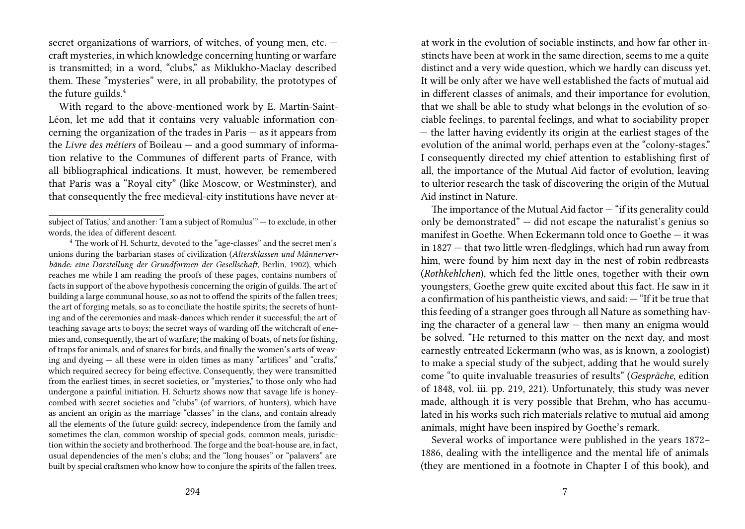secret organizations of warriors, of witches, of young men, etc. craft mysteries, in which knowledge concerning hunting or warfare is transmitted; in a word, "clubs," as Miklukho-Maclay described them. These "mysteries" were, in all probability, the prototypes of the future guilds.<sup>4</sup>

With regard to the above-mentioned work by E. Martin-Saint-Léon, let me add that it contains very valuable information concerning the organization of the trades in Paris — as it appears from the *Livre des métiers* of Boileau — and a good summary of information relative to the Communes of different parts of France, with all bibliographical indications. It must, however, be remembered that Paris was a "Royal city" (like Moscow, or Westminster), and that consequently the free medieval-city institutions have never at-

at work in the evolution of sociable instincts, and how far other instincts have been at work in the same direction, seems to me a quite distinct and a very wide question, which we hardly can discuss yet. It will be only after we have well established the facts of mutual aid in different classes of animals, and their importance for evolution, that we shall be able to study what belongs in the evolution of sociable feelings, to parental feelings, and what to sociability proper — the latter having evidently its origin at the earliest stages of the evolution of the animal world, perhaps even at the "colony-stages." I consequently directed my chief attention to establishing first of all, the importance of the Mutual Aid factor of evolution, leaving to ulterior research the task of discovering the origin of the Mutual Aid instinct in Nature.

The importance of the Mutual Aid factor  $-$  "if its generality could only be demonstrated"  $-$  did not escape the naturalist's genius so manifest in Goethe. When Eckermann told once to Goethe — it was in 1827 — that two little wren-fledglings, which had run away from him, were found by him next day in the nest of robin redbreasts (*Rothkehlchen*), which fed the little ones, together with their own youngsters, Goethe grew quite excited about this fact. He saw in it a confirmation of his pantheistic views, and said: — "If it be true that this feeding of a stranger goes through all Nature as something having the character of a general law  $-$  then many an enigma would be solved. "He returned to this matter on the next day, and most earnestly entreated Eckermann (who was, as is known, a zoologist) to make a special study of the subject, adding that he would surely come "to quite invaluable treasuries of results" (*Gespräche*, edition of 1848, vol. iii. pp. 219, 221). Unfortunately, this study was never made, although it is very possible that Brehm, who has accumulated in his works such rich materials relative to mutual aid among animals, might have been inspired by Goethe's remark.

Several works of importance were published in the years 1872– 1886, dealing with the intelligence and the mental life of animals (they are mentioned in a footnote in Chapter I of this book), and

subject of Tatius,' and another: 'I am a subject of Romulus'" — to exclude, in other words, the idea of different descent.

<sup>&</sup>lt;sup>4</sup> The work of H. Schurtz, devoted to the "age-classes" and the secret men's unions during the barbarian stases of civilization (*Altersklassen und Männerverbände: eine Darstellung der Grundformen der Gesellschaft*, Berlin, 1902), which reaches me while I am reading the proofs of these pages, contains numbers of facts in support of the above hypothesis concerning the origin of guilds. The art of building a large communal house, so as not to offend the spirits of the fallen trees; the art of forging metals, so as to conciliate the hostile spirits; the secrets of hunting and of the ceremonies and mask-dances which render it successful; the art of teaching savage arts to boys; the secret ways of warding off the witchcraft of enemies and, consequently, the art of warfare; the making of boats, of nets for fishing, of traps for animals, and of snares for birds, and finally the women's arts of weaving and dyeing  $-$  all these were in olden times as many "artifices" and "crafts," which required secrecy for being effective. Consequently, they were transmitted from the earliest times, in secret societies, or "mysteries," to those only who had undergone a painful initiation. H. Schurtz shows now that savage life is honeycombed with secret societies and "clubs" (of warriors, of hunters), which have as ancient an origin as the marriage "classes" in the clans, and contain already all the elements of the future guild: secrecy, independence from the family and sometimes the clan, common worship of special gods, common meals, jurisdiction within the society and brotherhood. The forge and the boat-house are, in fact, usual dependencies of the men's clubs; and the "long houses" or "palavers" are built by special craftsmen who know how to conjure the spirits of the fallen trees.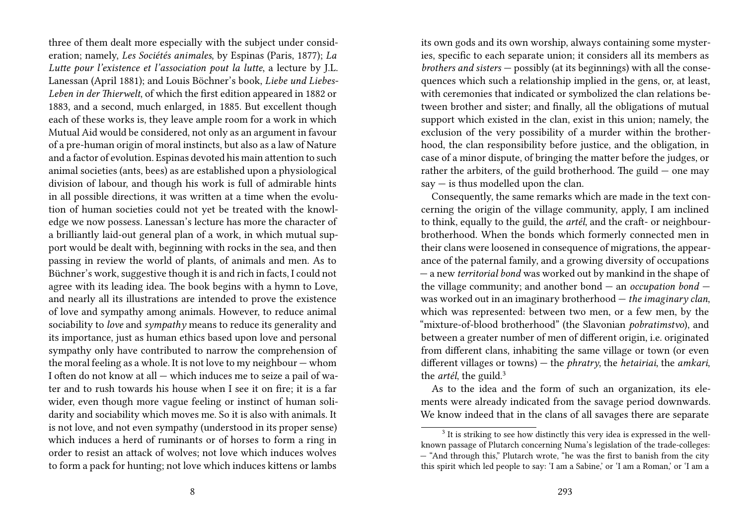three of them dealt more especially with the subject under consideration; namely, *Les Sociétés animales*, by Espinas (Paris, 1877); *La Lutte pour l'existence et l'association pout la lutte*, a lecture by J.L. Lanessan (April 1881); and Louis Böchner's book, *Liebe und Liebes-Leben in der Thierwelt*, of which the first edition appeared in 1882 or 1883, and a second, much enlarged, in 1885. But excellent though each of these works is, they leave ample room for a work in which Mutual Aid would be considered, not only as an argument in favour of a pre-human origin of moral instincts, but also as a law of Nature and a factor of evolution. Espinas devoted his main attention to such animal societies (ants, bees) as are established upon a physiological division of labour, and though his work is full of admirable hints in all possible directions, it was written at a time when the evolution of human societies could not yet be treated with the knowledge we now possess. Lanessan's lecture has more the character of a brilliantly laid-out general plan of a work, in which mutual support would be dealt with, beginning with rocks in the sea, and then passing in review the world of plants, of animals and men. As to Büchner's work, suggestive though it is and rich in facts, I could not agree with its leading idea. The book begins with a hymn to Love, and nearly all its illustrations are intended to prove the existence of love and sympathy among animals. However, to reduce animal sociability to *love* and *sympathy* means to reduce its generality and its importance, just as human ethics based upon love and personal sympathy only have contributed to narrow the comprehension of the moral feeling as a whole. It is not love to my neighbour — whom I often do not know at all — which induces me to seize a pail of water and to rush towards his house when I see it on fire; it is a far wider, even though more vague feeling or instinct of human solidarity and sociability which moves me. So it is also with animals. It is not love, and not even sympathy (understood in its proper sense) which induces a herd of ruminants or of horses to form a ring in order to resist an attack of wolves; not love which induces wolves to form a pack for hunting; not love which induces kittens or lambs

its own gods and its own worship, always containing some mysteries, specific to each separate union; it considers all its members as *brothers and sisters* — possibly (at its beginnings) with all the consequences which such a relationship implied in the gens, or, at least, with ceremonies that indicated or symbolized the clan relations between brother and sister; and finally, all the obligations of mutual support which existed in the clan, exist in this union; namely, the exclusion of the very possibility of a murder within the brotherhood, the clan responsibility before justice, and the obligation, in case of a minor dispute, of bringing the matter before the judges, or rather the arbiters, of the guild brotherhood. The guild — one may  $say - is thus modelled upon the claim.$ 

Consequently, the same remarks which are made in the text concerning the origin of the village community, apply, I am inclined to think, equally to the guild, the *artél*, and the craft- or neighbourbrotherhood. When the bonds which formerly connected men in their clans were loosened in consequence of migrations, the appearance of the paternal family, and a growing diversity of occupations — a new *territorial bond* was worked out by mankind in the shape of the village community; and another bond — an *occupation bond* was worked out in an imaginary brotherhood — *the imaginary clan*, which was represented: between two men, or a few men, by the "mixture-of-blood brotherhood" (the Slavonian *pobratimstvo*), and between a greater number of men of different origin, i.e. originated from different clans, inhabiting the same village or town (or even different villages or towns) — the *phratry*, the *hetairiai*, the *amkari*, the *artél*, the guild.<sup>3</sup>

As to the idea and the form of such an organization, its elements were already indicated from the savage period downwards. We know indeed that in the clans of all savages there are separate

<sup>&</sup>lt;sup>3</sup> It is striking to see how distinctly this very idea is expressed in the wellknown passage of Plutarch concerning Numa's legislation of the trade-colleges: — "And through this," Plutarch wrote, "he was the first to banish from the city this spirit which led people to say: 'I am a Sabine,' or 'I am a Roman,' or 'I am a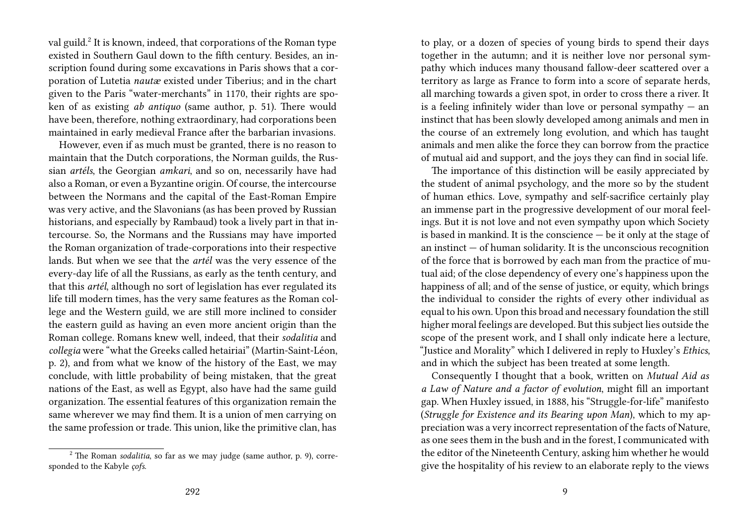val guild.<sup>2</sup> It is known, indeed, that corporations of the Roman type existed in Southern Gaul down to the fifth century. Besides, an inscription found during some excavations in Paris shows that a corporation of Lutetia *nautæ* existed under Tiberius; and in the chart given to the Paris "water-merchants" in 1170, their rights are spoken of as existing *ab antiquo* (same author, p. 51). There would have been, therefore, nothing extraordinary, had corporations been maintained in early medieval France after the barbarian invasions.

However, even if as much must be granted, there is no reason to maintain that the Dutch corporations, the Norman guilds, the Russian *artéls*, the Georgian *amkari*, and so on, necessarily have had also a Roman, or even a Byzantine origin. Of course, the intercourse between the Normans and the capital of the East-Roman Empire was very active, and the Slavonians (as has been proved by Russian historians, and especially by Rambaud) took a lively part in that intercourse. So, the Normans and the Russians may have imported the Roman organization of trade-corporations into their respective lands. But when we see that the *artél* was the very essence of the every-day life of all the Russians, as early as the tenth century, and that this *artél*, although no sort of legislation has ever regulated its life till modern times, has the very same features as the Roman college and the Western guild, we are still more inclined to consider the eastern guild as having an even more ancient origin than the Roman college. Romans knew well, indeed, that their *sodalitia* and *collegia* were "what the Greeks called hetairiai" (Martin-Saint-Léon, p. 2), and from what we know of the history of the East, we may conclude, with little probability of being mistaken, that the great nations of the East, as well as Egypt, also have had the same guild organization. The essential features of this organization remain the same wherever we may find them. It is a union of men carrying on the same profession or trade. This union, like the primitive clan, has

<sup>2</sup> The Roman *sodalitia*, so far as we may judge (same author, p. 9), corresponded to the Kabyle *çofs*.

to play, or a dozen of species of young birds to spend their days together in the autumn; and it is neither love nor personal sympathy which induces many thousand fallow-deer scattered over a territory as large as France to form into a score of separate herds, all marching towards a given spot, in order to cross there a river. It is a feeling infinitely wider than love or personal sympathy  $-$  an instinct that has been slowly developed among animals and men in the course of an extremely long evolution, and which has taught animals and men alike the force they can borrow from the practice of mutual aid and support, and the joys they can find in social life.

The importance of this distinction will be easily appreciated by the student of animal psychology, and the more so by the student of human ethics. Love, sympathy and self-sacrifice certainly play an immense part in the progressive development of our moral feelings. But it is not love and not even sympathy upon which Society is based in mankind. It is the conscience — be it only at the stage of an instinct  $-$  of human solidarity. It is the unconscious recognition of the force that is borrowed by each man from the practice of mutual aid; of the close dependency of every one's happiness upon the happiness of all; and of the sense of justice, or equity, which brings the individual to consider the rights of every other individual as equal to his own. Upon this broad and necessary foundation the still higher moral feelings are developed. But this subject lies outside the scope of the present work, and I shall only indicate here a lecture, "Justice and Morality" which I delivered in reply to Huxley's *Ethics*, and in which the subject has been treated at some length.

Consequently I thought that a book, written on *Mutual Aid as a Law of Nature and a factor of evolution*, might fill an important gap. When Huxley issued, in 1888, his "Struggle-for-life" manifesto (*Struggle for Existence and its Bearing upon Man*), which to my appreciation was a very incorrect representation of the facts of Nature, as one sees them in the bush and in the forest, I communicated with the editor of the Nineteenth Century, asking him whether he would give the hospitality of his review to an elaborate reply to the views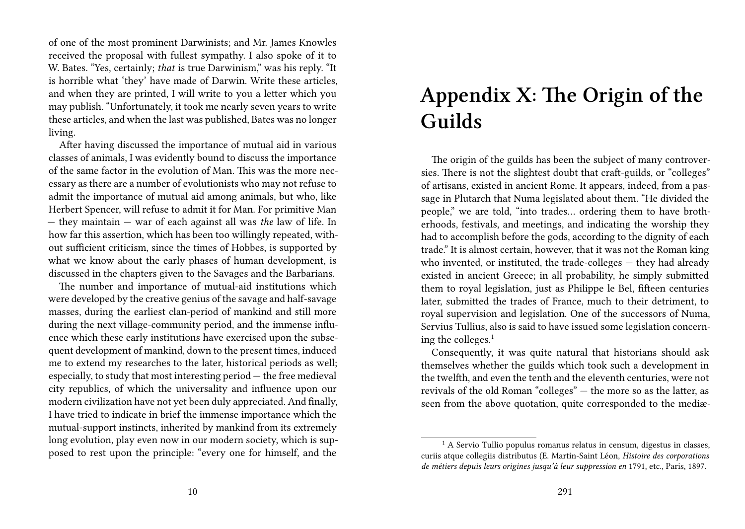of one of the most prominent Darwinists; and Mr. James Knowles received the proposal with fullest sympathy. I also spoke of it to W. Bates. "Yes, certainly; *that* is true Darwinism," was his reply. "It is horrible what 'they' have made of Darwin. Write these articles, and when they are printed, I will write to you a letter which you may publish. "Unfortunately, it took me nearly seven years to write these articles, and when the last was published, Bates was no longer living.

After having discussed the importance of mutual aid in various classes of animals, I was evidently bound to discuss the importance of the same factor in the evolution of Man. This was the more necessary as there are a number of evolutionists who may not refuse to admit the importance of mutual aid among animals, but who, like Herbert Spencer, will refuse to admit it for Man. For primitive Man — they maintain — war of each against all was *the* law of life. In how far this assertion, which has been too willingly repeated, without sufficient criticism, since the times of Hobbes, is supported by what we know about the early phases of human development, is discussed in the chapters given to the Savages and the Barbarians.

The number and importance of mutual-aid institutions which were developed by the creative genius of the savage and half-savage masses, during the earliest clan-period of mankind and still more during the next village-community period, and the immense influence which these early institutions have exercised upon the subsequent development of mankind, down to the present times, induced me to extend my researches to the later, historical periods as well; especially, to study that most interesting period — the free medieval city republics, of which the universality and influence upon our modern civilization have not yet been duly appreciated. And finally, I have tried to indicate in brief the immense importance which the mutual-support instincts, inherited by mankind from its extremely long evolution, play even now in our modern society, which is supposed to rest upon the principle: "every one for himself, and the

### **Appendix X: The Origin of the Guilds**

The origin of the guilds has been the subject of many controversies. There is not the slightest doubt that craft-guilds, or "colleges" of artisans, existed in ancient Rome. It appears, indeed, from a passage in Plutarch that Numa legislated about them. "He divided the people," we are told, "into trades… ordering them to have brotherhoods, festivals, and meetings, and indicating the worship they had to accomplish before the gods, according to the dignity of each trade." It is almost certain, however, that it was not the Roman king who invented, or instituted, the trade-colleges — they had already existed in ancient Greece; in all probability, he simply submitted them to royal legislation, just as Philippe le Bel, fifteen centuries later, submitted the trades of France, much to their detriment, to royal supervision and legislation. One of the successors of Numa, Servius Tullius, also is said to have issued some legislation concerning the colleges.<sup>1</sup>

Consequently, it was quite natural that historians should ask themselves whether the guilds which took such a development in the twelfth, and even the tenth and the eleventh centuries, were not revivals of the old Roman "colleges" — the more so as the latter, as seen from the above quotation, quite corresponded to the mediæ-

 $<sup>1</sup>$  A Servio Tullio populus romanus relatus in censum, digestus in classes,</sup> curiis atque collegiis distributus (E. Martin-Saint Léon, *Histoire des corporations de métiers depuis leurs origines jusqu'à leur suppression en* 1791, etc., Paris, 1897.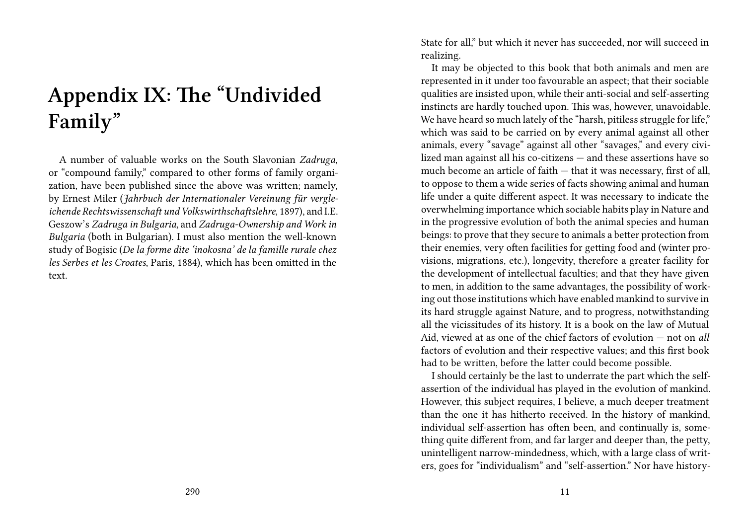## **Appendix IX: The "Undivided Family"**

A number of valuable works on the South Slavonian *Zadruga*, or "compound family," compared to other forms of family organization, have been published since the above was written; namely, by Ernest Miler (*Jahrbuch der Internationaler Vereinung für vergleichende Rechtswissenschaft und Volkswirthschaftslehre*, 1897), and I.E. Geszow's *Zadruga in Bulgaria*, and *Zadruga-Ownership and Work in Bulgaria* (both in Bulgarian). I must also mention the well-known study of Bogisic (*De la forme dite 'inokosna' de la famille rurale chez les Serbes et les Croates*, Paris, 1884), which has been omitted in the text.

State for all," but which it never has succeeded, nor will succeed in realizing.

It may be objected to this book that both animals and men are represented in it under too favourable an aspect; that their sociable qualities are insisted upon, while their anti-social and self-asserting instincts are hardly touched upon. This was, however, unavoidable. We have heard so much lately of the "harsh, pitiless struggle for life," which was said to be carried on by every animal against all other animals, every "savage" against all other "savages," and every civilized man against all his co-citizens — and these assertions have so much become an article of faith — that it was necessary, first of all, to oppose to them a wide series of facts showing animal and human life under a quite different aspect. It was necessary to indicate the overwhelming importance which sociable habits play in Nature and in the progressive evolution of both the animal species and human beings: to prove that they secure to animals a better protection from their enemies, very often facilities for getting food and (winter provisions, migrations, etc.), longevity, therefore a greater facility for the development of intellectual faculties; and that they have given to men, in addition to the same advantages, the possibility of working out those institutions which have enabled mankind to survive in its hard struggle against Nature, and to progress, notwithstanding all the vicissitudes of its history. It is a book on the law of Mutual Aid, viewed at as one of the chief factors of evolution — not on *all* factors of evolution and their respective values; and this first book had to be written, before the latter could become possible.

I should certainly be the last to underrate the part which the selfassertion of the individual has played in the evolution of mankind. However, this subject requires, I believe, a much deeper treatment than the one it has hitherto received. In the history of mankind, individual self-assertion has often been, and continually is, something quite different from, and far larger and deeper than, the petty, unintelligent narrow-mindedness, which, with a large class of writers, goes for "individualism" and "self-assertion." Nor have history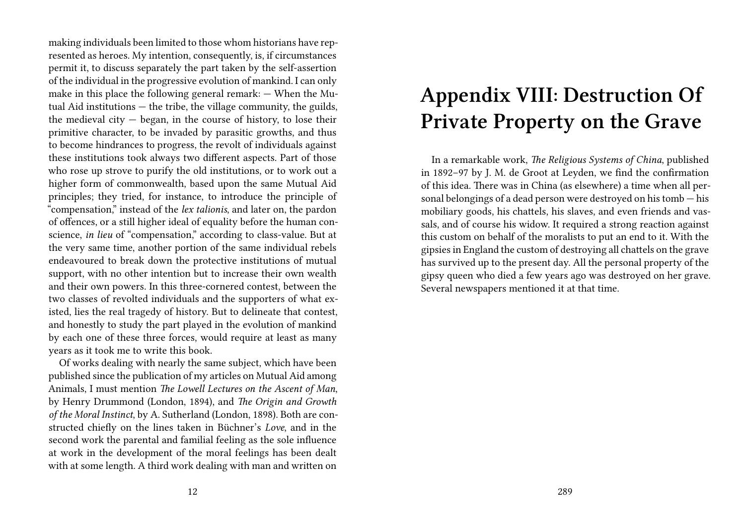making individuals been limited to those whom historians have represented as heroes. My intention, consequently, is, if circumstances permit it, to discuss separately the part taken by the self-assertion of the individual in the progressive evolution of mankind. I can only make in this place the following general remark: — When the Mutual Aid institutions — the tribe, the village community, the guilds, the medieval city  $-$  began, in the course of history, to lose their primitive character, to be invaded by parasitic growths, and thus to become hindrances to progress, the revolt of individuals against these institutions took always two different aspects. Part of those who rose up strove to purify the old institutions, or to work out a higher form of commonwealth, based upon the same Mutual Aid principles; they tried, for instance, to introduce the principle of "compensation," instead of the *lex talionis*, and later on, the pardon of offences, or a still higher ideal of equality before the human conscience, *in lieu* of "compensation," according to class-value. But at the very same time, another portion of the same individual rebels endeavoured to break down the protective institutions of mutual support, with no other intention but to increase their own wealth and their own powers. In this three-cornered contest, between the two classes of revolted individuals and the supporters of what existed, lies the real tragedy of history. But to delineate that contest, and honestly to study the part played in the evolution of mankind by each one of these three forces, would require at least as many years as it took me to write this book.

Of works dealing with nearly the same subject, which have been published since the publication of my articles on Mutual Aid among Animals, I must mention *The Lowell Lectures on the Ascent of Man*, by Henry Drummond (London, 1894), and *The Origin and Growth of the Moral Instinct*, by A. Sutherland (London, 1898). Both are constructed chiefly on the lines taken in Büchner's *Love*, and in the second work the parental and familial feeling as the sole influence at work in the development of the moral feelings has been dealt with at some length. A third work dealing with man and written on

#### **Appendix VIII: Destruction Of Private Property on the Grave**

In a remarkable work, *The Religious Systems of China*, published in 1892–97 by J. M. de Groot at Leyden, we find the confirmation of this idea. There was in China (as elsewhere) a time when all personal belongings of a dead person were destroyed on his tomb — his mobiliary goods, his chattels, his slaves, and even friends and vassals, and of course his widow. It required a strong reaction against this custom on behalf of the moralists to put an end to it. With the gipsies in England the custom of destroying all chattels on the grave has survived up to the present day. All the personal property of the gipsy queen who died a few years ago was destroyed on her grave. Several newspapers mentioned it at that time.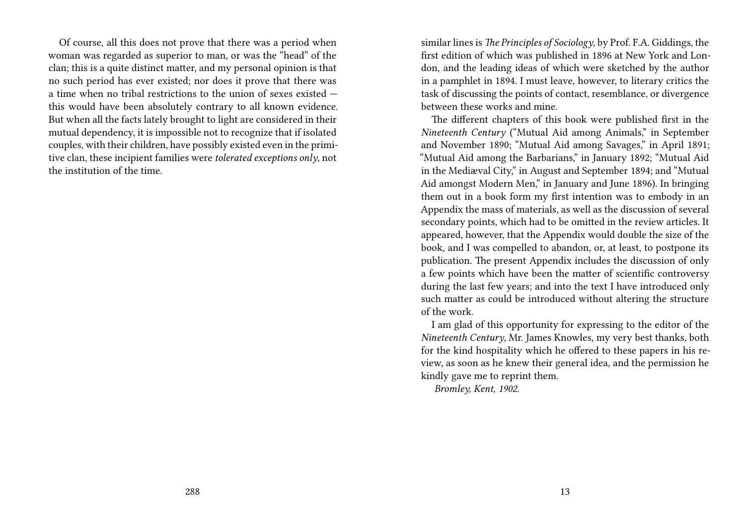Of course, all this does not prove that there was a period when woman was regarded as superior to man, or was the "head" of the clan; this is a quite distinct matter, and my personal opinion is that no such period has ever existed; nor does it prove that there was a time when no tribal restrictions to the union of sexes existed this would have been absolutely contrary to all known evidence. But when all the facts lately brought to light are considered in their mutual dependency, it is impossible not to recognize that if isolated couples, with their children, have possibly existed even in the primitive clan, these incipient families were *tolerated exceptions only*, not the institution of the time.

similar lines is *The Principles of Sociology*, by Prof. F.A. Giddings, the first edition of which was published in 1896 at New York and London, and the leading ideas of which were sketched by the author in a pamphlet in 1894. I must leave, however, to literary critics the task of discussing the points of contact, resemblance, or divergence between these works and mine.

The different chapters of this book were published first in the *Nineteenth Century* ("Mutual Aid among Animals," in September and November 1890; "Mutual Aid among Savages," in April 1891; "Mutual Aid among the Barbarians," in January 1892; "Mutual Aid in the Mediæval City," in August and September 1894; and "Mutual Aid amongst Modern Men," in January and June 1896). In bringing them out in a book form my first intention was to embody in an Appendix the mass of materials, as well as the discussion of several secondary points, which had to be omitted in the review articles. It appeared, however, that the Appendix would double the size of the book, and I was compelled to abandon, or, at least, to postpone its publication. The present Appendix includes the discussion of only a few points which have been the matter of scientific controversy during the last few years; and into the text I have introduced only such matter as could be introduced without altering the structure of the work.

I am glad of this opportunity for expressing to the editor of the *Nineteenth Century*, Mr. James Knowles, my very best thanks, both for the kind hospitality which he offered to these papers in his review, as soon as he knew their general idea, and the permission he kindly gave me to reprint them.

*Bromley, Kent, 1902*.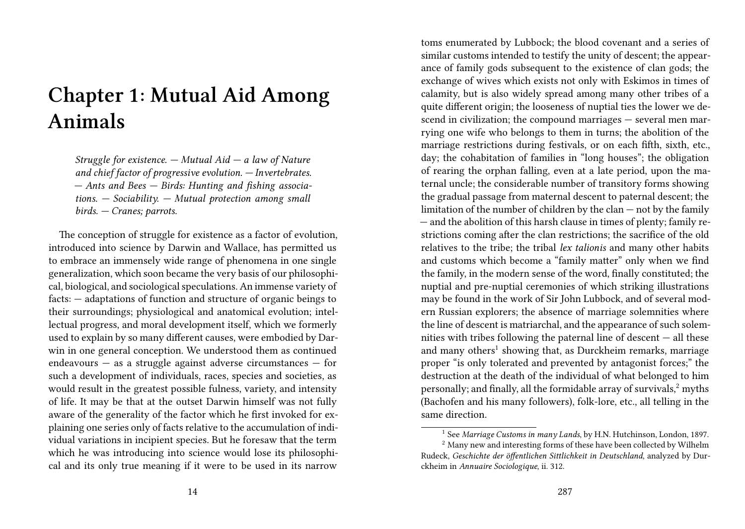## **Chapter 1: Mutual Aid Among Animals**

*Struggle for existence. — Mutual Aid — a law of Nature and chief factor of progressive evolution. — Invertebrates. — Ants and Bees — Birds: Hunting and fishing associations. — Sociability. — Mutual protection among small birds. — Cranes; parrots.*

The conception of struggle for existence as a factor of evolution, introduced into science by Darwin and Wallace, has permitted us to embrace an immensely wide range of phenomena in one single generalization, which soon became the very basis of our philosophical, biological, and sociological speculations. An immense variety of facts: — adaptations of function and structure of organic beings to their surroundings; physiological and anatomical evolution; intellectual progress, and moral development itself, which we formerly used to explain by so many different causes, were embodied by Darwin in one general conception. We understood them as continued endeavours  $-$  as a struggle against adverse circumstances  $-$  for such a development of individuals, races, species and societies, as would result in the greatest possible fulness, variety, and intensity of life. It may be that at the outset Darwin himself was not fully aware of the generality of the factor which he first invoked for explaining one series only of facts relative to the accumulation of individual variations in incipient species. But he foresaw that the term which he was introducing into science would lose its philosophical and its only true meaning if it were to be used in its narrow

toms enumerated by Lubbock; the blood covenant and a series of similar customs intended to testify the unity of descent; the appearance of family gods subsequent to the existence of clan gods; the exchange of wives which exists not only with Eskimos in times of calamity, but is also widely spread among many other tribes of a quite different origin; the looseness of nuptial ties the lower we descend in civilization; the compound marriages — several men marrying one wife who belongs to them in turns; the abolition of the marriage restrictions during festivals, or on each fifth, sixth, etc., day; the cohabitation of families in "long houses"; the obligation of rearing the orphan falling, even at a late period, upon the maternal uncle; the considerable number of transitory forms showing the gradual passage from maternal descent to paternal descent; the limitation of the number of children by the clan — not by the family — and the abolition of this harsh clause in times of plenty; family restrictions coming after the clan restrictions; the sacrifice of the old relatives to the tribe; the tribal *lex talionis* and many other habits and customs which become a "family matter" only when we find the family, in the modern sense of the word, finally constituted; the nuptial and pre-nuptial ceremonies of which striking illustrations may be found in the work of Sir John Lubbock, and of several modern Russian explorers; the absence of marriage solemnities where the line of descent is matriarchal, and the appearance of such solemnities with tribes following the paternal line of descent — all these and many others<sup>1</sup> showing that, as Durckheim remarks, marriage proper "is only tolerated and prevented by antagonist forces;" the destruction at the death of the individual of what belonged to him personally; and finally, all the formidable array of survivals,<sup>2</sup> myths (Bachofen and his many followers), folk-lore, etc., all telling in the same direction.

<sup>1</sup> See *Marriage Customs in many Lands*, by H.N. Hutchinson, London, 1897.

<sup>&</sup>lt;sup>2</sup> Many new and interesting forms of these have been collected by Wilhelm Rudeck, *Geschichte der öffentlichen Sittlichkeit in Deutschland*, analyzed by Durckheim in *Annuaire Sociologique*, ii. 312.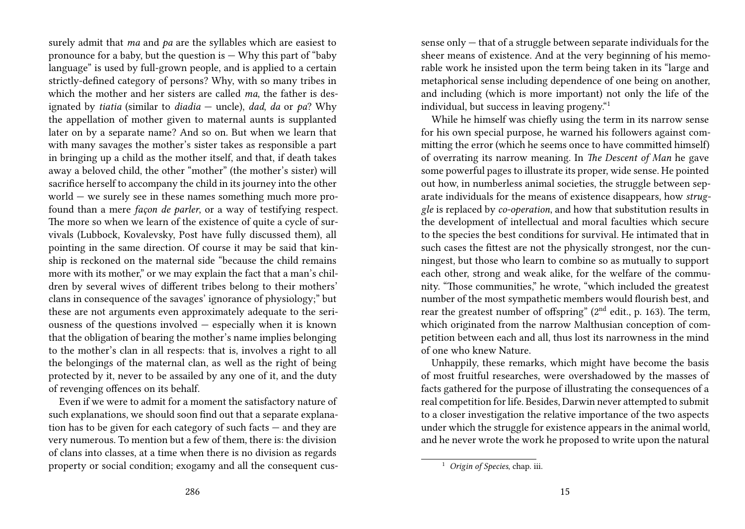surely admit that *ma* and *pa* are the syllables which are easiest to pronounce for a baby, but the question is  $-$  Why this part of "baby" language" is used by full-grown people, and is applied to a certain strictly-defined category of persons? Why, with so many tribes in which the mother and her sisters are called *ma*, the father is designated by *tiatia* (similar to *diadia* — uncle), *dad*, *da* or *pa*? Why the appellation of mother given to maternal aunts is supplanted later on by a separate name? And so on. But when we learn that with many savages the mother's sister takes as responsible a part in bringing up a child as the mother itself, and that, if death takes away a beloved child, the other "mother" (the mother's sister) will sacrifice herself to accompany the child in its journey into the other world — we surely see in these names something much more profound than a mere *façon de parler*, or a way of testifying respect. The more so when we learn of the existence of quite a cycle of survivals (Lubbock, Kovalevsky, Post have fully discussed them), all pointing in the same direction. Of course it may be said that kinship is reckoned on the maternal side "because the child remains more with its mother," or we may explain the fact that a man's children by several wives of different tribes belong to their mothers' clans in consequence of the savages' ignorance of physiology;" but these are not arguments even approximately adequate to the seriousness of the questions involved — especially when it is known that the obligation of bearing the mother's name implies belonging to the mother's clan in all respects: that is, involves a right to all the belongings of the maternal clan, as well as the right of being protected by it, never to be assailed by any one of it, and the duty of revenging offences on its behalf.

Even if we were to admit for a moment the satisfactory nature of such explanations, we should soon find out that a separate explanation has to be given for each category of such facts — and they are very numerous. To mention but a few of them, there is: the division of clans into classes, at a time when there is no division as regards property or social condition; exogamy and all the consequent cussense only — that of a struggle between separate individuals for the sheer means of existence. And at the very beginning of his memorable work he insisted upon the term being taken in its "large and metaphorical sense including dependence of one being on another, and including (which is more important) not only the life of the individual, but success in leaving progeny."<sup>1</sup>

While he himself was chiefly using the term in its narrow sense for his own special purpose, he warned his followers against committing the error (which he seems once to have committed himself) of overrating its narrow meaning. In *The Descent of Man* he gave some powerful pages to illustrate its proper, wide sense. He pointed out how, in numberless animal societies, the struggle between separate individuals for the means of existence disappears, how *struggle* is replaced by *co-operation*, and how that substitution results in the development of intellectual and moral faculties which secure to the species the best conditions for survival. He intimated that in such cases the fittest are not the physically strongest, nor the cunningest, but those who learn to combine so as mutually to support each other, strong and weak alike, for the welfare of the community. "Those communities," he wrote, "which included the greatest number of the most sympathetic members would flourish best, and rear the greatest number of offspring" (2<sup>nd</sup> edit., p. 163). The term, which originated from the narrow Malthusian conception of competition between each and all, thus lost its narrowness in the mind of one who knew Nature.

Unhappily, these remarks, which might have become the basis of most fruitful researches, were overshadowed by the masses of facts gathered for the purpose of illustrating the consequences of a real competition for life. Besides, Darwin never attempted to submit to a closer investigation the relative importance of the two aspects under which the struggle for existence appears in the animal world, and he never wrote the work he proposed to write upon the natural

<sup>1</sup> *Origin of Species*, chap. iii.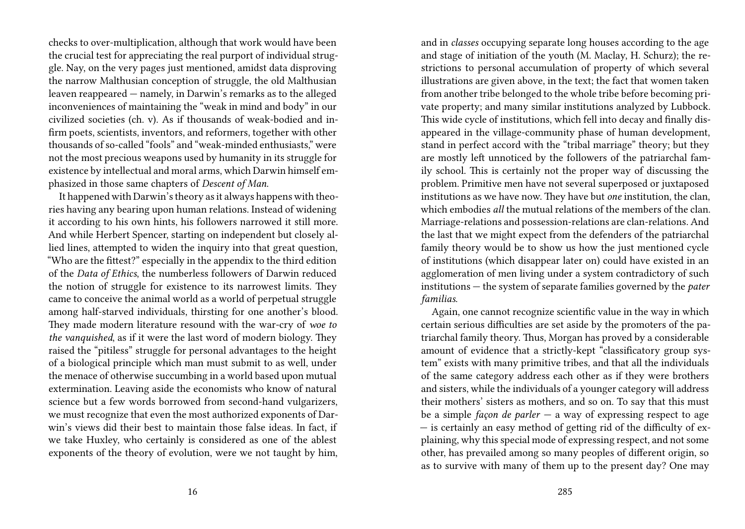checks to over-multiplication, although that work would have been the crucial test for appreciating the real purport of individual struggle. Nay, on the very pages just mentioned, amidst data disproving the narrow Malthusian conception of struggle, the old Malthusian leaven reappeared — namely, in Darwin's remarks as to the alleged inconveniences of maintaining the "weak in mind and body" in our civilized societies (ch. v). As if thousands of weak-bodied and infirm poets, scientists, inventors, and reformers, together with other thousands of so-called "fools" and "weak-minded enthusiasts," were not the most precious weapons used by humanity in its struggle for existence by intellectual and moral arms, which Darwin himself emphasized in those same chapters of *Descent of Man*.

It happened with Darwin's theory as it always happens with theories having any bearing upon human relations. Instead of widening it according to his own hints, his followers narrowed it still more. And while Herbert Spencer, starting on independent but closely allied lines, attempted to widen the inquiry into that great question, "Who are the fittest?" especially in the appendix to the third edition of the *Data of Ethics*, the numberless followers of Darwin reduced the notion of struggle for existence to its narrowest limits. They came to conceive the animal world as a world of perpetual struggle among half-starved individuals, thirsting for one another's blood. They made modern literature resound with the war-cry of *woe to the vanquished*, as if it were the last word of modern biology. They raised the "pitiless" struggle for personal advantages to the height of a biological principle which man must submit to as well, under the menace of otherwise succumbing in a world based upon mutual extermination. Leaving aside the economists who know of natural science but a few words borrowed from second-hand vulgarizers, we must recognize that even the most authorized exponents of Darwin's views did their best to maintain those false ideas. In fact, if we take Huxley, who certainly is considered as one of the ablest exponents of the theory of evolution, were we not taught by him,

and in *classes* occupying separate long houses according to the age and stage of initiation of the youth (M. Maclay, H. Schurz); the restrictions to personal accumulation of property of which several illustrations are given above, in the text; the fact that women taken from another tribe belonged to the whole tribe before becoming private property; and many similar institutions analyzed by Lubbock. This wide cycle of institutions, which fell into decay and finally disappeared in the village-community phase of human development, stand in perfect accord with the "tribal marriage" theory; but they are mostly left unnoticed by the followers of the patriarchal family school. This is certainly not the proper way of discussing the problem. Primitive men have not several superposed or juxtaposed institutions as we have now. They have but *one* institution, the clan, which embodies *all* the mutual relations of the members of the clan. Marriage-relations and possession-relations are clan-relations. And the last that we might expect from the defenders of the patriarchal family theory would be to show us how the just mentioned cycle of institutions (which disappear later on) could have existed in an agglomeration of men living under a system contradictory of such institutions — the system of separate families governed by the *pater familias*.

Again, one cannot recognize scientific value in the way in which certain serious difficulties are set aside by the promoters of the patriarchal family theory. Thus, Morgan has proved by a considerable amount of evidence that a strictly-kept "classificatory group system" exists with many primitive tribes, and that all the individuals of the same category address each other as if they were brothers and sisters, while the individuals of a younger category will address their mothers' sisters as mothers, and so on. To say that this must be a simple *façon de parler* — a way of expressing respect to age — is certainly an easy method of getting rid of the difficulty of explaining, why this special mode of expressing respect, and not some other, has prevailed among so many peoples of different origin, so as to survive with many of them up to the present day? One may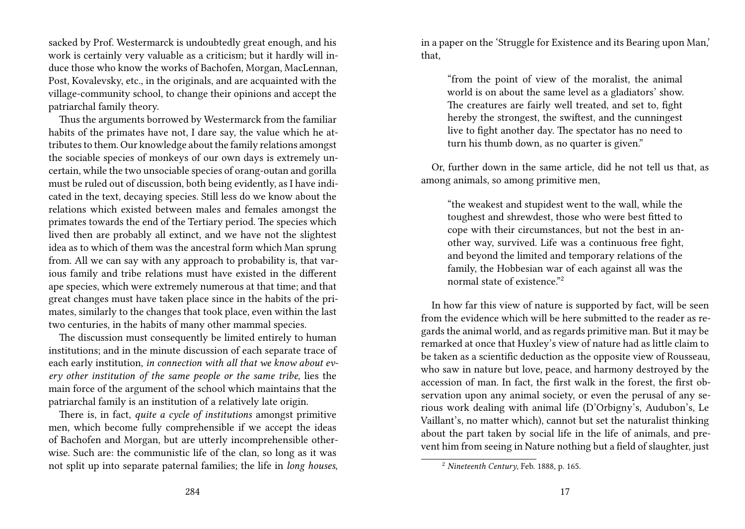sacked by Prof. Westermarck is undoubtedly great enough, and his work is certainly very valuable as a criticism; but it hardly will induce those who know the works of Bachofen, Morgan, MacLennan, Post, Kovalevsky, etc., in the originals, and are acquainted with the village-community school, to change their opinions and accept the patriarchal family theory.

Thus the arguments borrowed by Westermarck from the familiar habits of the primates have not, I dare say, the value which he attributes to them. Our knowledge about the family relations amongst the sociable species of monkeys of our own days is extremely uncertain, while the two unsociable species of orang-outan and gorilla must be ruled out of discussion, both being evidently, as I have indicated in the text, decaying species. Still less do we know about the relations which existed between males and females amongst the primates towards the end of the Tertiary period. The species which lived then are probably all extinct, and we have not the slightest idea as to which of them was the ancestral form which Man sprung from. All we can say with any approach to probability is, that various family and tribe relations must have existed in the different ape species, which were extremely numerous at that time; and that great changes must have taken place since in the habits of the primates, similarly to the changes that took place, even within the last two centuries, in the habits of many other mammal species.

The discussion must consequently be limited entirely to human institutions; and in the minute discussion of each separate trace of each early institution, *in connection with all that we know about every other institution of the same people or the same tribe*, lies the main force of the argument of the school which maintains that the patriarchal family is an institution of a relatively late origin.

There is, in fact, *quite a cycle of institutions* amongst primitive men, which become fully comprehensible if we accept the ideas of Bachofen and Morgan, but are utterly incomprehensible otherwise. Such are: the communistic life of the clan, so long as it was not split up into separate paternal families; the life in *long houses*,

in a paper on the 'Struggle for Existence and its Bearing upon Man,' that,

"from the point of view of the moralist, the animal world is on about the same level as a gladiators' show. The creatures are fairly well treated, and set to, fight hereby the strongest, the swiftest, and the cunningest live to fight another day. The spectator has no need to turn his thumb down, as no quarter is given."

Or, further down in the same article, did he not tell us that, as among animals, so among primitive men,

"the weakest and stupidest went to the wall, while the toughest and shrewdest, those who were best fitted to cope with their circumstances, but not the best in another way, survived. Life was a continuous free fight, and beyond the limited and temporary relations of the family, the Hobbesian war of each against all was the normal state of existence."<sup>2</sup>

In how far this view of nature is supported by fact, will be seen from the evidence which will be here submitted to the reader as regards the animal world, and as regards primitive man. But it may be remarked at once that Huxley's view of nature had as little claim to be taken as a scientific deduction as the opposite view of Rousseau, who saw in nature but love, peace, and harmony destroyed by the accession of man. In fact, the first walk in the forest, the first observation upon any animal society, or even the perusal of any serious work dealing with animal life (D'Orbigny's, Audubon's, Le Vaillant's, no matter which), cannot but set the naturalist thinking about the part taken by social life in the life of animals, and prevent him from seeing in Nature nothing but a field of slaughter, just

<sup>2</sup> *Nineteenth Century*, Feb. 1888, p. 165.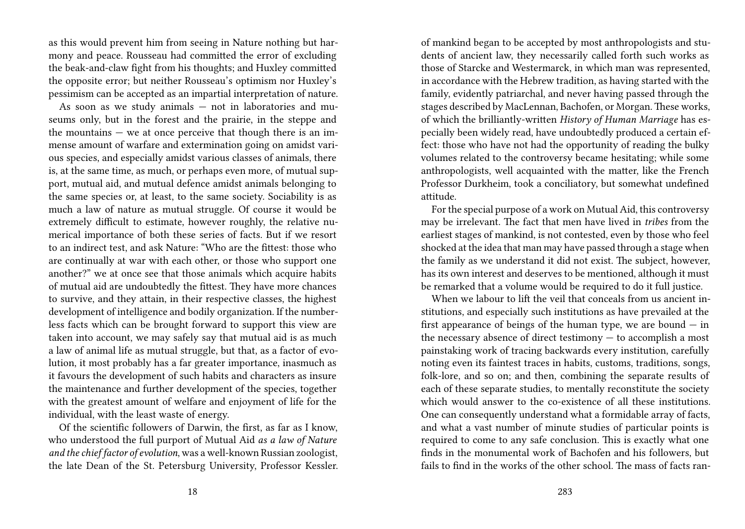as this would prevent him from seeing in Nature nothing but harmony and peace. Rousseau had committed the error of excluding the beak-and-claw fight from his thoughts; and Huxley committed the opposite error; but neither Rousseau's optimism nor Huxley's pessimism can be accepted as an impartial interpretation of nature.

As soon as we study animals — not in laboratories and museums only, but in the forest and the prairie, in the steppe and the mountains  $-$  we at once perceive that though there is an immense amount of warfare and extermination going on amidst various species, and especially amidst various classes of animals, there is, at the same time, as much, or perhaps even more, of mutual support, mutual aid, and mutual defence amidst animals belonging to the same species or, at least, to the same society. Sociability is as much a law of nature as mutual struggle. Of course it would be extremely difficult to estimate, however roughly, the relative numerical importance of both these series of facts. But if we resort to an indirect test, and ask Nature: "Who are the fittest: those who are continually at war with each other, or those who support one another?" we at once see that those animals which acquire habits of mutual aid are undoubtedly the fittest. They have more chances to survive, and they attain, in their respective classes, the highest development of intelligence and bodily organization. If the numberless facts which can be brought forward to support this view are taken into account, we may safely say that mutual aid is as much a law of animal life as mutual struggle, but that, as a factor of evolution, it most probably has a far greater importance, inasmuch as it favours the development of such habits and characters as insure the maintenance and further development of the species, together with the greatest amount of welfare and enjoyment of life for the individual, with the least waste of energy.

Of the scientific followers of Darwin, the first, as far as I know, who understood the full purport of Mutual Aid *as a law of Nature and the chief factor of evolution*, was a well-known Russian zoologist, the late Dean of the St. Petersburg University, Professor Kessler. of mankind began to be accepted by most anthropologists and students of ancient law, they necessarily called forth such works as those of Starcke and Westermarck, in which man was represented, in accordance with the Hebrew tradition, as having started with the family, evidently patriarchal, and never having passed through the stages described by MacLennan, Bachofen, or Morgan. These works, of which the brilliantly-written *History of Human Marriage* has especially been widely read, have undoubtedly produced a certain effect: those who have not had the opportunity of reading the bulky volumes related to the controversy became hesitating; while some anthropologists, well acquainted with the matter, like the French Professor Durkheim, took a conciliatory, but somewhat undefined attitude.

For the special purpose of a work on Mutual Aid, this controversy may be irrelevant. The fact that men have lived in *tribes* from the earliest stages of mankind, is not contested, even by those who feel shocked at the idea that man may have passed through a stage when the family as we understand it did not exist. The subject, however, has its own interest and deserves to be mentioned, although it must be remarked that a volume would be required to do it full justice.

When we labour to lift the veil that conceals from us ancient institutions, and especially such institutions as have prevailed at the first appearance of beings of the human type, we are bound  $-$  in the necessary absence of direct testimony — to accomplish a most painstaking work of tracing backwards every institution, carefully noting even its faintest traces in habits, customs, traditions, songs, folk-lore, and so on; and then, combining the separate results of each of these separate studies, to mentally reconstitute the society which would answer to the co-existence of all these institutions. One can consequently understand what a formidable array of facts, and what a vast number of minute studies of particular points is required to come to any safe conclusion. This is exactly what one finds in the monumental work of Bachofen and his followers, but fails to find in the works of the other school. The mass of facts ran-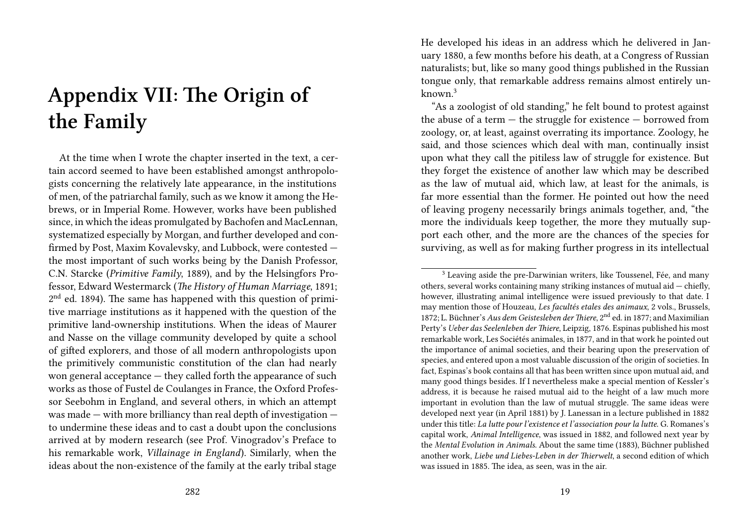## **Appendix VII: The Origin of the Family**

At the time when I wrote the chapter inserted in the text, a certain accord seemed to have been established amongst anthropologists concerning the relatively late appearance, in the institutions of men, of the patriarchal family, such as we know it among the Hebrews, or in Imperial Rome. However, works have been published since, in which the ideas promulgated by Bachofen and MacLennan, systematized especially by Morgan, and further developed and confirmed by Post, Maxim Kovalevsky, and Lubbock, were contested the most important of such works being by the Danish Professor, C.N. Starcke (*Primitive Family*, 1889), and by the Helsingfors Professor, Edward Westermarck (*The History of Human Marriage*, 1891; 2<sup>nd</sup> ed. 1894). The same has happened with this question of primitive marriage institutions as it happened with the question of the primitive land-ownership institutions. When the ideas of Maurer and Nasse on the village community developed by quite a school of gifted explorers, and those of all modern anthropologists upon the primitively communistic constitution of the clan had nearly won general acceptance — they called forth the appearance of such works as those of Fustel de Coulanges in France, the Oxford Professor Seebohm in England, and several others, in which an attempt was made — with more brilliancy than real depth of investigation to undermine these ideas and to cast a doubt upon the conclusions arrived at by modern research (see Prof. Vinogradov's Preface to his remarkable work, *Villainage in England*). Similarly, when the ideas about the non-existence of the family at the early tribal stage

He developed his ideas in an address which he delivered in January 1880, a few months before his death, at a Congress of Russian naturalists; but, like so many good things published in the Russian tongue only, that remarkable address remains almost entirely unknown.<sup>3</sup>

"As a zoologist of old standing," he felt bound to protest against the abuse of a term — the struggle for existence — borrowed from zoology, or, at least, against overrating its importance. Zoology, he said, and those sciences which deal with man, continually insist upon what they call the pitiless law of struggle for existence. But they forget the existence of another law which may be described as the law of mutual aid, which law, at least for the animals, is far more essential than the former. He pointed out how the need of leaving progeny necessarily brings animals together, and, "the more the individuals keep together, the more they mutually support each other, and the more are the chances of the species for surviving, as well as for making further progress in its intellectual

<sup>&</sup>lt;sup>3</sup> Leaving aside the pre-Darwinian writers, like Toussenel, Fée, and many others, several works containing many striking instances of mutual aid  $-$  chiefly, however, illustrating animal intelligence were issued previously to that date. I may mention those of Houzeau, *Les facultés etales des animaux*, 2 vols., Brussels, 1872; L. Büchner's *Aus dem Geistesleben der Thiere*, 2nd ed. in 1877; and Maximilian Perty's *Ueber das Seelenleben der Thiere*, Leipzig, 1876. Espinas published his most remarkable work, Les Sociétés animales, in 1877, and in that work he pointed out the importance of animal societies, and their bearing upon the preservation of species, and entered upon a most valuable discussion of the origin of societies. In fact, Espinas's book contains all that has been written since upon mutual aid, and many good things besides. If I nevertheless make a special mention of Kessler's address, it is because he raised mutual aid to the height of a law much more important in evolution than the law of mutual struggle. The same ideas were developed next year (in April 1881) by J. Lanessan in a lecture published in 1882 under this title: *La lutte pour l'existence et l'association pour la lutte*. G. Romanes's capital work, *Animal Intelligence*, was issued in 1882, and followed next year by the *Mental Evolution in Animals*. About the same time (1883), Büchner published another work, *Liebe und Liebes-Leben in der Thierwelt*, a second edition of which was issued in 1885. The idea, as seen, was in the air.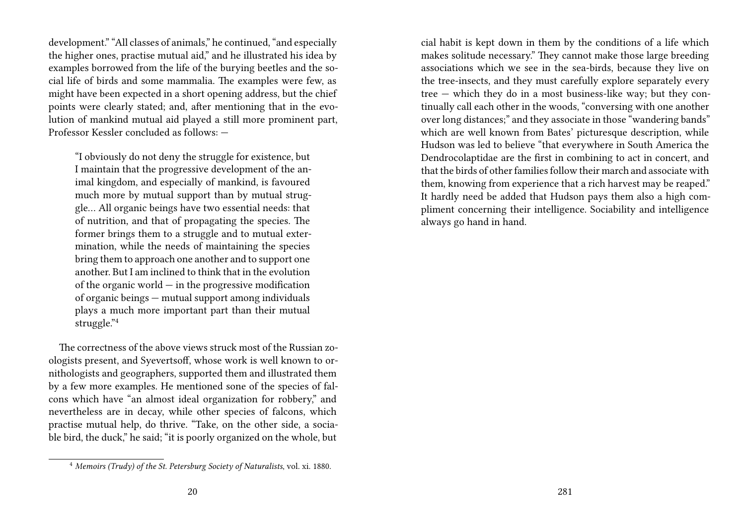development." "All classes of animals," he continued, "and especially the higher ones, practise mutual aid," and he illustrated his idea by examples borrowed from the life of the burying beetles and the social life of birds and some mammalia. The examples were few, as might have been expected in a short opening address, but the chief points were clearly stated; and, after mentioning that in the evolution of mankind mutual aid played a still more prominent part, Professor Kessler concluded as follows: —

"I obviously do not deny the struggle for existence, but I maintain that the progressive development of the animal kingdom, and especially of mankind, is favoured much more by mutual support than by mutual struggle… All organic beings have two essential needs: that of nutrition, and that of propagating the species. The former brings them to a struggle and to mutual extermination, while the needs of maintaining the species bring them to approach one another and to support one another. But I am inclined to think that in the evolution of the organic world  $-$  in the progressive modification of organic beings — mutual support among individuals plays a much more important part than their mutual struggle."<sup>4</sup>

The correctness of the above views struck most of the Russian zoologists present, and Syevertsoff, whose work is well known to ornithologists and geographers, supported them and illustrated them by a few more examples. He mentioned sone of the species of falcons which have "an almost ideal organization for robbery," and nevertheless are in decay, while other species of falcons, which practise mutual help, do thrive. "Take, on the other side, a sociable bird, the duck," he said; "it is poorly organized on the whole, but

cial habit is kept down in them by the conditions of a life which makes solitude necessary." They cannot make those large breeding associations which we see in the sea-birds, because they live on the tree-insects, and they must carefully explore separately every tree — which they do in a most business-like way; but they continually call each other in the woods, "conversing with one another over long distances;" and they associate in those "wandering bands" which are well known from Bates' picturesque description, while Hudson was led to believe "that everywhere in South America the Dendrocolaptidae are the first in combining to act in concert, and that the birds of other families follow their march and associate with them, knowing from experience that a rich harvest may be reaped." It hardly need be added that Hudson pays them also a high compliment concerning their intelligence. Sociability and intelligence always go hand in hand.

<sup>4</sup> *Memoirs (Trudy) of the St. Petersburg Society of Naturalists*, vol. xi. 1880.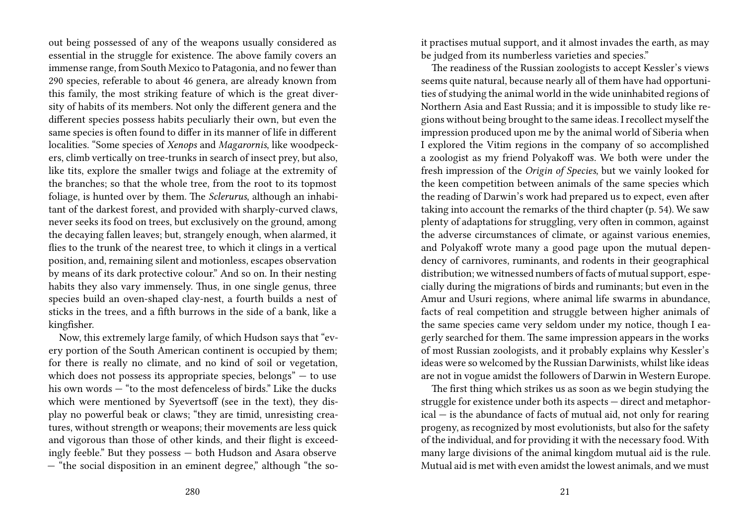out being possessed of any of the weapons usually considered as essential in the struggle for existence. The above family covers an immense range, from South Mexico to Patagonia, and no fewer than 290 species, referable to about 46 genera, are already known from this family, the most striking feature of which is the great diversity of habits of its members. Not only the different genera and the different species possess habits peculiarly their own, but even the same species is often found to differ in its manner of life in different localities. "Some species of *Xenops* and *Magarornis*, like woodpeckers, climb vertically on tree-trunks in search of insect prey, but also, like tits, explore the smaller twigs and foliage at the extremity of the branches; so that the whole tree, from the root to its topmost foliage, is hunted over by them. The *Sclerurus*, although an inhabitant of the darkest forest, and provided with sharply-curved claws, never seeks its food on trees, but exclusively on the ground, among the decaying fallen leaves; but, strangely enough, when alarmed, it flies to the trunk of the nearest tree, to which it clings in a vertical position, and, remaining silent and motionless, escapes observation by means of its dark protective colour." And so on. In their nesting habits they also vary immensely. Thus, in one single genus, three species build an oven-shaped clay-nest, a fourth builds a nest of sticks in the trees, and a fifth burrows in the side of a bank, like a kingfisher.

Now, this extremely large family, of which Hudson says that "every portion of the South American continent is occupied by them; for there is really no climate, and no kind of soil or vegetation, which does not possess its appropriate species, belongs"  $-$  to use his own words — "to the most defenceless of birds." Like the ducks which were mentioned by Syevertsoff (see in the text), they display no powerful beak or claws; "they are timid, unresisting creatures, without strength or weapons; their movements are less quick and vigorous than those of other kinds, and their flight is exceedingly feeble." But they possess — both Hudson and Asara observe — "the social disposition in an eminent degree," although "the soit practises mutual support, and it almost invades the earth, as may be judged from its numberless varieties and species."

The readiness of the Russian zoologists to accept Kessler's views seems quite natural, because nearly all of them have had opportunities of studying the animal world in the wide uninhabited regions of Northern Asia and East Russia; and it is impossible to study like regions without being brought to the same ideas. I recollect myself the impression produced upon me by the animal world of Siberia when I explored the Vitim regions in the company of so accomplished a zoologist as my friend Polyakoff was. We both were under the fresh impression of the *Origin of Species*, but we vainly looked for the keen competition between animals of the same species which the reading of Darwin's work had prepared us to expect, even after taking into account the remarks of the third chapter (p. 54). We saw plenty of adaptations for struggling, very often in common, against the adverse circumstances of climate, or against various enemies, and Polyakoff wrote many a good page upon the mutual dependency of carnivores, ruminants, and rodents in their geographical distribution; we witnessed numbers of facts of mutual support, especially during the migrations of birds and ruminants; but even in the Amur and Usuri regions, where animal life swarms in abundance, facts of real competition and struggle between higher animals of the same species came very seldom under my notice, though I eagerly searched for them. The same impression appears in the works of most Russian zoologists, and it probably explains why Kessler's ideas were so welcomed by the Russian Darwinists, whilst like ideas are not in vogue amidst the followers of Darwin in Western Europe.

The first thing which strikes us as soon as we begin studying the struggle for existence under both its aspects — direct and metaphorical — is the abundance of facts of mutual aid, not only for rearing progeny, as recognized by most evolutionists, but also for the safety of the individual, and for providing it with the necessary food. With many large divisions of the animal kingdom mutual aid is the rule. Mutual aid is met with even amidst the lowest animals, and we must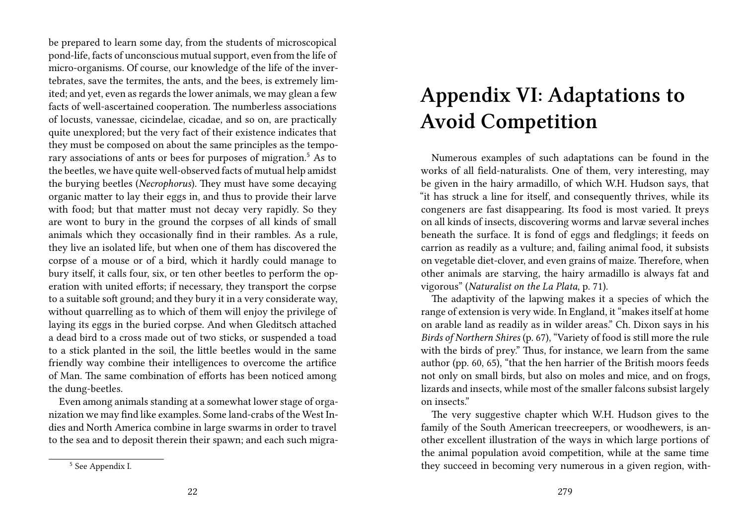be prepared to learn some day, from the students of microscopical pond-life, facts of unconscious mutual support, even from the life of micro-organisms. Of course, our knowledge of the life of the invertebrates, save the termites, the ants, and the bees, is extremely limited; and yet, even as regards the lower animals, we may glean a few facts of well-ascertained cooperation. The numberless associations of locusts, vanessae, cicindelae, cicadae, and so on, are practically quite unexplored; but the very fact of their existence indicates that they must be composed on about the same principles as the temporary associations of ants or bees for purposes of migration.<sup>5</sup> As to the beetles, we have quite well-observed facts of mutual help amidst the burying beetles (*Necrophorus*). They must have some decaying organic matter to lay their eggs in, and thus to provide their larve with food; but that matter must not decay very rapidly. So they are wont to bury in the ground the corpses of all kinds of small animals which they occasionally find in their rambles. As a rule, they live an isolated life, but when one of them has discovered the corpse of a mouse or of a bird, which it hardly could manage to bury itself, it calls four, six, or ten other beetles to perform the operation with united efforts; if necessary, they transport the corpse to a suitable soft ground; and they bury it in a very considerate way, without quarrelling as to which of them will enjoy the privilege of laying its eggs in the buried corpse. And when Gleditsch attached a dead bird to a cross made out of two sticks, or suspended a toad to a stick planted in the soil, the little beetles would in the same friendly way combine their intelligences to overcome the artifice of Man. The same combination of efforts has been noticed among the dung-beetles.

Even among animals standing at a somewhat lower stage of organization we may find like examples. Some land-crabs of the West Indies and North America combine in large swarms in order to travel to the sea and to deposit therein their spawn; and each such migra-

#### **Appendix VI: Adaptations to Avoid Competition**

Numerous examples of such adaptations can be found in the works of all field-naturalists. One of them, very interesting, may be given in the hairy armadillo, of which W.H. Hudson says, that "it has struck a line for itself, and consequently thrives, while its congeners are fast disappearing. Its food is most varied. It preys on all kinds of insects, discovering worms and larvæ several inches beneath the surface. It is fond of eggs and fledglings; it feeds on carrion as readily as a vulture; and, failing animal food, it subsists on vegetable diet-clover, and even grains of maize. Therefore, when other animals are starving, the hairy armadillo is always fat and vigorous" (*Naturalist on the La Plata*, p. 71).

The adaptivity of the lapwing makes it a species of which the range of extension is very wide. In England, it "makes itself at home on arable land as readily as in wilder areas." Ch. Dixon says in his *Birds of Northern Shires* (p. 67), "Variety of food is still more the rule with the birds of prey." Thus, for instance, we learn from the same author (pp. 60, 65), "that the hen harrier of the British moors feeds not only on small birds, but also on moles and mice, and on frogs, lizards and insects, while most of the smaller falcons subsist largely on insects."

The very suggestive chapter which W.H. Hudson gives to the family of the South American treecreepers, or woodhewers, is another excellent illustration of the ways in which large portions of the animal population avoid competition, while at the same time they succeed in becoming very numerous in a given region, with-

<sup>5</sup> See Appendix I.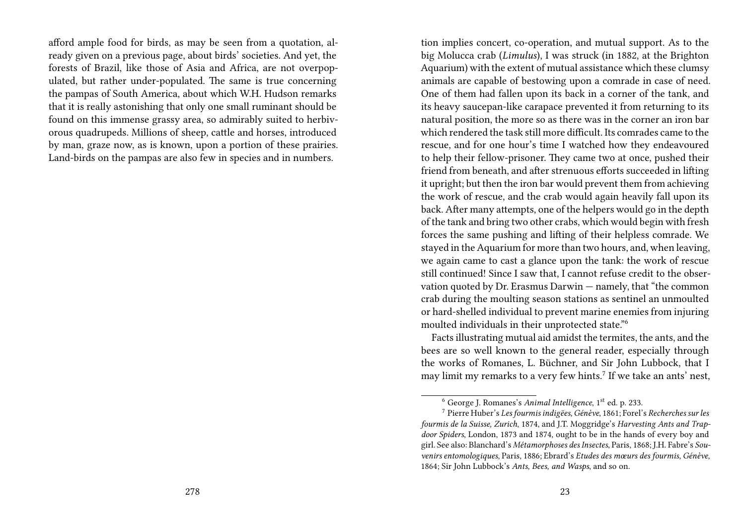afford ample food for birds, as may be seen from a quotation, already given on a previous page, about birds' societies. And yet, the forests of Brazil, like those of Asia and Africa, are not overpopulated, but rather under-populated. The same is true concerning the pampas of South America, about which W.H. Hudson remarks that it is really astonishing that only one small ruminant should be found on this immense grassy area, so admirably suited to herbivorous quadrupeds. Millions of sheep, cattle and horses, introduced by man, graze now, as is known, upon a portion of these prairies. Land-birds on the pampas are also few in species and in numbers.

tion implies concert, co-operation, and mutual support. As to the big Molucca crab (*Limulus*), I was struck (in 1882, at the Brighton Aquarium) with the extent of mutual assistance which these clumsy animals are capable of bestowing upon a comrade in case of need. One of them had fallen upon its back in a corner of the tank, and its heavy saucepan-like carapace prevented it from returning to its natural position, the more so as there was in the corner an iron bar which rendered the task still more difficult. Its comrades came to the rescue, and for one hour's time I watched how they endeavoured to help their fellow-prisoner. They came two at once, pushed their friend from beneath, and after strenuous efforts succeeded in lifting it upright; but then the iron bar would prevent them from achieving the work of rescue, and the crab would again heavily fall upon its back. After many attempts, one of the helpers would go in the depth of the tank and bring two other crabs, which would begin with fresh forces the same pushing and lifting of their helpless comrade. We stayed in the Aquarium for more than two hours, and, when leaving, we again came to cast a glance upon the tank: the work of rescue still continued! Since I saw that, I cannot refuse credit to the observation quoted by Dr. Erasmus Darwin — namely, that "the common crab during the moulting season stations as sentinel an unmoulted or hard-shelled individual to prevent marine enemies from injuring moulted individuals in their unprotected state."<sup>6</sup>

Facts illustrating mutual aid amidst the termites, the ants, and the bees are so well known to the general reader, especially through the works of Romanes, L. Büchner, and Sir John Lubbock, that I may limit my remarks to a very few hints.<sup>7</sup> If we take an ants' nest,

<sup>&</sup>lt;sup>6</sup> George J. Romanes's *Animal Intelligence*, 1<sup>st</sup> ed. p. 233.

<sup>7</sup> Pierre Huber's *Les fourmis indigëes, Génève*, 1861; Forel's *Recherches sur les fourmis de la Suisse, Zurich*, 1874, and J.T. Moggridge's *Harvesting Ants and Trapdoor Spiders*, London, 1873 and 1874, ought to be in the hands of every boy and girl. See also: Blanchard's *Métamorphoses des Insectes*, Paris, 1868; J.H. Fabre's *Souvenirs entomologiques*, Paris, 1886; Ebrard's *Etudes des mœurs des fourmis, Génève*, 1864; Sir John Lubbock's *Ants, Bees, and Wasps*, and so on.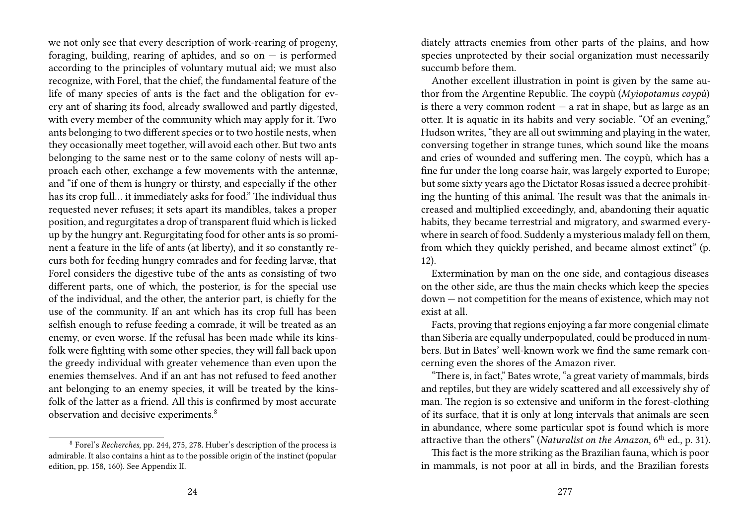we not only see that every description of work-rearing of progeny, foraging, building, rearing of aphides, and so on  $-$  is performed according to the principles of voluntary mutual aid; we must also recognize, with Forel, that the chief, the fundamental feature of the life of many species of ants is the fact and the obligation for every ant of sharing its food, already swallowed and partly digested, with every member of the community which may apply for it. Two ants belonging to two different species or to two hostile nests, when they occasionally meet together, will avoid each other. But two ants belonging to the same nest or to the same colony of nests will approach each other, exchange a few movements with the antennæ, and "if one of them is hungry or thirsty, and especially if the other has its crop full… it immediately asks for food." The individual thus requested never refuses; it sets apart its mandibles, takes a proper position, and regurgitates a drop of transparent fluid which is licked up by the hungry ant. Regurgitating food for other ants is so prominent a feature in the life of ants (at liberty), and it so constantly recurs both for feeding hungry comrades and for feeding larvæ, that Forel considers the digestive tube of the ants as consisting of two different parts, one of which, the posterior, is for the special use of the individual, and the other, the anterior part, is chiefly for the use of the community. If an ant which has its crop full has been selfish enough to refuse feeding a comrade, it will be treated as an enemy, or even worse. If the refusal has been made while its kinsfolk were fighting with some other species, they will fall back upon the greedy individual with greater vehemence than even upon the enemies themselves. And if an ant has not refused to feed another ant belonging to an enemy species, it will be treated by the kinsfolk of the latter as a friend. All this is confirmed by most accurate observation and decisive experiments.<sup>8</sup>

<sup>8</sup> Forel's *Recherches*, pp. 244, 275, 278. Huber's description of the process is admirable. It also contains a hint as to the possible origin of the instinct (popular edition, pp. 158, 160). See Appendix II.

diately attracts enemies from other parts of the plains, and how species unprotected by their social organization must necessarily succumb before them.

Another excellent illustration in point is given by the same author from the Argentine Republic. The coypù (*Myiopotamus coypù*) is there a very common rodent  $-$  a rat in shape, but as large as an otter. It is aquatic in its habits and very sociable. "Of an evening," Hudson writes, "they are all out swimming and playing in the water, conversing together in strange tunes, which sound like the moans and cries of wounded and suffering men. The coypù, which has a fine fur under the long coarse hair, was largely exported to Europe; but some sixty years ago the Dictator Rosas issued a decree prohibiting the hunting of this animal. The result was that the animals increased and multiplied exceedingly, and, abandoning their aquatic habits, they became terrestrial and migratory, and swarmed everywhere in search of food. Suddenly a mysterious malady fell on them, from which they quickly perished, and became almost extinct" (p. 12).

Extermination by man on the one side, and contagious diseases on the other side, are thus the main checks which keep the species down — not competition for the means of existence, which may not exist at all.

Facts, proving that regions enjoying a far more congenial climate than Siberia are equally underpopulated, could be produced in numbers. But in Bates' well-known work we find the same remark concerning even the shores of the Amazon river.

"There is, in fact," Bates wrote, "a great variety of mammals, birds and reptiles, but they are widely scattered and all excessively shy of man. The region is so extensive and uniform in the forest-clothing of its surface, that it is only at long intervals that animals are seen in abundance, where some particular spot is found which is more attractive than the others" (*Naturalist on the Amazon*, 6<sup>th</sup> ed., p. 31).

This fact is the more striking as the Brazilian fauna, which is poor in mammals, is not poor at all in birds, and the Brazilian forests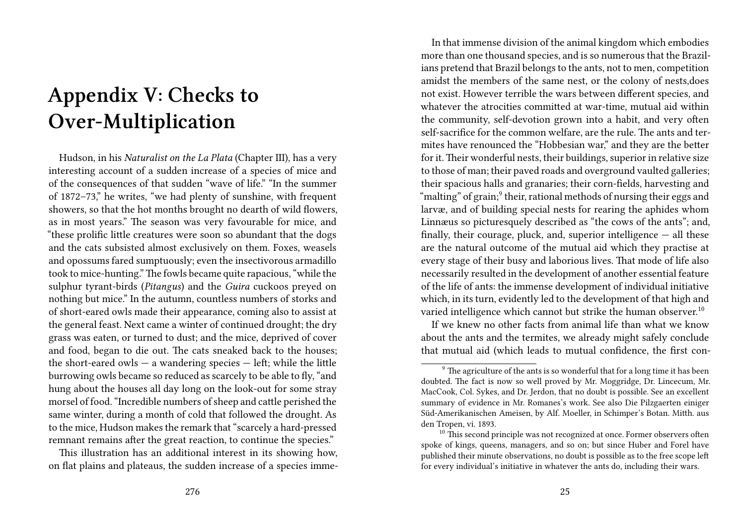#### **Appendix V: Checks to Over-Multiplication**

Hudson, in his *Naturalist on the La Plata* (Chapter III), has a very interesting account of a sudden increase of a species of mice and of the consequences of that sudden "wave of life." "In the summer of 1872–73," he writes, "we had plenty of sunshine, with frequent showers, so that the hot months brought no dearth of wild flowers, as in most years." The season was very favourable for mice, and "these prolific little creatures were soon so abundant that the dogs and the cats subsisted almost exclusively on them. Foxes, weasels and opossums fared sumptuously; even the insectivorous armadillo took to mice-hunting."The fowls became quite rapacious, "while the sulphur tyrant-birds (*Pitangus*) and the *Guira* cuckoos preyed on nothing but mice." In the autumn, countless numbers of storks and of short-eared owls made their appearance, coming also to assist at the general feast. Next came a winter of continued drought; the dry grass was eaten, or turned to dust; and the mice, deprived of cover and food, began to die out. The cats sneaked back to the houses; the short-eared owls  $-$  a wandering species  $-$  left; while the little burrowing owls became so reduced as scarcely to be able to fly, "and hung about the houses all day long on the look-out for some stray morsel of food. "Incredible numbers of sheep and cattle perished the same winter, during a month of cold that followed the drought. As to the mice, Hudson makes the remark that "scarcely a hard-pressed remnant remains after the great reaction, to continue the species."

This illustration has an additional interest in its showing how, on flat plains and plateaus, the sudden increase of a species imme-

In that immense division of the animal kingdom which embodies more than one thousand species, and is so numerous that the Brazilians pretend that Brazil belongs to the ants, not to men, competition amidst the members of the same nest, or the colony of nests,does not exist. However terrible the wars between different species, and whatever the atrocities committed at war-time, mutual aid within the community, self-devotion grown into a habit, and very often self-sacrifice for the common welfare, are the rule. The ants and termites have renounced the "Hobbesian war," and they are the better for it.Their wonderful nests, their buildings, superior in relative size to those of man; their paved roads and overground vaulted galleries; their spacious halls and granaries; their corn-fields, harvesting and "malting" of grain;<sup>9</sup> their, rational methods of nursing their eggs and larvæ, and of building special nests for rearing the aphides whom Linnæus so picturesquely described as "the cows of the ants"; and, finally, their courage, pluck, and, superior intelligence  $-$  all these are the natural outcome of the mutual aid which they practise at every stage of their busy and laborious lives. That mode of life also necessarily resulted in the development of another essential feature of the life of ants: the immense development of individual initiative which, in its turn, evidently led to the development of that high and varied intelligence which cannot but strike the human observer.<sup>10</sup>

If we knew no other facts from animal life than what we know about the ants and the termites, we already might safely conclude that mutual aid (which leads to mutual confidence, the first con-

<sup>9</sup> The agriculture of the ants is so wonderful that for a long time it has been doubted. The fact is now so well proved by Mr. Moggridge, Dr. Lincecum, Mr. MacCook, Col. Sykes, and Dr. Jerdon, that no doubt is possible. See an excellent summary of evidence in Mr. Romanes's work. See also Die Pilzgaerten einiger Süd-Amerikanischen Ameisen, by Alf. Moeller, in Schimper's Botan. Mitth. aus den Tropen, vi. 1893.

<sup>&</sup>lt;sup>10</sup> This second principle was not recognized at once. Former observers often spoke of kings, queens, managers, and so on; but since Huber and Forel have published their minute observations, no doubt is possible as to the free scope left for every individual's initiative in whatever the ants do, including their wars.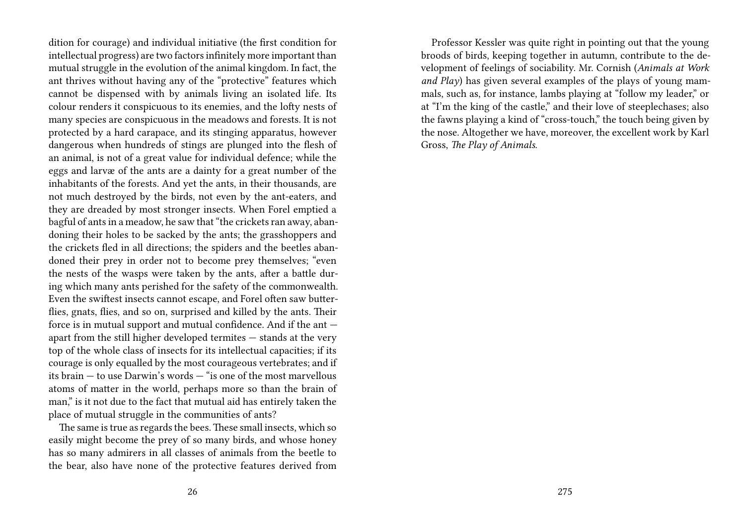dition for courage) and individual initiative (the first condition for intellectual progress) are two factors infinitely more important than mutual struggle in the evolution of the animal kingdom. In fact, the ant thrives without having any of the "protective" features which cannot be dispensed with by animals living an isolated life. Its colour renders it conspicuous to its enemies, and the lofty nests of many species are conspicuous in the meadows and forests. It is not protected by a hard carapace, and its stinging apparatus, however dangerous when hundreds of stings are plunged into the flesh of an animal, is not of a great value for individual defence; while the eggs and larvæ of the ants are a dainty for a great number of the inhabitants of the forests. And yet the ants, in their thousands, are not much destroyed by the birds, not even by the ant-eaters, and they are dreaded by most stronger insects. When Forel emptied a bagful of ants in a meadow, he saw that "the crickets ran away, abandoning their holes to be sacked by the ants; the grasshoppers and the crickets fled in all directions; the spiders and the beetles abandoned their prey in order not to become prey themselves; "even the nests of the wasps were taken by the ants, after a battle during which many ants perished for the safety of the commonwealth. Even the swiftest insects cannot escape, and Forel often saw butterflies, gnats, flies, and so on, surprised and killed by the ants. Their force is in mutual support and mutual confidence. And if the ant apart from the still higher developed termites — stands at the very top of the whole class of insects for its intellectual capacities; if its courage is only equalled by the most courageous vertebrates; and if its brain — to use Darwin's words — "is one of the most marvellous atoms of matter in the world, perhaps more so than the brain of man," is it not due to the fact that mutual aid has entirely taken the place of mutual struggle in the communities of ants?

The same is true as regards the bees. These small insects, which so easily might become the prey of so many birds, and whose honey has so many admirers in all classes of animals from the beetle to the bear, also have none of the protective features derived from

Professor Kessler was quite right in pointing out that the young broods of birds, keeping together in autumn, contribute to the development of feelings of sociability. Mr. Cornish (*Animals at Work and Play*) has given several examples of the plays of young mammals, such as, for instance, lambs playing at "follow my leader," or at "I'm the king of the castle," and their love of steeplechases; also the fawns playing a kind of "cross-touch," the touch being given by the nose. Altogether we have, moreover, the excellent work by Karl Gross, *The Play of Animals*.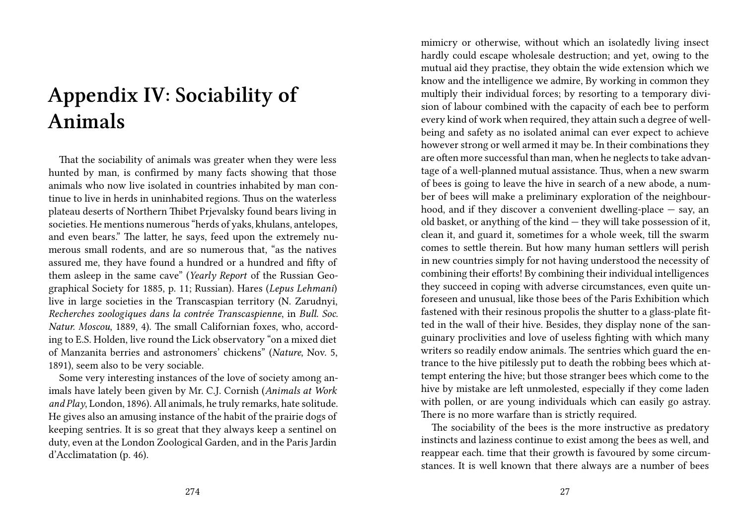## **Appendix IV: Sociability of Animals**

That the sociability of animals was greater when they were less hunted by man, is confirmed by many facts showing that those animals who now live isolated in countries inhabited by man continue to live in herds in uninhabited regions. Thus on the waterless plateau deserts of Northern Thibet Prjevalsky found bears living in societies. He mentions numerous "herds of yaks, khulans, antelopes, and even bears." The latter, he says, feed upon the extremely numerous small rodents, and are so numerous that, "as the natives assured me, they have found a hundred or a hundred and fifty of them asleep in the same cave" (*Yearly Report* of the Russian Geographical Society for 1885, p. 11; Russian). Hares (*Lepus Lehmani*) live in large societies in the Transcaspian territory (N. Zarudnyi, *Recherches zoologiques dans la contrée Transcaspienne*, in *Bull. Soc. Natur. Moscou*, 1889, 4). The small Californian foxes, who, according to E.S. Holden, live round the Lick observatory "on a mixed diet of Manzanita berries and astronomers' chickens" (*Nature*, Nov. 5, 1891), seem also to be very sociable.

Some very interesting instances of the love of society among animals have lately been given by Mr. C.J. Cornish (*Animals at Work and Play*, London, 1896). All animals, he truly remarks, hate solitude. He gives also an amusing instance of the habit of the prairie dogs of keeping sentries. It is so great that they always keep a sentinel on duty, even at the London Zoological Garden, and in the Paris Jardin d'Acclimatation (p. 46).

mimicry or otherwise, without which an isolatedly living insect hardly could escape wholesale destruction; and yet, owing to the mutual aid they practise, they obtain the wide extension which we know and the intelligence we admire, By working in common they multiply their individual forces; by resorting to a temporary division of labour combined with the capacity of each bee to perform every kind of work when required, they attain such a degree of wellbeing and safety as no isolated animal can ever expect to achieve however strong or well armed it may be. In their combinations they are often more successful than man, when he neglects to take advantage of a well-planned mutual assistance. Thus, when a new swarm of bees is going to leave the hive in search of a new abode, a number of bees will make a preliminary exploration of the neighbourhood, and if they discover a convenient dwelling-place  $-$  say, an old basket, or anything of the kind — they will take possession of it, clean it, and guard it, sometimes for a whole week, till the swarm comes to settle therein. But how many human settlers will perish in new countries simply for not having understood the necessity of combining their efforts! By combining their individual intelligences they succeed in coping with adverse circumstances, even quite unforeseen and unusual, like those bees of the Paris Exhibition which fastened with their resinous propolis the shutter to a glass-plate fitted in the wall of their hive. Besides, they display none of the sanguinary proclivities and love of useless fighting with which many writers so readily endow animals. The sentries which guard the entrance to the hive pitilessly put to death the robbing bees which attempt entering the hive; but those stranger bees which come to the hive by mistake are left unmolested, especially if they come laden with pollen, or are young individuals which can easily go astray. There is no more warfare than is strictly required.

The sociability of the bees is the more instructive as predatory instincts and laziness continue to exist among the bees as well, and reappear each. time that their growth is favoured by some circumstances. It is well known that there always are a number of bees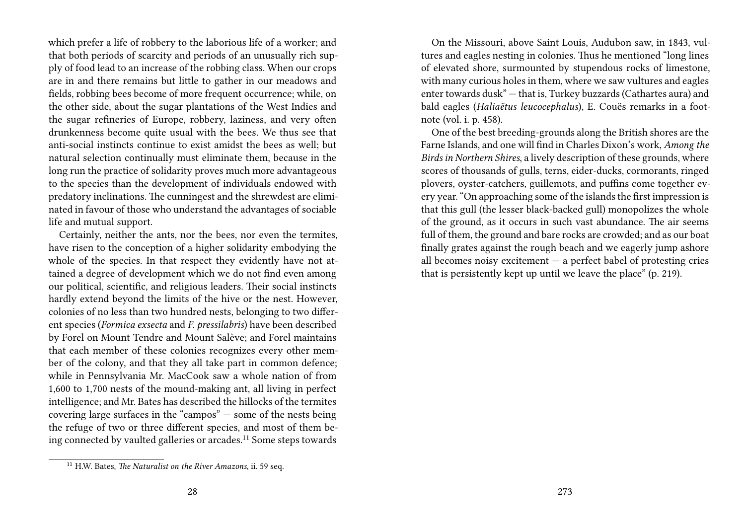which prefer a life of robbery to the laborious life of a worker; and that both periods of scarcity and periods of an unusually rich supply of food lead to an increase of the robbing class. When our crops are in and there remains but little to gather in our meadows and fields, robbing bees become of more frequent occurrence; while, on the other side, about the sugar plantations of the West Indies and the sugar refineries of Europe, robbery, laziness, and very often drunkenness become quite usual with the bees. We thus see that anti-social instincts continue to exist amidst the bees as well; but natural selection continually must eliminate them, because in the long run the practice of solidarity proves much more advantageous to the species than the development of individuals endowed with predatory inclinations. The cunningest and the shrewdest are eliminated in favour of those who understand the advantages of sociable life and mutual support.

Certainly, neither the ants, nor the bees, nor even the termites, have risen to the conception of a higher solidarity embodying the whole of the species. In that respect they evidently have not attained a degree of development which we do not find even among our political, scientific, and religious leaders. Their social instincts hardly extend beyond the limits of the hive or the nest. However, colonies of no less than two hundred nests, belonging to two different species (*Formica exsecta* and *F. pressilabris*) have been described by Forel on Mount Tendre and Mount Salève; and Forel maintains that each member of these colonies recognizes every other member of the colony, and that they all take part in common defence; while in Pennsylvania Mr. MacCook saw a whole nation of from 1,600 to 1,700 nests of the mound-making ant, all living in perfect intelligence; and Mr. Bates has described the hillocks of the termites covering large surfaces in the "campos" — some of the nests being the refuge of two or three different species, and most of them being connected by vaulted galleries or arcades.<sup>11</sup> Some steps towards

On the Missouri, above Saint Louis, Audubon saw, in 1843, vultures and eagles nesting in colonies. Thus he mentioned "long lines of elevated shore, surmounted by stupendous rocks of limestone, with many curious holes in them, where we saw vultures and eagles enter towards dusk" — that is, Turkey buzzards (Cathartes aura) and bald eagles (*Haliaëtus leucocephalus*), E. Couës remarks in a footnote (vol. i. p. 458).

One of the best breeding-grounds along the British shores are the Farne Islands, and one will find in Charles Dixon's work, *Among the Birds in Northern Shires*, a lively description of these grounds, where scores of thousands of gulls, terns, eider-ducks, cormorants, ringed plovers, oyster-catchers, guillemots, and puffins come together every year. "On approaching some of the islands the first impression is that this gull (the lesser black-backed gull) monopolizes the whole of the ground, as it occurs in such vast abundance. The air seems full of them, the ground and bare rocks are crowded; and as our boat finally grates against the rough beach and we eagerly jump ashore all becomes noisy excitement  $-$  a perfect babel of protesting cries that is persistently kept up until we leave the place" (p. 219).

<sup>11</sup> H.W. Bates, *The Naturalist on the River Amazons*, ii. 59 seq.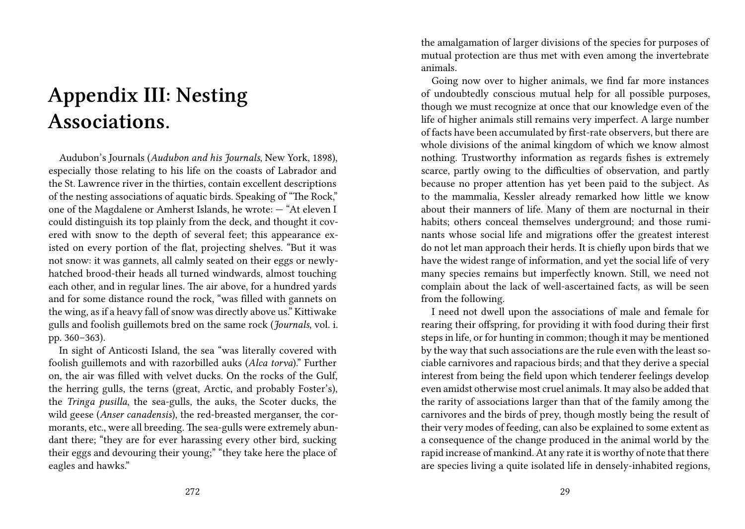## **Appendix III: Nesting Associations.**

Audubon's Journals (*Audubon and his Journals*, New York, 1898), especially those relating to his life on the coasts of Labrador and the St. Lawrence river in the thirties, contain excellent descriptions of the nesting associations of aquatic birds. Speaking of "The Rock," one of the Magdalene or Amherst Islands, he wrote: — "At eleven I could distinguish its top plainly from the deck, and thought it covered with snow to the depth of several feet; this appearance existed on every portion of the flat, projecting shelves. "But it was not snow: it was gannets, all calmly seated on their eggs or newlyhatched brood-their heads all turned windwards, almost touching each other, and in regular lines. The air above, for a hundred yards and for some distance round the rock, "was filled with gannets on the wing, as if a heavy fall of snow was directly above us." Kittiwake gulls and foolish guillemots bred on the same rock (*Journals*, vol. i. pp. 360–363).

In sight of Anticosti Island, the sea "was literally covered with foolish guillemots and with razorbilled auks (*Alca torva*)." Further on, the air was filled with velvet ducks. On the rocks of the Gulf, the herring gulls, the terns (great, Arctic, and probably Foster's), the *Tringa pusilla*, the sea-gulls, the auks, the Scoter ducks, the wild geese (*Anser canadensis*), the red-breasted merganser, the cormorants, etc., were all breeding. The sea-gulls were extremely abundant there; "they are for ever harassing every other bird, sucking their eggs and devouring their young;" "they take here the place of eagles and hawks."

the amalgamation of larger divisions of the species for purposes of mutual protection are thus met with even among the invertebrate animals.

Going now over to higher animals, we find far more instances of undoubtedly conscious mutual help for all possible purposes, though we must recognize at once that our knowledge even of the life of higher animals still remains very imperfect. A large number of facts have been accumulated by first-rate observers, but there are whole divisions of the animal kingdom of which we know almost nothing. Trustworthy information as regards fishes is extremely scarce, partly owing to the difficulties of observation, and partly because no proper attention has yet been paid to the subject. As to the mammalia, Kessler already remarked how little we know about their manners of life. Many of them are nocturnal in their habits; others conceal themselves underground; and those ruminants whose social life and migrations offer the greatest interest do not let man approach their herds. It is chiefly upon birds that we have the widest range of information, and yet the social life of very many species remains but imperfectly known. Still, we need not complain about the lack of well-ascertained facts, as will be seen from the following.

I need not dwell upon the associations of male and female for rearing their offspring, for providing it with food during their first steps in life, or for hunting in common; though it may be mentioned by the way that such associations are the rule even with the least sociable carnivores and rapacious birds; and that they derive a special interest from being the field upon which tenderer feelings develop even amidst otherwise most cruel animals. It may also be added that the rarity of associations larger than that of the family among the carnivores and the birds of prey, though mostly being the result of their very modes of feeding, can also be explained to some extent as a consequence of the change produced in the animal world by the rapid increase of mankind. At any rate it is worthy of note that there are species living a quite isolated life in densely-inhabited regions,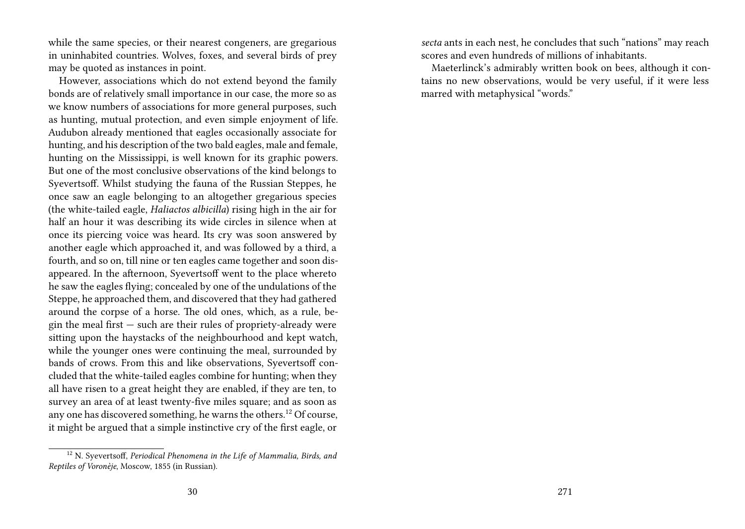while the same species, or their nearest congeners, are gregarious in uninhabited countries. Wolves, foxes, and several birds of prey may be quoted as instances in point.

However, associations which do not extend beyond the family bonds are of relatively small importance in our case, the more so as we know numbers of associations for more general purposes, such as hunting, mutual protection, and even simple enjoyment of life. Audubon already mentioned that eagles occasionally associate for hunting, and his description of the two bald eagles, male and female, hunting on the Mississippi, is well known for its graphic powers. But one of the most conclusive observations of the kind belongs to Syevertsoff. Whilst studying the fauna of the Russian Steppes, he once saw an eagle belonging to an altogether gregarious species (the white-tailed eagle, *Haliactos albicilla*) rising high in the air for half an hour it was describing its wide circles in silence when at once its piercing voice was heard. Its cry was soon answered by another eagle which approached it, and was followed by a third, a fourth, and so on, till nine or ten eagles came together and soon disappeared. In the afternoon, Syevertsoff went to the place whereto he saw the eagles flying; concealed by one of the undulations of the Steppe, he approached them, and discovered that they had gathered around the corpse of a horse. The old ones, which, as a rule, begin the meal first  $-$  such are their rules of propriety-already were sitting upon the haystacks of the neighbourhood and kept watch, while the younger ones were continuing the meal, surrounded by bands of crows. From this and like observations, Syevertsoff concluded that the white-tailed eagles combine for hunting; when they all have risen to a great height they are enabled, if they are ten, to survey an area of at least twenty-five miles square; and as soon as any one has discovered something, he warns the others.<sup>12</sup> Of course, it might be argued that a simple instinctive cry of the first eagle, or

<sup>12</sup> N. Syevertsoff, *Periodical Phenomena in the Life of Mammalia, Birds, and Reptiles of Voronèje*, Moscow, 1855 (in Russian).

*secta* ants in each nest, he concludes that such "nations" may reach scores and even hundreds of millions of inhabitants.

Maeterlinck's admirably written book on bees, although it contains no new observations, would be very useful, if it were less marred with metaphysical "words."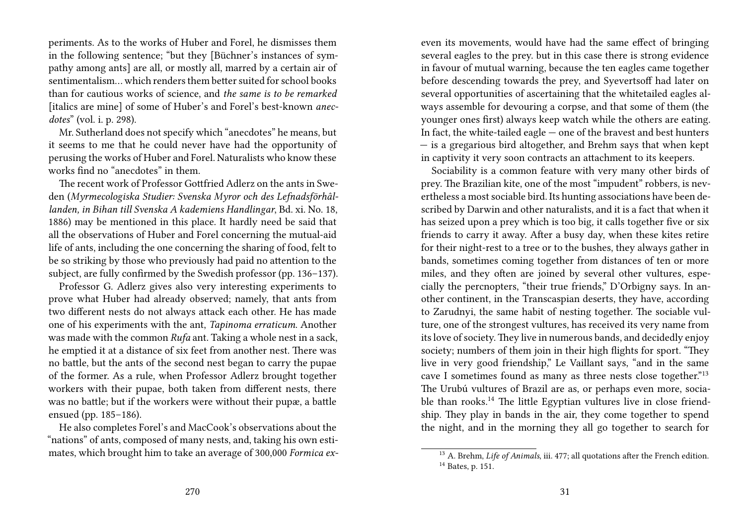periments. As to the works of Huber and Forel, he dismisses them in the following sentence; "but they [Büchner's instances of sympathy among ants] are all, or mostly all, marred by a certain air of sentimentalism… which renders them better suited for school books than for cautious works of science, and *the same is to be remarked* [italics are mine] of some of Huber's and Forel's best-known *anecdotes*" (vol. i. p. 298).

Mr. Sutherland does not specify which "anecdotes" he means, but it seems to me that he could never have had the opportunity of perusing the works of Huber and Forel. Naturalists who know these works find no "anecdotes" in them.

The recent work of Professor Gottfried Adlerz on the ants in Sweden (*Myrmecologiska Studier: Svenska Myror och des Lefnadsförhâllanden, in Bihan till Svenska A kademiens Handlingar*, Bd. xi. No. 18, 1886) may be mentioned in this place. It hardly need be said that all the observations of Huber and Forel concerning the mutual-aid life of ants, including the one concerning the sharing of food, felt to be so striking by those who previously had paid no attention to the subject, are fully confirmed by the Swedish professor (pp. 136–137).

Professor G. Adlerz gives also very interesting experiments to prove what Huber had already observed; namely, that ants from two different nests do not always attack each other. He has made one of his experiments with the ant, *Tapinoma erraticum*. Another was made with the common *Rufa* ant. Taking a whole nest in a sack, he emptied it at a distance of six feet from another nest. There was no battle, but the ants of the second nest began to carry the pupae of the former. As a rule, when Professor Adlerz brought together workers with their pupae, both taken from different nests, there was no battle; but if the workers were without their pupæ, a battle ensued (pp. 185–186).

He also completes Forel's and MacCook's observations about the "nations" of ants, composed of many nests, and, taking his own estimates, which brought him to take an average of 300,000 *Formica ex-*

even its movements, would have had the same effect of bringing several eagles to the prey. but in this case there is strong evidence in favour of mutual warning, because the ten eagles came together before descending towards the prey, and Syevertsoff had later on several opportunities of ascertaining that the whitetailed eagles always assemble for devouring a corpse, and that some of them (the younger ones first) always keep watch while the others are eating. In fact, the white-tailed eagle — one of the bravest and best hunters — is a gregarious bird altogether, and Brehm says that when kept in captivity it very soon contracts an attachment to its keepers.

Sociability is a common feature with very many other birds of prey. The Brazilian kite, one of the most "impudent" robbers, is nevertheless a most sociable bird. Its hunting associations have been described by Darwin and other naturalists, and it is a fact that when it has seized upon a prey which is too big, it calls together five or six friends to carry it away. After a busy day, when these kites retire for their night-rest to a tree or to the bushes, they always gather in bands, sometimes coming together from distances of ten or more miles, and they often are joined by several other vultures, especially the percnopters, "their true friends," D'Orbigny says. In another continent, in the Transcaspian deserts, they have, according to Zarudnyi, the same habit of nesting together. The sociable vulture, one of the strongest vultures, has received its very name from its love of society. They live in numerous bands, and decidedly enjoy society; numbers of them join in their high flights for sport. "They live in very good friendship," Le Vaillant says, "and in the same cave I sometimes found as many as three nests close together."<sup>13</sup> The Urubú vultures of Brazil are as, or perhaps even more, sociable than rooks.<sup>14</sup> The little Egyptian vultures live in close friendship. They play in bands in the air, they come together to spend the night, and in the morning they all go together to search for

<sup>&</sup>lt;sup>13</sup> A. Brehm, *Life of Animals*, iii. 477; all quotations after the French edition. <sup>14</sup> Bates, p. 151.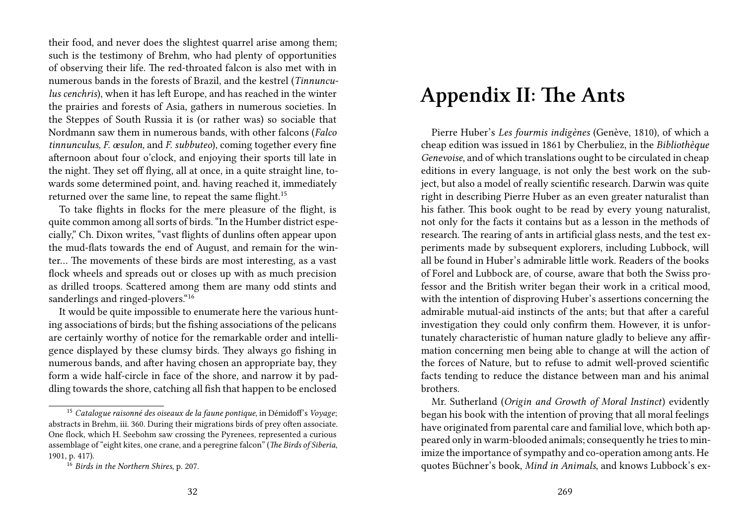their food, and never does the slightest quarrel arise among them; such is the testimony of Brehm, who had plenty of opportunities of observing their life. The red-throated falcon is also met with in numerous bands in the forests of Brazil, and the kestrel (*Tinnunculus cenchris*), when it has left Europe, and has reached in the winter the prairies and forests of Asia, gathers in numerous societies. In the Steppes of South Russia it is (or rather was) so sociable that Nordmann saw them in numerous bands, with other falcons (*Falco tinnunculus, F. œsulon,* and *F. subbuteo*), coming together every fine afternoon about four o'clock, and enjoying their sports till late in the night. They set off flying, all at once, in a quite straight line, towards some determined point, and. having reached it, immediately returned over the same line, to repeat the same flight.<sup>15</sup>

To take flights in flocks for the mere pleasure of the flight, is quite common among all sorts of birds. "In the Humber district especially," Ch. Dixon writes, "vast flights of dunlins often appear upon the mud-flats towards the end of August, and remain for the winter… The movements of these birds are most interesting, as a vast flock wheels and spreads out or closes up with as much precision as drilled troops. Scattered among them are many odd stints and sanderlings and ringed-plovers."<sup>16</sup>

It would be quite impossible to enumerate here the various hunting associations of birds; but the fishing associations of the pelicans are certainly worthy of notice for the remarkable order and intelligence displayed by these clumsy birds. They always go fishing in numerous bands, and after having chosen an appropriate bay, they form a wide half-circle in face of the shore, and narrow it by paddling towards the shore, catching all fish that happen to be enclosed

### **Appendix II: The Ants**

Pierre Huber's *Les fourmis indigènes* (Genève, 1810), of which a cheap edition was issued in 1861 by Cherbuliez, in the *Bibliothèque Genevoise*, and of which translations ought to be circulated in cheap editions in every language, is not only the best work on the subject, but also a model of really scientific research. Darwin was quite right in describing Pierre Huber as an even greater naturalist than his father. This book ought to be read by every young naturalist, not only for the facts it contains but as a lesson in the methods of research. The rearing of ants in artificial glass nests, and the test experiments made by subsequent explorers, including Lubbock, will all be found in Huber's admirable little work. Readers of the books of Forel and Lubbock are, of course, aware that both the Swiss professor and the British writer began their work in a critical mood, with the intention of disproving Huber's assertions concerning the admirable mutual-aid instincts of the ants; but that after a careful investigation they could only confirm them. However, it is unfortunately characteristic of human nature gladly to believe any affirmation concerning men being able to change at will the action of the forces of Nature, but to refuse to admit well-proved scientific facts tending to reduce the distance between man and his animal brothers.

Mr. Sutherland (*Origin and Growth of Moral Instinct*) evidently began his book with the intention of proving that all moral feelings have originated from parental care and familial love, which both appeared only in warm-blooded animals; consequently he tries to minimize the importance of sympathy and co-operation among ants. He quotes Büchner's book, *Mind in Animals*, and knows Lubbock's ex-

<sup>15</sup> *Catalogue raisonné des oiseaux de la faune pontique*, in Démidoff's *Voyage*; abstracts in Brehm, iii. 360. During their migrations birds of prey often associate. One flock, which H. Seebohm saw crossing the Pyrenees, represented a curious assemblage of "eight kites, one crane, and a peregrine falcon" (*The Birds of Siberia*, 1901, p. 417).

<sup>16</sup> *Birds in the Northern Shires*, p. 207.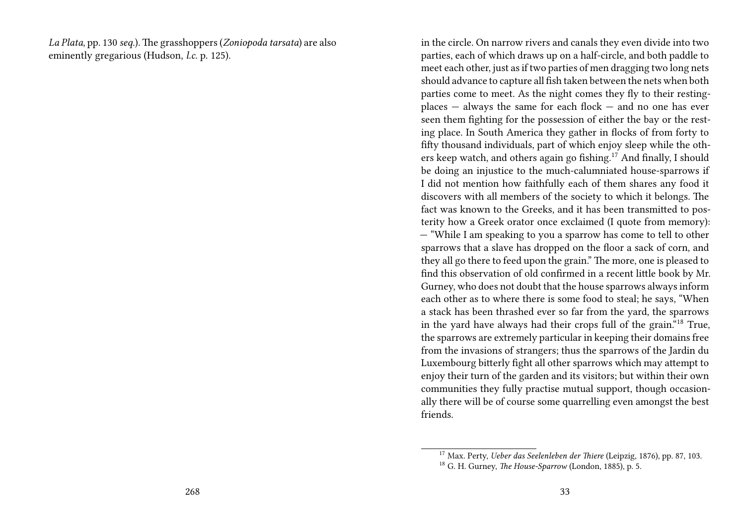*La Plata*, pp. 130 *seq*.). The grasshoppers (*Zoniopoda tarsata*) are also eminently gregarious (Hudson, *l.c.* p. 125).

in the circle. On narrow rivers and canals they even divide into two parties, each of which draws up on a half-circle, and both paddle to meet each other, just as if two parties of men dragging two long nets should advance to capture all fish taken between the nets when both parties come to meet. As the night comes they fly to their restingplaces — always the same for each flock — and no one has ever seen them fighting for the possession of either the bay or the resting place. In South America they gather in flocks of from forty to fifty thousand individuals, part of which enjoy sleep while the others keep watch, and others again go fishing.<sup>17</sup> And finally, I should be doing an injustice to the much-calumniated house-sparrows if I did not mention how faithfully each of them shares any food it discovers with all members of the society to which it belongs. The fact was known to the Greeks, and it has been transmitted to posterity how a Greek orator once exclaimed (I quote from memory): — "While I am speaking to you a sparrow has come to tell to other sparrows that a slave has dropped on the floor a sack of corn, and they all go there to feed upon the grain." The more, one is pleased to find this observation of old confirmed in a recent little book by Mr. Gurney, who does not doubt that the house sparrows always inform each other as to where there is some food to steal; he says, "When a stack has been thrashed ever so far from the yard, the sparrows in the yard have always had their crops full of the grain."<sup>18</sup> True, the sparrows are extremely particular in keeping their domains free from the invasions of strangers; thus the sparrows of the Jardin du Luxembourg bitterly fight all other sparrows which may attempt to enjoy their turn of the garden and its visitors; but within their own communities they fully practise mutual support, though occasionally there will be of course some quarrelling even amongst the best friends.

<sup>17</sup> Max. Perty, *Ueber das Seelenleben der Thiere* (Leipzig, 1876), pp. 87, 103.

<sup>18</sup> G. H. Gurney, *The House-Sparrow* (London, 1885), p. 5.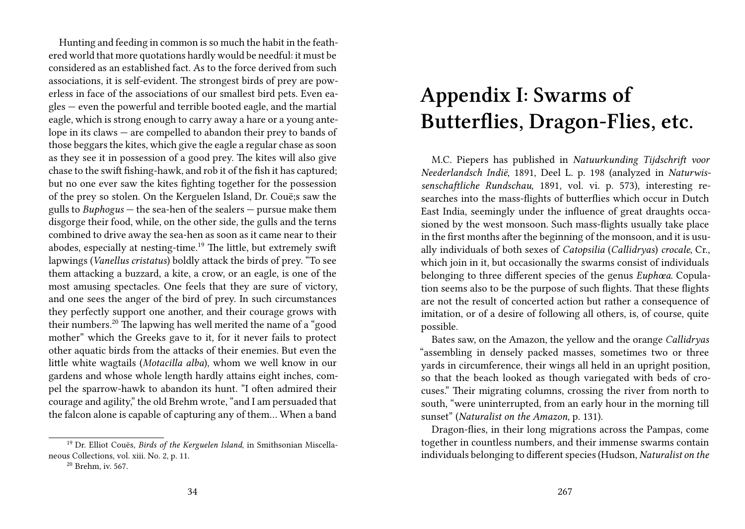Hunting and feeding in common is so much the habit in the feathered world that more quotations hardly would be needful: it must be considered as an established fact. As to the force derived from such associations, it is self-evident. The strongest birds of prey are powerless in face of the associations of our smallest bird pets. Even eagles — even the powerful and terrible booted eagle, and the martial eagle, which is strong enough to carry away a hare or a young antelope in its claws — are compelled to abandon their prey to bands of those beggars the kites, which give the eagle a regular chase as soon as they see it in possession of a good prey. The kites will also give chase to the swift fishing-hawk, and rob it of the fish it has captured; but no one ever saw the kites fighting together for the possession of the prey so stolen. On the Kerguelen Island, Dr. Couë;s saw the gulls to *Buphogus* — the sea-hen of the sealers — pursue make them disgorge their food, while, on the other side, the gulls and the terns combined to drive away the sea-hen as soon as it came near to their abodes, especially at nesting-time.<sup>19</sup> The little, but extremely swift lapwings (*Vanellus cristatus*) boldly attack the birds of prey. "To see them attacking a buzzard, a kite, a crow, or an eagle, is one of the most amusing spectacles. One feels that they are sure of victory, and one sees the anger of the bird of prey. In such circumstances they perfectly support one another, and their courage grows with their numbers.<sup>20</sup> The lapwing has well merited the name of a "good mother" which the Greeks gave to it, for it never fails to protect other aquatic birds from the attacks of their enemies. But even the little white wagtails (*Motacilla alba*), whom we well know in our gardens and whose whole length hardly attains eight inches, compel the sparrow-hawk to abandon its hunt. "I often admired their courage and agility," the old Brehm wrote, "and I am persuaded that the falcon alone is capable of capturing any of them… When a band

<sup>19</sup> Dr. Elliot Couës, *Birds of the Kerguelen Island*, in Smithsonian Miscellaneous Collections, vol. xiii. No. 2, p. 11.

M.C. Piepers has published in *Natuurkunding Tijdschrift voor Neederlandsch Indië*, 1891, Deel L. p. 198 (analyzed in *Naturwissenschaftliche Rundschau*, 1891, vol. vi. p. 573), interesting researches into the mass-flights of butterflies which occur in Dutch East India, seemingly under the influence of great draughts occasioned by the west monsoon. Such mass-flights usually take place in the first months after the beginning of the monsoon, and it is usually individuals of both sexes of *Catopsilia* (*Callidryas*) *crocale*, Cr., which join in it, but occasionally the swarms consist of individuals belonging to three different species of the genus *Euphœa*. Copulation seems also to be the purpose of such flights. That these flights are not the result of concerted action but rather a consequence of imitation, or of a desire of following all others, is, of course, quite possible.

Bates saw, on the Amazon, the yellow and the orange *Callidryas* "assembling in densely packed masses, sometimes two or three yards in circumference, their wings all held in an upright position, so that the beach looked as though variegated with beds of crocuses." Their migrating columns, crossing the river from north to south, "were uninterrupted, from an early hour in the morning till sunset" (*Naturalist on the Amazon*, p. 131).

Dragon-flies, in their long migrations across the Pampas, come together in countless numbers, and their immense swarms contain individuals belonging to different species (Hudson, *Naturalist on the*

**Appendix I: Swarms of Butterflies, Dragon-Flies, etc.**

<sup>20</sup> Brehm, iv. 567.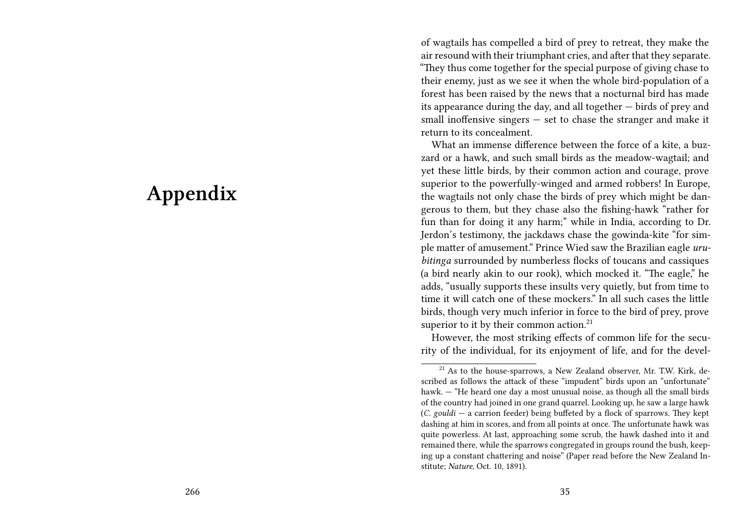#### **Appendix**

of wagtails has compelled a bird of prey to retreat, they make the air resound with their triumphant cries, and after that they separate. "They thus come together for the special purpose of giving chase to their enemy, just as we see it when the whole bird-population of a forest has been raised by the news that a nocturnal bird has made its appearance during the day, and all together — birds of prey and small inoffensive singers  $-$  set to chase the stranger and make it return to its concealment.

What an immense difference between the force of a kite, a buzzard or a hawk, and such small birds as the meadow-wagtail; and yet these little birds, by their common action and courage, prove superior to the powerfully-winged and armed robbers! In Europe, the wagtails not only chase the birds of prey which might be dangerous to them, but they chase also the fishing-hawk "rather for fun than for doing it any harm;" while in India, according to Dr. Jerdon's testimony, the jackdaws chase the gowinda-kite "for simple matter of amusement." Prince Wied saw the Brazilian eagle *urubitinga* surrounded by numberless flocks of toucans and cassiques (a bird nearly akin to our rook), which mocked it. "The eagle," he adds, "usually supports these insults very quietly, but from time to time it will catch one of these mockers." In all such cases the little birds, though very much inferior in force to the bird of prey, prove superior to it by their common action. $21$ 

However, the most striking effects of common life for the security of the individual, for its enjoyment of life, and for the devel-

 $21$  As to the house-sparrows, a New Zealand observer, Mr. T.W. Kirk, described as follows the attack of these "impudent" birds upon an "unfortunate" hawk. — "He heard one day a most unusual noise, as though all the small birds of the country had joined in one grand quarrel. Looking up, he saw a large hawk (*C. gouldi* — a carrion feeder) being buffeted by a flock of sparrows. They kept dashing at him in scores, and from all points at once. The unfortunate hawk was quite powerless. At last, approaching some scrub, the hawk dashed into it and remained there, while the sparrows congregated in groups round the bush, keeping up a constant chattering and noise" (Paper read before the New Zealand Institute; *Nature*, Oct. 10, 1891).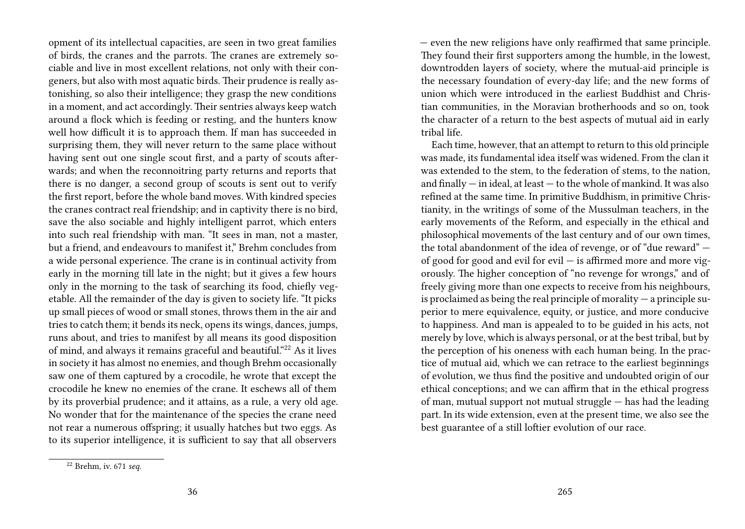opment of its intellectual capacities, are seen in two great families of birds, the cranes and the parrots. The cranes are extremely sociable and live in most excellent relations, not only with their congeners, but also with most aquatic birds. Their prudence is really astonishing, so also their intelligence; they grasp the new conditions in a moment, and act accordingly. Their sentries always keep watch around a flock which is feeding or resting, and the hunters know well how difficult it is to approach them. If man has succeeded in surprising them, they will never return to the same place without having sent out one single scout first, and a party of scouts afterwards; and when the reconnoitring party returns and reports that there is no danger, a second group of scouts is sent out to verify the first report, before the whole band moves. With kindred species the cranes contract real friendship; and in captivity there is no bird, save the also sociable and highly intelligent parrot, which enters into such real friendship with man. "It sees in man, not a master, but a friend, and endeavours to manifest it," Brehm concludes from a wide personal experience. The crane is in continual activity from early in the morning till late in the night; but it gives a few hours only in the morning to the task of searching its food, chiefly vegetable. All the remainder of the day is given to society life. "It picks up small pieces of wood or small stones, throws them in the air and tries to catch them; it bends its neck, opens its wings, dances, jumps, runs about, and tries to manifest by all means its good disposition of mind, and always it remains graceful and beautiful."<sup>22</sup> As it lives in society it has almost no enemies, and though Brehm occasionally saw one of them captured by a crocodile, he wrote that except the crocodile he knew no enemies of the crane. It eschews all of them by its proverbial prudence; and it attains, as a rule, a very old age. No wonder that for the maintenance of the species the crane need not rear a numerous offspring; it usually hatches but two eggs. As to its superior intelligence, it is sufficient to say that all observers

— even the new religions have only reaffirmed that same principle. They found their first supporters among the humble, in the lowest, downtrodden layers of society, where the mutual-aid principle is the necessary foundation of every-day life; and the new forms of union which were introduced in the earliest Buddhist and Christian communities, in the Moravian brotherhoods and so on, took the character of a return to the best aspects of mutual aid in early tribal life.

Each time, however, that an attempt to return to this old principle was made, its fundamental idea itself was widened. From the clan it was extended to the stem, to the federation of stems, to the nation, and finally — in ideal, at least — to the whole of mankind. It was also refined at the same time. In primitive Buddhism, in primitive Christianity, in the writings of some of the Mussulman teachers, in the early movements of the Reform, and especially in the ethical and philosophical movements of the last century and of our own times, the total abandonment of the idea of revenge, or of "due reward" of good for good and evil for evil  $-$  is affirmed more and more vigorously. The higher conception of "no revenge for wrongs," and of freely giving more than one expects to receive from his neighbours, is proclaimed as being the real principle of morality  $-$  a principle superior to mere equivalence, equity, or justice, and more conducive to happiness. And man is appealed to to be guided in his acts, not merely by love, which is always personal, or at the best tribal, but by the perception of his oneness with each human being. In the practice of mutual aid, which we can retrace to the earliest beginnings of evolution, we thus find the positive and undoubted origin of our ethical conceptions; and we can affirm that in the ethical progress of man, mutual support not mutual struggle — has had the leading part. In its wide extension, even at the present time, we also see the best guarantee of a still loftier evolution of our race.

<sup>22</sup> Brehm, iv. 671 *seq*.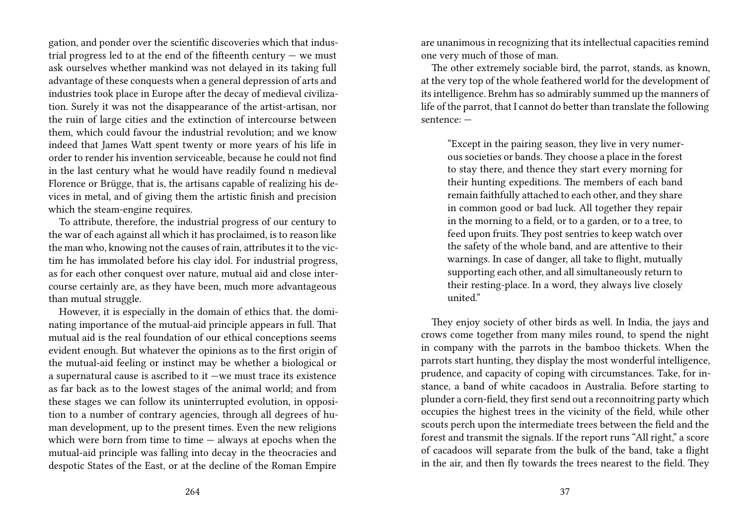gation, and ponder over the scientific discoveries which that industrial progress led to at the end of the fifteenth century  $-$  we must ask ourselves whether mankind was not delayed in its taking full advantage of these conquests when a general depression of arts and industries took place in Europe after the decay of medieval civilization. Surely it was not the disappearance of the artist-artisan, nor the ruin of large cities and the extinction of intercourse between them, which could favour the industrial revolution; and we know indeed that James Watt spent twenty or more years of his life in order to render his invention serviceable, because he could not find in the last century what he would have readily found n medieval Florence or Brügge, that is, the artisans capable of realizing his devices in metal, and of giving them the artistic finish and precision which the steam-engine requires.

To attribute, therefore, the industrial progress of our century to the war of each against all which it has proclaimed, is to reason like the man who, knowing not the causes of rain, attributes it to the victim he has immolated before his clay idol. For industrial progress, as for each other conquest over nature, mutual aid and close intercourse certainly are, as they have been, much more advantageous than mutual struggle.

However, it is especially in the domain of ethics that. the dominating importance of the mutual-aid principle appears in full. That mutual aid is the real foundation of our ethical conceptions seems evident enough. But whatever the opinions as to the first origin of the mutual-aid feeling or instinct may be whether a biological or a supernatural cause is ascribed to it —we must trace its existence as far back as to the lowest stages of the animal world; and from these stages we can follow its uninterrupted evolution, in opposition to a number of contrary agencies, through all degrees of human development, up to the present times. Even the new religions which were born from time to time  $-$  always at epochs when the mutual-aid principle was falling into decay in the theocracies and despotic States of the East, or at the decline of the Roman Empire

are unanimous in recognizing that its intellectual capacities remind one very much of those of man.

The other extremely sociable bird, the parrot, stands, as known, at the very top of the whole feathered world for the development of its intelligence. Brehm has so admirably summed up the manners of life of the parrot, that I cannot do better than translate the following sentence: —

"Except in the pairing season, they live in very numerous societies or bands. They choose a place in the forest to stay there, and thence they start every morning for their hunting expeditions. The members of each band remain faithfully attached to each other, and they share in common good or bad luck. All together they repair in the morning to a field, or to a garden, or to a tree, to feed upon fruits. They post sentries to keep watch over the safety of the whole band, and are attentive to their warnings. In case of danger, all take to flight, mutually supporting each other, and all simultaneously return to their resting-place. In a word, they always live closely united"

They enjoy society of other birds as well. In India, the jays and crows come together from many miles round, to spend the night in company with the parrots in the bamboo thickets. When the parrots start hunting, they display the most wonderful intelligence, prudence, and capacity of coping with circumstances. Take, for instance, a band of white cacadoos in Australia. Before starting to plunder a corn-field, they first send out a reconnoitring party which occupies the highest trees in the vicinity of the field, while other scouts perch upon the intermediate trees between the field and the forest and transmit the signals. If the report runs "All right," a score of cacadoos will separate from the bulk of the band, take a flight in the air, and then fly towards the trees nearest to the field. They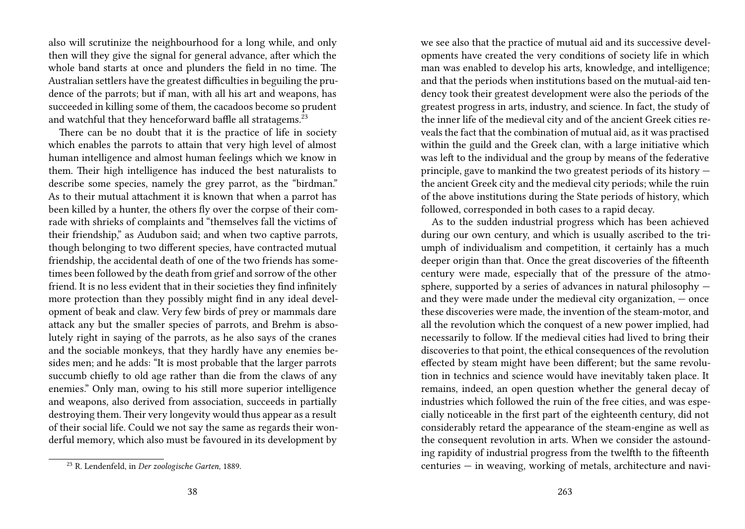also will scrutinize the neighbourhood for a long while, and only then will they give the signal for general advance, after which the whole band starts at once and plunders the field in no time. The Australian settlers have the greatest difficulties in beguiling the prudence of the parrots; but if man, with all his art and weapons, has succeeded in killing some of them, the cacadoos become so prudent and watchful that they henceforward baffle all stratagems.<sup>23</sup>

There can be no doubt that it is the practice of life in society which enables the parrots to attain that very high level of almost human intelligence and almost human feelings which we know in them. Their high intelligence has induced the best naturalists to describe some species, namely the grey parrot, as the "birdman." As to their mutual attachment it is known that when a parrot has been killed by a hunter, the others fly over the corpse of their comrade with shrieks of complaints and "themselves fall the victims of their friendship," as Audubon said; and when two captive parrots, though belonging to two different species, have contracted mutual friendship, the accidental death of one of the two friends has sometimes been followed by the death from grief and sorrow of the other friend. It is no less evident that in their societies they find infinitely more protection than they possibly might find in any ideal development of beak and claw. Very few birds of prey or mammals dare attack any but the smaller species of parrots, and Brehm is absolutely right in saying of the parrots, as he also says of the cranes and the sociable monkeys, that they hardly have any enemies besides men; and he adds: "It is most probable that the larger parrots succumb chiefly to old age rather than die from the claws of any enemies." Only man, owing to his still more superior intelligence and weapons, also derived from association, succeeds in partially destroying them. Their very longevity would thus appear as a result of their social life. Could we not say the same as regards their wonderful memory, which also must be favoured in its development by

we see also that the practice of mutual aid and its successive developments have created the very conditions of society life in which man was enabled to develop his arts, knowledge, and intelligence; and that the periods when institutions based on the mutual-aid tendency took their greatest development were also the periods of the greatest progress in arts, industry, and science. In fact, the study of the inner life of the medieval city and of the ancient Greek cities reveals the fact that the combination of mutual aid, as it was practised within the guild and the Greek clan, with a large initiative which was left to the individual and the group by means of the federative principle, gave to mankind the two greatest periods of its history the ancient Greek city and the medieval city periods; while the ruin of the above institutions during the State periods of history, which followed, corresponded in both cases to a rapid decay.

As to the sudden industrial progress which has been achieved during our own century, and which is usually ascribed to the triumph of individualism and competition, it certainly has a much deeper origin than that. Once the great discoveries of the fifteenth century were made, especially that of the pressure of the atmosphere, supported by a series of advances in natural philosophy and they were made under the medieval city organization, — once these discoveries were made, the invention of the steam-motor, and all the revolution which the conquest of a new power implied, had necessarily to follow. If the medieval cities had lived to bring their discoveries to that point, the ethical consequences of the revolution effected by steam might have been different; but the same revolution in technics and science would have inevitably taken place. It remains, indeed, an open question whether the general decay of industries which followed the ruin of the free cities, and was especially noticeable in the first part of the eighteenth century, did not considerably retard the appearance of the steam-engine as well as the consequent revolution in arts. When we consider the astounding rapidity of industrial progress from the twelfth to the fifteenth centuries — in weaving, working of metals, architecture and navi-

<sup>23</sup> R. Lendenfeld, in *Der zoologische Garten*, 1889.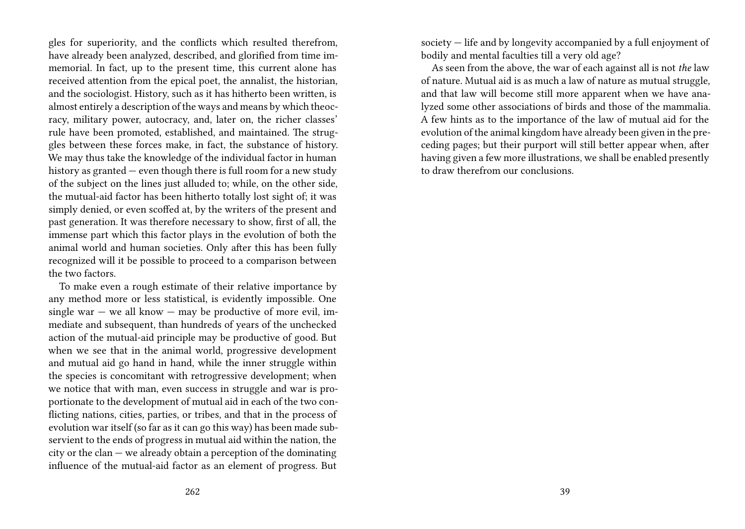gles for superiority, and the conflicts which resulted therefrom, have already been analyzed, described, and glorified from time immemorial. In fact, up to the present time, this current alone has received attention from the epical poet, the annalist, the historian, and the sociologist. History, such as it has hitherto been written, is almost entirely a description of the ways and means by which theocracy, military power, autocracy, and, later on, the richer classes' rule have been promoted, established, and maintained. The struggles between these forces make, in fact, the substance of history. We may thus take the knowledge of the individual factor in human history as granted — even though there is full room for a new study of the subject on the lines just alluded to; while, on the other side, the mutual-aid factor has been hitherto totally lost sight of; it was simply denied, or even scoffed at, by the writers of the present and past generation. It was therefore necessary to show, first of all, the immense part which this factor plays in the evolution of both the animal world and human societies. Only after this has been fully recognized will it be possible to proceed to a comparison between the two factors.

To make even a rough estimate of their relative importance by any method more or less statistical, is evidently impossible. One single war — we all know — may be productive of more evil, immediate and subsequent, than hundreds of years of the unchecked action of the mutual-aid principle may be productive of good. But when we see that in the animal world, progressive development and mutual aid go hand in hand, while the inner struggle within the species is concomitant with retrogressive development; when we notice that with man, even success in struggle and war is proportionate to the development of mutual aid in each of the two conflicting nations, cities, parties, or tribes, and that in the process of evolution war itself (so far as it can go this way) has been made subservient to the ends of progress in mutual aid within the nation, the city or the clan — we already obtain a perception of the dominating influence of the mutual-aid factor as an element of progress. But

society — life and by longevity accompanied by a full enjoyment of bodily and mental faculties till a very old age?

As seen from the above, the war of each against all is not *the* law of nature. Mutual aid is as much a law of nature as mutual struggle, and that law will become still more apparent when we have analyzed some other associations of birds and those of the mammalia. A few hints as to the importance of the law of mutual aid for the evolution of the animal kingdom have already been given in the preceding pages; but their purport will still better appear when, after having given a few more illustrations, we shall be enabled presently to draw therefrom our conclusions.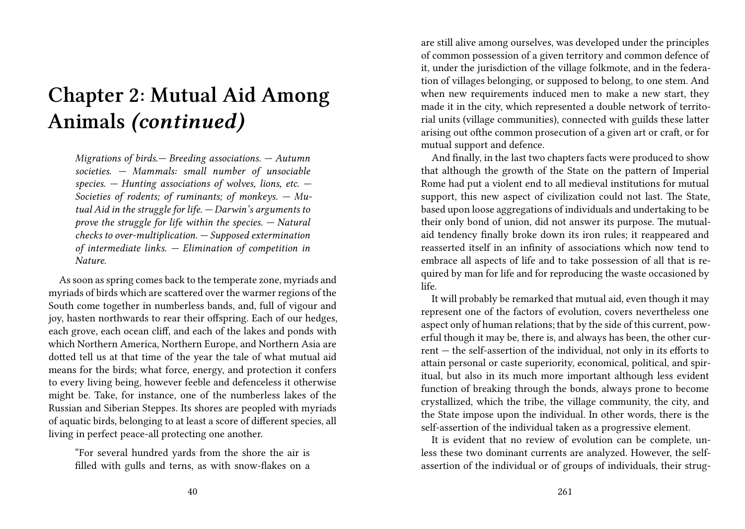## **Chapter 2: Mutual Aid Among Animals** *(continued)*

*Migrations of birds.— Breeding associations. — Autumn societies. — Mammals: small number of unsociable species. — Hunting associations of wolves, lions, etc. — Societies of rodents; of ruminants; of monkeys. — Mutual Aid in the struggle for life. — Darwin's arguments to prove the struggle for life within the species. — Natural checks to over-multiplication. — Supposed extermination of intermediate links. — Elimination of competition in Nature.*

As soon as spring comes back to the temperate zone, myriads and myriads of birds which are scattered over the warmer regions of the South come together in numberless bands, and, full of vigour and joy, hasten northwards to rear their offspring. Each of our hedges, each grove, each ocean cliff, and each of the lakes and ponds with which Northern America, Northern Europe, and Northern Asia are dotted tell us at that time of the year the tale of what mutual aid means for the birds; what force, energy, and protection it confers to every living being, however feeble and defenceless it otherwise might be. Take, for instance, one of the numberless lakes of the Russian and Siberian Steppes. Its shores are peopled with myriads of aquatic birds, belonging to at least a score of different species, all living in perfect peace-all protecting one another.

"For several hundred yards from the shore the air is filled with gulls and terns, as with snow-flakes on a

are still alive among ourselves, was developed under the principles of common possession of a given territory and common defence of it, under the jurisdiction of the village folkmote, and in the federation of villages belonging, or supposed to belong, to one stem. And when new requirements induced men to make a new start, they made it in the city, which represented a double network of territorial units (village communities), connected with guilds these latter arising out ofthe common prosecution of a given art or craft, or for mutual support and defence.

And finally, in the last two chapters facts were produced to show that although the growth of the State on the pattern of Imperial Rome had put a violent end to all medieval institutions for mutual support, this new aspect of civilization could not last. The State, based upon loose aggregations of individuals and undertaking to be their only bond of union, did not answer its purpose. The mutualaid tendency finally broke down its iron rules; it reappeared and reasserted itself in an infinity of associations which now tend to embrace all aspects of life and to take possession of all that is required by man for life and for reproducing the waste occasioned by life.

It will probably be remarked that mutual aid, even though it may represent one of the factors of evolution, covers nevertheless one aspect only of human relations; that by the side of this current, powerful though it may be, there is, and always has been, the other current — the self-assertion of the individual, not only in its efforts to attain personal or caste superiority, economical, political, and spiritual, but also in its much more important although less evident function of breaking through the bonds, always prone to become crystallized, which the tribe, the village community, the city, and the State impose upon the individual. In other words, there is the self-assertion of the individual taken as a progressive element.

It is evident that no review of evolution can be complete, unless these two dominant currents are analyzed. However, the selfassertion of the individual or of groups of individuals, their strug-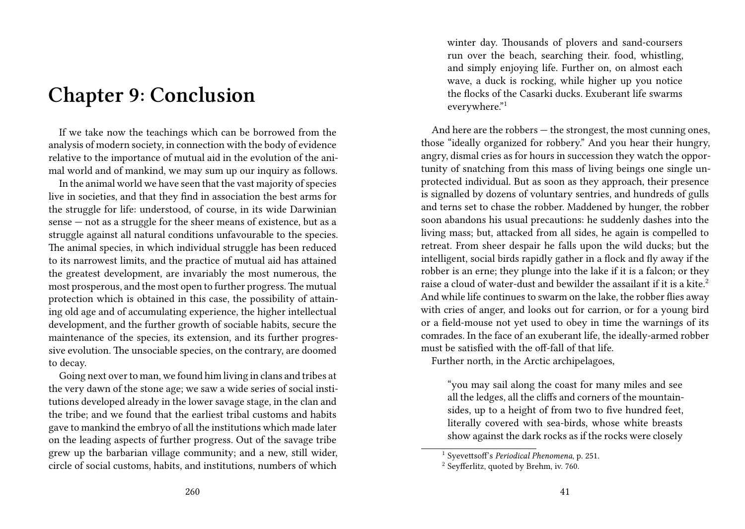## **Chapter 9: Conclusion**

If we take now the teachings which can be borrowed from the analysis of modern society, in connection with the body of evidence relative to the importance of mutual aid in the evolution of the animal world and of mankind, we may sum up our inquiry as follows.

In the animal world we have seen that the vast majority of species live in societies, and that they find in association the best arms for the struggle for life: understood, of course, in its wide Darwinian sense — not as a struggle for the sheer means of existence, but as a struggle against all natural conditions unfavourable to the species. The animal species, in which individual struggle has been reduced to its narrowest limits, and the practice of mutual aid has attained the greatest development, are invariably the most numerous, the most prosperous, and the most open to further progress.The mutual protection which is obtained in this case, the possibility of attaining old age and of accumulating experience, the higher intellectual development, and the further growth of sociable habits, secure the maintenance of the species, its extension, and its further progressive evolution. The unsociable species, on the contrary, are doomed to decay.

Going next over to man, we found him living in clans and tribes at the very dawn of the stone age; we saw a wide series of social institutions developed already in the lower savage stage, in the clan and the tribe; and we found that the earliest tribal customs and habits gave to mankind the embryo of all the institutions which made later on the leading aspects of further progress. Out of the savage tribe grew up the barbarian village community; and a new, still wider, circle of social customs, habits, and institutions, numbers of which

winter day. Thousands of plovers and sand-coursers run over the beach, searching their. food, whistling, and simply enjoying life. Further on, on almost each wave, a duck is rocking, while higher up you notice the flocks of the Casarki ducks. Exuberant life swarms everywhere."<sup>1</sup>

And here are the robbers — the strongest, the most cunning ones, those "ideally organized for robbery." And you hear their hungry, angry, dismal cries as for hours in succession they watch the opportunity of snatching from this mass of living beings one single unprotected individual. But as soon as they approach, their presence is signalled by dozens of voluntary sentries, and hundreds of gulls and terns set to chase the robber. Maddened by hunger, the robber soon abandons his usual precautions: he suddenly dashes into the living mass; but, attacked from all sides, he again is compelled to retreat. From sheer despair he falls upon the wild ducks; but the intelligent, social birds rapidly gather in a flock and fly away if the robber is an erne; they plunge into the lake if it is a falcon; or they raise a cloud of water-dust and bewilder the assailant if it is a kite.<sup>2</sup> And while life continues to swarm on the lake, the robber flies away with cries of anger, and looks out for carrion, or for a young bird or a field-mouse not yet used to obey in time the warnings of its comrades. In the face of an exuberant life, the ideally-armed robber must be satisfied with the off-fall of that life.

Further north, in the Arctic archipelagoes,

"you may sail along the coast for many miles and see all the ledges, all the cliffs and corners of the mountainsides, up to a height of from two to five hundred feet, literally covered with sea-birds, whose white breasts show against the dark rocks as if the rocks were closely

<sup>1</sup> Syevettsoff's *Periodical Phenomena*, p. 251.

<sup>2</sup> Seyfferlitz, quoted by Brehm, iv. 760.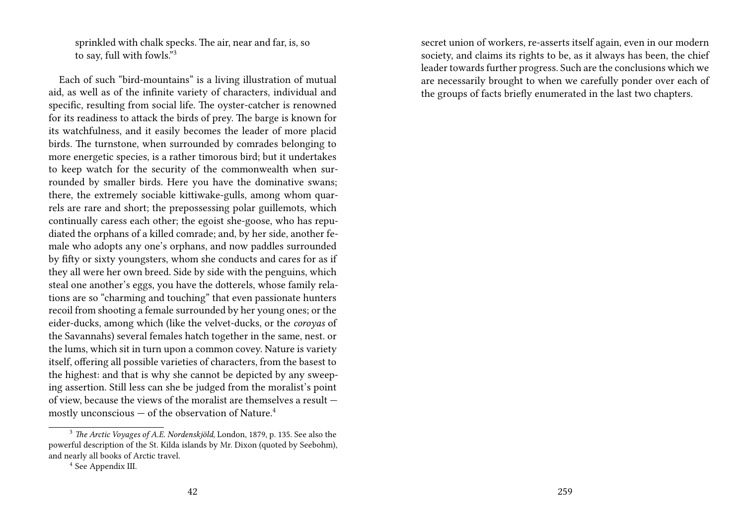sprinkled with chalk specks. The air, near and far, is, so to say, full with fowls."<sup>3</sup>

Each of such "bird-mountains" is a living illustration of mutual aid, as well as of the infinite variety of characters, individual and specific, resulting from social life. The oyster-catcher is renowned for its readiness to attack the birds of prey. The barge is known for its watchfulness, and it easily becomes the leader of more placid birds. The turnstone, when surrounded by comrades belonging to more energetic species, is a rather timorous bird; but it undertakes to keep watch for the security of the commonwealth when surrounded by smaller birds. Here you have the dominative swans; there, the extremely sociable kittiwake-gulls, among whom quarrels are rare and short; the prepossessing polar guillemots, which continually caress each other; the egoist she-goose, who has repudiated the orphans of a killed comrade; and, by her side, another female who adopts any one's orphans, and now paddles surrounded by fifty or sixty youngsters, whom she conducts and cares for as if they all were her own breed. Side by side with the penguins, which steal one another's eggs, you have the dotterels, whose family relations are so "charming and touching" that even passionate hunters recoil from shooting a female surrounded by her young ones; or the eider-ducks, among which (like the velvet-ducks, or the *coroyas* of the Savannahs) several females hatch together in the same, nest. or the lums, which sit in turn upon a common covey. Nature is variety itself, offering all possible varieties of characters, from the basest to the highest: and that is why she cannot be depicted by any sweeping assertion. Still less can she be judged from the moralist's point of view, because the views of the moralist are themselves a result mostly unconscious  $-$  of the observation of Nature.<sup>4</sup>

secret union of workers, re-asserts itself again, even in our modern society, and claims its rights to be, as it always has been, the chief leader towards further progress. Such are the conclusions which we are necessarily brought to when we carefully ponder over each of the groups of facts briefly enumerated in the last two chapters.

<sup>3</sup> *The Arctic Voyages of A.E. Nordenskjöld*, London, 1879, p. 135. See also the powerful description of the St. Kilda islands by Mr. Dixon (quoted by Seebohm), and nearly all books of Arctic travel.

<sup>4</sup> See Appendix III.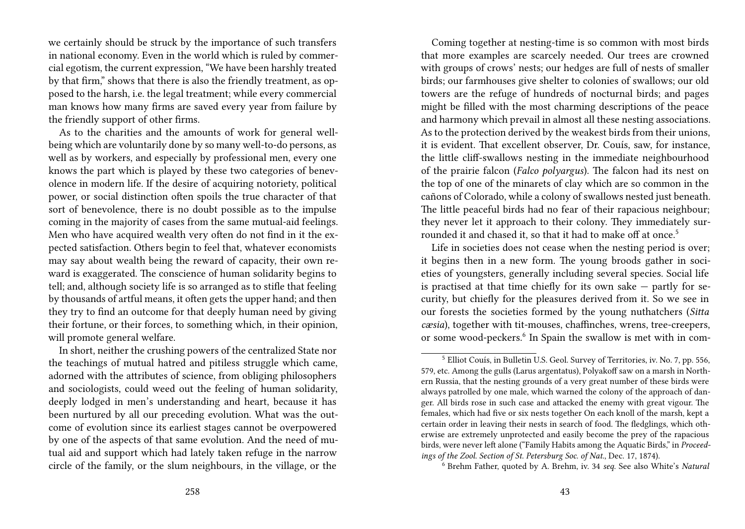we certainly should be struck by the importance of such transfers in national economy. Even in the world which is ruled by commercial egotism, the current expression, "We have been harshly treated by that firm," shows that there is also the friendly treatment, as opposed to the harsh, i.e. the legal treatment; while every commercial man knows how many firms are saved every year from failure by the friendly support of other firms.

As to the charities and the amounts of work for general wellbeing which are voluntarily done by so many well-to-do persons, as well as by workers, and especially by professional men, every one knows the part which is played by these two categories of benevolence in modern life. If the desire of acquiring notoriety, political power, or social distinction often spoils the true character of that sort of benevolence, there is no doubt possible as to the impulse coming in the majority of cases from the same mutual-aid feelings. Men who have acquired wealth very often do not find in it the expected satisfaction. Others begin to feel that, whatever economists may say about wealth being the reward of capacity, their own reward is exaggerated. The conscience of human solidarity begins to tell; and, although society life is so arranged as to stifle that feeling by thousands of artful means, it often gets the upper hand; and then they try to find an outcome for that deeply human need by giving their fortune, or their forces, to something which, in their opinion, will promote general welfare.

In short, neither the crushing powers of the centralized State nor the teachings of mutual hatred and pitiless struggle which came, adorned with the attributes of science, from obliging philosophers and sociologists, could weed out the feeling of human solidarity, deeply lodged in men's understanding and heart, because it has been nurtured by all our preceding evolution. What was the outcome of evolution since its earliest stages cannot be overpowered by one of the aspects of that same evolution. And the need of mutual aid and support which had lately taken refuge in the narrow circle of the family, or the slum neighbours, in the village, or the

Coming together at nesting-time is so common with most birds that more examples are scarcely needed. Our trees are crowned with groups of crows' nests; our hedges are full of nests of smaller birds; our farmhouses give shelter to colonies of swallows; our old towers are the refuge of hundreds of nocturnal birds; and pages might be filled with the most charming descriptions of the peace and harmony which prevail in almost all these nesting associations. As to the protection derived by the weakest birds from their unions, it is evident. That excellent observer, Dr. Couís, saw, for instance, the little cliff-swallows nesting in the immediate neighbourhood of the prairie falcon (*Falco polyargus*). The falcon had its nest on the top of one of the minarets of clay which are so common in the cañons of Colorado, while a colony of swallows nested just beneath. The little peaceful birds had no fear of their rapacious neighbour; they never let it approach to their colony. They immediately surrounded it and chased it, so that it had to make off at once.<sup>5</sup>

Life in societies does not cease when the nesting period is over; it begins then in a new form. The young broods gather in societies of youngsters, generally including several species. Social life is practised at that time chiefly for its own sake — partly for security, but chiefly for the pleasures derived from it. So we see in our forests the societies formed by the young nuthatchers (*Sitta cæsia*), together with tit-mouses, chaffinches, wrens, tree-creepers, or some wood-peckers.<sup>6</sup> In Spain the swallow is met with in com-

<sup>5</sup> Elliot Couís, in Bulletin U.S. Geol. Survey of Territories, iv. No. 7, pp. 556, 579, etc. Among the gulls (Larus argentatus), Polyakoff saw on a marsh in Northern Russia, that the nesting grounds of a very great number of these birds were always patrolled by one male, which warned the colony of the approach of danger. All birds rose in such case and attacked the enemy with great vigour. The females, which had five or six nests together On each knoll of the marsh, kept a certain order in leaving their nests in search of food. The fledglings, which otherwise are extremely unprotected and easily become the prey of the rapacious birds, were never left alone ("Family Habits among the Aquatic Birds," in *Proceedings of the Zool. Section of St. Petersburg Soc. of Nat.*, Dec. 17, 1874).

<sup>6</sup> Brehm Father, quoted by A. Brehm, iv. 34 *seq*. See also White's *Natural*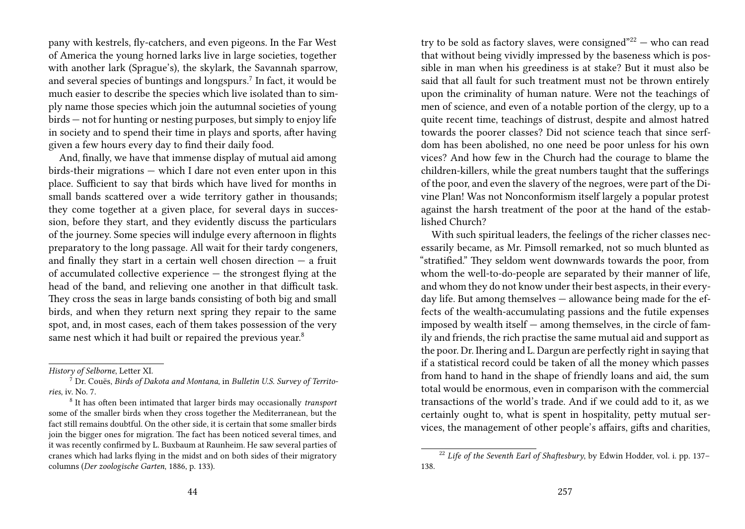pany with kestrels, fly-catchers, and even pigeons. In the Far West of America the young horned larks live in large societies, together with another lark (Sprague's), the skylark, the Savannah sparrow, and several species of buntings and longspurs.<sup>7</sup> In fact, it would be much easier to describe the species which live isolated than to simply name those species which join the autumnal societies of young birds — not for hunting or nesting purposes, but simply to enjoy life in society and to spend their time in plays and sports, after having given a few hours every day to find their daily food.

And, finally, we have that immense display of mutual aid among birds-their migrations — which I dare not even enter upon in this place. Sufficient to say that birds which have lived for months in small bands scattered over a wide territory gather in thousands; they come together at a given place, for several days in succession, before they start, and they evidently discuss the particulars of the journey. Some species will indulge every afternoon in flights preparatory to the long passage. All wait for their tardy congeners, and finally they start in a certain well chosen direction  $-$  a fruit of accumulated collective experience — the strongest flying at the head of the band, and relieving one another in that difficult task. They cross the seas in large bands consisting of both big and small birds, and when they return next spring they repair to the same spot, and, in most cases, each of them takes possession of the very same nest which it had built or repaired the previous year.<sup>8</sup>

try to be sold as factory slaves, were consigned  $2^2$  – who can read that without being vividly impressed by the baseness which is possible in man when his greediness is at stake? But it must also be said that all fault for such treatment must not be thrown entirely upon the criminality of human nature. Were not the teachings of men of science, and even of a notable portion of the clergy, up to a quite recent time, teachings of distrust, despite and almost hatred towards the poorer classes? Did not science teach that since serfdom has been abolished, no one need be poor unless for his own vices? And how few in the Church had the courage to blame the children-killers, while the great numbers taught that the sufferings of the poor, and even the slavery of the negroes, were part of the Divine Plan! Was not Nonconformism itself largely a popular protest against the harsh treatment of the poor at the hand of the established Church?

With such spiritual leaders, the feelings of the richer classes necessarily became, as Mr. Pimsoll remarked, not so much blunted as "stratified." They seldom went downwards towards the poor, from whom the well-to-do-people are separated by their manner of life, and whom they do not know under their best aspects, in their everyday life. But among themselves — allowance being made for the effects of the wealth-accumulating passions and the futile expenses imposed by wealth itself — among themselves, in the circle of family and friends, the rich practise the same mutual aid and support as the poor. Dr. Ihering and L. Dargun are perfectly right in saying that if a statistical record could be taken of all the money which passes from hand to hand in the shape of friendly loans and aid, the sum total would be enormous, even in comparison with the commercial transactions of the world's trade. And if we could add to it, as we certainly ought to, what is spent in hospitality, petty mutual services, the management of other people's affairs, gifts and charities,

*History of Selborne*, Letter XI.

<sup>7</sup> Dr. Couës, *Birds of Dakota and Montana*, in *Bulletin U.S. Survey of Territories*, iv. No. 7.

<sup>8</sup> It has often been intimated that larger birds may occasionally *transport* some of the smaller birds when they cross together the Mediterranean, but the fact still remains doubtful. On the other side, it is certain that some smaller birds join the bigger ones for migration. The fact has been noticed several times, and it was recently confirmed by L. Buxbaum at Raunheim. He saw several parties of cranes which had larks flying in the midst and on both sides of their migratory columns (*Der zoologische Garten*, 1886, p. 133).

<sup>22</sup> *Life of the Seventh Earl of Shaftesbury*, by Edwin Hodder, vol. i. pp. 137– 138.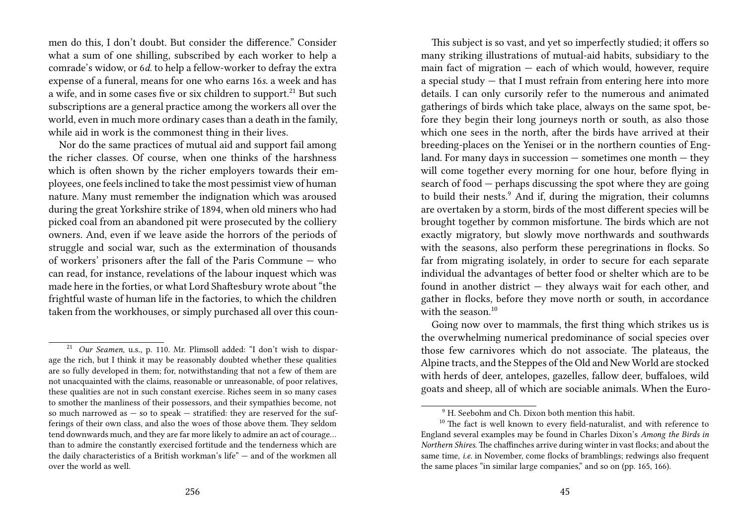men do this, I don't doubt. But consider the difference." Consider what a sum of one shilling, subscribed by each worker to help a comrade's widow, or 6*d*. to help a fellow-worker to defray the extra expense of a funeral, means for one who earns 16*s*. a week and has a wife, and in some cases five or six children to support.<sup>21</sup> But such subscriptions are a general practice among the workers all over the world, even in much more ordinary cases than a death in the family, while aid in work is the commonest thing in their lives.

Nor do the same practices of mutual aid and support fail among the richer classes. Of course, when one thinks of the harshness which is often shown by the richer employers towards their employees, one feels inclined to take the most pessimist view of human nature. Many must remember the indignation which was aroused during the great Yorkshire strike of 1894, when old miners who had picked coal from an abandoned pit were prosecuted by the colliery owners. And, even if we leave aside the horrors of the periods of struggle and social war, such as the extermination of thousands of workers' prisoners after the fall of the Paris Commune — who can read, for instance, revelations of the labour inquest which was made here in the forties, or what Lord Shaftesbury wrote about "the frightful waste of human life in the factories, to which the children taken from the workhouses, or simply purchased all over this coun-

This subject is so vast, and yet so imperfectly studied; it offers so many striking illustrations of mutual-aid habits, subsidiary to the main fact of migration — each of which would, however, require a special study — that I must refrain from entering here into more details. I can only cursorily refer to the numerous and animated gatherings of birds which take place, always on the same spot, before they begin their long journeys north or south, as also those which one sees in the north, after the birds have arrived at their breeding-places on the Yenisei or in the northern counties of England. For many days in succession  $-$  sometimes one month  $-$  they will come together every morning for one hour, before flying in search of food — perhaps discussing the spot where they are going to build their nests.<sup>9</sup> And if, during the migration, their columns are overtaken by a storm, birds of the most different species will be brought together by common misfortune. The birds which are not exactly migratory, but slowly move northwards and southwards with the seasons, also perform these peregrinations in flocks. So far from migrating isolately, in order to secure for each separate individual the advantages of better food or shelter which are to be found in another district — they always wait for each other, and gather in flocks, before they move north or south, in accordance with the season.<sup>10</sup>

Going now over to mammals, the first thing which strikes us is the overwhelming numerical predominance of social species over those few carnivores which do not associate. The plateaus, the Alpine tracts, and the Steppes of the Old and New World are stocked with herds of deer, antelopes, gazelles, fallow deer, buffaloes, wild goats and sheep, all of which are sociable animals. When the Euro-

<sup>21</sup> *Our Seamen*, u.s., p. 110. Mr. Plimsoll added: "I don't wish to disparage the rich, but I think it may be reasonably doubted whether these qualities are so fully developed in them; for, notwithstanding that not a few of them are not unacquainted with the claims, reasonable or unreasonable, of poor relatives, these qualities are not in such constant exercise. Riches seem in so many cases to smother the manliness of their possessors, and their sympathies become, not so much narrowed as  $-$  so to speak  $-$  stratified: they are reserved for the sufferings of their own class, and also the woes of those above them. They seldom tend downwards much, and they are far more likely to admire an act of courage… than to admire the constantly exercised fortitude and the tenderness which are the daily characteristics of a British workman's life" — and of the workmen all over the world as well.

<sup>&</sup>lt;sup>9</sup> H. Seebohm and Ch. Dixon both mention this habit.

<sup>&</sup>lt;sup>10</sup> The fact is well known to every field-naturalist, and with reference to England several examples may be found in Charles Dixon's *Among the Birds in Northern Shires*. The chaffinches arrive during winter in vast flocks; and about the same time, *i.e.* in November, come flocks of bramblings; redwings also frequent the same places "in similar large companies," and so on (pp. 165, 166).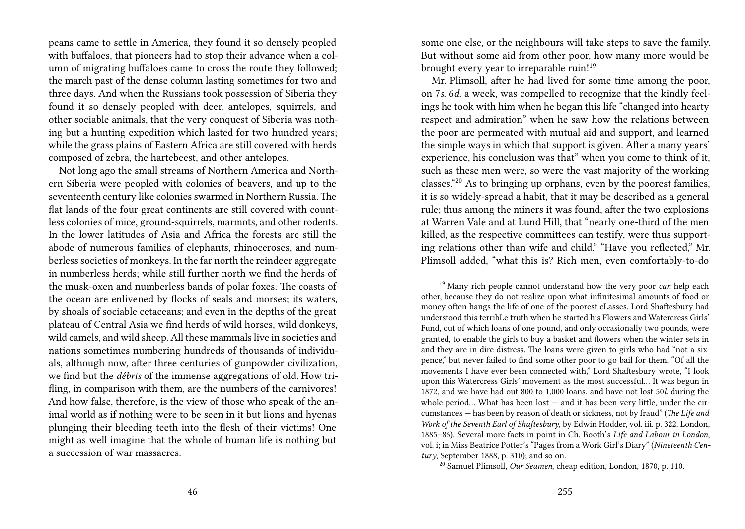peans came to settle in America, they found it so densely peopled with buffaloes, that pioneers had to stop their advance when a column of migrating buffaloes came to cross the route they followed; the march past of the dense column lasting sometimes for two and three days. And when the Russians took possession of Siberia they found it so densely peopled with deer, antelopes, squirrels, and other sociable animals, that the very conquest of Siberia was nothing but a hunting expedition which lasted for two hundred years; while the grass plains of Eastern Africa are still covered with herds composed of zebra, the hartebeest, and other antelopes.

Not long ago the small streams of Northern America and Northern Siberia were peopled with colonies of beavers, and up to the seventeenth century like colonies swarmed in Northern Russia. The flat lands of the four great continents are still covered with countless colonies of mice, ground-squirrels, marmots, and other rodents. In the lower latitudes of Asia and Africa the forests are still the abode of numerous families of elephants, rhinoceroses, and numberless societies of monkeys. In the far north the reindeer aggregate in numberless herds; while still further north we find the herds of the musk-oxen and numberless bands of polar foxes. The coasts of the ocean are enlivened by flocks of seals and morses; its waters, by shoals of sociable cetaceans; and even in the depths of the great plateau of Central Asia we find herds of wild horses, wild donkeys, wild camels, and wild sheep. All these mammals live in societies and nations sometimes numbering hundreds of thousands of individuals, although now, after three centuries of gunpowder civilization, we find but the *débris* of the immense aggregations of old. How trifling, in comparison with them, are the numbers of the carnivores! And how false, therefore, is the view of those who speak of the animal world as if nothing were to be seen in it but lions and hyenas plunging their bleeding teeth into the flesh of their victims! One might as well imagine that the whole of human life is nothing but a succession of war massacres.

some one else, or the neighbours will take steps to save the family. But without some aid from other poor, how many more would be brought every year to irreparable ruin!<sup>19</sup>

Mr. Plimsoll, after he had lived for some time among the poor, on 7*s*. 6*d*. a week, was compelled to recognize that the kindly feelings he took with him when he began this life "changed into hearty respect and admiration" when he saw how the relations between the poor are permeated with mutual aid and support, and learned the simple ways in which that support is given. After a many years' experience, his conclusion was that" when you come to think of it, such as these men were, so were the vast majority of the working classes."<sup>20</sup> As to bringing up orphans, even by the poorest families, it is so widely-spread a habit, that it may be described as a general rule; thus among the miners it was found, after the two explosions at Warren Vale and at Lund Hill, that "nearly one-third of the men killed, as the respective committees can testify, were thus supporting relations other than wife and child." "Have you reflected," Mr. Plimsoll added, "what this is? Rich men, even comfortably-to-do

<sup>19</sup> Many rich people cannot understand how the very poor *can* help each other, because they do not realize upon what infinitesimal amounts of food or money often hangs the life of one of the poorest cLasses. Lord Shaftesbury had understood this terribLe truth when he started his Flowers and Watercress Girls' Fund, out of which loans of one pound, and only occasionally two pounds, were granted, to enable the girls to buy a basket and flowers when the winter sets in and they are in dire distress. The loans were given to girls who had "not a sixpence," but never failed to find some other poor to go bail for them. "Of all the movements I have ever been connected with," Lord Shaftesbury wrote, "I look upon this Watercress Girls' movement as the most successful… It was begun in 1872, and we have had out 800 to 1,000 loans, and have not lost 50*l*. during the whole period... What has been lost  $-$  and it has been very little, under the circumstances — has been by reason of death or sickness, not by fraud" (*The Life and Work of the Seventh Earl of Shaftesbury*, by Edwin Hodder, vol. iii. p. 322. London, 1885–86). Several more facts in point in Ch. Booth's *Life and Labour in London*, vol. i; in Miss Beatrice Potter's "Pages from a Work Girl's Diary" (*Nineteenth Century*, September 1888, p. 310); and so on.

<sup>20</sup> Samuel Plimsoll, *Our Seamen*, cheap edition, London, 1870, p. 110.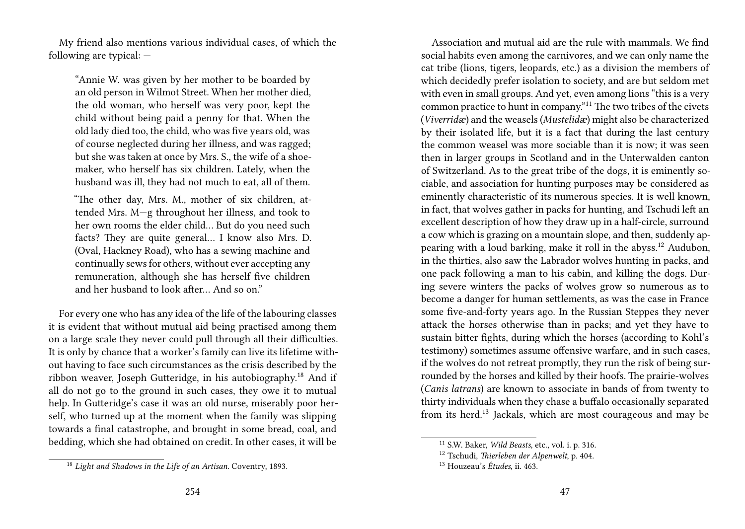My friend also mentions various individual cases, of which the following are typical: —

"Annie W. was given by her mother to be boarded by an old person in Wilmot Street. When her mother died, the old woman, who herself was very poor, kept the child without being paid a penny for that. When the old lady died too, the child, who was five years old, was of course neglected during her illness, and was ragged; but she was taken at once by Mrs. S., the wife of a shoemaker, who herself has six children. Lately, when the husband was ill, they had not much to eat, all of them.

"The other day, Mrs. M., mother of six children, attended Mrs. M—g throughout her illness, and took to her own rooms the elder child… But do you need such facts? They are quite general… I know also Mrs. D. (Oval, Hackney Road), who has a sewing machine and continually sews for others, without ever accepting any remuneration, although she has herself five children and her husband to look after… And so on."

For every one who has any idea of the life of the labouring classes it is evident that without mutual aid being practised among them on a large scale they never could pull through all their difficulties. It is only by chance that a worker's family can live its lifetime without having to face such circumstances as the crisis described by the ribbon weaver, Joseph Gutteridge, in his autobiography.<sup>18</sup> And if all do not go to the ground in such cases, they owe it to mutual help. In Gutteridge's case it was an old nurse, miserably poor herself, who turned up at the moment when the family was slipping towards a final catastrophe, and brought in some bread, coal, and bedding, which she had obtained on credit. In other cases, it will be

Association and mutual aid are the rule with mammals. We find social habits even among the carnivores, and we can only name the cat tribe (lions, tigers, leopards, etc.) as a division the members of which decidedly prefer isolation to society, and are but seldom met with even in small groups. And yet, even among lions "this is a very common practice to hunt in company."<sup>11</sup> The two tribes of the civets (*Viverridæ*) and the weasels (*Mustelidæ*) might also be characterized by their isolated life, but it is a fact that during the last century the common weasel was more sociable than it is now; it was seen then in larger groups in Scotland and in the Unterwalden canton of Switzerland. As to the great tribe of the dogs, it is eminently sociable, and association for hunting purposes may be considered as eminently characteristic of its numerous species. It is well known, in fact, that wolves gather in packs for hunting, and Tschudi left an excellent description of how they draw up in a half-circle, surround a cow which is grazing on a mountain slope, and then, suddenly appearing with a loud barking, make it roll in the abyss.<sup>12</sup> Audubon, in the thirties, also saw the Labrador wolves hunting in packs, and one pack following a man to his cabin, and killing the dogs. During severe winters the packs of wolves grow so numerous as to become a danger for human settlements, as was the case in France some five-and-forty years ago. In the Russian Steppes they never attack the horses otherwise than in packs; and yet they have to sustain bitter fights, during which the horses (according to Kohl's testimony) sometimes assume offensive warfare, and in such cases, if the wolves do not retreat promptly, they run the risk of being surrounded by the horses and killed by their hoofs. The prairie-wolves (*Canis latrans*) are known to associate in bands of from twenty to thirty individuals when they chase a buffalo occasionally separated from its herd.<sup>13</sup> Jackals, which are most courageous and may be

<sup>18</sup> *Light and Shadows in the Life of an Artisan*. Coventry, 1893.

<sup>11</sup> S.W. Baker, *Wild Beasts*, etc., vol. i. p. 316.

<sup>12</sup> Tschudi, *Thierleben der Alpenwelt*, p. 404.

<sup>13</sup> Houzeau's *Études*, ii. 463.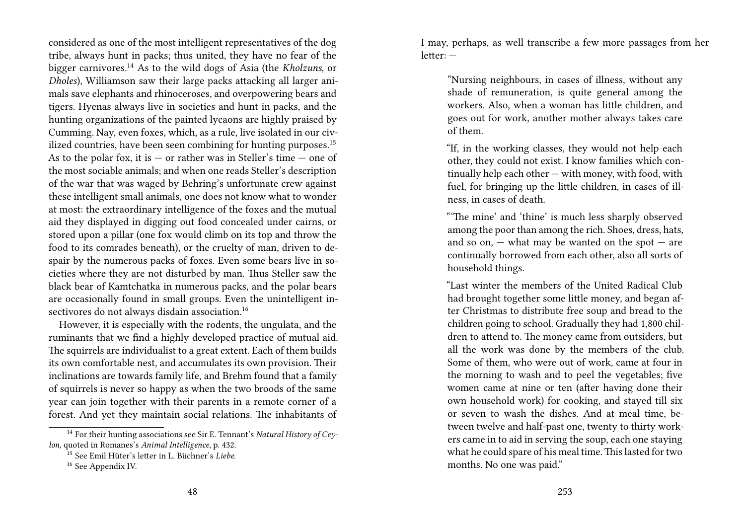considered as one of the most intelligent representatives of the dog tribe, always hunt in packs; thus united, they have no fear of the bigger carnivores.<sup>14</sup> As to the wild dogs of Asia (the *Kholzuns*, or *Dholes*), Williamson saw their large packs attacking all larger animals save elephants and rhinoceroses, and overpowering bears and tigers. Hyenas always live in societies and hunt in packs, and the hunting organizations of the painted lycaons are highly praised by Cumming. Nay, even foxes, which, as a rule, live isolated in our civilized countries, have been seen combining for hunting purposes.<sup>15</sup> As to the polar fox, it is  $-$  or rather was in Steller's time  $-$  one of the most sociable animals; and when one reads Steller's description of the war that was waged by Behring's unfortunate crew against these intelligent small animals, one does not know what to wonder at most: the extraordinary intelligence of the foxes and the mutual aid they displayed in digging out food concealed under cairns, or stored upon a pillar (one fox would climb on its top and throw the food to its comrades beneath), or the cruelty of man, driven to despair by the numerous packs of foxes. Even some bears live in societies where they are not disturbed by man. Thus Steller saw the black bear of Kamtchatka in numerous packs, and the polar bears are occasionally found in small groups. Even the unintelligent insectivores do not always disdain association.<sup>16</sup>

However, it is especially with the rodents, the ungulata, and the ruminants that we find a highly developed practice of mutual aid. The squirrels are individualist to a great extent. Each of them builds its own comfortable nest, and accumulates its own provision. Their inclinations are towards family life, and Brehm found that a family of squirrels is never so happy as when the two broods of the same year can join together with their parents in a remote corner of a forest. And yet they maintain social relations. The inhabitants of

I may, perhaps, as well transcribe a few more passages from her letter: —

"Nursing neighbours, in cases of illness, without any shade of remuneration, is quite general among the workers. Also, when a woman has little children, and goes out for work, another mother always takes care of them.

"If, in the working classes, they would not help each other, they could not exist. I know families which continually help each other — with money, with food, with fuel, for bringing up the little children, in cases of illness, in cases of death.

"'The mine' and 'thine' is much less sharply observed among the poor than among the rich. Shoes, dress, hats, and so on,  $-$  what may be wanted on the spot  $-$  are continually borrowed from each other, also all sorts of household things.

"Last winter the members of the United Radical Club had brought together some little money, and began after Christmas to distribute free soup and bread to the children going to school. Gradually they had 1,800 children to attend to. The money came from outsiders, but all the work was done by the members of the club. Some of them, who were out of work, came at four in the morning to wash and to peel the vegetables; five women came at nine or ten (after having done their own household work) for cooking, and stayed till six or seven to wash the dishes. And at meal time, between twelve and half-past one, twenty to thirty workers came in to aid in serving the soup, each one staying what he could spare of his meal time.This lasted for two months. No one was paid."

<sup>14</sup> For their hunting associations see Sir E. Tennant's *Natural History of Ceylon*, quoted in Romanes's *Animal Intelligence*, p. 432.

<sup>15</sup> See Emil Hüter's letter in L. Büchner's *Liebe*.

<sup>16</sup> See Appendix IV.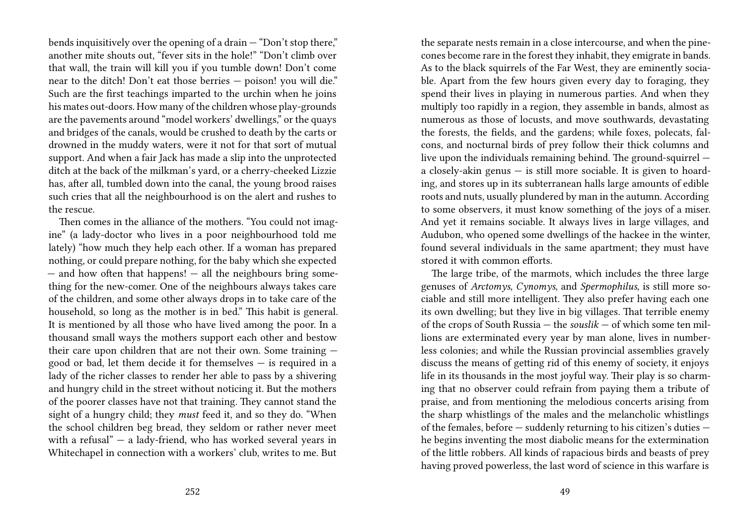bends inquisitively over the opening of a drain — "Don't stop there," another mite shouts out, "fever sits in the hole!" "Don't climb over that wall, the train will kill you if you tumble down! Don't come near to the ditch! Don't eat those berries — poison! you will die." Such are the first teachings imparted to the urchin when he joins his mates out-doors. How many of the children whose play-grounds are the pavements around "model workers' dwellings," or the quays and bridges of the canals, would be crushed to death by the carts or drowned in the muddy waters, were it not for that sort of mutual support. And when a fair Jack has made a slip into the unprotected ditch at the back of the milkman's yard, or a cherry-cheeked Lizzie has, after all, tumbled down into the canal, the young brood raises such cries that all the neighbourhood is on the alert and rushes to the rescue.

Then comes in the alliance of the mothers. "You could not imagine" (a lady-doctor who lives in a poor neighbourhood told me lately) "how much they help each other. If a woman has prepared nothing, or could prepare nothing, for the baby which she expected — and how often that happens! — all the neighbours bring something for the new-comer. One of the neighbours always takes care of the children, and some other always drops in to take care of the household, so long as the mother is in bed." This habit is general. It is mentioned by all those who have lived among the poor. In a thousand small ways the mothers support each other and bestow their care upon children that are not their own. Some training good or bad, let them decide it for themselves  $-$  is required in a lady of the richer classes to render her able to pass by a shivering and hungry child in the street without noticing it. But the mothers of the poorer classes have not that training. They cannot stand the sight of a hungry child; they *must* feed it, and so they do. "When the school children beg bread, they seldom or rather never meet with a refusal" — a lady-friend, who has worked several years in Whitechapel in connection with a workers' club, writes to me. But

the separate nests remain in a close intercourse, and when the pinecones become rare in the forest they inhabit, they emigrate in bands. As to the black squirrels of the Far West, they are eminently sociable. Apart from the few hours given every day to foraging, they spend their lives in playing in numerous parties. And when they multiply too rapidly in a region, they assemble in bands, almost as numerous as those of locusts, and move southwards, devastating the forests, the fields, and the gardens; while foxes, polecats, falcons, and nocturnal birds of prey follow their thick columns and live upon the individuals remaining behind. The ground-squirrel a closely-akin genus — is still more sociable. It is given to hoarding, and stores up in its subterranean halls large amounts of edible roots and nuts, usually plundered by man in the autumn. According to some observers, it must know something of the joys of a miser. And yet it remains sociable. It always lives in large villages, and Audubon, who opened some dwellings of the hackee in the winter, found several individuals in the same apartment; they must have stored it with common efforts.

The large tribe, of the marmots, which includes the three large genuses of *Arctomys*, *Cynomys*, and *Spermophilus*, is still more sociable and still more intelligent. They also prefer having each one its own dwelling; but they live in big villages. That terrible enemy of the crops of South Russia — the *souslik* — of which some ten millions are exterminated every year by man alone, lives in numberless colonies; and while the Russian provincial assemblies gravely discuss the means of getting rid of this enemy of society, it enjoys life in its thousands in the most joyful way. Their play is so charming that no observer could refrain from paying them a tribute of praise, and from mentioning the melodious concerts arising from the sharp whistlings of the males and the melancholic whistlings of the females, before — suddenly returning to his citizen's duties he begins inventing the most diabolic means for the extermination of the little robbers. All kinds of rapacious birds and beasts of prey having proved powerless, the last word of science in this warfare is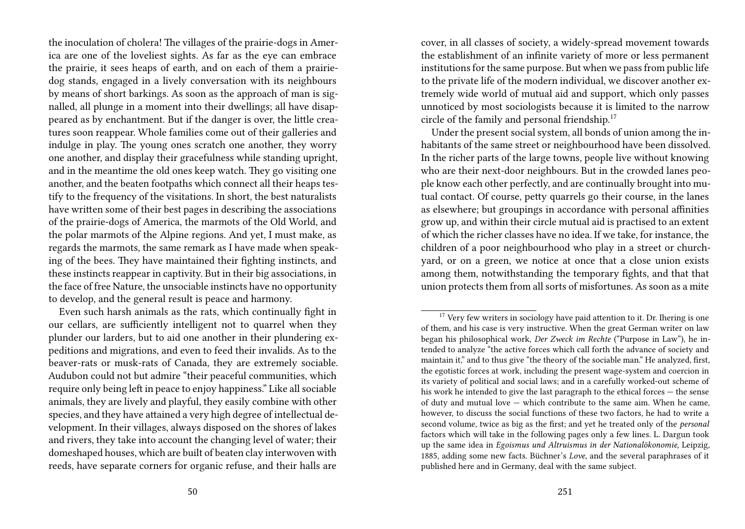the inoculation of cholera! The villages of the prairie-dogs in America are one of the loveliest sights. As far as the eye can embrace the prairie, it sees heaps of earth, and on each of them a prairiedog stands, engaged in a lively conversation with its neighbours by means of short barkings. As soon as the approach of man is signalled, all plunge in a moment into their dwellings; all have disappeared as by enchantment. But if the danger is over, the little creatures soon reappear. Whole families come out of their galleries and indulge in play. The young ones scratch one another, they worry one another, and display their gracefulness while standing upright, and in the meantime the old ones keep watch. They go visiting one another, and the beaten footpaths which connect all their heaps testify to the frequency of the visitations. In short, the best naturalists have written some of their best pages in describing the associations of the prairie-dogs of America, the marmots of the Old World, and the polar marmots of the Alpine regions. And yet, I must make, as regards the marmots, the same remark as I have made when speaking of the bees. They have maintained their fighting instincts, and these instincts reappear in captivity. But in their big associations, in the face of free Nature, the unsociable instincts have no opportunity to develop, and the general result is peace and harmony.

Even such harsh animals as the rats, which continually fight in our cellars, are sufficiently intelligent not to quarrel when they plunder our larders, but to aid one another in their plundering expeditions and migrations, and even to feed their invalids. As to the beaver-rats or musk-rats of Canada, they are extremely sociable. Audubon could not but admire "their peaceful communities, which require only being left in peace to enjoy happiness." Like all sociable animals, they are lively and playful, they easily combine with other species, and they have attained a very high degree of intellectual development. In their villages, always disposed on the shores of lakes and rivers, they take into account the changing level of water; their domeshaped houses, which are built of beaten clay interwoven with reeds, have separate corners for organic refuse, and their halls are

cover, in all classes of society, a widely-spread movement towards the establishment of an infinite variety of more or less permanent institutions for the same purpose. But when we pass from public life to the private life of the modern individual, we discover another extremely wide world of mutual aid and support, which only passes unnoticed by most sociologists because it is limited to the narrow circle of the family and personal friendship.<sup>17</sup>

Under the present social system, all bonds of union among the inhabitants of the same street or neighbourhood have been dissolved. In the richer parts of the large towns, people live without knowing who are their next-door neighbours. But in the crowded lanes people know each other perfectly, and are continually brought into mutual contact. Of course, petty quarrels go their course, in the lanes as elsewhere; but groupings in accordance with personal affinities grow up, and within their circle mutual aid is practised to an extent of which the richer classes have no idea. If we take, for instance, the children of a poor neighbourhood who play in a street or churchyard, or on a green, we notice at once that a close union exists among them, notwithstanding the temporary fights, and that that union protects them from all sorts of misfortunes. As soon as a mite

 $17$  Very few writers in sociology have paid attention to it. Dr. Ihering is one of them, and his case is very instructive. When the great German writer on law began his philosophical work, *Der Zweck im Rechte* ("Purpose in Law"), he intended to analyze "the active forces which call forth the advance of society and maintain it," and to thus give "the theory of the sociable man." He analyzed, first, the egotistic forces at work, including the present wage-system and coercion in its variety of political and social laws; and in a carefully worked-out scheme of his work he intended to give the last paragraph to the ethical forces — the sense of duty and mutual love — which contribute to the same aim. When he came, however, to discuss the social functions of these two factors, he had to write a second volume, twice as big as the first; and yet he treated only of the *personal* factors which will take in the following pages only a few lines. L. Dargun took up the same idea in *Egoismus und Altruismus in der Nationalökonomie*, Leipzig, 1885, adding some new facts. Büchner's *Love*, and the several paraphrases of it published here and in Germany, deal with the same subject.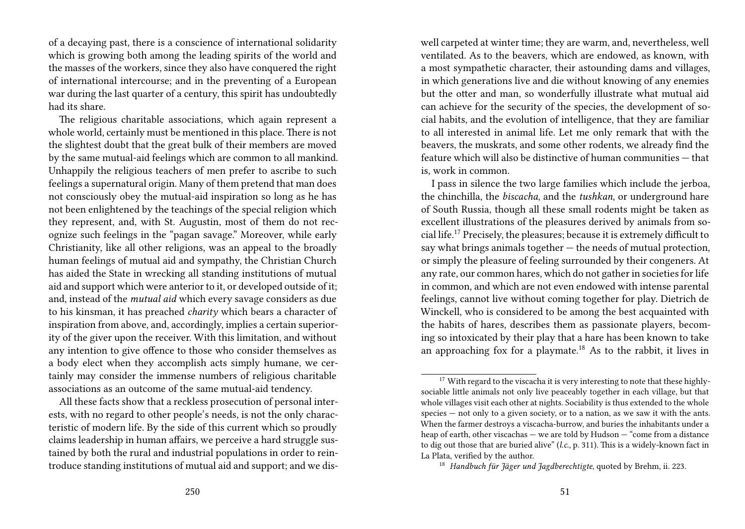of a decaying past, there is a conscience of international solidarity which is growing both among the leading spirits of the world and the masses of the workers, since they also have conquered the right of international intercourse; and in the preventing of a European war during the last quarter of a century, this spirit has undoubtedly had its share.

The religious charitable associations, which again represent a whole world, certainly must be mentioned in this place. There is not the slightest doubt that the great bulk of their members are moved by the same mutual-aid feelings which are common to all mankind. Unhappily the religious teachers of men prefer to ascribe to such feelings a supernatural origin. Many of them pretend that man does not consciously obey the mutual-aid inspiration so long as he has not been enlightened by the teachings of the special religion which they represent, and, with St. Augustin, most of them do not recognize such feelings in the "pagan savage." Moreover, while early Christianity, like all other religions, was an appeal to the broadly human feelings of mutual aid and sympathy, the Christian Church has aided the State in wrecking all standing institutions of mutual aid and support which were anterior to it, or developed outside of it; and, instead of the *mutual aid* which every savage considers as due to his kinsman, it has preached *charity* which bears a character of inspiration from above, and, accordingly, implies a certain superiority of the giver upon the receiver. With this limitation, and without any intention to give offence to those who consider themselves as a body elect when they accomplish acts simply humane, we certainly may consider the immense numbers of religious charitable associations as an outcome of the same mutual-aid tendency.

All these facts show that a reckless prosecution of personal interests, with no regard to other people's needs, is not the only characteristic of modern life. By the side of this current which so proudly claims leadership in human affairs, we perceive a hard struggle sustained by both the rural and industrial populations in order to reintroduce standing institutions of mutual aid and support; and we diswell carpeted at winter time; they are warm, and, nevertheless, well ventilated. As to the beavers, which are endowed, as known, with a most sympathetic character, their astounding dams and villages, in which generations live and die without knowing of any enemies but the otter and man, so wonderfully illustrate what mutual aid can achieve for the security of the species, the development of social habits, and the evolution of intelligence, that they are familiar to all interested in animal life. Let me only remark that with the beavers, the muskrats, and some other rodents, we already find the feature which will also be distinctive of human communities — that is, work in common.

I pass in silence the two large families which include the jerboa, the chinchilla, the *biscacha*, and the *tushkan*, or underground hare of South Russia, though all these small rodents might be taken as excellent illustrations of the pleasures derived by animals from social life.<sup>17</sup> Precisely, the pleasures; because it is extremely difficult to say what brings animals together — the needs of mutual protection, or simply the pleasure of feeling surrounded by their congeners. At any rate, our common hares, which do not gather in societies for life in common, and which are not even endowed with intense parental feelings, cannot live without coming together for play. Dietrich de Winckell, who is considered to be among the best acquainted with the habits of hares, describes them as passionate players, becoming so intoxicated by their play that a hare has been known to take an approaching fox for a playmate.<sup>18</sup> As to the rabbit, it lives in

<sup>&</sup>lt;sup>17</sup> With regard to the viscacha it is very interesting to note that these highlysociable little animals not only live peaceably together in each village, but that whole villages visit each other at nights. Sociability is thus extended to the whole species — not only to a given society, or to a nation, as we saw it with the ants. When the farmer destroys a viscacha-burrow, and buries the inhabitants under a heap of earth, other viscachas — we are told by Hudson — "come from a distance to dig out those that are buried alive" (*l.c.*, p. 311). This is a widely-known fact in La Plata, verified by the author.

<sup>18</sup> *Handbuch für Jäger und Jagdberechtigte*, quoted by Brehm, ii. 223.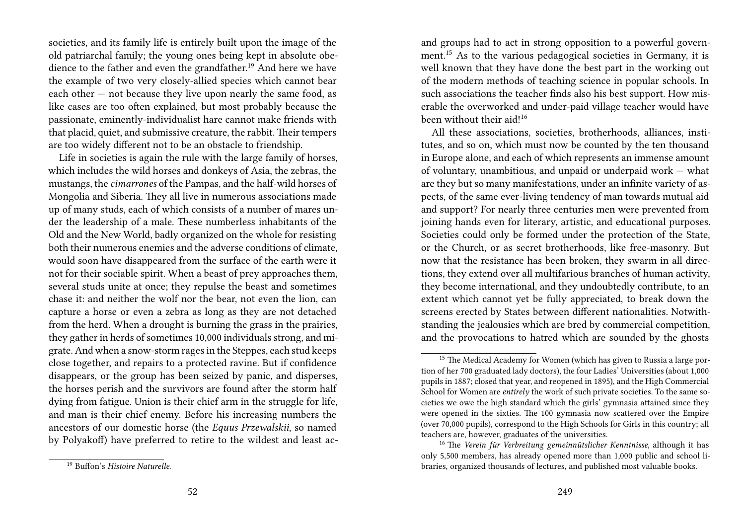societies, and its family life is entirely built upon the image of the old patriarchal family; the young ones being kept in absolute obedience to the father and even the grandfather.<sup>19</sup> And here we have the example of two very closely-allied species which cannot bear each other — not because they live upon nearly the same food, as like cases are too often explained, but most probably because the passionate, eminently-individualist hare cannot make friends with that placid, quiet, and submissive creature, the rabbit. Their tempers are too widely different not to be an obstacle to friendship.

Life in societies is again the rule with the large family of horses, which includes the wild horses and donkeys of Asia, the zebras, the mustangs, the *cimarrones* of the Pampas, and the half-wild horses of Mongolia and Siberia. They all live in numerous associations made up of many studs, each of which consists of a number of mares under the leadership of a male. These numberless inhabitants of the Old and the New World, badly organized on the whole for resisting both their numerous enemies and the adverse conditions of climate, would soon have disappeared from the surface of the earth were it not for their sociable spirit. When a beast of prey approaches them, several studs unite at once; they repulse the beast and sometimes chase it: and neither the wolf nor the bear, not even the lion, can capture a horse or even a zebra as long as they are not detached from the herd. When a drought is burning the grass in the prairies, they gather in herds of sometimes 10,000 individuals strong, and migrate. And when a snow-storm rages in the Steppes, each stud keeps close together, and repairs to a protected ravine. But if confidence disappears, or the group has been seized by panic, and disperses, the horses perish and the survivors are found after the storm half dying from fatigue. Union is their chief arm in the struggle for life, and man is their chief enemy. Before his increasing numbers the ancestors of our domestic horse (the *Equus Przewalskii*, so named by Polyakoff) have preferred to retire to the wildest and least ac-

and groups had to act in strong opposition to a powerful government.<sup>15</sup> As to the various pedagogical societies in Germany, it is well known that they have done the best part in the working out of the modern methods of teaching science in popular schools. In such associations the teacher finds also his best support. How miserable the overworked and under-paid village teacher would have been without their aid!<sup>16</sup>

All these associations, societies, brotherhoods, alliances, institutes, and so on, which must now be counted by the ten thousand in Europe alone, and each of which represents an immense amount of voluntary, unambitious, and unpaid or underpaid work — what are they but so many manifestations, under an infinite variety of aspects, of the same ever-living tendency of man towards mutual aid and support? For nearly three centuries men were prevented from joining hands even for literary, artistic, and educational purposes. Societies could only be formed under the protection of the State, or the Church, or as secret brotherhoods, like free-masonry. But now that the resistance has been broken, they swarm in all directions, they extend over all multifarious branches of human activity, they become international, and they undoubtedly contribute, to an extent which cannot yet be fully appreciated, to break down the screens erected by States between different nationalities. Notwithstanding the jealousies which are bred by commercial competition, and the provocations to hatred which are sounded by the ghosts

<sup>&</sup>lt;sup>15</sup> The Medical Academy for Women (which has given to Russia a large portion of her 700 graduated lady doctors), the four Ladies' Universities (about 1,000 pupils in 1887; closed that year, and reopened in 1895), and the High Commercial School for Women are *entirely* the work of such private societies. To the same societies we owe the high standard which the girls' gymnasia attained since they were opened in the sixties. The 100 gymnasia now scattered over the Empire (over 70,000 pupils), correspond to the High Schools for Girls in this country; all teachers are, however, graduates of the universities.

<sup>16</sup> The *Verein für Verbreitung gemeinnütslicher Kenntnisse*, although it has only 5,500 members, has already opened more than 1,000 public and school libraries, organized thousands of lectures, and published most valuable books.

<sup>19</sup> Buffon's *Histoire Naturelle*.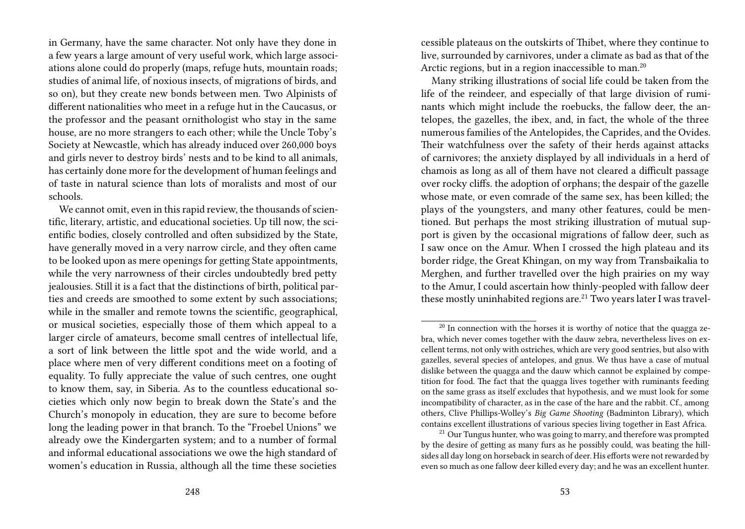in Germany, have the same character. Not only have they done in a few years a large amount of very useful work, which large associations alone could do properly (maps, refuge huts, mountain roads; studies of animal life, of noxious insects, of migrations of birds, and so on), but they create new bonds between men. Two Alpinists of different nationalities who meet in a refuge hut in the Caucasus, or the professor and the peasant ornithologist who stay in the same house, are no more strangers to each other; while the Uncle Toby's Society at Newcastle, which has already induced over 260,000 boys and girls never to destroy birds' nests and to be kind to all animals, has certainly done more for the development of human feelings and of taste in natural science than lots of moralists and most of our schools.

We cannot omit, even in this rapid review, the thousands of scientific, literary, artistic, and educational societies. Up till now, the scientific bodies, closely controlled and often subsidized by the State, have generally moved in a very narrow circle, and they often came to be looked upon as mere openings for getting State appointments, while the very narrowness of their circles undoubtedly bred petty jealousies. Still it is a fact that the distinctions of birth, political parties and creeds are smoothed to some extent by such associations; while in the smaller and remote towns the scientific, geographical, or musical societies, especially those of them which appeal to a larger circle of amateurs, become small centres of intellectual life, a sort of link between the little spot and the wide world, and a place where men of very different conditions meet on a footing of equality. To fully appreciate the value of such centres, one ought to know them, say, in Siberia. As to the countless educational societies which only now begin to break down the State's and the Church's monopoly in education, they are sure to become before long the leading power in that branch. To the "Froebel Unions" we already owe the Kindergarten system; and to a number of formal and informal educational associations we owe the high standard of women's education in Russia, although all the time these societies

cessible plateaus on the outskirts of Thibet, where they continue to live, surrounded by carnivores, under a climate as bad as that of the Arctic regions, but in a region inaccessible to man.<sup>20</sup>

Many striking illustrations of social life could be taken from the life of the reindeer, and especially of that large division of ruminants which might include the roebucks, the fallow deer, the antelopes, the gazelles, the ibex, and, in fact, the whole of the three numerous families of the Antelopides, the Caprides, and the Ovides. Their watchfulness over the safety of their herds against attacks of carnivores; the anxiety displayed by all individuals in a herd of chamois as long as all of them have not cleared a difficult passage over rocky cliffs. the adoption of orphans; the despair of the gazelle whose mate, or even comrade of the same sex, has been killed; the plays of the youngsters, and many other features, could be mentioned. But perhaps the most striking illustration of mutual support is given by the occasional migrations of fallow deer, such as I saw once on the Amur. When I crossed the high plateau and its border ridge, the Great Khingan, on my way from Transbaikalia to Merghen, and further travelled over the high prairies on my way to the Amur, I could ascertain how thinly-peopled with fallow deer these mostly uninhabited regions are.<sup>21</sup> Two years later I was travel-

 $20$  In connection with the horses it is worthy of notice that the quagga zebra, which never comes together with the dauw zebra, nevertheless lives on excellent terms, not only with ostriches, which are very good sentries, but also with gazelles, several species of antelopes, and gnus. We thus have a case of mutual dislike between the quagga and the dauw which cannot be explained by competition for food. The fact that the quagga lives together with ruminants feeding on the same grass as itself excludes that hypothesis, and we must look for some incompatibility of character, as in the case of the hare and the rabbit. Cf., among others, Clive Phillips-Wolley's *Big Game Shooting* (Badminton Library), which contains excellent illustrations of various species living together in East Africa.

 $21$  Our Tungus hunter, who was going to marry, and therefore was prompted by the desire of getting as many furs as he possibly could, was beating the hillsides all day long on horseback in search of deer. His efforts were not rewarded by even so much as one fallow deer killed every day; and he was an excellent hunter.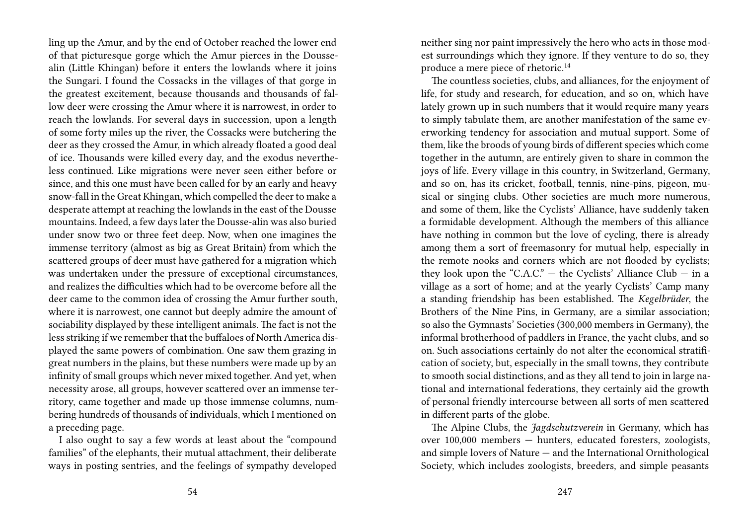ling up the Amur, and by the end of October reached the lower end of that picturesque gorge which the Amur pierces in the Doussealin (Little Khingan) before it enters the lowlands where it joins the Sungari. I found the Cossacks in the villages of that gorge in the greatest excitement, because thousands and thousands of fallow deer were crossing the Amur where it is narrowest, in order to reach the lowlands. For several days in succession, upon a length of some forty miles up the river, the Cossacks were butchering the deer as they crossed the Amur, in which already floated a good deal of ice. Thousands were killed every day, and the exodus nevertheless continued. Like migrations were never seen either before or since, and this one must have been called for by an early and heavy snow-fall in the Great Khingan, which compelled the deer to make a desperate attempt at reaching the lowlands in the east of the Dousse mountains. Indeed, a few days later the Dousse-alin was also buried under snow two or three feet deep. Now, when one imagines the immense territory (almost as big as Great Britain) from which the scattered groups of deer must have gathered for a migration which was undertaken under the pressure of exceptional circumstances, and realizes the difficulties which had to be overcome before all the deer came to the common idea of crossing the Amur further south, where it is narrowest, one cannot but deeply admire the amount of sociability displayed by these intelligent animals. The fact is not the less striking if we remember that the buffaloes of North America displayed the same powers of combination. One saw them grazing in great numbers in the plains, but these numbers were made up by an infinity of small groups which never mixed together. And yet, when necessity arose, all groups, however scattered over an immense territory, came together and made up those immense columns, numbering hundreds of thousands of individuals, which I mentioned on a preceding page.

I also ought to say a few words at least about the "compound families" of the elephants, their mutual attachment, their deliberate ways in posting sentries, and the feelings of sympathy developed neither sing nor paint impressively the hero who acts in those modest surroundings which they ignore. If they venture to do so, they produce a mere piece of rhetoric.<sup>14</sup>

The countless societies, clubs, and alliances, for the enjoyment of life, for study and research, for education, and so on, which have lately grown up in such numbers that it would require many years to simply tabulate them, are another manifestation of the same everworking tendency for association and mutual support. Some of them, like the broods of young birds of different species which come together in the autumn, are entirely given to share in common the joys of life. Every village in this country, in Switzerland, Germany, and so on, has its cricket, football, tennis, nine-pins, pigeon, musical or singing clubs. Other societies are much more numerous, and some of them, like the Cyclists' Alliance, have suddenly taken a formidable development. Although the members of this alliance have nothing in common but the love of cycling, there is already among them a sort of freemasonry for mutual help, especially in the remote nooks and corners which are not flooded by cyclists; they look upon the "C.A.C."  $-$  the Cyclists' Alliance Club  $-$  in a village as a sort of home; and at the yearly Cyclists' Camp many a standing friendship has been established. The *Kegelbrüder*, the Brothers of the Nine Pins, in Germany, are a similar association; so also the Gymnasts' Societies (300,000 members in Germany), the informal brotherhood of paddlers in France, the yacht clubs, and so on. Such associations certainly do not alter the economical stratification of society, but, especially in the small towns, they contribute to smooth social distinctions, and as they all tend to join in large national and international federations, they certainly aid the growth of personal friendly intercourse between all sorts of men scattered in different parts of the globe.

The Alpine Clubs, the *Jagdschutzverein* in Germany, which has over 100,000 members — hunters, educated foresters, zoologists, and simple lovers of Nature — and the International Ornithological Society, which includes zoologists, breeders, and simple peasants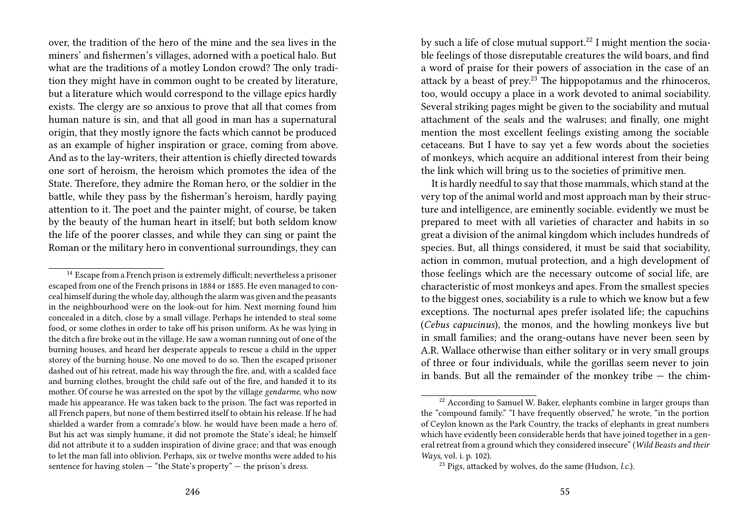over, the tradition of the hero of the mine and the sea lives in the miners' and fishermen's villages, adorned with a poetical halo. But what are the traditions of a motley London crowd? The only tradition they might have in common ought to be created by literature, but a literature which would correspond to the village epics hardly exists. The clergy are so anxious to prove that all that comes from human nature is sin, and that all good in man has a supernatural origin, that they mostly ignore the facts which cannot be produced as an example of higher inspiration or grace, coming from above. And as to the lay-writers, their attention is chiefly directed towards one sort of heroism, the heroism which promotes the idea of the State. Therefore, they admire the Roman hero, or the soldier in the battle, while they pass by the fisherman's heroism, hardly paying attention to it. The poet and the painter might, of course, be taken by the beauty of the human heart in itself; but both seldom know the life of the poorer classes, and while they can sing or paint the Roman or the military hero in conventional surroundings, they can

by such a life of close mutual support.<sup>22</sup> I might mention the sociable feelings of those disreputable creatures the wild boars, and find a word of praise for their powers of association in the case of an attack by a beast of prey.<sup>23</sup> The hippopotamus and the rhinoceros, too, would occupy a place in a work devoted to animal sociability. Several striking pages might be given to the sociability and mutual attachment of the seals and the walruses; and finally, one might mention the most excellent feelings existing among the sociable cetaceans. But I have to say yet a few words about the societies of monkeys, which acquire an additional interest from their being the link which will bring us to the societies of primitive men.

It is hardly needful to say that those mammals, which stand at the very top of the animal world and most approach man by their structure and intelligence, are eminently sociable. evidently we must be prepared to meet with all varieties of character and habits in so great a division of the animal kingdom which includes hundreds of species. But, all things considered, it must be said that sociability, action in common, mutual protection, and a high development of those feelings which are the necessary outcome of social life, are characteristic of most monkeys and apes. From the smallest species to the biggest ones, sociability is a rule to which we know but a few exceptions. The nocturnal apes prefer isolated life; the capuchins (*Cebus capucinus*), the monos, and the howling monkeys live but in small families; and the orang-outans have never been seen by A.R. Wallace otherwise than either solitary or in very small groups of three or four individuals, while the gorillas seem never to join in bands. But all the remainder of the monkey tribe — the chim-

<sup>&</sup>lt;sup>14</sup> Escape from a French prison is extremely difficult; nevertheless a prisoner escaped from one of the French prisons in 1884 or 1885. He even managed to conceal himself during the whole day, although the alarm was given and the peasants in the neighbourhood were on the look-out for him. Next morning found him concealed in a ditch, close by a small village. Perhaps he intended to steal some food, or some clothes in order to take off his prison uniform. As he was lying in the ditch a fire broke out in the village. He saw a woman running out of one of the burning houses, and heard her desperate appeals to rescue a child in the upper storey of the burning house. No one moved to do so. Then the escaped prisoner dashed out of his retreat, made his way through the fire, and, with a scalded face and burning clothes, brought the child safe out of the fire, and handed it to its mother. Of course he was arrested on the spot by the village *gendarme*, who now made his appearance. He was taken back to the prison. The fact was reported in all French papers, but none of them bestirred itself to obtain his release. If he had shielded a warder from a comrade's blow. he would have been made a hero of. But his act was simply humane, it did not promote the State's ideal; he himself did not attribute it to a sudden inspiration of divine grace; and that was enough to let the man fall into oblivion. Perhaps, six or twelve months were added to his sentence for having stolen  $-$  "the State's property"  $-$  the prison's dress.

 $22$  According to Samuel W. Baker, elephants combine in larger groups than the "compound family." "I have frequently observed," he wrote, "in the portion of Ceylon known as the Park Country, the tracks of elephants in great numbers which have evidently been considerable herds that have joined together in a general retreat from a ground which they considered insecure" (*Wild Beasts and their Ways*, vol. i. p. 102).

<sup>23</sup> Pigs, attacked by wolves, do the same (Hudson, *l.c*.).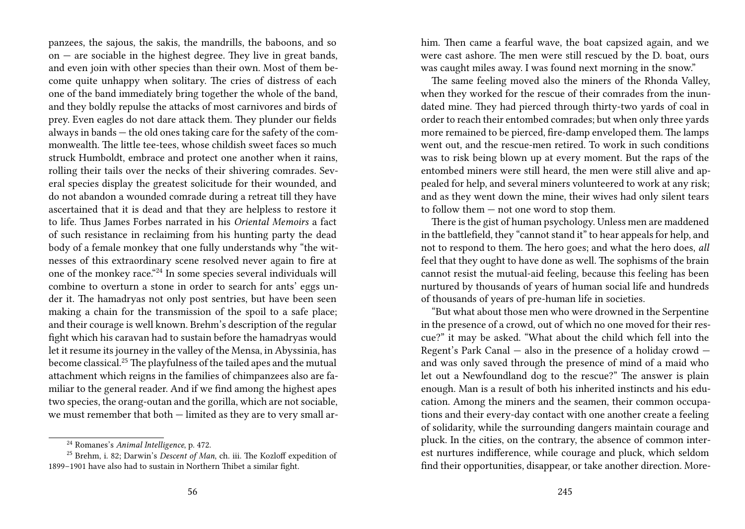panzees, the sajous, the sakis, the mandrills, the baboons, and so on  $-$  are sociable in the highest degree. They live in great bands, and even join with other species than their own. Most of them become quite unhappy when solitary. The cries of distress of each one of the band immediately bring together the whole of the band, and they boldly repulse the attacks of most carnivores and birds of prey. Even eagles do not dare attack them. They plunder our fields always in bands — the old ones taking care for the safety of the commonwealth. The little tee-tees, whose childish sweet faces so much struck Humboldt, embrace and protect one another when it rains, rolling their tails over the necks of their shivering comrades. Several species display the greatest solicitude for their wounded, and do not abandon a wounded comrade during a retreat till they have ascertained that it is dead and that they are helpless to restore it to life. Thus James Forbes narrated in his *Oriental Memoirs* a fact of such resistance in reclaiming from his hunting party the dead body of a female monkey that one fully understands why "the witnesses of this extraordinary scene resolved never again to fire at one of the monkey race."<sup>24</sup> In some species several individuals will combine to overturn a stone in order to search for ants' eggs under it. The hamadryas not only post sentries, but have been seen making a chain for the transmission of the spoil to a safe place; and their courage is well known. Brehm's description of the regular fight which his caravan had to sustain before the hamadryas would let it resume its journey in the valley of the Mensa, in Abyssinia, has become classical.<sup>25</sup> The playfulness of the tailed apes and the mutual attachment which reigns in the families of chimpanzees also are familiar to the general reader. And if we find among the highest apes two species, the orang-outan and the gorilla, which are not sociable, we must remember that both — limited as they are to very small ar-

him. Then came a fearful wave, the boat capsized again, and we were cast ashore. The men were still rescued by the D. boat, ours was caught miles away. I was found next morning in the snow."

The same feeling moved also the miners of the Rhonda Valley, when they worked for the rescue of their comrades from the inundated mine. They had pierced through thirty-two yards of coal in order to reach their entombed comrades; but when only three yards more remained to be pierced, fire-damp enveloped them. The lamps went out, and the rescue-men retired. To work in such conditions was to risk being blown up at every moment. But the raps of the entombed miners were still heard, the men were still alive and appealed for help, and several miners volunteered to work at any risk; and as they went down the mine, their wives had only silent tears to follow them — not one word to stop them.

There is the gist of human psychology. Unless men are maddened in the battlefield, they "cannot stand it" to hear appeals for help, and not to respond to them. The hero goes; and what the hero does, *all* feel that they ought to have done as well. The sophisms of the brain cannot resist the mutual-aid feeling, because this feeling has been nurtured by thousands of years of human social life and hundreds of thousands of years of pre-human life in societies.

"But what about those men who were drowned in the Serpentine in the presence of a crowd, out of which no one moved for their rescue?" it may be asked. "What about the child which fell into the Regent's Park Canal — also in the presence of a holiday crowd and was only saved through the presence of mind of a maid who let out a Newfoundland dog to the rescue?" The answer is plain enough. Man is a result of both his inherited instincts and his education. Among the miners and the seamen, their common occupations and their every-day contact with one another create a feeling of solidarity, while the surrounding dangers maintain courage and pluck. In the cities, on the contrary, the absence of common interest nurtures indifference, while courage and pluck, which seldom find their opportunities, disappear, or take another direction. More-

<sup>24</sup> Romanes's *Animal Intelligence*, p. 472.

<sup>25</sup> Brehm, i. 82; Darwin's *Descent of Man*, ch. iii. The Kozloff expedition of 1899–1901 have also had to sustain in Northern Thibet a similar fight.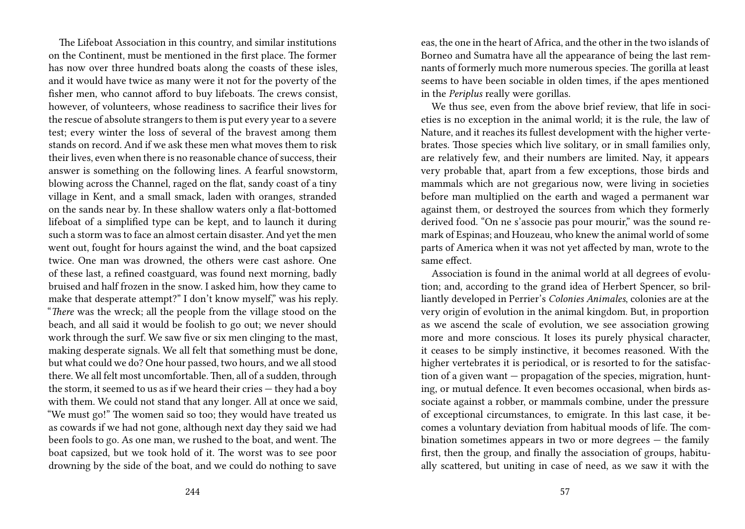The Lifeboat Association in this country, and similar institutions on the Continent, must be mentioned in the first place. The former has now over three hundred boats along the coasts of these isles, and it would have twice as many were it not for the poverty of the fisher men, who cannot afford to buy lifeboats. The crews consist, however, of volunteers, whose readiness to sacrifice their lives for the rescue of absolute strangers to them is put every year to a severe test; every winter the loss of several of the bravest among them stands on record. And if we ask these men what moves them to risk their lives, even when there is no reasonable chance of success, their answer is something on the following lines. A fearful snowstorm, blowing across the Channel, raged on the flat, sandy coast of a tiny village in Kent, and a small smack, laden with oranges, stranded on the sands near by. In these shallow waters only a flat-bottomed lifeboat of a simplified type can be kept, and to launch it during such a storm was to face an almost certain disaster. And yet the men went out, fought for hours against the wind, and the boat capsized twice. One man was drowned, the others were cast ashore. One of these last, a refined coastguard, was found next morning, badly bruised and half frozen in the snow. I asked him, how they came to make that desperate attempt?" I don't know myself," was his reply. "*There* was the wreck; all the people from the village stood on the beach, and all said it would be foolish to go out; we never should work through the surf. We saw five or six men clinging to the mast, making desperate signals. We all felt that something must be done, but what could we do? One hour passed, two hours, and we all stood there. We all felt most uncomfortable. Then, all of a sudden, through the storm, it seemed to us as if we heard their cries — they had a boy with them. We could not stand that any longer. All at once we said, "We must go!" The women said so too; they would have treated us as cowards if we had not gone, although next day they said we had been fools to go. As one man, we rushed to the boat, and went. The boat capsized, but we took hold of it. The worst was to see poor drowning by the side of the boat, and we could do nothing to save

eas, the one in the heart of Africa, and the other in the two islands of Borneo and Sumatra have all the appearance of being the last remnants of formerly much more numerous species. The gorilla at least seems to have been sociable in olden times, if the apes mentioned in the *Periplus* really were gorillas.

We thus see, even from the above brief review, that life in societies is no exception in the animal world; it is the rule, the law of Nature, and it reaches its fullest development with the higher vertebrates. Those species which live solitary, or in small families only, are relatively few, and their numbers are limited. Nay, it appears very probable that, apart from a few exceptions, those birds and mammals which are not gregarious now, were living in societies before man multiplied on the earth and waged a permanent war against them, or destroyed the sources from which they formerly derived food. "On ne s'associe pas pour mourir," was the sound remark of Espinas; and Houzeau, who knew the animal world of some parts of America when it was not yet affected by man, wrote to the same effect.

Association is found in the animal world at all degrees of evolution; and, according to the grand idea of Herbert Spencer, so brilliantly developed in Perrier's *Colonies Animales*, colonies are at the very origin of evolution in the animal kingdom. But, in proportion as we ascend the scale of evolution, we see association growing more and more conscious. It loses its purely physical character, it ceases to be simply instinctive, it becomes reasoned. With the higher vertebrates it is periodical, or is resorted to for the satisfaction of a given want — propagation of the species, migration, hunting, or mutual defence. It even becomes occasional, when birds associate against a robber, or mammals combine, under the pressure of exceptional circumstances, to emigrate. In this last case, it becomes a voluntary deviation from habitual moods of life. The combination sometimes appears in two or more degrees — the family first, then the group, and finally the association of groups, habitually scattered, but uniting in case of need, as we saw it with the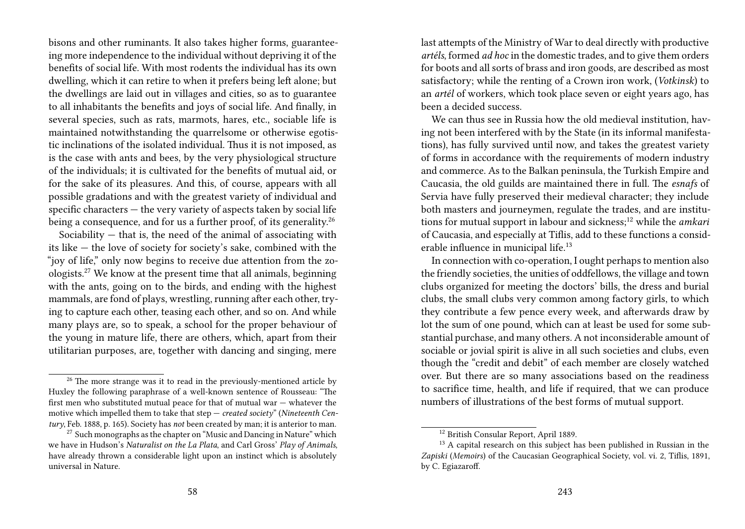bisons and other ruminants. It also takes higher forms, guaranteeing more independence to the individual without depriving it of the benefits of social life. With most rodents the individual has its own dwelling, which it can retire to when it prefers being left alone; but the dwellings are laid out in villages and cities, so as to guarantee to all inhabitants the benefits and joys of social life. And finally, in several species, such as rats, marmots, hares, etc., sociable life is maintained notwithstanding the quarrelsome or otherwise egotistic inclinations of the isolated individual. Thus it is not imposed, as is the case with ants and bees, by the very physiological structure of the individuals; it is cultivated for the benefits of mutual aid, or for the sake of its pleasures. And this, of course, appears with all possible gradations and with the greatest variety of individual and specific characters — the very variety of aspects taken by social life being a consequence, and for us a further proof, of its generality.<sup>26</sup>

Sociability  $-$  that is, the need of the animal of associating with its like — the love of society for society's sake, combined with the "joy of life," only now begins to receive due attention from the zoologists.<sup>27</sup> We know at the present time that all animals, beginning with the ants, going on to the birds, and ending with the highest mammals, are fond of plays, wrestling, running after each other, trying to capture each other, teasing each other, and so on. And while many plays are, so to speak, a school for the proper behaviour of the young in mature life, there are others, which, apart from their utilitarian purposes, are, together with dancing and singing, mere

last attempts of the Ministry of War to deal directly with productive *artéls*, formed *ad hoc* in the domestic trades, and to give them orders for boots and all sorts of brass and iron goods, are described as most satisfactory; while the renting of a Crown iron work, (*Votkinsk*) to an *artél* of workers, which took place seven or eight years ago, has been a decided success.

We can thus see in Russia how the old medieval institution, having not been interfered with by the State (in its informal manifestations), has fully survived until now, and takes the greatest variety of forms in accordance with the requirements of modern industry and commerce. As to the Balkan peninsula, the Turkish Empire and Caucasia, the old guilds are maintained there in full. The *esnafs* of Servia have fully preserved their medieval character; they include both masters and journeymen, regulate the trades, and are institutions for mutual support in labour and sickness;<sup>12</sup> while the *amkari* of Caucasia, and especially at Tiflis, add to these functions a considerable influence in municipal life.<sup>13</sup>

In connection with co-operation, I ought perhaps to mention also the friendly societies, the unities of oddfellows, the village and town clubs organized for meeting the doctors' bills, the dress and burial clubs, the small clubs very common among factory girls, to which they contribute a few pence every week, and afterwards draw by lot the sum of one pound, which can at least be used for some substantial purchase, and many others. A not inconsiderable amount of sociable or jovial spirit is alive in all such societies and clubs, even though the "credit and debit" of each member are closely watched over. But there are so many associations based on the readiness to sacrifice time, health, and life if required, that we can produce numbers of illustrations of the best forms of mutual support.

<sup>&</sup>lt;sup>26</sup> The more strange was it to read in the previously-mentioned article by Huxley the following paraphrase of a well-known sentence of Rousseau: "The first men who substituted mutual peace for that of mutual war — whatever the motive which impelled them to take that step — *created society*" (*Nineteenth Century*, Feb. 1888, p. 165). Society has *not* been created by man; it is anterior to man.

<sup>&</sup>lt;sup>27</sup> Such monographs as the chapter on "Music and Dancing in Nature" which we have in Hudson's *Naturalist on the La Plata*, and Carl Gross' *Play of Animals*, have already thrown a considerable light upon an instinct which is absolutely universal in Nature.

<sup>12</sup> British Consular Report, April 1889.

 $13$  A capital research on this subject has been published in Russian in the *Zapiski* (*Memoirs*) of the Caucasian Geographical Society, vol. vi. 2, Tiflis, 1891, by C. Egiazaroff.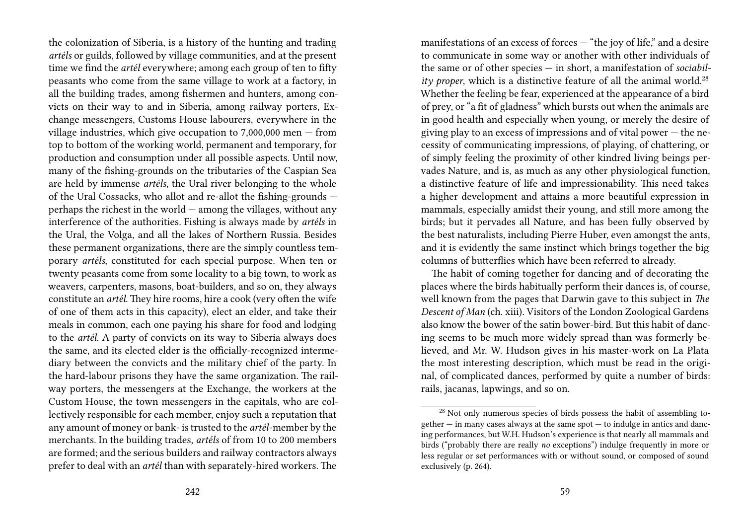the colonization of Siberia, is a history of the hunting and trading *artéls* or guilds, followed by village communities, and at the present time we find the *artél* everywhere; among each group of ten to fifty peasants who come from the same village to work at a factory, in all the building trades, among fishermen and hunters, among convicts on their way to and in Siberia, among railway porters, Exchange messengers, Customs House labourers, everywhere in the village industries, which give occupation to 7,000,000 men — from top to bottom of the working world, permanent and temporary, for production and consumption under all possible aspects. Until now, many of the fishing-grounds on the tributaries of the Caspian Sea are held by immense *artéls*, the Ural river belonging to the whole of the Ural Cossacks, who allot and re-allot the fishing-grounds perhaps the richest in the world — among the villages, without any interference of the authorities. Fishing is always made by *artéls* in the Ural, the Volga, and all the lakes of Northern Russia. Besides these permanent organizations, there are the simply countless temporary *artéls*, constituted for each special purpose. When ten or twenty peasants come from some locality to a big town, to work as weavers, carpenters, masons, boat-builders, and so on, they always constitute an *artél*. They hire rooms, hire a cook (very often the wife of one of them acts in this capacity), elect an elder, and take their meals in common, each one paying his share for food and lodging to the *artél*. A party of convicts on its way to Siberia always does the same, and its elected elder is the officially-recognized intermediary between the convicts and the military chief of the party. In the hard-labour prisons they have the same organization. The railway porters, the messengers at the Exchange, the workers at the Custom House, the town messengers in the capitals, who are collectively responsible for each member, enjoy such a reputation that any amount of money or bank- is trusted to the *artél*-member by the merchants. In the building trades, *artéls* of from 10 to 200 members are formed; and the serious builders and railway contractors always prefer to deal with an *artél* than with separately-hired workers. The

manifestations of an excess of forces — "the joy of life," and a desire to communicate in some way or another with other individuals of the same or of other species — in short, a manifestation of *sociability proper*, which is a distinctive feature of all the animal world.<sup>28</sup> Whether the feeling be fear, experienced at the appearance of a bird of prey, or "a fit of gladness" which bursts out when the animals are in good health and especially when young, or merely the desire of giving play to an excess of impressions and of vital power — the necessity of communicating impressions, of playing, of chattering, or of simply feeling the proximity of other kindred living beings pervades Nature, and is, as much as any other physiological function, a distinctive feature of life and impressionability. This need takes a higher development and attains a more beautiful expression in mammals, especially amidst their young, and still more among the birds; but it pervades all Nature, and has been fully observed by the best naturalists, including Pierre Huber, even amongst the ants, and it is evidently the same instinct which brings together the big columns of butterflies which have been referred to already.

The habit of coming together for dancing and of decorating the places where the birds habitually perform their dances is, of course, well known from the pages that Darwin gave to this subject in *The Descent of Man* (ch. xiii). Visitors of the London Zoological Gardens also know the bower of the satin bower-bird. But this habit of dancing seems to be much more widely spread than was formerly believed, and Mr. W. Hudson gives in his master-work on La Plata the most interesting description, which must be read in the original, of complicated dances, performed by quite a number of birds: rails, jacanas, lapwings, and so on.

<sup>&</sup>lt;sup>28</sup> Not only numerous species of birds possess the habit of assembling to $gether - in$  many cases always at the same spot  $-$  to indulge in antics and dancing performances, but W.H. Hudson's experience is that nearly all mammals and birds ("probably there are really *no* exceptions") indulge frequently in more or less regular or set performances with or without sound, or composed of sound exclusively (p. 264).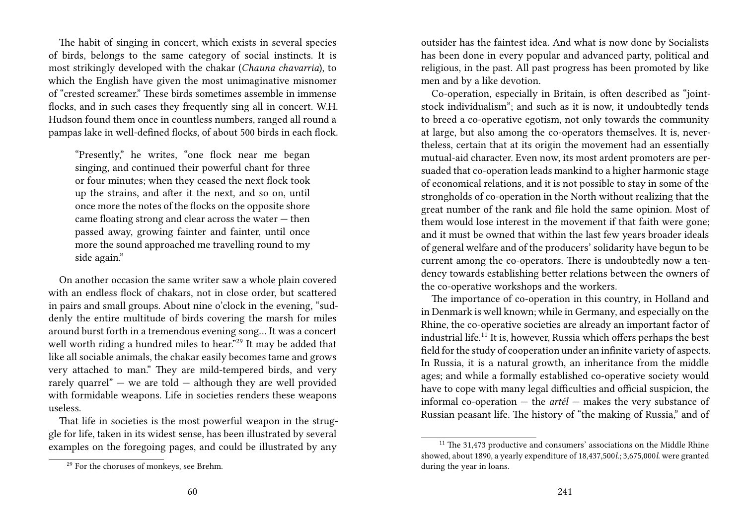The habit of singing in concert, which exists in several species of birds, belongs to the same category of social instincts. It is most strikingly developed with the chakar (*Chauna chavarria*), to which the English have given the most unimaginative misnomer of "crested screamer." These birds sometimes assemble in immense flocks, and in such cases they frequently sing all in concert. W.H. Hudson found them once in countless numbers, ranged all round a pampas lake in well-defined flocks, of about 500 birds in each flock.

"Presently," he writes, "one flock near me began singing, and continued their powerful chant for three or four minutes; when they ceased the next flock took up the strains, and after it the next, and so on, until once more the notes of the flocks on the opposite shore came floating strong and clear across the water — then passed away, growing fainter and fainter, until once more the sound approached me travelling round to my side again."

On another occasion the same writer saw a whole plain covered with an endless flock of chakars, not in close order, but scattered in pairs and small groups. About nine o'clock in the evening, "suddenly the entire multitude of birds covering the marsh for miles around burst forth in a tremendous evening song… It was a concert well worth riding a hundred miles to hear."<sup>29</sup> It may be added that like all sociable animals, the chakar easily becomes tame and grows very attached to man." They are mild-tempered birds, and very rarely quarrel"  $-$  we are told  $-$  although they are well provided with formidable weapons. Life in societies renders these weapons useless.

That life in societies is the most powerful weapon in the struggle for life, taken in its widest sense, has been illustrated by several examples on the foregoing pages, and could be illustrated by any

outsider has the faintest idea. And what is now done by Socialists has been done in every popular and advanced party, political and religious, in the past. All past progress has been promoted by like men and by a like devotion.

Co-operation, especially in Britain, is often described as "jointstock individualism"; and such as it is now, it undoubtedly tends to breed a co-operative egotism, not only towards the community at large, but also among the co-operators themselves. It is, nevertheless, certain that at its origin the movement had an essentially mutual-aid character. Even now, its most ardent promoters are persuaded that co-operation leads mankind to a higher harmonic stage of economical relations, and it is not possible to stay in some of the strongholds of co-operation in the North without realizing that the great number of the rank and file hold the same opinion. Most of them would lose interest in the movement if that faith were gone; and it must be owned that within the last few years broader ideals of general welfare and of the producers' solidarity have begun to be current among the co-operators. There is undoubtedly now a tendency towards establishing better relations between the owners of the co-operative workshops and the workers.

The importance of co-operation in this country, in Holland and in Denmark is well known; while in Germany, and especially on the Rhine, the co-operative societies are already an important factor of industrial life.<sup>11</sup> It is, however, Russia which offers perhaps the best field for the study of cooperation under an infinite variety of aspects. In Russia, it is a natural growth, an inheritance from the middle ages; and while a formally established co-operative society would have to cope with many legal difficulties and official suspicion, the informal co-operation — the *artél* — makes the very substance of Russian peasant life. The history of "the making of Russia," and of

<sup>&</sup>lt;sup>29</sup> For the choruses of monkeys, see Brehm.

<sup>&</sup>lt;sup>11</sup> The 31,473 productive and consumers' associations on the Middle Rhine showed, about 1890, a yearly expenditure of 18,437,500*l*.; 3,675,000*l*. were granted during the year in loans.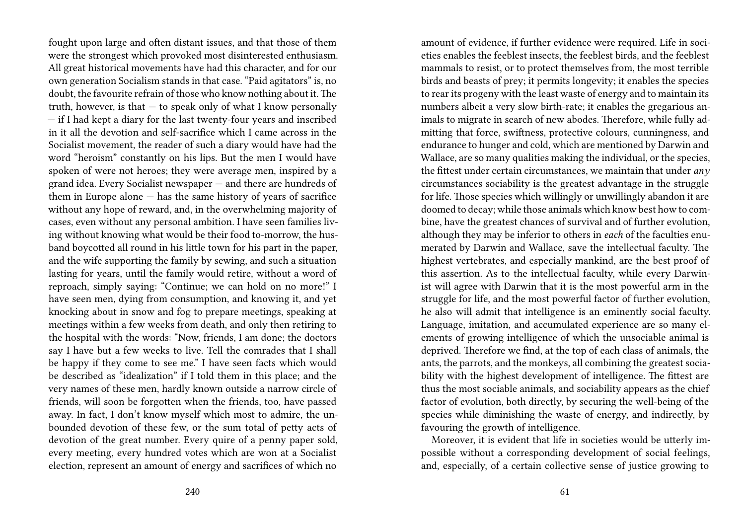fought upon large and often distant issues, and that those of them were the strongest which provoked most disinterested enthusiasm. All great historical movements have had this character, and for our own generation Socialism stands in that case. "Paid agitators" is, no doubt, the favourite refrain of those who know nothing about it.The truth, however, is that  $-$  to speak only of what I know personally — if I had kept a diary for the last twenty-four years and inscribed in it all the devotion and self-sacrifice which I came across in the Socialist movement, the reader of such a diary would have had the word "heroism" constantly on his lips. But the men I would have spoken of were not heroes; they were average men, inspired by a grand idea. Every Socialist newspaper — and there are hundreds of them in Europe alone — has the same history of years of sacrifice without any hope of reward, and, in the overwhelming majority of cases, even without any personal ambition. I have seen families living without knowing what would be their food to-morrow, the husband boycotted all round in his little town for his part in the paper, and the wife supporting the family by sewing, and such a situation lasting for years, until the family would retire, without a word of reproach, simply saying: "Continue; we can hold on no more!" I have seen men, dying from consumption, and knowing it, and yet knocking about in snow and fog to prepare meetings, speaking at meetings within a few weeks from death, and only then retiring to the hospital with the words: "Now, friends, I am done; the doctors say I have but a few weeks to live. Tell the comrades that I shall be happy if they come to see me." I have seen facts which would be described as "idealization" if I told them in this place; and the very names of these men, hardly known outside a narrow circle of friends, will soon be forgotten when the friends, too, have passed away. In fact, I don't know myself which most to admire, the unbounded devotion of these few, or the sum total of petty acts of devotion of the great number. Every quire of a penny paper sold, every meeting, every hundred votes which are won at a Socialist election, represent an amount of energy and sacrifices of which no

amount of evidence, if further evidence were required. Life in societies enables the feeblest insects, the feeblest birds, and the feeblest mammals to resist, or to protect themselves from, the most terrible birds and beasts of prey; it permits longevity; it enables the species to rear its progeny with the least waste of energy and to maintain its numbers albeit a very slow birth-rate; it enables the gregarious animals to migrate in search of new abodes. Therefore, while fully admitting that force, swiftness, protective colours, cunningness, and endurance to hunger and cold, which are mentioned by Darwin and Wallace, are so many qualities making the individual, or the species, the fittest under certain circumstances, we maintain that under *any* circumstances sociability is the greatest advantage in the struggle for life. Those species which willingly or unwillingly abandon it are doomed to decay; while those animals which know best how to combine, have the greatest chances of survival and of further evolution, although they may be inferior to others in *each* of the faculties enumerated by Darwin and Wallace, save the intellectual faculty. The highest vertebrates, and especially mankind, are the best proof of this assertion. As to the intellectual faculty, while every Darwinist will agree with Darwin that it is the most powerful arm in the struggle for life, and the most powerful factor of further evolution, he also will admit that intelligence is an eminently social faculty. Language, imitation, and accumulated experience are so many elements of growing intelligence of which the unsociable animal is deprived. Therefore we find, at the top of each class of animals, the ants, the parrots, and the monkeys, all combining the greatest sociability with the highest development of intelligence. The fittest are thus the most sociable animals, and sociability appears as the chief factor of evolution, both directly, by securing the well-being of the species while diminishing the waste of energy, and indirectly, by favouring the growth of intelligence.

Moreover, it is evident that life in societies would be utterly impossible without a corresponding development of social feelings, and, especially, of a certain collective sense of justice growing to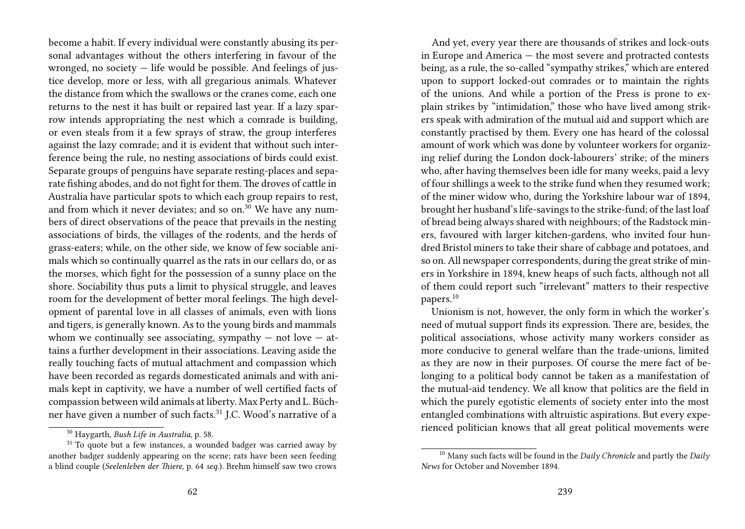become a habit. If every individual were constantly abusing its personal advantages without the others interfering in favour of the wronged, no society  $-$  life would be possible. And feelings of justice develop, more or less, with all gregarious animals. Whatever the distance from which the swallows or the cranes come, each one returns to the nest it has built or repaired last year. If a lazy sparrow intends appropriating the nest which a comrade is building, or even steals from it a few sprays of straw, the group interferes against the lazy comrade; and it is evident that without such interference being the rule, no nesting associations of birds could exist. Separate groups of penguins have separate resting-places and separate fishing abodes, and do not fight for them. The droves of cattle in Australia have particular spots to which each group repairs to rest, and from which it never deviates; and so on. $30$  We have any numbers of direct observations of the peace that prevails in the nesting associations of birds, the villages of the rodents, and the herds of grass-eaters; while, on the other side, we know of few sociable animals which so continually quarrel as the rats in our cellars do, or as the morses, which fight for the possession of a sunny place on the shore. Sociability thus puts a limit to physical struggle, and leaves room for the development of better moral feelings. The high development of parental love in all classes of animals, even with lions and tigers, is generally known. As to the young birds and mammals whom we continually see associating, sympathy  $-$  not love  $-$  attains a further development in their associations. Leaving aside the really touching facts of mutual attachment and compassion which have been recorded as regards domesticated animals and with animals kept in captivity, we have a number of well certified facts of compassion between wild animals at liberty. Max Perty and L. Büchner have given a number of such facts.<sup>31</sup> J.C. Wood's narrative of a

And yet, every year there are thousands of strikes and lock-outs in Europe and America — the most severe and protracted contests being, as a rule, the so-called "sympathy strikes," which are entered upon to support locked-out comrades or to maintain the rights of the unions. And while a portion of the Press is prone to explain strikes by "intimidation," those who have lived among strikers speak with admiration of the mutual aid and support which are constantly practised by them. Every one has heard of the colossal amount of work which was done by volunteer workers for organizing relief during the London dock-labourers' strike; of the miners who, after having themselves been idle for many weeks, paid a levy of four shillings a week to the strike fund when they resumed work; of the miner widow who, during the Yorkshire labour war of 1894, brought her husband's life-savings to the strike-fund; of the last loaf of bread being always shared with neighbours; of the Radstock miners, favoured with larger kitchen-gardens, who invited four hundred Bristol miners to take their share of cabbage and potatoes, and so on. All newspaper correspondents, during the great strike of miners in Yorkshire in 1894, knew heaps of such facts, although not all of them could report such "irrelevant" matters to their respective papers.<sup>10</sup>

Unionism is not, however, the only form in which the worker's need of mutual support finds its expression. There are, besides, the political associations, whose activity many workers consider as more conducive to general welfare than the trade-unions, limited as they are now in their purposes. Of course the mere fact of belonging to a political body cannot be taken as a manifestation of the mutual-aid tendency. We all know that politics are the field in which the purely egotistic elements of society enter into the most entangled combinations with altruistic aspirations. But every experienced politician knows that all great political movements were

<sup>30</sup> Haygarth, *Bush Life in Australia*, p. 58.

 $31$  To quote but a few instances, a wounded badger was carried away by another badger suddenly appearing on the scene; rats have been seen feeding a blind couple (*Seelenleben der Thiere*, p. 64 *seq*.). Brehm himself saw two crows

<sup>10</sup> Many such facts will be found in the *Daily Chronicle* and partly the *Daily News* for October and November 1894.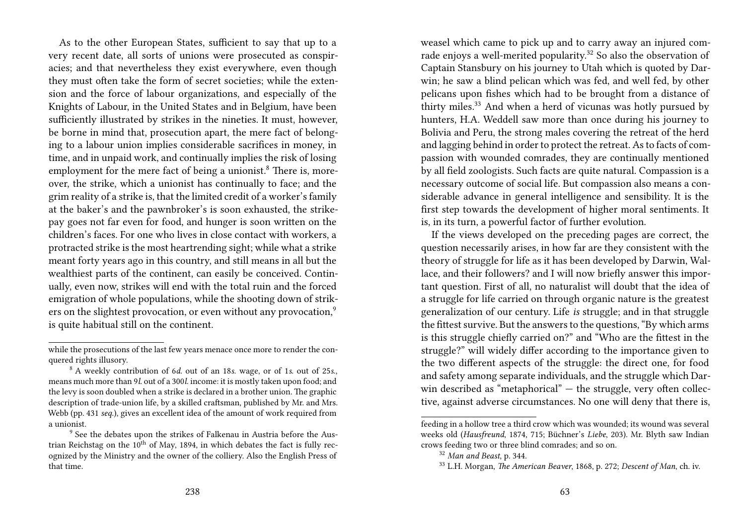As to the other European States, sufficient to say that up to a very recent date, all sorts of unions were prosecuted as conspiracies; and that nevertheless they exist everywhere, even though they must often take the form of secret societies; while the extension and the force of labour organizations, and especially of the Knights of Labour, in the United States and in Belgium, have been sufficiently illustrated by strikes in the nineties. It must, however, be borne in mind that, prosecution apart, the mere fact of belonging to a labour union implies considerable sacrifices in money, in time, and in unpaid work, and continually implies the risk of losing employment for the mere fact of being a unionist.<sup>8</sup> There is, moreover, the strike, which a unionist has continually to face; and the grim reality of a strike is, that the limited credit of a worker's family at the baker's and the pawnbroker's is soon exhausted, the strikepay goes not far even for food, and hunger is soon written on the children's faces. For one who lives in close contact with workers, a protracted strike is the most heartrending sight; while what a strike meant forty years ago in this country, and still means in all but the wealthiest parts of the continent, can easily be conceived. Continually, even now, strikes will end with the total ruin and the forced emigration of whole populations, while the shooting down of strikers on the slightest provocation, or even without any provocation,<sup>9</sup> is quite habitual still on the continent.

weasel which came to pick up and to carry away an injured comrade enjoys a well-merited popularity.<sup>32</sup> So also the observation of Captain Stansbury on his journey to Utah which is quoted by Darwin; he saw a blind pelican which was fed, and well fed, by other pelicans upon fishes which had to be brought from a distance of thirty miles.<sup>33</sup> And when a herd of vicunas was hotly pursued by hunters, H.A. Weddell saw more than once during his journey to Bolivia and Peru, the strong males covering the retreat of the herd and lagging behind in order to protect the retreat. As to facts of compassion with wounded comrades, they are continually mentioned by all field zoologists. Such facts are quite natural. Compassion is a necessary outcome of social life. But compassion also means a considerable advance in general intelligence and sensibility. It is the first step towards the development of higher moral sentiments. It is, in its turn, a powerful factor of further evolution.

If the views developed on the preceding pages are correct, the question necessarily arises, in how far are they consistent with the theory of struggle for life as it has been developed by Darwin, Wallace, and their followers? and I will now briefly answer this important question. First of all, no naturalist will doubt that the idea of a struggle for life carried on through organic nature is the greatest generalization of our century. Life *is* struggle; and in that struggle the fittest survive. But the answers to the questions, "By which arms is this struggle chiefly carried on?" and "Who are the fittest in the struggle?" will widely differ according to the importance given to the two different aspects of the struggle: the direct one, for food and safety among separate individuals, and the struggle which Darwin described as "metaphorical" — the struggle, very often collective, against adverse circumstances. No one will deny that there is,

while the prosecutions of the last few years menace once more to render the conquered rights illusory.

<sup>8</sup> A weekly contribution of 6*d*. out of an 18*s*. wage, or of 1*s*. out of 25*s*., means much more than 9*l*. out of a 300*l*. income: it is mostly taken upon food; and the levy is soon doubled when a strike is declared in a brother union. The graphic description of trade-union life, by a skilled craftsman, published by Mr. and Mrs. Webb (pp. 431 *seq*.), gives an excellent idea of the amount of work required from a unionist.

<sup>9</sup> See the debates upon the strikes of Falkenau in Austria before the Austrian Reichstag on the  $10^{th}$  of May, 1894, in which debates the fact is fully recognized by the Ministry and the owner of the colliery. Also the English Press of that time.

feeding in a hollow tree a third crow which was wounded; its wound was several weeks old (*Hausfreund*, 1874, 715; Büchner's *Liebe*, 203). Mr. Blyth saw Indian crows feeding two or three blind comrades; and so on.

<sup>32</sup> *Man and Beast*, p. 344.

<sup>33</sup> L.H. Morgan, *The American Beaver*, 1868, p. 272; *Descent of Man*, ch. iv.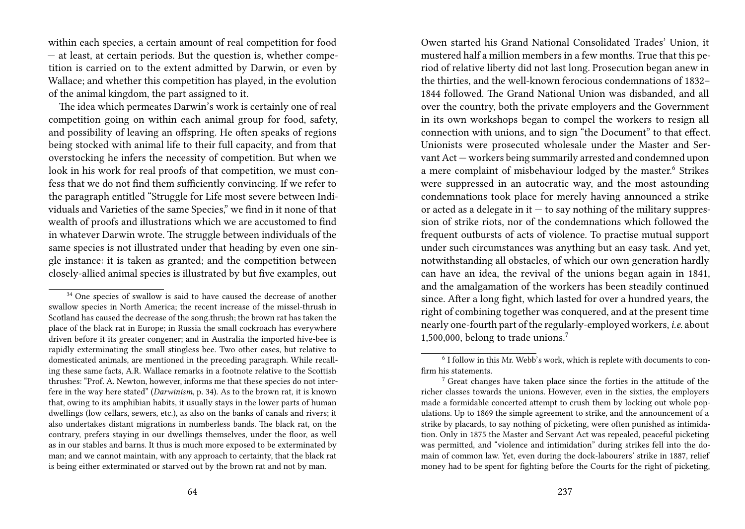within each species, a certain amount of real competition for food — at least, at certain periods. But the question is, whether competition is carried on to the extent admitted by Darwin, or even by Wallace; and whether this competition has played, in the evolution of the animal kingdom, the part assigned to it.

The idea which permeates Darwin's work is certainly one of real competition going on within each animal group for food, safety, and possibility of leaving an offspring. He often speaks of regions being stocked with animal life to their full capacity, and from that overstocking he infers the necessity of competition. But when we look in his work for real proofs of that competition, we must confess that we do not find them sufficiently convincing. If we refer to the paragraph entitled "Struggle for Life most severe between Individuals and Varieties of the same Species," we find in it none of that wealth of proofs and illustrations which we are accustomed to find in whatever Darwin wrote. The struggle between individuals of the same species is not illustrated under that heading by even one single instance: it is taken as granted; and the competition between closely-allied animal species is illustrated by but five examples, out

Owen started his Grand National Consolidated Trades' Union, it mustered half a million members in a few months. True that this period of relative liberty did not last long. Prosecution began anew in the thirties, and the well-known ferocious condemnations of 1832– 1844 followed. The Grand National Union was disbanded, and all over the country, both the private employers and the Government in its own workshops began to compel the workers to resign all connection with unions, and to sign "the Document" to that effect. Unionists were prosecuted wholesale under the Master and Servant Act — workers being summarily arrested and condemned upon a mere complaint of misbehaviour lodged by the master.<sup>6</sup> Strikes were suppressed in an autocratic way, and the most astounding condemnations took place for merely having announced a strike or acted as a delegate in it  $-$  to say nothing of the military suppression of strike riots, nor of the condemnations which followed the frequent outbursts of acts of violence. To practise mutual support under such circumstances was anything but an easy task. And yet, notwithstanding all obstacles, of which our own generation hardly can have an idea, the revival of the unions began again in 1841, and the amalgamation of the workers has been steadily continued since. After a long fight, which lasted for over a hundred years, the right of combining together was conquered, and at the present time nearly one-fourth part of the regularly-employed workers, *i.e.* about 1,500,000, belong to trade unions.<sup>7</sup>

<sup>&</sup>lt;sup>34</sup> One species of swallow is said to have caused the decrease of another swallow species in North America; the recent increase of the missel-thrush in Scotland has caused the decrease of the song.thrush; the brown rat has taken the place of the black rat in Europe; in Russia the small cockroach has everywhere driven before it its greater congener; and in Australia the imported hive-bee is rapidly exterminating the small stingless bee. Two other cases, but relative to domesticated animals, are mentioned in the preceding paragraph. While recalling these same facts, A.R. Wallace remarks in a footnote relative to the Scottish thrushes: "Prof. A. Newton, however, informs me that these species do not interfere in the way here stated" (*Darwinism*, p. 34). As to the brown rat, it is known that, owing to its amphibian habits, it usually stays in the lower parts of human dwellings (low cellars, sewers, etc.), as also on the banks of canals and rivers; it also undertakes distant migrations in numberless bands. The black rat, on the contrary, prefers staying in our dwellings themselves, under the floor, as well as in our stables and barns. It thus is much more exposed to be exterminated by man; and we cannot maintain, with any approach to certainty, that the black rat is being either exterminated or starved out by the brown rat and not by man.

<sup>6</sup> I follow in this Mr. Webb's work, which is replete with documents to confirm his statements.

<sup>7</sup> Great changes have taken place since the forties in the attitude of the richer classes towards the unions. However, even in the sixties, the employers made a formidable concerted attempt to crush them by locking out whole populations. Up to 1869 the simple agreement to strike, and the announcement of a strike by placards, to say nothing of picketing, were often punished as intimidation. Only in 1875 the Master and Servant Act was repealed, peaceful picketing was permitted, and "violence and intimidation" during strikes fell into the domain of common law. Yet, even during the dock-labourers' strike in 1887, relief money had to be spent for fighting before the Courts for the right of picketing,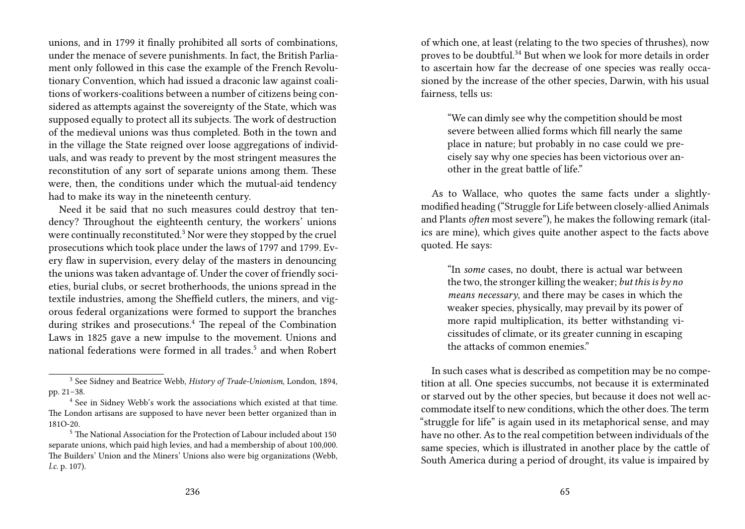unions, and in 1799 it finally prohibited all sorts of combinations, under the menace of severe punishments. In fact, the British Parliament only followed in this case the example of the French Revolutionary Convention, which had issued a draconic law against coalitions of workers-coalitions between a number of citizens being considered as attempts against the sovereignty of the State, which was supposed equally to protect all its subjects. The work of destruction of the medieval unions was thus completed. Both in the town and in the village the State reigned over loose aggregations of individuals, and was ready to prevent by the most stringent measures the reconstitution of any sort of separate unions among them. These were, then, the conditions under which the mutual-aid tendency had to make its way in the nineteenth century.

Need it be said that no such measures could destroy that tendency? Throughout the eighteenth century, the workers' unions were continually reconstituted.<sup>3</sup> Nor were they stopped by the cruel prosecutions which took place under the laws of 1797 and 1799. Every flaw in supervision, every delay of the masters in denouncing the unions was taken advantage of. Under the cover of friendly societies, burial clubs, or secret brotherhoods, the unions spread in the textile industries, among the Sheffield cutlers, the miners, and vigorous federal organizations were formed to support the branches during strikes and prosecutions.<sup>4</sup> The repeal of the Combination Laws in 1825 gave a new impulse to the movement. Unions and national federations were formed in all trades.<sup>5</sup> and when Robert

of which one, at least (relating to the two species of thrushes), now proves to be doubtful.<sup>34</sup> But when we look for more details in order to ascertain how far the decrease of one species was really occasioned by the increase of the other species, Darwin, with his usual fairness, tells us:

"We can dimly see why the competition should be most severe between allied forms which fill nearly the same place in nature; but probably in no case could we precisely say why one species has been victorious over another in the great battle of life."

As to Wallace, who quotes the same facts under a slightlymodified heading ("Struggle for Life between closely-allied Animals and Plants *often* most severe"), he makes the following remark (italics are mine), which gives quite another aspect to the facts above quoted. He says:

"In *some* cases, no doubt, there is actual war between the two, the stronger killing the weaker; *but this is by no means necessary*, and there may be cases in which the weaker species, physically, may prevail by its power of more rapid multiplication, its better withstanding vicissitudes of climate, or its greater cunning in escaping the attacks of common enemies."

In such cases what is described as competition may be no competition at all. One species succumbs, not because it is exterminated or starved out by the other species, but because it does not well accommodate itself to new conditions, which the other does. The term "struggle for life" is again used in its metaphorical sense, and may have no other. As to the real competition between individuals of the same species, which is illustrated in another place by the cattle of South America during a period of drought, its value is impaired by

<sup>3</sup> See Sidney and Beatrice Webb, *History of Trade-Unionism*, London, 1894, pp. 21–38.

<sup>4</sup> See in Sidney Webb's work the associations which existed at that time. The London artisans are supposed to have never been better organized than in 181O-20.

 $^{\rm 5}$  The National Association for the Protection of Labour included about 150  $^{\rm 5}$ separate unions, which paid high levies, and had a membership of about 100,000. The Builders' Union and the Miners' Unions also were big organizations (Webb, *l.c.* p. 107).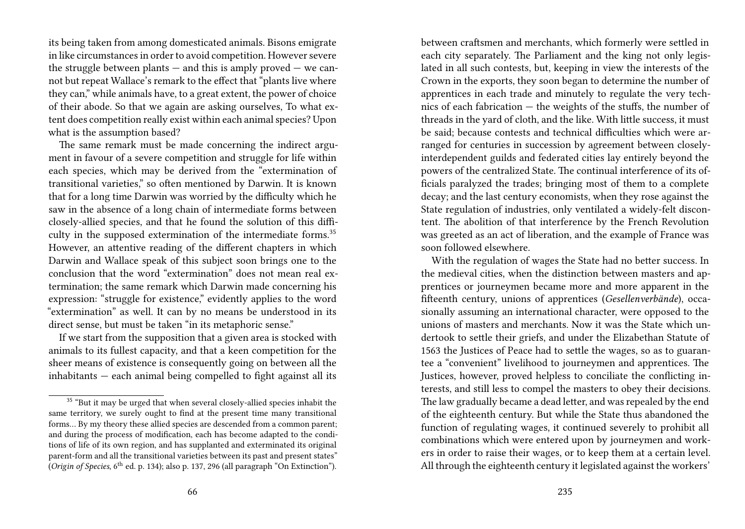its being taken from among domesticated animals. Bisons emigrate in like circumstances in order to avoid competition. However severe the struggle between plants  $-$  and this is amply proved  $-$  we cannot but repeat Wallace's remark to the effect that "plants live where they can," while animals have, to a great extent, the power of choice of their abode. So that we again are asking ourselves, To what extent does competition really exist within each animal species? Upon what is the assumption based?

The same remark must be made concerning the indirect argument in favour of a severe competition and struggle for life within each species, which may be derived from the "extermination of transitional varieties," so often mentioned by Darwin. It is known that for a long time Darwin was worried by the difficulty which he saw in the absence of a long chain of intermediate forms between closely-allied species, and that he found the solution of this difficulty in the supposed extermination of the intermediate forms.<sup>35</sup> However, an attentive reading of the different chapters in which Darwin and Wallace speak of this subject soon brings one to the conclusion that the word "extermination" does not mean real extermination; the same remark which Darwin made concerning his expression: "struggle for existence," evidently applies to the word "extermination" as well. It can by no means be understood in its direct sense, but must be taken "in its metaphoric sense."

If we start from the supposition that a given area is stocked with animals to its fullest capacity, and that a keen competition for the sheer means of existence is consequently going on between all the inhabitants — each animal being compelled to fight against all its between craftsmen and merchants, which formerly were settled in each city separately. The Parliament and the king not only legislated in all such contests, but, keeping in view the interests of the Crown in the exports, they soon began to determine the number of apprentices in each trade and minutely to regulate the very technics of each fabrication — the weights of the stuffs, the number of threads in the yard of cloth, and the like. With little success, it must be said; because contests and technical difficulties which were arranged for centuries in succession by agreement between closelyinterdependent guilds and federated cities lay entirely beyond the powers of the centralized State. The continual interference of its officials paralyzed the trades; bringing most of them to a complete decay; and the last century economists, when they rose against the State regulation of industries, only ventilated a widely-felt discontent. The abolition of that interference by the French Revolution was greeted as an act of liberation, and the example of France was soon followed elsewhere.

With the regulation of wages the State had no better success. In the medieval cities, when the distinction between masters and apprentices or journeymen became more and more apparent in the fifteenth century, unions of apprentices (*Gesellenverbände*), occasionally assuming an international character, were opposed to the unions of masters and merchants. Now it was the State which undertook to settle their griefs, and under the Elizabethan Statute of 1563 the Justices of Peace had to settle the wages, so as to guarantee a "convenient" livelihood to journeymen and apprentices. The Justices, however, proved helpless to conciliate the conflicting interests, and still less to compel the masters to obey their decisions. The law gradually became a dead letter, and was repealed by the end of the eighteenth century. But while the State thus abandoned the function of regulating wages, it continued severely to prohibit all combinations which were entered upon by journeymen and workers in order to raise their wages, or to keep them at a certain level. All through the eighteenth century it legislated against the workers'

<sup>&</sup>lt;sup>35</sup> "But it may be urged that when several closely-allied species inhabit the same territory, we surely ought to find at the present time many transitional forms… By my theory these allied species are descended from a common parent; and during the process of modification, each has become adapted to the conditions of life of its own region, and has supplanted and exterminated its original parent-form and all the transitional varieties between its past and present states" (*Origin of Species*, 6th ed. p. 134); also p. 137, 296 (all paragraph "On Extinction").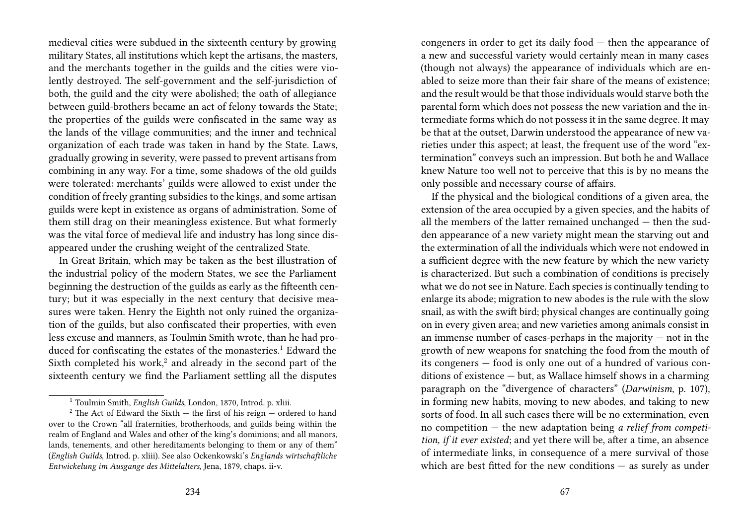medieval cities were subdued in the sixteenth century by growing military States, all institutions which kept the artisans, the masters, and the merchants together in the guilds and the cities were violently destroyed. The self-government and the self-jurisdiction of both, the guild and the city were abolished; the oath of allegiance between guild-brothers became an act of felony towards the State; the properties of the guilds were confiscated in the same way as the lands of the village communities; and the inner and technical organization of each trade was taken in hand by the State. Laws, gradually growing in severity, were passed to prevent artisans from combining in any way. For a time, some shadows of the old guilds were tolerated: merchants' guilds were allowed to exist under the condition of freely granting subsidies to the kings, and some artisan guilds were kept in existence as organs of administration. Some of them still drag on their meaningless existence. But what formerly was the vital force of medieval life and industry has long since disappeared under the crushing weight of the centralized State.

In Great Britain, which may be taken as the best illustration of the industrial policy of the modern States, we see the Parliament beginning the destruction of the guilds as early as the fifteenth century; but it was especially in the next century that decisive measures were taken. Henry the Eighth not only ruined the organization of the guilds, but also confiscated their properties, with even less excuse and manners, as Toulmin Smith wrote, than he had produced for confiscating the estates of the monasteries.<sup>1</sup> Edward the Sixth completed his work,<sup>2</sup> and already in the second part of the sixteenth century we find the Parliament settling all the disputes

congeners in order to get its daily food — then the appearance of a new and successful variety would certainly mean in many cases (though not always) the appearance of individuals which are enabled to seize more than their fair share of the means of existence; and the result would be that those individuals would starve both the parental form which does not possess the new variation and the intermediate forms which do not possess it in the same degree. It may be that at the outset, Darwin understood the appearance of new varieties under this aspect; at least, the frequent use of the word "extermination" conveys such an impression. But both he and Wallace knew Nature too well not to perceive that this is by no means the only possible and necessary course of affairs.

If the physical and the biological conditions of a given area, the extension of the area occupied by a given species, and the habits of all the members of the latter remained unchanged — then the sudden appearance of a new variety might mean the starving out and the extermination of all the individuals which were not endowed in a sufficient degree with the new feature by which the new variety is characterized. But such a combination of conditions is precisely what we do not see in Nature. Each species is continually tending to enlarge its abode; migration to new abodes is the rule with the slow snail, as with the swift bird; physical changes are continually going on in every given area; and new varieties among animals consist in an immense number of cases-perhaps in the majority  $-$  not in the growth of new weapons for snatching the food from the mouth of its congeners — food is only one out of a hundred of various conditions of existence — but, as Wallace himself shows in a charming paragraph on the "divergence of characters" (*Darwinism*, p. 107), in forming new habits, moving to new abodes, and taking to new sorts of food. In all such cases there will be no extermination, even no competition — the new adaptation being *a relief from competition, if it ever existed*; and yet there will be, after a time, an absence of intermediate links, in consequence of a mere survival of those which are best fitted for the new conditions — as surely as under

<sup>1</sup> Toulmin Smith, *English Guilds*, London, 1870, Introd. p. xliii.

 $2$  The Act of Edward the Sixth  $-$  the first of his reign  $-$  ordered to hand over to the Crown "all fraternities, brotherhoods, and guilds being within the realm of England and Wales and other of the king's dominions; and all manors, lands, tenements, and other hereditaments belonging to them or any of them" (*English Guilds*, Introd. p. xliii). See also Ockenkowski's *Englands wirtschaftliche Entwickelung im Ausgange des Mittelalters*, Jena, 1879, chaps. ii-v.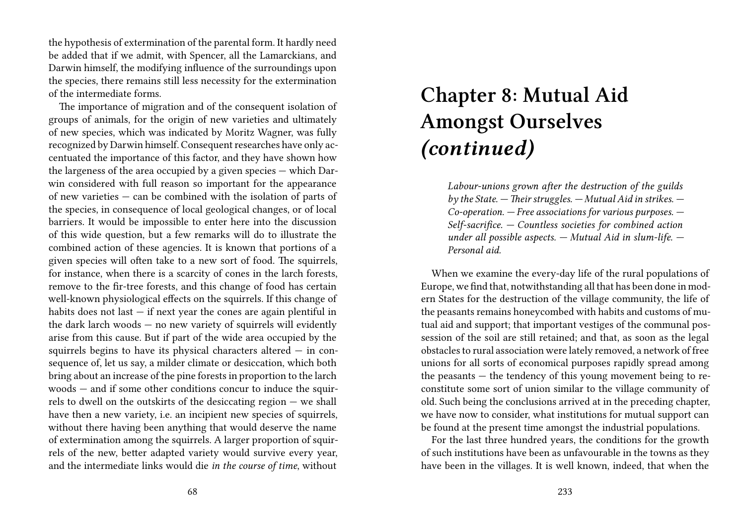the hypothesis of extermination of the parental form. It hardly need be added that if we admit, with Spencer, all the Lamarckians, and Darwin himself, the modifying influence of the surroundings upon the species, there remains still less necessity for the extermination of the intermediate forms.

The importance of migration and of the consequent isolation of groups of animals, for the origin of new varieties and ultimately of new species, which was indicated by Moritz Wagner, was fully recognized by Darwin himself. Consequent researches have only accentuated the importance of this factor, and they have shown how the largeness of the area occupied by a given species — which Darwin considered with full reason so important for the appearance of new varieties — can be combined with the isolation of parts of the species, in consequence of local geological changes, or of local barriers. It would be impossible to enter here into the discussion of this wide question, but a few remarks will do to illustrate the combined action of these agencies. It is known that portions of a given species will often take to a new sort of food. The squirrels, for instance, when there is a scarcity of cones in the larch forests, remove to the fir-tree forests, and this change of food has certain well-known physiological effects on the squirrels. If this change of habits does not last  $-$  if next year the cones are again plentiful in the dark larch woods — no new variety of squirrels will evidently arise from this cause. But if part of the wide area occupied by the squirrels begins to have its physical characters altered  $-$  in consequence of, let us say, a milder climate or desiccation, which both bring about an increase of the pine forests in proportion to the larch woods — and if some other conditions concur to induce the squirrels to dwell on the outskirts of the desiccating region — we shall have then a new variety, i.e. an incipient new species of squirrels, without there having been anything that would deserve the name of extermination among the squirrels. A larger proportion of squirrels of the new, better adapted variety would survive every year, and the intermediate links would die *in the course of time*, without

## **Chapter 8: Mutual Aid Amongst Ourselves** *(continued)*

*Labour-unions grown after the destruction of the guilds by the State. — Their struggles. — Mutual Aid in strikes. — Co-operation. — Free associations for various purposes. — Self-sacrifice. — Countless societies for combined action under all possible aspects. — Mutual Aid in slum-life. — Personal aid.*

When we examine the every-day life of the rural populations of Europe, we find that, notwithstanding all that has been done in modern States for the destruction of the village community, the life of the peasants remains honeycombed with habits and customs of mutual aid and support; that important vestiges of the communal possession of the soil are still retained; and that, as soon as the legal obstacles to rural association were lately removed, a network of free unions for all sorts of economical purposes rapidly spread among the peasants — the tendency of this young movement being to reconstitute some sort of union similar to the village community of old. Such being the conclusions arrived at in the preceding chapter, we have now to consider, what institutions for mutual support can be found at the present time amongst the industrial populations.

For the last three hundred years, the conditions for the growth of such institutions have been as unfavourable in the towns as they have been in the villages. It is well known, indeed, that when the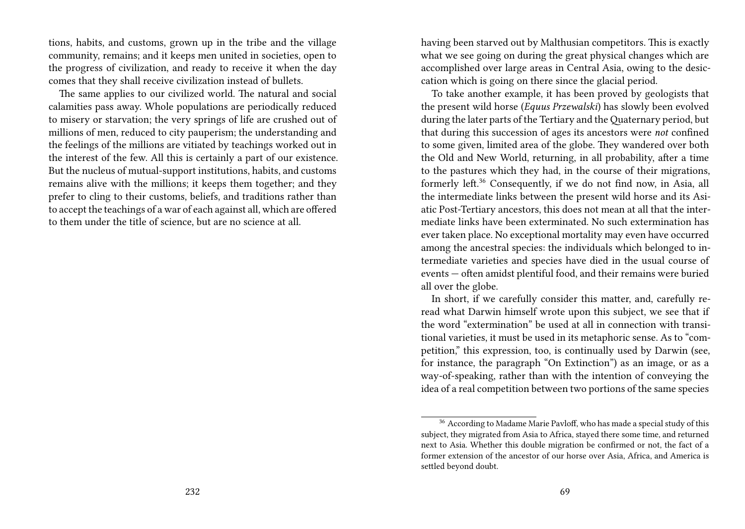tions, habits, and customs, grown up in the tribe and the village community, remains; and it keeps men united in societies, open to the progress of civilization, and ready to receive it when the day comes that they shall receive civilization instead of bullets.

The same applies to our civilized world. The natural and social calamities pass away. Whole populations are periodically reduced to misery or starvation; the very springs of life are crushed out of millions of men, reduced to city pauperism; the understanding and the feelings of the millions are vitiated by teachings worked out in the interest of the few. All this is certainly a part of our existence. But the nucleus of mutual-support institutions, habits, and customs remains alive with the millions; it keeps them together; and they prefer to cling to their customs, beliefs, and traditions rather than to accept the teachings of a war of each against all, which are offered to them under the title of science, but are no science at all.

having been starved out by Malthusian competitors. This is exactly what we see going on during the great physical changes which are accomplished over large areas in Central Asia, owing to the desiccation which is going on there since the glacial period.

To take another example, it has been proved by geologists that the present wild horse (*Equus Przewalski*) has slowly been evolved during the later parts of the Tertiary and the Quaternary period, but that during this succession of ages its ancestors were *not* confined to some given, limited area of the globe. They wandered over both the Old and New World, returning, in all probability, after a time to the pastures which they had, in the course of their migrations, formerly left.<sup>36</sup> Consequently, if we do not find now, in Asia, all the intermediate links between the present wild horse and its Asiatic Post-Tertiary ancestors, this does not mean at all that the intermediate links have been exterminated. No such extermination has ever taken place. No exceptional mortality may even have occurred among the ancestral species: the individuals which belonged to intermediate varieties and species have died in the usual course of events — often amidst plentiful food, and their remains were buried all over the globe.

In short, if we carefully consider this matter, and, carefully reread what Darwin himself wrote upon this subject, we see that if the word "extermination" be used at all in connection with transitional varieties, it must be used in its metaphoric sense. As to "competition," this expression, too, is continually used by Darwin (see, for instance, the paragraph "On Extinction") as an image, or as a way-of-speaking, rather than with the intention of conveying the idea of a real competition between two portions of the same species

<sup>&</sup>lt;sup>36</sup> According to Madame Marie Pavloff, who has made a special study of this subject, they migrated from Asia to Africa, stayed there some time, and returned next to Asia. Whether this double migration be confirmed or not, the fact of a former extension of the ancestor of our horse over Asia, Africa, and America is settled beyond doubt.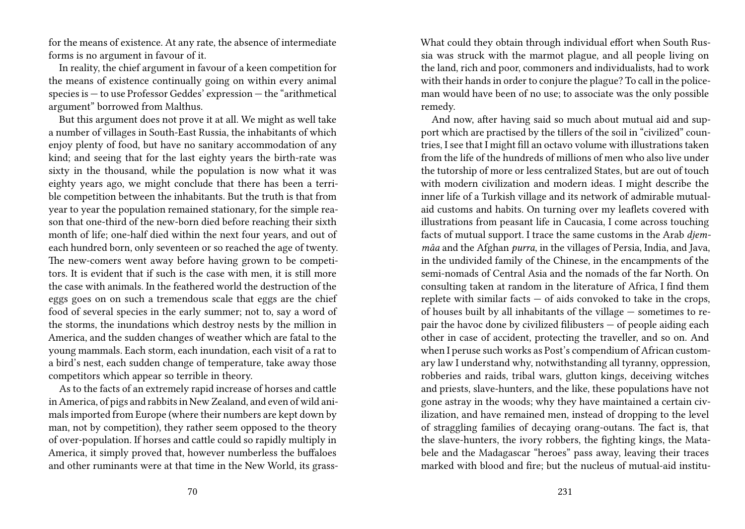for the means of existence. At any rate, the absence of intermediate forms is no argument in favour of it.

In reality, the chief argument in favour of a keen competition for the means of existence continually going on within every animal species is — to use Professor Geddes' expression — the "arithmetical argument" borrowed from Malthus.

But this argument does not prove it at all. We might as well take a number of villages in South-East Russia, the inhabitants of which enjoy plenty of food, but have no sanitary accommodation of any kind; and seeing that for the last eighty years the birth-rate was sixty in the thousand, while the population is now what it was eighty years ago, we might conclude that there has been a terrible competition between the inhabitants. But the truth is that from year to year the population remained stationary, for the simple reason that one-third of the new-born died before reaching their sixth month of life; one-half died within the next four years, and out of each hundred born, only seventeen or so reached the age of twenty. The new-comers went away before having grown to be competitors. It is evident that if such is the case with men, it is still more the case with animals. In the feathered world the destruction of the eggs goes on on such a tremendous scale that eggs are the chief food of several species in the early summer; not to, say a word of the storms, the inundations which destroy nests by the million in America, and the sudden changes of weather which are fatal to the young mammals. Each storm, each inundation, each visit of a rat to a bird's nest, each sudden change of temperature, take away those competitors which appear so terrible in theory.

As to the facts of an extremely rapid increase of horses and cattle in America, of pigs and rabbits in New Zealand, and even of wild animals imported from Europe (where their numbers are kept down by man, not by competition), they rather seem opposed to the theory of over-population. If horses and cattle could so rapidly multiply in America, it simply proved that, however numberless the buffaloes and other ruminants were at that time in the New World, its grassWhat could they obtain through individual effort when South Russia was struck with the marmot plague, and all people living on the land, rich and poor, commoners and individualists, had to work with their hands in order to conjure the plague? To call in the policeman would have been of no use; to associate was the only possible remedy.

And now, after having said so much about mutual aid and support which are practised by the tillers of the soil in "civilized" countries, I see that I might fill an octavo volume with illustrations taken from the life of the hundreds of millions of men who also live under the tutorship of more or less centralized States, but are out of touch with modern civilization and modern ideas. I might describe the inner life of a Turkish village and its network of admirable mutualaid customs and habits. On turning over my leaflets covered with illustrations from peasant life in Caucasia, I come across touching facts of mutual support. I trace the same customs in the Arab *djemmâa* and the Afghan *purra*, in the villages of Persia, India, and Java, in the undivided family of the Chinese, in the encampments of the semi-nomads of Central Asia and the nomads of the far North. On consulting taken at random in the literature of Africa, I find them replete with similar facts  $-$  of aids convoked to take in the crops, of houses built by all inhabitants of the village — sometimes to repair the havoc done by civilized filibusters — of people aiding each other in case of accident, protecting the traveller, and so on. And when I peruse such works as Post's compendium of African customary law I understand why, notwithstanding all tyranny, oppression, robberies and raids, tribal wars, glutton kings, deceiving witches and priests, slave-hunters, and the like, these populations have not gone astray in the woods; why they have maintained a certain civilization, and have remained men, instead of dropping to the level of straggling families of decaying orang-outans. The fact is, that the slave-hunters, the ivory robbers, the fighting kings, the Matabele and the Madagascar "heroes" pass away, leaving their traces marked with blood and fire; but the nucleus of mutual-aid institu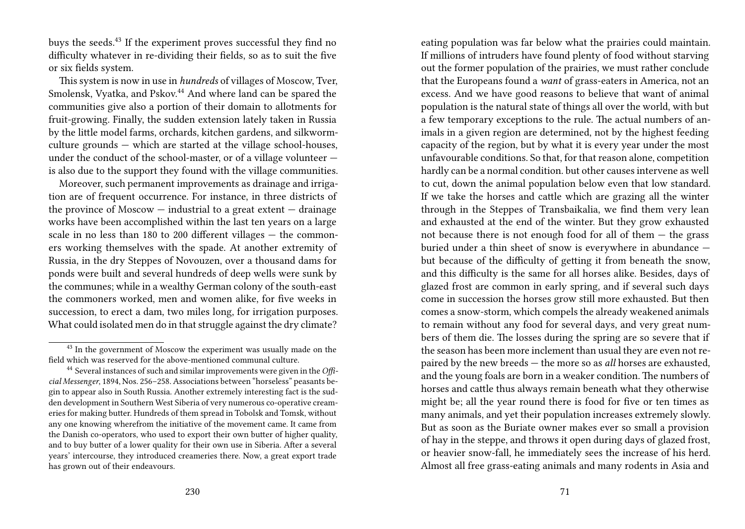buys the seeds.<sup>43</sup> If the experiment proves successful they find no difficulty whatever in re-dividing their fields, so as to suit the five or six fields system.

This system is now in use in *hundreds* of villages of Moscow, Tver, Smolensk, Vyatka, and Pskov.<sup>44</sup> And where land can be spared the communities give also a portion of their domain to allotments for fruit-growing. Finally, the sudden extension lately taken in Russia by the little model farms, orchards, kitchen gardens, and silkwormculture grounds — which are started at the village school-houses, under the conduct of the school-master, or of a village volunteer is also due to the support they found with the village communities.

Moreover, such permanent improvements as drainage and irrigation are of frequent occurrence. For instance, in three districts of the province of Moscow  $-$  industrial to a great extent  $-$  drainage works have been accomplished within the last ten years on a large scale in no less than 180 to 200 different villages — the commoners working themselves with the spade. At another extremity of Russia, in the dry Steppes of Novouzen, over a thousand dams for ponds were built and several hundreds of deep wells were sunk by the communes; while in a wealthy German colony of the south-east the commoners worked, men and women alike, for five weeks in succession, to erect a dam, two miles long, for irrigation purposes. What could isolated men do in that struggle against the dry climate?

eating population was far below what the prairies could maintain. If millions of intruders have found plenty of food without starving out the former population of the prairies, we must rather conclude that the Europeans found a *want* of grass-eaters in America, not an excess. And we have good reasons to believe that want of animal population is the natural state of things all over the world, with but a few temporary exceptions to the rule. The actual numbers of animals in a given region are determined, not by the highest feeding capacity of the region, but by what it is every year under the most unfavourable conditions. So that, for that reason alone, competition hardly can be a normal condition. but other causes intervene as well to cut, down the animal population below even that low standard. If we take the horses and cattle which are grazing all the winter through in the Steppes of Transbaikalia, we find them very lean and exhausted at the end of the winter. But they grow exhausted not because there is not enough food for all of them  $-$  the grass buried under a thin sheet of snow is everywhere in abundance but because of the difficulty of getting it from beneath the snow, and this difficulty is the same for all horses alike. Besides, days of glazed frost are common in early spring, and if several such days come in succession the horses grow still more exhausted. But then comes a snow-storm, which compels the already weakened animals to remain without any food for several days, and very great numbers of them die. The losses during the spring are so severe that if the season has been more inclement than usual they are even not repaired by the new breeds — the more so as *all* horses are exhausted, and the young foals are born in a weaker condition. The numbers of horses and cattle thus always remain beneath what they otherwise might be; all the year round there is food for five or ten times as many animals, and yet their population increases extremely slowly. But as soon as the Buriate owner makes ever so small a provision of hay in the steppe, and throws it open during days of glazed frost, or heavier snow-fall, he immediately sees the increase of his herd. Almost all free grass-eating animals and many rodents in Asia and

<sup>&</sup>lt;sup>43</sup> In the government of Moscow the experiment was usually made on the field which was reserved for the above-mentioned communal culture.

<sup>44</sup> Several instances of such and similar improvements were given in the *Official Messenger*, 1894, Nos. 256–258. Associations between "horseless" peasants begin to appear also in South Russia. Another extremely interesting fact is the sudden development in Southern West Siberia of very numerous co-operative creameries for making butter. Hundreds of them spread in Tobolsk and Tomsk, without any one knowing wherefrom the initiative of the movement came. It came from the Danish co-operators, who used to export their own butter of higher quality, and to buy butter of a lower quality for their own use in Siberia. After a several years' intercourse, they introduced creameries there. Now, a great export trade has grown out of their endeavours.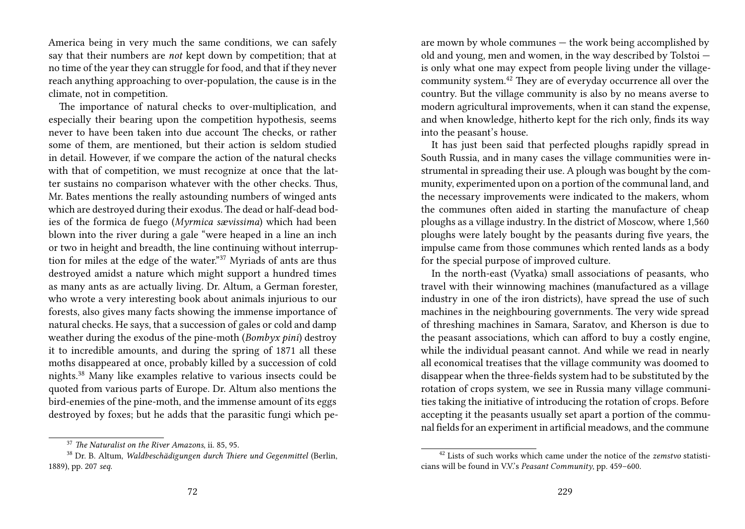America being in very much the same conditions, we can safely say that their numbers are *not* kept down by competition; that at no time of the year they can struggle for food, and that if they never reach anything approaching to over-population, the cause is in the climate, not in competition.

The importance of natural checks to over-multiplication, and especially their bearing upon the competition hypothesis, seems never to have been taken into due account The checks, or rather some of them, are mentioned, but their action is seldom studied in detail. However, if we compare the action of the natural checks with that of competition, we must recognize at once that the latter sustains no comparison whatever with the other checks. Thus, Mr. Bates mentions the really astounding numbers of winged ants which are destroyed during their exodus. The dead or half-dead bodies of the formica de fuego (*Myrmica sævissima*) which had been blown into the river during a gale "were heaped in a line an inch or two in height and breadth, the line continuing without interruption for miles at the edge of the water."<sup>37</sup> Myriads of ants are thus destroyed amidst a nature which might support a hundred times as many ants as are actually living. Dr. Altum, a German forester, who wrote a very interesting book about animals injurious to our forests, also gives many facts showing the immense importance of natural checks. He says, that a succession of gales or cold and damp weather during the exodus of the pine-moth (*Bombyx pini*) destroy it to incredible amounts, and during the spring of 1871 all these moths disappeared at once, probably killed by a succession of cold nights.<sup>38</sup> Many like examples relative to various insects could be quoted from various parts of Europe. Dr. Altum also mentions the bird-enemies of the pine-moth, and the immense amount of its eggs destroyed by foxes; but he adds that the parasitic fungi which pe-

are mown by whole communes — the work being accomplished by old and young, men and women, in the way described by Tolstoi is only what one may expect from people living under the villagecommunity system.<sup>42</sup> They are of everyday occurrence all over the country. But the village community is also by no means averse to modern agricultural improvements, when it can stand the expense, and when knowledge, hitherto kept for the rich only, finds its way into the peasant's house.

It has just been said that perfected ploughs rapidly spread in South Russia, and in many cases the village communities were instrumental in spreading their use. A plough was bought by the community, experimented upon on a portion of the communal land, and the necessary improvements were indicated to the makers, whom the communes often aided in starting the manufacture of cheap ploughs as a village industry. In the district of Moscow, where 1,560 ploughs were lately bought by the peasants during five years, the impulse came from those communes which rented lands as a body for the special purpose of improved culture.

In the north-east (Vyatka) small associations of peasants, who travel with their winnowing machines (manufactured as a village industry in one of the iron districts), have spread the use of such machines in the neighbouring governments. The very wide spread of threshing machines in Samara, Saratov, and Kherson is due to the peasant associations, which can afford to buy a costly engine, while the individual peasant cannot. And while we read in nearly all economical treatises that the village community was doomed to disappear when the three-fields system had to be substituted by the rotation of crops system, we see in Russia many village communities taking the initiative of introducing the rotation of crops. Before accepting it the peasants usually set apart a portion of the communal fields for an experiment in artificial meadows, and the commune

<sup>37</sup> *The Naturalist on the River Amazons*, ii. 85, 95.

<sup>38</sup> Dr. B. Altum, *Waldbeschädigungen durch Thiere und Gegenmittel* (Berlin, 1889), pp. 207 *seq*.

<sup>42</sup> Lists of such works which came under the notice of the *zemstvo* statisticians will be found in V.V.'s *Peasant Community*, pp. 459–600.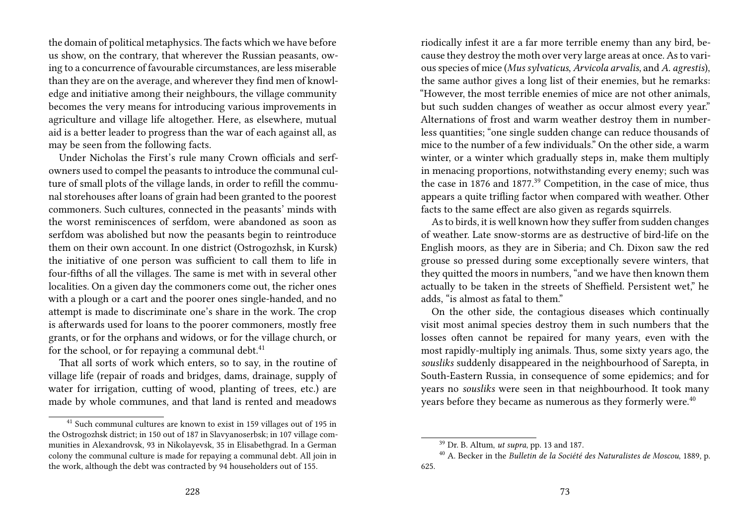the domain of political metaphysics.The facts which we have before us show, on the contrary, that wherever the Russian peasants, owing to a concurrence of favourable circumstances, are less miserable than they are on the average, and wherever they find men of knowledge and initiative among their neighbours, the village community becomes the very means for introducing various improvements in agriculture and village life altogether. Here, as elsewhere, mutual aid is a better leader to progress than the war of each against all, as may be seen from the following facts.

Under Nicholas the First's rule many Crown officials and serfowners used to compel the peasants to introduce the communal culture of small plots of the village lands, in order to refill the communal storehouses after loans of grain had been granted to the poorest commoners. Such cultures, connected in the peasants' minds with the worst reminiscences of serfdom, were abandoned as soon as serfdom was abolished but now the peasants begin to reintroduce them on their own account. In one district (Ostrogozhsk, in Kursk) the initiative of one person was sufficient to call them to life in four-fifths of all the villages. The same is met with in several other localities. On a given day the commoners come out, the richer ones with a plough or a cart and the poorer ones single-handed, and no attempt is made to discriminate one's share in the work. The crop is afterwards used for loans to the poorer commoners, mostly free grants, or for the orphans and widows, or for the village church, or for the school, or for repaying a communal debt. $41$ 

That all sorts of work which enters, so to say, in the routine of village life (repair of roads and bridges, dams, drainage, supply of water for irrigation, cutting of wood, planting of trees, etc.) are made by whole communes, and that land is rented and meadows

riodically infest it are a far more terrible enemy than any bird, because they destroy the moth over very large areas at once. As to various species of mice (*Mus sylvaticus*, *Arvicola arvalis*, and *A. agrestis*), the same author gives a long list of their enemies, but he remarks: "However, the most terrible enemies of mice are not other animals, but such sudden changes of weather as occur almost every year." Alternations of frost and warm weather destroy them in numberless quantities; "one single sudden change can reduce thousands of mice to the number of a few individuals." On the other side, a warm winter, or a winter which gradually steps in, make them multiply in menacing proportions, notwithstanding every enemy; such was the case in 1876 and 1877.<sup>39</sup> Competition, in the case of mice, thus appears a quite trifling factor when compared with weather. Other facts to the same effect are also given as regards squirrels.

As to birds, it is well known how they suffer from sudden changes of weather. Late snow-storms are as destructive of bird-life on the English moors, as they are in Siberia; and Ch. Dixon saw the red grouse so pressed during some exceptionally severe winters, that they quitted the moors in numbers, "and we have then known them actually to be taken in the streets of Sheffield. Persistent wet," he adds, "is almost as fatal to them."

On the other side, the contagious diseases which continually visit most animal species destroy them in such numbers that the losses often cannot be repaired for many years, even with the most rapidly-multiply ing animals. Thus, some sixty years ago, the *sousliks* suddenly disappeared in the neighbourhood of Sarepta, in South-Eastern Russia, in consequence of some epidemics; and for years no *sousliks* were seen in that neighbourhood. It took many years before they became as numerous as they formerly were.<sup>40</sup>

<sup>41</sup> Such communal cultures are known to exist in 159 villages out of 195 in the Ostrogozhsk district; in 150 out of 187 in Slavyanoserbsk; in 107 village communities in Alexandrovsk, 93 in Nikolayevsk, 35 in Elisabethgrad. In a German colony the communal culture is made for repaying a communal debt. All join in the work, although the debt was contracted by 94 householders out of 155.

<sup>39</sup> Dr. B. Altum, *ut supra*, pp. 13 and 187.

<sup>40</sup> A. Becker in the *Bulletin de la Société des Naturalistes de Moscou*, 1889, p. 625.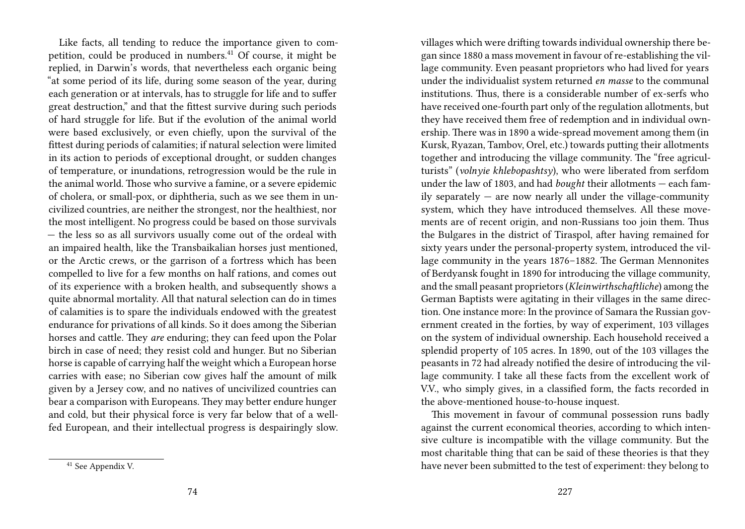Like facts, all tending to reduce the importance given to competition, could be produced in numbers.<sup>41</sup> Of course, it might be replied, in Darwin's words, that nevertheless each organic being "at some period of its life, during some season of the year, during each generation or at intervals, has to struggle for life and to suffer great destruction," and that the fittest survive during such periods of hard struggle for life. But if the evolution of the animal world were based exclusively, or even chiefly, upon the survival of the fittest during periods of calamities; if natural selection were limited in its action to periods of exceptional drought, or sudden changes of temperature, or inundations, retrogression would be the rule in the animal world. Those who survive a famine, or a severe epidemic of cholera, or small-pox, or diphtheria, such as we see them in uncivilized countries, are neither the strongest, nor the healthiest, nor the most intelligent. No progress could be based on those survivals — the less so as all survivors usually come out of the ordeal with an impaired health, like the Transbaikalian horses just mentioned, or the Arctic crews, or the garrison of a fortress which has been compelled to live for a few months on half rations, and comes out of its experience with a broken health, and subsequently shows a quite abnormal mortality. All that natural selection can do in times of calamities is to spare the individuals endowed with the greatest endurance for privations of all kinds. So it does among the Siberian horses and cattle. They *are* enduring; they can feed upon the Polar birch in case of need; they resist cold and hunger. But no Siberian horse is capable of carrying half the weight which a European horse carries with ease; no Siberian cow gives half the amount of milk given by a Jersey cow, and no natives of uncivilized countries can bear a comparison with Europeans. They may better endure hunger and cold, but their physical force is very far below that of a wellfed European, and their intellectual progress is despairingly slow.

villages which were drifting towards individual ownership there began since 1880 a mass movement in favour of re-establishing the village community. Even peasant proprietors who had lived for years under the individualist system returned *en masse* to the communal institutions. Thus, there is a considerable number of ex-serfs who have received one-fourth part only of the regulation allotments, but they have received them free of redemption and in individual ownership. There was in 1890 a wide-spread movement among them (in Kursk, Ryazan, Tambov, Orel, etc.) towards putting their allotments together and introducing the village community. The "free agriculturists" (*volnyie khlebopashtsy*), who were liberated from serfdom under the law of 1803, and had *bought* their allotments — each family separately  $-$  are now nearly all under the village-community system, which they have introduced themselves. All these movements are of recent origin, and non-Russians too join them. Thus the Bulgares in the district of Tiraspol, after having remained for sixty years under the personal-property system, introduced the village community in the years 1876–1882. The German Mennonites of Berdyansk fought in 1890 for introducing the village community, and the small peasant proprietors (*Kleinwirthschaftliche*) among the German Baptists were agitating in their villages in the same direction. One instance more: In the province of Samara the Russian government created in the forties, by way of experiment, 103 villages on the system of individual ownership. Each household received a splendid property of 105 acres. In 1890, out of the 103 villages the peasants in 72 had already notified the desire of introducing the village community. I take all these facts from the excellent work of V.V., who simply gives, in a classified form, the facts recorded in the above-mentioned house-to-house inquest.

This movement in favour of communal possession runs badly against the current economical theories, according to which intensive culture is incompatible with the village community. But the most charitable thing that can be said of these theories is that they have never been submitted to the test of experiment: they belong to

<sup>41</sup> See Appendix V.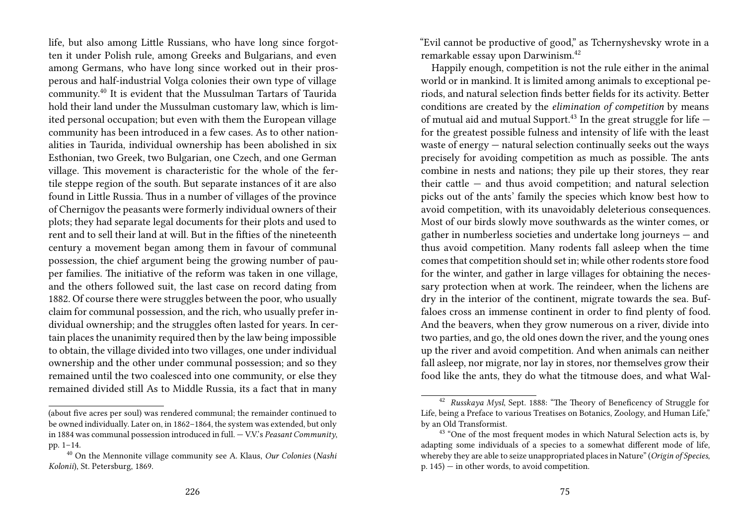life, but also among Little Russians, who have long since forgotten it under Polish rule, among Greeks and Bulgarians, and even among Germans, who have long since worked out in their prosperous and half-industrial Volga colonies their own type of village community.<sup>40</sup> It is evident that the Mussulman Tartars of Taurida hold their land under the Mussulman customary law, which is limited personal occupation; but even with them the European village community has been introduced in a few cases. As to other nationalities in Taurida, individual ownership has been abolished in six Esthonian, two Greek, two Bulgarian, one Czech, and one German village. This movement is characteristic for the whole of the fertile steppe region of the south. But separate instances of it are also found in Little Russia. Thus in a number of villages of the province of Chernigov the peasants were formerly individual owners of their plots; they had separate legal documents for their plots and used to rent and to sell their land at will. But in the fifties of the nineteenth century a movement began among them in favour of communal possession, the chief argument being the growing number of pauper families. The initiative of the reform was taken in one village, and the others followed suit, the last case on record dating from 1882. Of course there were struggles between the poor, who usually claim for communal possession, and the rich, who usually prefer individual ownership; and the struggles often lasted for years. In certain places the unanimity required then by the law being impossible to obtain, the village divided into two villages, one under individual ownership and the other under communal possession; and so they remained until the two coalesced into one community, or else they remained divided still As to Middle Russia, its a fact that in many

"Evil cannot be productive of good," as Tchernyshevsky wrote in a remarkable essay upon Darwinism.<sup>42</sup>

Happily enough, competition is not the rule either in the animal world or in mankind. It is limited among animals to exceptional periods, and natural selection finds better fields for its activity. Better conditions are created by the *elimination of competition* by means of mutual aid and mutual Support.<sup>43</sup> In the great struggle for life  $$ for the greatest possible fulness and intensity of life with the least waste of energy — natural selection continually seeks out the ways precisely for avoiding competition as much as possible. The ants combine in nests and nations; they pile up their stores, they rear their cattle  $-$  and thus avoid competition; and natural selection picks out of the ants' family the species which know best how to avoid competition, with its unavoidably deleterious consequences. Most of our birds slowly move southwards as the winter comes, or gather in numberless societies and undertake long journeys — and thus avoid competition. Many rodents fall asleep when the time comes that competition should set in; while other rodents store food for the winter, and gather in large villages for obtaining the necessary protection when at work. The reindeer, when the lichens are dry in the interior of the continent, migrate towards the sea. Buffaloes cross an immense continent in order to find plenty of food. And the beavers, when they grow numerous on a river, divide into two parties, and go, the old ones down the river, and the young ones up the river and avoid competition. And when animals can neither fall asleep, nor migrate, nor lay in stores, nor themselves grow their food like the ants, they do what the titmouse does, and what Wal-

<sup>(</sup>about five acres per soul) was rendered communal; the remainder continued to be owned individually. Later on, in 1862–1864, the system was extended, but only in 1884 was communal possession introduced in full. — V.V.'s *Peasant Community*, pp. 1–14.

<sup>40</sup> On the Mennonite village community see A. Klaus, *Our Colonies* (*Nashi Kolonii*), St. Petersburg, 1869.

<sup>42</sup> *Russkaya Mysl*, Sept. 1888: "The Theory of Beneficency of Struggle for Life, being a Preface to various Treatises on Botanics, Zoology, and Human Life," by an Old Transformist.

<sup>&</sup>lt;sup>43</sup> "One of the most frequent modes in which Natural Selection acts is, by adapting some individuals of a species to a somewhat different mode of life, whereby they are able to seize unappropriated places in Nature" (*Origin of Species*, p. 145) — in other words, to avoid competition.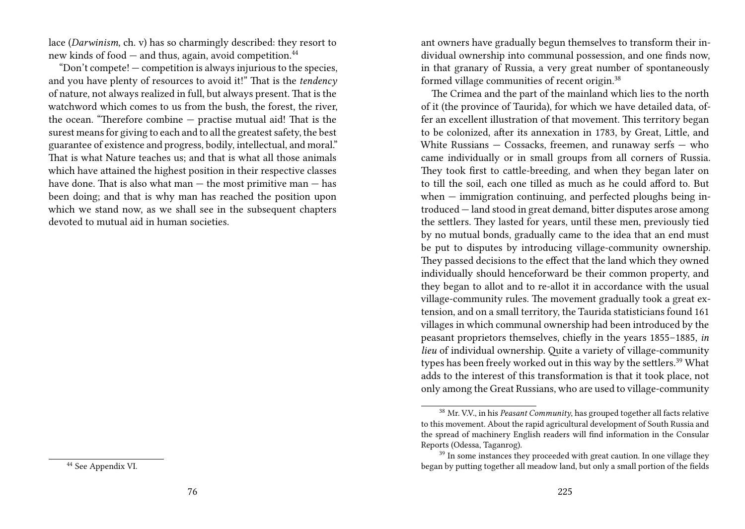lace (*Darwinism*, ch. v) has so charmingly described: they resort to new kinds of food  $-$  and thus, again, avoid competition.<sup>44</sup>

"Don't compete! — competition is always injurious to the species, and you have plenty of resources to avoid it!" That is the *tendency* of nature, not always realized in full, but always present. That is the watchword which comes to us from the bush, the forest, the river, the ocean. "Therefore combine — practise mutual aid! That is the surest means for giving to each and to all the greatest safety, the best guarantee of existence and progress, bodily, intellectual, and moral." That is what Nature teaches us; and that is what all those animals which have attained the highest position in their respective classes have done. That is also what man — the most primitive man — has been doing; and that is why man has reached the position upon which we stand now, as we shall see in the subsequent chapters devoted to mutual aid in human societies.

<sup>44</sup> See Appendix VI.

ant owners have gradually begun themselves to transform their individual ownership into communal possession, and one finds now, in that granary of Russia, a very great number of spontaneously formed village communities of recent origin.<sup>38</sup>

The Crimea and the part of the mainland which lies to the north of it (the province of Taurida), for which we have detailed data, offer an excellent illustration of that movement. This territory began to be colonized, after its annexation in 1783, by Great, Little, and White Russians  $-$  Cossacks, freemen, and runaway serfs  $-$  who came individually or in small groups from all corners of Russia. They took first to cattle-breeding, and when they began later on to till the soil, each one tilled as much as he could afford to. But when — immigration continuing, and perfected ploughs being introduced — land stood in great demand, bitter disputes arose among the settlers. They lasted for years, until these men, previously tied by no mutual bonds, gradually came to the idea that an end must be put to disputes by introducing village-community ownership. They passed decisions to the effect that the land which they owned individually should henceforward be their common property, and they began to allot and to re-allot it in accordance with the usual village-community rules. The movement gradually took a great extension, and on a small territory, the Taurida statisticians found 161 villages in which communal ownership had been introduced by the peasant proprietors themselves, chiefly in the years 1855–1885, *in lieu* of individual ownership. Quite a variety of village-community types has been freely worked out in this way by the settlers.<sup>39</sup> What adds to the interest of this transformation is that it took place, not only among the Great Russians, who are used to village-community

<sup>38</sup> Mr. V.V., in his *Peasant Community*, has grouped together all facts relative to this movement. About the rapid agricultural development of South Russia and the spread of machinery English readers will find information in the Consular Reports (Odessa, Taganrog).

<sup>&</sup>lt;sup>39</sup> In some instances they proceeded with great caution. In one village they began by putting together all meadow land, but only a small portion of the fields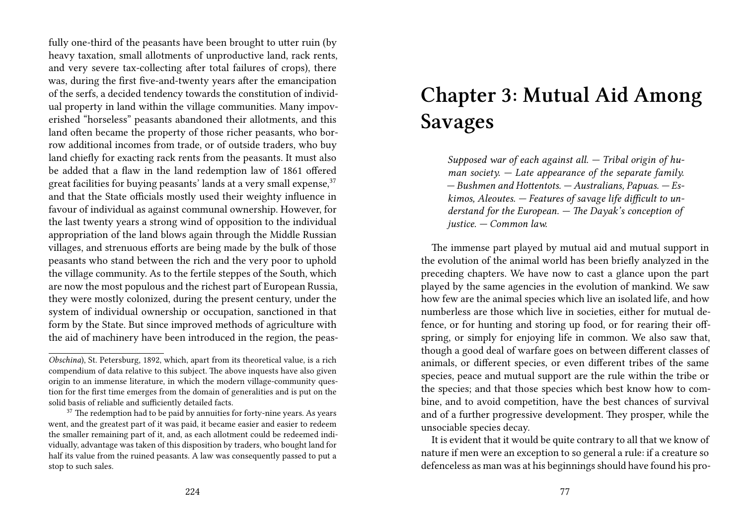fully one-third of the peasants have been brought to utter ruin (by heavy taxation, small allotments of unproductive land, rack rents, and very severe tax-collecting after total failures of crops), there was, during the first five-and-twenty years after the emancipation of the serfs, a decided tendency towards the constitution of individual property in land within the village communities. Many impoverished "horseless" peasants abandoned their allotments, and this land often became the property of those richer peasants, who borrow additional incomes from trade, or of outside traders, who buy land chiefly for exacting rack rents from the peasants. It must also be added that a flaw in the land redemption law of 1861 offered great facilities for buying peasants' lands at a very small expense,  $37$ and that the State officials mostly used their weighty influence in favour of individual as against communal ownership. However, for the last twenty years a strong wind of opposition to the individual appropriation of the land blows again through the Middle Russian villages, and strenuous efforts are being made by the bulk of those peasants who stand between the rich and the very poor to uphold the village community. As to the fertile steppes of the South, which are now the most populous and the richest part of European Russia, they were mostly colonized, during the present century, under the system of individual ownership or occupation, sanctioned in that form by the State. But since improved methods of agriculture with the aid of machinery have been introduced in the region, the peas-

## **Chapter 3: Mutual Aid Among Savages**

*Supposed war of each against all. — Tribal origin of human society. — Late appearance of the separate family. — Bushmen and Hottentots. — Australians, Papuas. — Eskimos, Aleoutes. — Features of savage life difficult to understand for the European. — The Dayak's conception of justice. — Common law.*

The immense part played by mutual aid and mutual support in the evolution of the animal world has been briefly analyzed in the preceding chapters. We have now to cast a glance upon the part played by the same agencies in the evolution of mankind. We saw how few are the animal species which live an isolated life, and how numberless are those which live in societies, either for mutual defence, or for hunting and storing up food, or for rearing their offspring, or simply for enjoying life in common. We also saw that, though a good deal of warfare goes on between different classes of animals, or different species, or even different tribes of the same species, peace and mutual support are the rule within the tribe or the species; and that those species which best know how to combine, and to avoid competition, have the best chances of survival and of a further progressive development. They prosper, while the unsociable species decay.

It is evident that it would be quite contrary to all that we know of nature if men were an exception to so general a rule: if a creature so defenceless as man was at his beginnings should have found his pro-

*Obschina*), St. Petersburg, 1892, which, apart from its theoretical value, is a rich compendium of data relative to this subject. The above inquests have also given origin to an immense literature, in which the modern village-community question for the first time emerges from the domain of generalities and is put on the solid basis of reliable and sufficiently detailed facts.

 $37$  The redemption had to be paid by annuities for forty-nine years. As years went, and the greatest part of it was paid, it became easier and easier to redeem the smaller remaining part of it, and, as each allotment could be redeemed individually, advantage was taken of this disposition by traders, who bought land for half its value from the ruined peasants. A law was consequently passed to put a stop to such sales.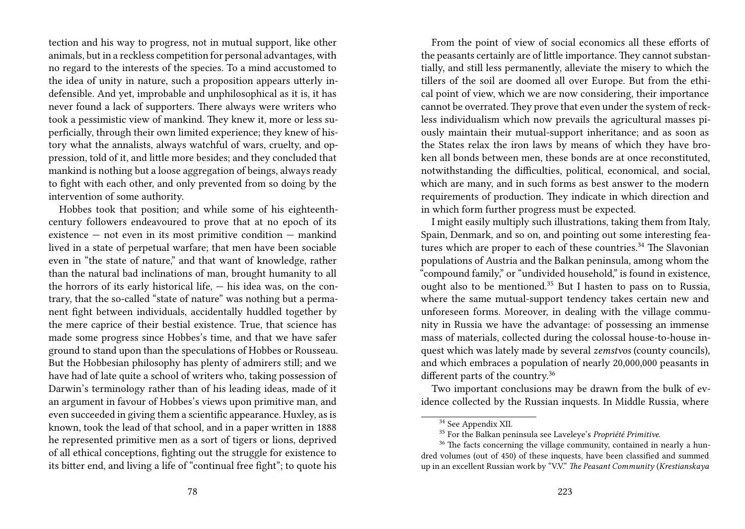tection and his way to progress, not in mutual support, like other animals, but in a reckless competition for personal advantages, with no regard to the interests of the species. To a mind accustomed to the idea of unity in nature, such a proposition appears utterly indefensible. And yet, improbable and unphilosophical as it is, it has never found a lack of supporters. There always were writers who took a pessimistic view of mankind. They knew it, more or less superficially, through their own limited experience; they knew of history what the annalists, always watchful of wars, cruelty, and oppression, told of it, and little more besides; and they concluded that mankind is nothing but a loose aggregation of beings, always ready to fight with each other, and only prevented from so doing by the intervention of some authority.

Hobbes took that position; and while some of his eighteenthcentury followers endeavoured to prove that at no epoch of its existence  $-$  not even in its most primitive condition  $-$  mankind lived in a state of perpetual warfare; that men have been sociable even in "the state of nature," and that want of knowledge, rather than the natural bad inclinations of man, brought humanity to all the horrors of its early historical life, — his idea was, on the contrary, that the so-called "state of nature" was nothing but a permanent fight between individuals, accidentally huddled together by the mere caprice of their bestial existence. True, that science has made some progress since Hobbes's time, and that we have safer ground to stand upon than the speculations of Hobbes or Rousseau. But the Hobbesian philosophy has plenty of admirers still; and we have had of late quite a school of writers who, taking possession of Darwin's terminology rather than of his leading ideas, made of it an argument in favour of Hobbes's views upon primitive man, and even succeeded in giving them a scientific appearance. Huxley, as is known, took the lead of that school, and in a paper written in 1888 he represented primitive men as a sort of tigers or lions, deprived of all ethical conceptions, fighting out the struggle for existence to its bitter end, and living a life of "continual free fight"; to quote his

From the point of view of social economics all these efforts of the peasants certainly are of little importance. They cannot substantially, and still less permanently, alleviate the misery to which the tillers of the soil are doomed all over Europe. But from the ethical point of view, which we are now considering, their importance cannot be overrated. They prove that even under the system of reckless individualism which now prevails the agricultural masses piously maintain their mutual-support inheritance; and as soon as the States relax the iron laws by means of which they have broken all bonds between men, these bonds are at once reconstituted, notwithstanding the difficulties, political, economical, and social, which are many, and in such forms as best answer to the modern requirements of production. They indicate in which direction and in which form further progress must be expected.

I might easily multiply such illustrations, taking them from Italy, Spain, Denmark, and so on, and pointing out some interesting features which are proper to each of these countries.<sup>34</sup> The Slavonian populations of Austria and the Balkan peninsula, among whom the "compound family," or "undivided household," is found in existence, ought also to be mentioned.<sup>35</sup> But I hasten to pass on to Russia, where the same mutual-support tendency takes certain new and unforeseen forms. Moreover, in dealing with the village community in Russia we have the advantage: of possessing an immense mass of materials, collected during the colossal house-to-house inquest which was lately made by several *zemstvos* (county councils), and which embraces a population of nearly 20,000,000 peasants in different parts of the country.<sup>36</sup>

Two important conclusions may be drawn from the bulk of evidence collected by the Russian inquests. In Middle Russia, where

<sup>34</sup> See Appendix XII.

<sup>35</sup> For the Balkan peninsula see Laveleye's *Propriété Primitive*.

<sup>&</sup>lt;sup>36</sup> The facts concerning the village community, contained in nearly a hundred volumes (out of 450) of these inquests, have been classified and summed up in an excellent Russian work by "V.V." *The Peasant Community* (*Krestianskaya*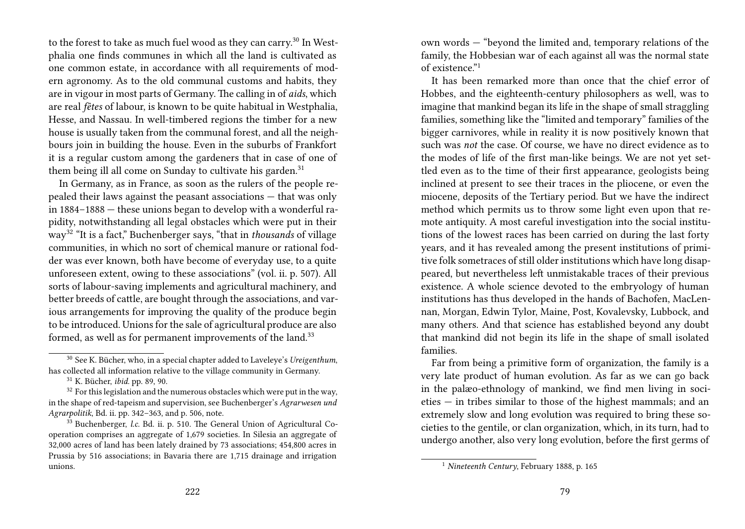to the forest to take as much fuel wood as they can carry.<sup>30</sup> In Westphalia one finds communes in which all the land is cultivated as one common estate, in accordance with all requirements of modern agronomy. As to the old communal customs and habits, they are in vigour in most parts of Germany. The calling in of *aids*, which are real *fêtes* of labour, is known to be quite habitual in Westphalia, Hesse, and Nassau. In well-timbered regions the timber for a new house is usually taken from the communal forest, and all the neighbours join in building the house. Even in the suburbs of Frankfort it is a regular custom among the gardeners that in case of one of them being ill all come on Sunday to cultivate his garden.<sup>31</sup>

In Germany, as in France, as soon as the rulers of the people repealed their laws against the peasant associations — that was only in 1884–1888 — these unions began to develop with a wonderful rapidity, notwithstanding all legal obstacles which were put in their way<sup>32</sup> "It is a fact," Buchenberger says, "that in *thousands* of village communities, in which no sort of chemical manure or rational fodder was ever known, both have become of everyday use, to a quite unforeseen extent, owing to these associations" (vol. ii. p. 507). All sorts of labour-saving implements and agricultural machinery, and better breeds of cattle, are bought through the associations, and various arrangements for improving the quality of the produce begin to be introduced. Unions for the sale of agricultural produce are also formed, as well as for permanent improvements of the land.<sup>33</sup>

own words — "beyond the limited and, temporary relations of the family, the Hobbesian war of each against all was the normal state of existence."<sup>1</sup>

It has been remarked more than once that the chief error of Hobbes, and the eighteenth-century philosophers as well, was to imagine that mankind began its life in the shape of small straggling families, something like the "limited and temporary" families of the bigger carnivores, while in reality it is now positively known that such was *not* the case. Of course, we have no direct evidence as to the modes of life of the first man-like beings. We are not yet settled even as to the time of their first appearance, geologists being inclined at present to see their traces in the pliocene, or even the miocene, deposits of the Tertiary period. But we have the indirect method which permits us to throw some light even upon that remote antiquity. A most careful investigation into the social institutions of the lowest races has been carried on during the last forty years, and it has revealed among the present institutions of primitive folk sometraces of still older institutions which have long disappeared, but nevertheless left unmistakable traces of their previous existence. A whole science devoted to the embryology of human institutions has thus developed in the hands of Bachofen, MacLennan, Morgan, Edwin Tylor, Maine, Post, Kovalevsky, Lubbock, and many others. And that science has established beyond any doubt that mankind did not begin its life in the shape of small isolated families.

Far from being a primitive form of organization, the family is a very late product of human evolution. As far as we can go back in the palæo-ethnology of mankind, we find men living in societies — in tribes similar to those of the highest mammals; and an extremely slow and long evolution was required to bring these societies to the gentile, or clan organization, which, in its turn, had to undergo another, also very long evolution, before the first germs of

<sup>30</sup> See K. Bücher, who, in a special chapter added to Laveleye's *Ureigenthum*, has collected all information relative to the village community in Germany.

<sup>31</sup> K. Bücher, *ibid.* pp. 89, 90.

 $32$  For this legislation and the numerous obstacles which were put in the way, in the shape of red-tapeism and supervision, see Buchenberger's *Agrarwesen und Agrarpolitik*, Bd. ii. pp. 342–363, and p. 506, note.

<sup>&</sup>lt;sup>33</sup> Buchenberger, *l.c.* Bd. ii. p. 510. The General Union of Agricultural Cooperation comprises an aggregate of 1,679 societies. In Silesia an aggregate of 32,000 acres of land has been lately drained by 73 associations; 454,800 acres in Prussia by 516 associations; in Bavaria there are 1,715 drainage and irrigation unions.

<sup>1</sup> *Nineteenth Century*, February 1888, p. 165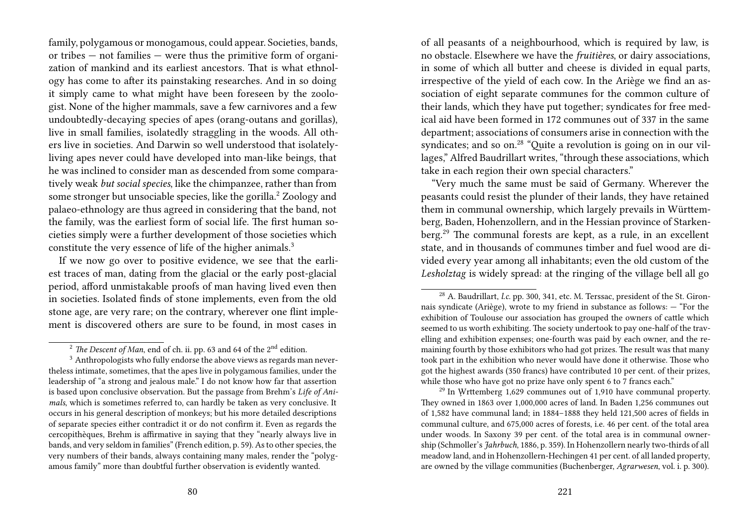family, polygamous or monogamous, could appear. Societies, bands, or tribes — not families — were thus the primitive form of organization of mankind and its earliest ancestors. That is what ethnology has come to after its painstaking researches. And in so doing it simply came to what might have been foreseen by the zoologist. None of the higher mammals, save a few carnivores and a few undoubtedly-decaying species of apes (orang-outans and gorillas), live in small families, isolatedly straggling in the woods. All others live in societies. And Darwin so well understood that isolatelyliving apes never could have developed into man-like beings, that he was inclined to consider man as descended from some comparatively weak *but social species*, like the chimpanzee, rather than from some stronger but unsociable species, like the gorilla.<sup>2</sup> Zoology and palaeo-ethnology are thus agreed in considering that the band, not the family, was the earliest form of social life. The first human societies simply were a further development of those societies which constitute the very essence of life of the higher animals.<sup>3</sup>

If we now go over to positive evidence, we see that the earliest traces of man, dating from the glacial or the early post-glacial period, afford unmistakable proofs of man having lived even then in societies. Isolated finds of stone implements, even from the old stone age, are very rare; on the contrary, wherever one flint implement is discovered others are sure to be found, in most cases in

of all peasants of a neighbourhood, which is required by law, is no obstacle. Elsewhere we have the *fruitières*, or dairy associations, in some of which all butter and cheese is divided in equal parts, irrespective of the yield of each cow. In the Ariège we find an association of eight separate communes for the common culture of their lands, which they have put together; syndicates for free medical aid have been formed in 172 communes out of 337 in the same department; associations of consumers arise in connection with the syndicates; and so on.<sup>28</sup> "Ouite a revolution is going on in our villages," Alfred Baudrillart writes, "through these associations, which take in each region their own special characters."

"Very much the same must be said of Germany. Wherever the peasants could resist the plunder of their lands, they have retained them in communal ownership, which largely prevails in Württemberg, Baden, Hohenzollern, and in the Hessian province of Starkenberg.<sup>29</sup> The communal forests are kept, as a rule, in an excellent state, and in thousands of communes timber and fuel wood are divided every year among all inhabitants; even the old custom of the *Lesholztag* is widely spread: at the ringing of the village bell all go

<sup>&</sup>lt;sup>2</sup> *The Descent of Man*, end of ch. ii. pp. 63 and 64 of the 2<sup>nd</sup> edition.

<sup>&</sup>lt;sup>3</sup> Anthropologists who fully endorse the above views as regards man nevertheless intimate, sometimes, that the apes live in polygamous families, under the leadership of "a strong and jealous male." I do not know how far that assertion is based upon conclusive observation. But the passage from Brehm's *Life of Animals*, which is sometimes referred to, can hardly be taken as very conclusive. It occurs in his general description of monkeys; but his more detailed descriptions of separate species either contradict it or do not confirm it. Even as regards the cercopithèques, Brehm is affirmative in saying that they "nearly always live in bands, and very seldom in families" (French edition, p. 59). As to other species, the very numbers of their bands, always containing many males, render the "polygamous family" more than doubtful further observation is evidently wanted.

<sup>28</sup> A. Baudrillart, *l.c.* pp. 300, 341, etc. M. Terssac, president of the St. Gironnais syndicate (Ariège), wrote to my friend in substance as follows: — "For the exhibition of Toulouse our association has grouped the owners of cattle which seemed to us worth exhibiting. The society undertook to pay one-half of the travelling and exhibition expenses; one-fourth was paid by each owner, and the remaining fourth by those exhibitors who had got prizes. The result was that many took part in the exhibition who never would have done it otherwise. Those who got the highest awards (350 francs) have contributed 10 per cent. of their prizes, while those who have got no prize have only spent 6 to 7 francs each."

 $29$  In Wrttemberg 1,629 communes out of 1,910 have communal property. They owned in 1863 over 1,000,000 acres of land. In Baden 1,256 communes out of 1,582 have communal land; in 1884–1888 they held 121,500 acres of fields in communal culture, and 675,000 acres of forests, i.e. 46 per cent. of the total area under woods. In Saxony 39 per cent. of the total area is in communal ownership (Schmoller's *Jahrbuch*, 1886, p. 359). In Hohenzollern nearly two-thirds of all meadow land, and in Hohenzollern-Hechingen 41 per cent. of all landed property, are owned by the village communities (Buchenberger, *Agrarwesen*, vol. i. p. 300).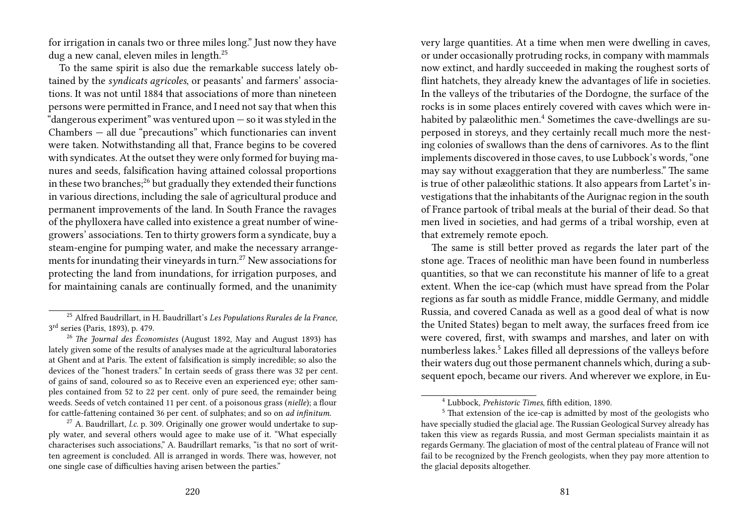for irrigation in canals two or three miles long." Just now they have dug a new canal, eleven miles in length.<sup>25</sup>

To the same spirit is also due the remarkable success lately obtained by the *syndicats agricoles*, or peasants' and farmers' associations. It was not until 1884 that associations of more than nineteen persons were permitted in France, and I need not say that when this "dangerous experiment" was ventured upon — so it was styled in the Chambers — all due "precautions" which functionaries can invent were taken. Notwithstanding all that, France begins to be covered with syndicates. At the outset they were only formed for buying manures and seeds, falsification having attained colossal proportions in these two branches;<sup>26</sup> but gradually they extended their functions in various directions, including the sale of agricultural produce and permanent improvements of the land. In South France the ravages of the phylloxera have called into existence a great number of winegrowers' associations. Ten to thirty growers form a syndicate, buy a steam-engine for pumping water, and make the necessary arrangements for inundating their vineyards in turn.<sup>27</sup> New associations for protecting the land from inundations, for irrigation purposes, and for maintaining canals are continually formed, and the unanimity

very large quantities. At a time when men were dwelling in caves, or under occasionally protruding rocks, in company with mammals now extinct, and hardly succeeded in making the roughest sorts of flint hatchets, they already knew the advantages of life in societies. In the valleys of the tributaries of the Dordogne, the surface of the rocks is in some places entirely covered with caves which were inhabited by palæolithic men.<sup>4</sup> Sometimes the cave-dwellings are superposed in storeys, and they certainly recall much more the nesting colonies of swallows than the dens of carnivores. As to the flint implements discovered in those caves, to use Lubbock's words, "one may say without exaggeration that they are numberless." The same is true of other palæolithic stations. It also appears from Lartet's investigations that the inhabitants of the Aurignac region in the south of France partook of tribal meals at the burial of their dead. So that men lived in societies, and had germs of a tribal worship, even at that extremely remote epoch.

The same is still better proved as regards the later part of the stone age. Traces of neolithic man have been found in numberless quantities, so that we can reconstitute his manner of life to a great extent. When the ice-cap (which must have spread from the Polar regions as far south as middle France, middle Germany, and middle Russia, and covered Canada as well as a good deal of what is now the United States) began to melt away, the surfaces freed from ice were covered, first, with swamps and marshes, and later on with numberless lakes.<sup>5</sup> Lakes filled all depressions of the valleys before their waters dug out those permanent channels which, during a subsequent epoch, became our rivers. And wherever we explore, in Eu-

<sup>25</sup> Alfred Baudrillart, in H. Baudrillart's *Les Populations Rurales de la France*, 3 rd series (Paris, 1893), p. 479.

<sup>26</sup> *The Journal des Économistes* (August 1892, May and August 1893) has lately given some of the results of analyses made at the agricultural laboratories at Ghent and at Paris. The extent of falsification is simply incredible; so also the devices of the "honest traders." In certain seeds of grass there was 32 per cent. of gains of sand, coloured so as to Receive even an experienced eye; other samples contained from 52 to 22 per cent. only of pure seed, the remainder being weeds. Seeds of vetch contained 11 per cent. of a poisonous grass (*nielle*); a flour for cattle-fattening contained 36 per cent. of sulphates; and so on *ad infinitum*.

<sup>&</sup>lt;sup>27</sup> A. Baudrillart, *l.c.* p. 309. Originally one grower would undertake to supply water, and several others would agee to make use of it. "What especially characterises such associations," A. Baudrillart remarks, "is that no sort of written agreement is concluded. All is arranged in words. There was, however, not one single case of difficulties having arisen between the parties."

<sup>4</sup> Lubbock, *Prehistoric Times*, fifth edition, 1890.

<sup>&</sup>lt;sup>5</sup> That extension of the ice-cap is admitted by most of the geologists who have specially studied the glacial age. The Russian Geological Survey already has taken this view as regards Russia, and most German specialists maintain it as regards Germany. The glaciation of most of the central plateau of France will not fail to be recognized by the French geologists, when they pay more attention to the glacial deposits altogether.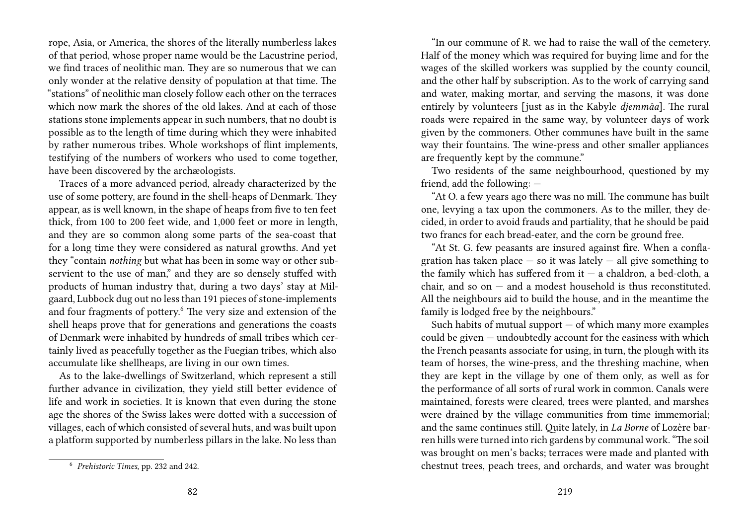rope, Asia, or America, the shores of the literally numberless lakes of that period, whose proper name would be the Lacustrine period, we find traces of neolithic man. They are so numerous that we can only wonder at the relative density of population at that time. The "stations" of neolithic man closely follow each other on the terraces which now mark the shores of the old lakes. And at each of those stations stone implements appear in such numbers, that no doubt is possible as to the length of time during which they were inhabited by rather numerous tribes. Whole workshops of flint implements, testifying of the numbers of workers who used to come together, have been discovered by the archæologists.

Traces of a more advanced period, already characterized by the use of some pottery, are found in the shell-heaps of Denmark. They appear, as is well known, in the shape of heaps from five to ten feet thick, from 100 to 200 feet wide, and 1,000 feet or more in length, and they are so common along some parts of the sea-coast that for a long time they were considered as natural growths. And yet they "contain *nothing* but what has been in some way or other subservient to the use of man," and they are so densely stuffed with products of human industry that, during a two days' stay at Milgaard, Lubbock dug out no less than 191 pieces of stone-implements and four fragments of pottery.<sup>6</sup> The very size and extension of the shell heaps prove that for generations and generations the coasts of Denmark were inhabited by hundreds of small tribes which certainly lived as peacefully together as the Fuegian tribes, which also accumulate like shellheaps, are living in our own times.

As to the lake-dwellings of Switzerland, which represent a still further advance in civilization, they yield still better evidence of life and work in societies. It is known that even during the stone age the shores of the Swiss lakes were dotted with a succession of villages, each of which consisted of several huts, and was built upon a platform supported by numberless pillars in the lake. No less than

"In our commune of R. we had to raise the wall of the cemetery. Half of the money which was required for buying lime and for the wages of the skilled workers was supplied by the county council, and the other half by subscription. As to the work of carrying sand and water, making mortar, and serving the masons, it was done entirely by volunteers [just as in the Kabyle *djemmâa*]. The rural roads were repaired in the same way, by volunteer days of work given by the commoners. Other communes have built in the same way their fountains. The wine-press and other smaller appliances are frequently kept by the commune."

Two residents of the same neighbourhood, questioned by my friend, add the following: —

"At O. a few years ago there was no mill. The commune has built one, levying a tax upon the commoners. As to the miller, they decided, in order to avoid frauds and partiality, that he should be paid two francs for each bread-eater, and the corn be ground free.

"At St. G. few peasants are insured against fire. When a conflagration has taken place  $-$  so it was lately  $-$  all give something to the family which has suffered from it  $-$  a chaldron, a bed-cloth, a chair, and so on  $-$  and a modest household is thus reconstituted. All the neighbours aid to build the house, and in the meantime the family is lodged free by the neighbours."

Such habits of mutual support  $-$  of which many more examples could be given — undoubtedly account for the easiness with which the French peasants associate for using, in turn, the plough with its team of horses, the wine-press, and the threshing machine, when they are kept in the village by one of them only, as well as for the performance of all sorts of rural work in common. Canals were maintained, forests were cleared, trees were planted, and marshes were drained by the village communities from time immemorial; and the same continues still. Quite lately, in *La Borne* of Lozère barren hills were turned into rich gardens by communal work. "The soil was brought on men's backs; terraces were made and planted with chestnut trees, peach trees, and orchards, and water was brought

<sup>6</sup> *Prehistoric Times*, pp. 232 and 242.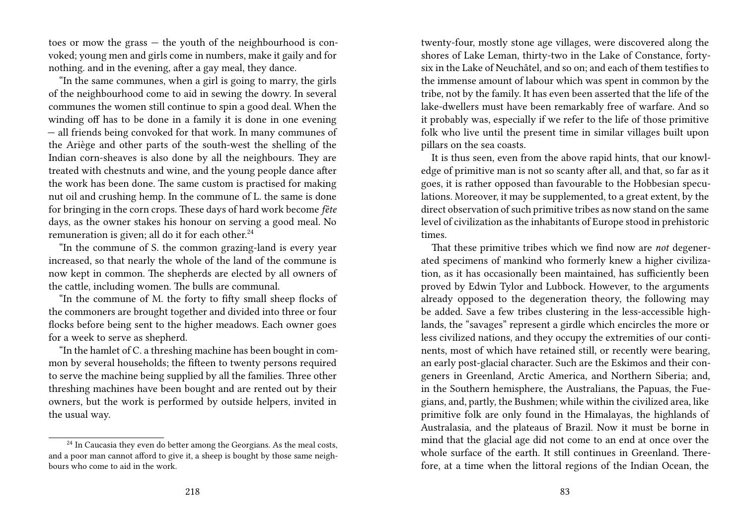toes or mow the grass — the youth of the neighbourhood is convoked; young men and girls come in numbers, make it gaily and for nothing. and in the evening, after a gay meal, they dance.

"In the same communes, when a girl is going to marry, the girls of the neighbourhood come to aid in sewing the dowry. In several communes the women still continue to spin a good deal. When the winding off has to be done in a family it is done in one evening — all friends being convoked for that work. In many communes of the Ariège and other parts of the south-west the shelling of the Indian corn-sheaves is also done by all the neighbours. They are treated with chestnuts and wine, and the young people dance after the work has been done. The same custom is practised for making nut oil and crushing hemp. In the commune of L. the same is done for bringing in the corn crops. These days of hard work become *fête* days, as the owner stakes his honour on serving a good meal. No remuneration is given; all do it for each other. $24$ 

"In the commune of S. the common grazing-land is every year increased, so that nearly the whole of the land of the commune is now kept in common. The shepherds are elected by all owners of the cattle, including women. The bulls are communal.

"In the commune of M. the forty to fifty small sheep flocks of the commoners are brought together and divided into three or four flocks before being sent to the higher meadows. Each owner goes for a week to serve as shepherd.

"In the hamlet of C. a threshing machine has been bought in common by several households; the fifteen to twenty persons required to serve the machine being supplied by all the families. Three other threshing machines have been bought and are rented out by their owners, but the work is performed by outside helpers, invited in the usual way.

twenty-four, mostly stone age villages, were discovered along the shores of Lake Leman, thirty-two in the Lake of Constance, fortysix in the Lake of Neuchâtel, and so on; and each of them testifies to the immense amount of labour which was spent in common by the tribe, not by the family. It has even been asserted that the life of the lake-dwellers must have been remarkably free of warfare. And so it probably was, especially if we refer to the life of those primitive folk who live until the present time in similar villages built upon pillars on the sea coasts.

It is thus seen, even from the above rapid hints, that our knowledge of primitive man is not so scanty after all, and that, so far as it goes, it is rather opposed than favourable to the Hobbesian speculations. Moreover, it may be supplemented, to a great extent, by the direct observation of such primitive tribes as now stand on the same level of civilization as the inhabitants of Europe stood in prehistoric times.

That these primitive tribes which we find now are *not* degenerated specimens of mankind who formerly knew a higher civilization, as it has occasionally been maintained, has sufficiently been proved by Edwin Tylor and Lubbock. However, to the arguments already opposed to the degeneration theory, the following may be added. Save a few tribes clustering in the less-accessible highlands, the "savages" represent a girdle which encircles the more or less civilized nations, and they occupy the extremities of our continents, most of which have retained still, or recently were bearing, an early post-glacial character. Such are the Eskimos and their congeners in Greenland, Arctic America, and Northern Siberia; and, in the Southern hemisphere, the Australians, the Papuas, the Fuegians, and, partly, the Bushmen; while within the civilized area, like primitive folk are only found in the Himalayas, the highlands of Australasia, and the plateaus of Brazil. Now it must be borne in mind that the glacial age did not come to an end at once over the whole surface of the earth. It still continues in Greenland. Therefore, at a time when the littoral regions of the Indian Ocean, the

 $24$  In Caucasia they even do better among the Georgians. As the meal costs, and a poor man cannot afford to give it, a sheep is bought by those same neighbours who come to aid in the work.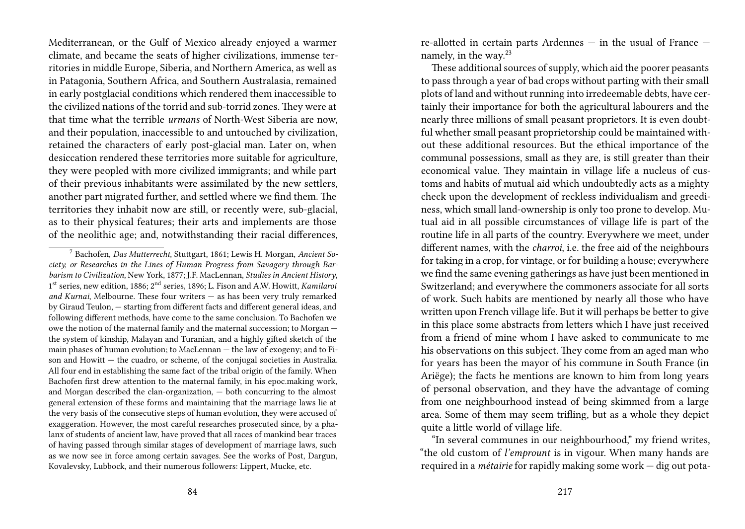Mediterranean, or the Gulf of Mexico already enjoyed a warmer climate, and became the seats of higher civilizations, immense territories in middle Europe, Siberia, and Northern America, as well as in Patagonia, Southern Africa, and Southern Australasia, remained in early postglacial conditions which rendered them inaccessible to the civilized nations of the torrid and sub-torrid zones. They were at that time what the terrible *urmans* of North-West Siberia are now, and their population, inaccessible to and untouched by civilization, retained the characters of early post-glacial man. Later on, when desiccation rendered these territories more suitable for agriculture, they were peopled with more civilized immigrants; and while part of their previous inhabitants were assimilated by the new settlers, another part migrated further, and settled where we find them. The territories they inhabit now are still, or recently were, sub-glacial, as to their physical features; their arts and implements are those of the neolithic age; and, notwithstanding their racial differences,

re-allotted in certain parts Ardennes — in the usual of France namely, in the way.<sup>23</sup>

These additional sources of supply, which aid the poorer peasants to pass through a year of bad crops without parting with their small plots of land and without running into irredeemable debts, have certainly their importance for both the agricultural labourers and the nearly three millions of small peasant proprietors. It is even doubtful whether small peasant proprietorship could be maintained without these additional resources. But the ethical importance of the communal possessions, small as they are, is still greater than their economical value. They maintain in village life a nucleus of customs and habits of mutual aid which undoubtedly acts as a mighty check upon the development of reckless individualism and greediness, which small land-ownership is only too prone to develop. Mutual aid in all possible circumstances of village life is part of the routine life in all parts of the country. Everywhere we meet, under different names, with the *charroi*, i.e. the free aid of the neighbours for taking in a crop, for vintage, or for building a house; everywhere we find the same evening gatherings as have just been mentioned in Switzerland; and everywhere the commoners associate for all sorts of work. Such habits are mentioned by nearly all those who have written upon French village life. But it will perhaps be better to give in this place some abstracts from letters which I have just received from a friend of mine whom I have asked to communicate to me his observations on this subject. They come from an aged man who for years has been the mayor of his commune in South France (in Ariëge); the facts he mentions are known to him from long years of personal observation, and they have the advantage of coming from one neighbourhood instead of being skimmed from a large area. Some of them may seem trifling, but as a whole they depict quite a little world of village life.

"In several communes in our neighbourhood," my friend writes, "the old custom of *l'emprount* is in vigour. When many hands are required in a *métairie* for rapidly making some work — dig out pota-

<sup>7</sup> Bachofen, *Das Mutterrecht*, Stuttgart, 1861; Lewis H. Morgan, *Ancient Society, or Researches in the Lines of Human Progress from Savagery through Barbarism to Civilization*, New York, 1877; J.F. MacLennan, *Studies in Ancient History*, 1 st series, new edition, 1886; 2nd series, 1896; L. Fison and A.W. Howitt, *Kamilaroi and Kurnai*, Melbourne. These four writers — as has been very truly remarked by Giraud Teulon, — starting from different facts and different general ideas, and following different methods, have come to the same conclusion. To Bachofen we owe the notion of the maternal family and the maternal succession; to Morgan the system of kinship, Malayan and Turanian, and a highly gifted sketch of the main phases of human evolution; to MacLennan — the law of exogeny; and to Fison and Howitt  $-$  the cuadro, or scheme, of the conjugal societies in Australia. All four end in establishing the same fact of the tribal origin of the family. When Bachofen first drew attention to the maternal family, in his epoc.making work, and Morgan described the clan-organization, — both concurring to the almost general extension of these forms and maintaining that the marriage laws lie at the very basis of the consecutive steps of human evolution, they were accused of exaggeration. However, the most careful researches prosecuted since, by a phalanx of students of ancient law, have proved that all races of mankind bear traces of having passed through similar stages of development of marriage laws, such as we now see in force among certain savages. See the works of Post, Dargun, Kovalevsky, Lubbock, and their numerous followers: Lippert, Mucke, etc.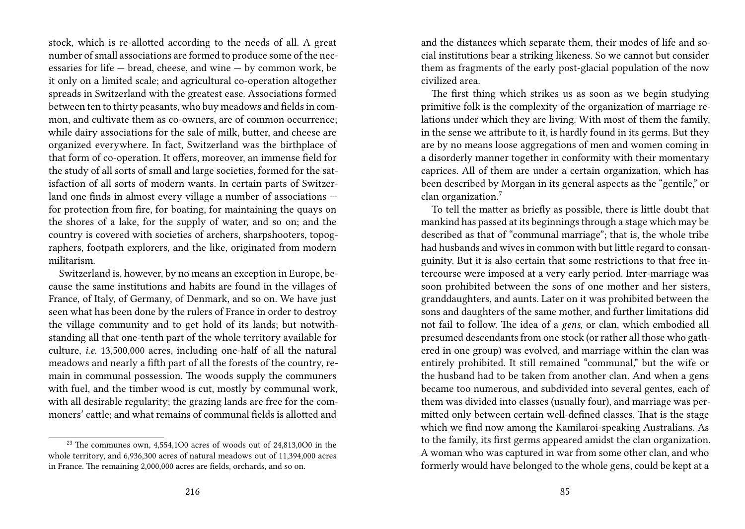stock, which is re-allotted according to the needs of all. A great number of small associations are formed to produce some of the necessaries for life — bread, cheese, and wine — by common work, be it only on a limited scale; and agricultural co-operation altogether spreads in Switzerland with the greatest ease. Associations formed between ten to thirty peasants, who buy meadows and fields in common, and cultivate them as co-owners, are of common occurrence; while dairy associations for the sale of milk, butter, and cheese are organized everywhere. In fact, Switzerland was the birthplace of that form of co-operation. It offers, moreover, an immense field for the study of all sorts of small and large societies, formed for the satisfaction of all sorts of modern wants. In certain parts of Switzerland one finds in almost every village a number of associations for protection from fire, for boating, for maintaining the quays on the shores of a lake, for the supply of water, and so on; and the country is covered with societies of archers, sharpshooters, topographers, footpath explorers, and the like, originated from modern militarism.

Switzerland is, however, by no means an exception in Europe, because the same institutions and habits are found in the villages of France, of Italy, of Germany, of Denmark, and so on. We have just seen what has been done by the rulers of France in order to destroy the village community and to get hold of its lands; but notwithstanding all that one-tenth part of the whole territory available for culture, *i.e.* 13,500,000 acres, including one-half of all the natural meadows and nearly a fifth part of all the forests of the country, remain in communal possession. The woods supply the communers with fuel, and the timber wood is cut, mostly by communal work, with all desirable regularity; the grazing lands are free for the commoners' cattle; and what remains of communal fields is allotted and

and the distances which separate them, their modes of life and social institutions bear a striking likeness. So we cannot but consider them as fragments of the early post-glacial population of the now civilized area.

The first thing which strikes us as soon as we begin studying primitive folk is the complexity of the organization of marriage relations under which they are living. With most of them the family, in the sense we attribute to it, is hardly found in its germs. But they are by no means loose aggregations of men and women coming in a disorderly manner together in conformity with their momentary caprices. All of them are under a certain organization, which has been described by Morgan in its general aspects as the "gentile," or clan organization.<sup>7</sup>

To tell the matter as briefly as possible, there is little doubt that mankind has passed at its beginnings through a stage which may be described as that of "communal marriage"; that is, the whole tribe had husbands and wives in common with but little regard to consanguinity. But it is also certain that some restrictions to that free intercourse were imposed at a very early period. Inter-marriage was soon prohibited between the sons of one mother and her sisters, granddaughters, and aunts. Later on it was prohibited between the sons and daughters of the same mother, and further limitations did not fail to follow. The idea of a *gens*, or clan, which embodied all presumed descendants from one stock (or rather all those who gathered in one group) was evolved, and marriage within the clan was entirely prohibited. It still remained "communal," but the wife or the husband had to be taken from another clan. And when a gens became too numerous, and subdivided into several gentes, each of them was divided into classes (usually four), and marriage was permitted only between certain well-defined classes. That is the stage which we find now among the Kamilaroi-speaking Australians. As to the family, its first germs appeared amidst the clan organization. A woman who was captured in war from some other clan, and who formerly would have belonged to the whole gens, could be kept at a

<sup>23</sup> The communes own, 4,554,1O0 acres of woods out of 24,813,0O0 in the whole territory, and 6,936,300 acres of natural meadows out of 11,394,000 acres in France. The remaining 2,000,000 acres are fields, orchards, and so on.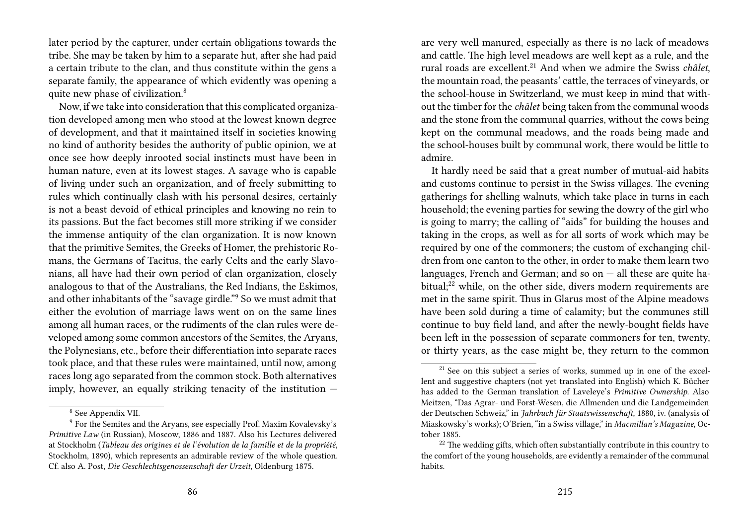later period by the capturer, under certain obligations towards the tribe. She may be taken by him to a separate hut, after she had paid a certain tribute to the clan, and thus constitute within the gens a separate family, the appearance of which evidently was opening a quite new phase of civilization.<sup>8</sup>

Now, if we take into consideration that this complicated organization developed among men who stood at the lowest known degree of development, and that it maintained itself in societies knowing no kind of authority besides the authority of public opinion, we at once see how deeply inrooted social instincts must have been in human nature, even at its lowest stages. A savage who is capable of living under such an organization, and of freely submitting to rules which continually clash with his personal desires, certainly is not a beast devoid of ethical principles and knowing no rein to its passions. But the fact becomes still more striking if we consider the immense antiquity of the clan organization. It is now known that the primitive Semites, the Greeks of Homer, the prehistoric Romans, the Germans of Tacitus, the early Celts and the early Slavonians, all have had their own period of clan organization, closely analogous to that of the Australians, the Red Indians, the Eskimos, and other inhabitants of the "savage girdle."<sup>9</sup> So we must admit that either the evolution of marriage laws went on on the same lines among all human races, or the rudiments of the clan rules were developed among some common ancestors of the Semites, the Aryans, the Polynesians, etc., before their differentiation into separate races took place, and that these rules were maintained, until now, among races long ago separated from the common stock. Both alternatives imply, however, an equally striking tenacity of the institution  $-$ 

are very well manured, especially as there is no lack of meadows and cattle. The high level meadows are well kept as a rule, and the rural roads are excellent.<sup>21</sup> And when we admire the Swiss *châlet*, the mountain road, the peasants' cattle, the terraces of vineyards, or the school-house in Switzerland, we must keep in mind that without the timber for the *châlet* being taken from the communal woods and the stone from the communal quarries, without the cows being kept on the communal meadows, and the roads being made and the school-houses built by communal work, there would be little to admire.

It hardly need be said that a great number of mutual-aid habits and customs continue to persist in the Swiss villages. The evening gatherings for shelling walnuts, which take place in turns in each household; the evening parties for sewing the dowry of the girl who is going to marry; the calling of "aids" for building the houses and taking in the crops, as well as for all sorts of work which may be required by one of the commoners; the custom of exchanging children from one canton to the other, in order to make them learn two languages, French and German; and so on  $-$  all these are quite habitual;<sup>22</sup> while, on the other side, divers modern requirements are met in the same spirit. Thus in Glarus most of the Alpine meadows have been sold during a time of calamity; but the communes still continue to buy field land, and after the newly-bought fields have been left in the possession of separate commoners for ten, twenty, or thirty years, as the case might be, they return to the common

<sup>8</sup> See Appendix VII.

<sup>9</sup> For the Semites and the Aryans, see especially Prof. Maxim Kovalevsky's *Primitive Law* (in Russian), Moscow, 1886 and 1887. Also his Lectures delivered at Stockholm (*Tableau des origines et de l'évolution de la famille et de la propriété*, Stockholm, 1890), which represents an admirable review of the whole question. Cf. also A. Post, *Die Geschlechtsgenossenschaft der Urzeit*, Oldenburg 1875.

 $21$  See on this subject a series of works, summed up in one of the excellent and suggestive chapters (not yet translated into English) which K. Bücher has added to the German translation of Laveleye's *Primitive Ownership*. Also Meitzen, "Das Agrar- und Forst-Wesen, die Allmenden und die Landgemeinden der Deutschen Schweiz," in *Jahrbuch für Staatswissenschaft*, 1880, iv. (analysis of Miaskowsky's works); O'Brien, "in a Swiss village," in *Macmillan's Magazine*, October 1885.

 $22$  The wedding gifts, which often substantially contribute in this country to the comfort of the young households, are evidently a remainder of the communal habits.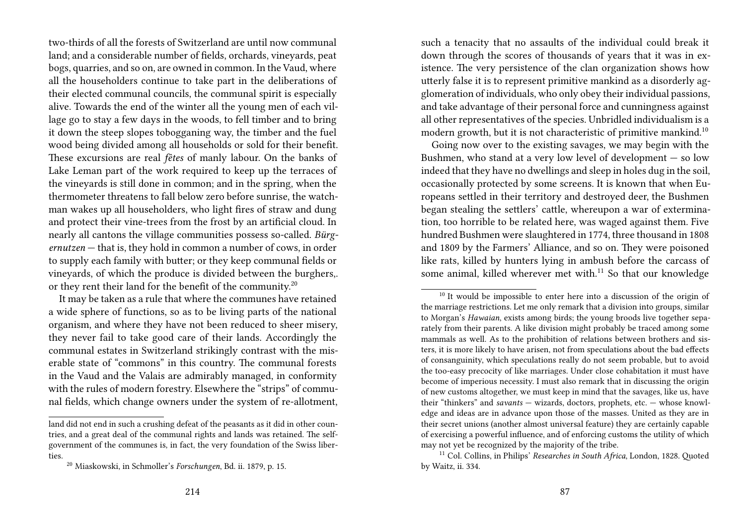two-thirds of all the forests of Switzerland are until now communal land; and a considerable number of fields, orchards, vineyards, peat bogs, quarries, and so on, are owned in common. In the Vaud, where all the householders continue to take part in the deliberations of their elected communal councils, the communal spirit is especially alive. Towards the end of the winter all the young men of each village go to stay a few days in the woods, to fell timber and to bring it down the steep slopes tobogganing way, the timber and the fuel wood being divided among all households or sold for their benefit. These excursions are real *fêtes* of manly labour. On the banks of Lake Leman part of the work required to keep up the terraces of the vineyards is still done in common; and in the spring, when the thermometer threatens to fall below zero before sunrise, the watchman wakes up all householders, who light fires of straw and dung and protect their vine-trees from the frost by an artificial cloud. In nearly all cantons the village communities possess so-called. *Bürgernutzen* — that is, they hold in common a number of cows, in order to supply each family with butter; or they keep communal fields or vineyards, of which the produce is divided between the burghers,. or they rent their land for the benefit of the community.<sup>20</sup>

It may be taken as a rule that where the communes have retained a wide sphere of functions, so as to be living parts of the national organism, and where they have not been reduced to sheer misery, they never fail to take good care of their lands. Accordingly the communal estates in Switzerland strikingly contrast with the miserable state of "commons" in this country. The communal forests in the Vaud and the Valais are admirably managed, in conformity with the rules of modern forestry. Elsewhere the "strips" of communal fields, which change owners under the system of re-allotment,

such a tenacity that no assaults of the individual could break it down through the scores of thousands of years that it was in existence. The very persistence of the clan organization shows how utterly false it is to represent primitive mankind as a disorderly agglomeration of individuals, who only obey their individual passions, and take advantage of their personal force and cunningness against all other representatives of the species. Unbridled individualism is a modern growth, but it is not characteristic of primitive mankind.<sup>10</sup>

Going now over to the existing savages, we may begin with the Bushmen, who stand at a very low level of development — so low indeed that they have no dwellings and sleep in holes dug in the soil, occasionally protected by some screens. It is known that when Europeans settled in their territory and destroyed deer, the Bushmen began stealing the settlers' cattle, whereupon a war of extermination, too horrible to be related here, was waged against them. Five hundred Bushmen were slaughtered in 1774, three thousand in 1808 and 1809 by the Farmers' Alliance, and so on. They were poisoned like rats, killed by hunters lying in ambush before the carcass of some animal, killed wherever met with.<sup>11</sup> So that our knowledge

land did not end in such a crushing defeat of the peasants as it did in other countries, and a great deal of the communal rights and lands was retained. The selfgovernment of the communes is, in fact, the very foundation of the Swiss liberties.

<sup>20</sup> Miaskowski, in Schmoller's *Forschungen*, Bd. ii. 1879, p. 15.

<sup>&</sup>lt;sup>10</sup> It would be impossible to enter here into a discussion of the origin of the marriage restrictions. Let me only remark that a division into groups, similar to Morgan's *Hawaian*, exists among birds; the young broods live together separately from their parents. A like division might probably be traced among some mammals as well. As to the prohibition of relations between brothers and sisters, it is more likely to have arisen, not from speculations about the bad effects of consanguinity, which speculations really do not seem probable, but to avoid the too-easy precocity of like marriages. Under close cohabitation it must have become of imperious necessity. I must also remark that in discussing the origin of new customs altogether, we must keep in mind that the savages, like us, have their "thinkers" and *savants* — wizards, doctors, prophets, etc. — whose knowledge and ideas are in advance upon those of the masses. United as they are in their secret unions (another almost universal feature) they are certainly capable of exercising a powerful influence, and of enforcing customs the utility of which may not yet be recognized by the majority of the tribe.

<sup>11</sup> Col. Collins, in Philips' *Researches in South Africa*, London, 1828. Quoted by Waitz, ii. 334.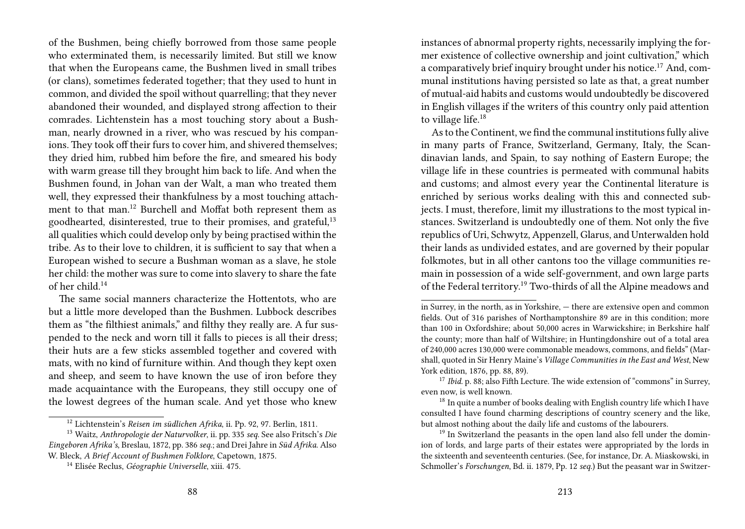of the Bushmen, being chiefly borrowed from those same people who exterminated them, is necessarily limited. But still we know that when the Europeans came, the Bushmen lived in small tribes (or clans), sometimes federated together; that they used to hunt in common, and divided the spoil without quarrelling; that they never abandoned their wounded, and displayed strong affection to their comrades. Lichtenstein has a most touching story about a Bushman, nearly drowned in a river, who was rescued by his companions. They took off their furs to cover him, and shivered themselves; they dried him, rubbed him before the fire, and smeared his body with warm grease till they brought him back to life. And when the Bushmen found, in Johan van der Walt, a man who treated them well, they expressed their thankfulness by a most touching attachment to that man.<sup>12</sup> Burchell and Moffat both represent them as goodhearted, disinterested, true to their promises, and grateful,<sup>13</sup> all qualities which could develop only by being practised within the tribe. As to their love to children, it is sufficient to say that when a European wished to secure a Bushman woman as a slave, he stole her child: the mother was sure to come into slavery to share the fate of her child.<sup>14</sup>

The same social manners characterize the Hottentots, who are but a little more developed than the Bushmen. Lubbock describes them as "the filthiest animals," and filthy they really are. A fur suspended to the neck and worn till it falls to pieces is all their dress; their huts are a few sticks assembled together and covered with mats, with no kind of furniture within. And though they kept oxen and sheep, and seem to have known the use of iron before they made acquaintance with the Europeans, they still occupy one of the lowest degrees of the human scale. And yet those who knew

instances of abnormal property rights, necessarily implying the former existence of collective ownership and joint cultivation," which a comparatively brief inquiry brought under his notice.<sup>17</sup> And, communal institutions having persisted so late as that, a great number of mutual-aid habits and customs would undoubtedly be discovered in English villages if the writers of this country only paid attention to village life.<sup>18</sup>

As to the Continent, we find the communal institutions fully alive in many parts of France, Switzerland, Germany, Italy, the Scandinavian lands, and Spain, to say nothing of Eastern Europe; the village life in these countries is permeated with communal habits and customs; and almost every year the Continental literature is enriched by serious works dealing with this and connected subjects. I must, therefore, limit my illustrations to the most typical instances. Switzerland is undoubtedly one of them. Not only the five republics of Uri, Schwytz, Appenzell, Glarus, and Unterwalden hold their lands as undivided estates, and are governed by their popular folkmotes, but in all other cantons too the village communities remain in possession of a wide self-government, and own large parts of the Federal territory.<sup>19</sup> Two-thirds of all the Alpine meadows and

<sup>12</sup> Lichtenstein's *Reisen im südlichen Afrika*, ii. Pp. 92, 97. Berlin, 1811.

<sup>13</sup> Waitz, *Anthropologie der Naturvolker*, ii. pp. 335 *seq*. See also Fritsch's *Die Eingeboren Afrika's*, Breslau, 1872, pp. 386 *seq*.; and Drei Jahre in *Süd Afrika*. Also W. Bleck, *A Brief Account of Bushmen Folklore*, Capetown, 1875.

<sup>14</sup> Elisée Reclus, *Géographie Universelle*, xiii. 475.

in Surrey, in the north, as in Yorkshire, — there are extensive open and common fields. Out of 316 parishes of Northamptonshire 89 are in this condition; more than 100 in Oxfordshire; about 50,000 acres in Warwickshire; in Berkshire half the county; more than half of Wiltshire; in Huntingdonshire out of a total area of 240,000 acres 130,000 were commonable meadows, commons, and fields" (Marshall, quoted in Sir Henry Maine's *Village Communities in the East and West*, New York edition, 1876, pp. 88, 89).

<sup>&</sup>lt;sup>17</sup> *Ibid.* p. 88; also Fifth Lecture. The wide extension of "commons" in Surrey, even now, is well known.

 $18$  In quite a number of books dealing with English country life which I have consulted I have found charming descriptions of country scenery and the like, but almost nothing about the daily life and customs of the labourers.

<sup>&</sup>lt;sup>19</sup> In Switzerland the peasants in the open land also fell under the dominion of lords, and large parts of their estates were appropriated by the lords in the sixteenth and seventeenth centuries. (See, for instance, Dr. A. Miaskowski, in Schmoller's *Forschungen*, Bd. ii. 1879, Pp. 12 *seq*.) But the peasant war in Switzer-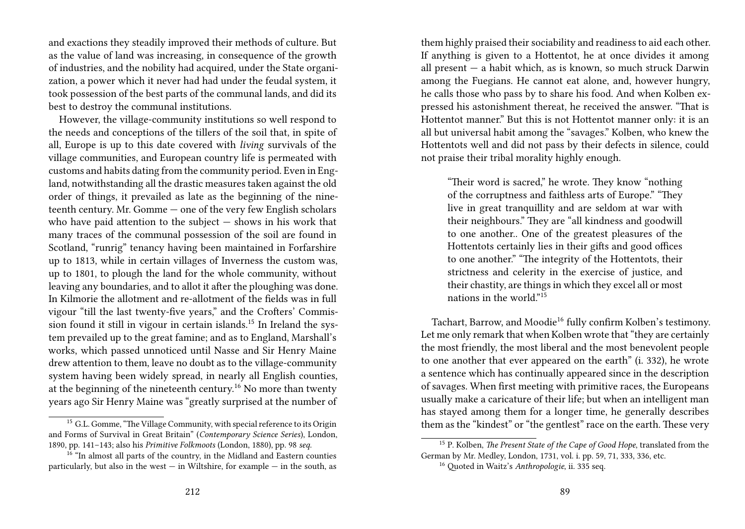and exactions they steadily improved their methods of culture. But as the value of land was increasing, in consequence of the growth of industries, and the nobility had acquired, under the State organization, a power which it never had had under the feudal system, it took possession of the best parts of the communal lands, and did its best to destroy the communal institutions.

However, the village-community institutions so well respond to the needs and conceptions of the tillers of the soil that, in spite of all, Europe is up to this date covered with *living* survivals of the village communities, and European country life is permeated with customs and habits dating from the community period. Even in England, notwithstanding all the drastic measures taken against the old order of things, it prevailed as late as the beginning of the nineteenth century. Mr. Gomme — one of the very few English scholars who have paid attention to the subject — shows in his work that many traces of the communal possession of the soil are found in Scotland, "runrig" tenancy having been maintained in Forfarshire up to 1813, while in certain villages of Inverness the custom was, up to 1801, to plough the land for the whole community, without leaving any boundaries, and to allot it after the ploughing was done. In Kilmorie the allotment and re-allotment of the fields was in full vigour "till the last twenty-five years," and the Crofters' Commission found it still in vigour in certain islands.<sup>15</sup> In Ireland the system prevailed up to the great famine; and as to England, Marshall's works, which passed unnoticed until Nasse and Sir Henry Maine drew attention to them, leave no doubt as to the village-community system having been widely spread, in nearly all English counties, at the beginning of the nineteenth century.<sup>16</sup> No more than twenty years ago Sir Henry Maine was "greatly surprised at the number of

them highly praised their sociability and readiness to aid each other. If anything is given to a Hottentot, he at once divides it among all present  $-$  a habit which, as is known, so much struck Darwin among the Fuegians. He cannot eat alone, and, however hungry, he calls those who pass by to share his food. And when Kolben expressed his astonishment thereat, he received the answer. "That is Hottentot manner." But this is not Hottentot manner only: it is an all but universal habit among the "savages." Kolben, who knew the Hottentots well and did not pass by their defects in silence, could not praise their tribal morality highly enough.

"Their word is sacred," he wrote. They know "nothing of the corruptness and faithless arts of Europe." "They live in great tranquillity and are seldom at war with their neighbours." They are "all kindness and goodwill to one another.. One of the greatest pleasures of the Hottentots certainly lies in their gifts and good offices to one another." "The integrity of the Hottentots, their strictness and celerity in the exercise of justice, and their chastity, are things in which they excel all or most nations in the world." $15$ 

Tachart, Barrow, and Moodie<sup>16</sup> fully confirm Kolben's testimony. Let me only remark that when Kolben wrote that "they are certainly the most friendly, the most liberal and the most benevolent people to one another that ever appeared on the earth" (i. 332), he wrote a sentence which has continually appeared since in the description of savages. When first meeting with primitive races, the Europeans usually make a caricature of their life; but when an intelligent man has stayed among them for a longer time, he generally describes them as the "kindest" or "the gentlest" race on the earth. These very

<sup>&</sup>lt;sup>15</sup> G.L. Gomme, "The Village Community, with special reference to its Origin and Forms of Survival in Great Britain" (*Contemporary Science Series*), London, 1890, pp. 141–143; also his *Primitive Folkmoots* (London, 1880), pp. 98 *seq*.

<sup>&</sup>lt;sup>16</sup> "In almost all parts of the country, in the Midland and Eastern counties particularly, but also in the west  $-$  in Wiltshire, for example  $-$  in the south, as

<sup>15</sup> P. Kolben, *The Present State of the Cape of Good Hope*, translated from the German by Mr. Medley, London, 1731, vol. i. pp. 59, 71, 333, 336, etc.

<sup>16</sup> Quoted in Waitz's *Anthropologie*, ii. 335 seq.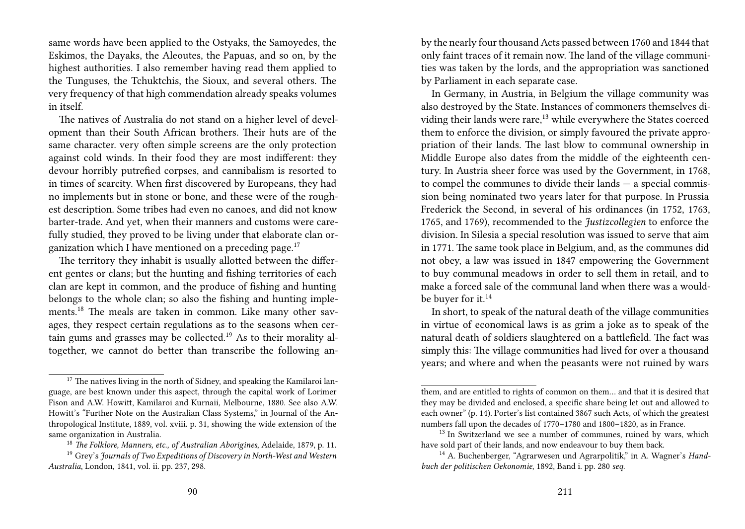same words have been applied to the Ostyaks, the Samoyedes, the Eskimos, the Dayaks, the Aleoutes, the Papuas, and so on, by the highest authorities. I also remember having read them applied to the Tunguses, the Tchuktchis, the Sioux, and several others. The very frequency of that high commendation already speaks volumes in itself.

The natives of Australia do not stand on a higher level of development than their South African brothers. Their huts are of the same character. very often simple screens are the only protection against cold winds. In their food they are most indifferent: they devour horribly putrefied corpses, and cannibalism is resorted to in times of scarcity. When first discovered by Europeans, they had no implements but in stone or bone, and these were of the roughest description. Some tribes had even no canoes, and did not know barter-trade. And yet, when their manners and customs were carefully studied, they proved to be living under that elaborate clan organization which I have mentioned on a preceding page. $17$ 

The territory they inhabit is usually allotted between the different gentes or clans; but the hunting and fishing territories of each clan are kept in common, and the produce of fishing and hunting belongs to the whole clan; so also the fishing and hunting implements.<sup>18</sup> The meals are taken in common. Like many other savages, they respect certain regulations as to the seasons when certain gums and grasses may be collected.<sup>19</sup> As to their morality altogether, we cannot do better than transcribe the following anby the nearly four thousand Acts passed between 1760 and 1844 that only faint traces of it remain now. The land of the village communities was taken by the lords, and the appropriation was sanctioned by Parliament in each separate case.

In Germany, in Austria, in Belgium the village community was also destroyed by the State. Instances of commoners themselves dividing their lands were rare,<sup>13</sup> while everywhere the States coerced them to enforce the division, or simply favoured the private appropriation of their lands. The last blow to communal ownership in Middle Europe also dates from the middle of the eighteenth century. In Austria sheer force was used by the Government, in 1768, to compel the communes to divide their lands — a special commission being nominated two years later for that purpose. In Prussia Frederick the Second, in several of his ordinances (in 1752, 1763, 1765, and 1769), recommended to the *Justizcollegien* to enforce the division. In Silesia a special resolution was issued to serve that aim in 1771. The same took place in Belgium, and, as the communes did not obey, a law was issued in 1847 empowering the Government to buy communal meadows in order to sell them in retail, and to make a forced sale of the communal land when there was a wouldbe buyer for it.<sup>14</sup>

In short, to speak of the natural death of the village communities in virtue of economical laws is as grim a joke as to speak of the natural death of soldiers slaughtered on a battlefield. The fact was simply this: The village communities had lived for over a thousand years; and where and when the peasants were not ruined by wars

 $17$  The natives living in the north of Sidney, and speaking the Kamilaroi language, are best known under this aspect, through the capital work of Lorimer Fison and A.W. Howitt, Kamilaroi and Kurnaii, Melbourne, 1880. See also A.W. Howitt's "Further Note on the Australian Class Systems," in Journal of the Anthropological Institute, 1889, vol. xviii. p. 31, showing the wide extension of the same organization in Australia.

<sup>18</sup> *The Folklore, Manners, etc., of Australian Aborigines*, Adelaide, 1879, p. 11.

<sup>19</sup> Grey's *Journals of Two Expeditions of Discovery in North-West and Western Australia*, London, 1841, vol. ii. pp. 237, 298.

them, and are entitled to rights of common on them… and that it is desired that they may be divided and enclosed, a specific share being let out and allowed to each owner" (p. 14). Porter's list contained 3867 such Acts, of which the greatest numbers fall upon the decades of 1770–1780 and 1800–1820, as in France.

 $13$  In Switzerland we see a number of communes, ruined by wars, which have sold part of their lands, and now endeavour to buy them back.

<sup>14</sup> A. Buchenberger, "Agrarwesen und Agrarpolitik," in A. Wagner's *Handbuch der politischen Oekonomie*, 1892, Band i. pp. 280 *seq*.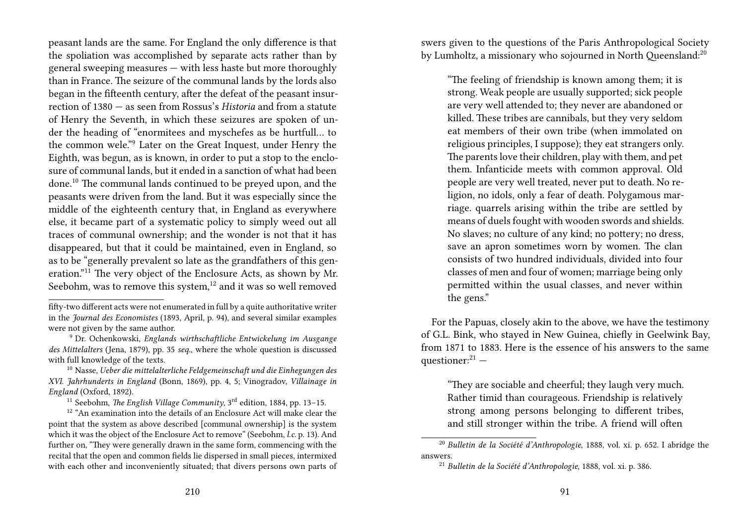peasant lands are the same. For England the only difference is that the spoliation was accomplished by separate acts rather than by general sweeping measures — with less haste but more thoroughly than in France. The seizure of the communal lands by the lords also began in the fifteenth century, after the defeat of the peasant insurrection of 1380 — as seen from Rossus's *Historia* and from a statute of Henry the Seventh, in which these seizures are spoken of under the heading of "enormitees and myschefes as be hurtfull… to the common wele."<sup>9</sup> Later on the Great Inquest, under Henry the Eighth, was begun, as is known, in order to put a stop to the enclosure of communal lands, but it ended in a sanction of what had been done.<sup>10</sup> The communal lands continued to be preyed upon, and the peasants were driven from the land. But it was especially since the middle of the eighteenth century that, in England as everywhere else, it became part of a systematic policy to simply weed out all traces of communal ownership; and the wonder is not that it has disappeared, but that it could be maintained, even in England, so as to be "generally prevalent so late as the grandfathers of this generation."<sup>11</sup> The very object of the Enclosure Acts, as shown by Mr. Seebohm, was to remove this system, $12$  and it was so well removed

swers given to the questions of the Paris Anthropological Society by Lumholtz, a missionary who sojourned in North Oueensland:<sup>20</sup>

"The feeling of friendship is known among them; it is strong. Weak people are usually supported; sick people are very well attended to; they never are abandoned or killed. These tribes are cannibals, but they very seldom eat members of their own tribe (when immolated on religious principles, I suppose); they eat strangers only. The parents love their children, play with them, and pet them. Infanticide meets with common approval. Old people are very well treated, never put to death. No religion, no idols, only a fear of death. Polygamous marriage. quarrels arising within the tribe are settled by means of duels fought with wooden swords and shields. No slaves; no culture of any kind; no pottery; no dress, save an apron sometimes worn by women. The clan consists of two hundred individuals, divided into four classes of men and four of women; marriage being only permitted within the usual classes, and never within the gens."

For the Papuas, closely akin to the above, we have the testimony of G.L. Bink, who stayed in New Guinea, chiefly in Geelwink Bay, from 1871 to 1883. Here is the essence of his answers to the same questioner: $21 -$ 

"They are sociable and cheerful; they laugh very much. Rather timid than courageous. Friendship is relatively strong among persons belonging to different tribes, and still stronger within the tribe. A friend will often

fifty-two different acts were not enumerated in full by a quite authoritative writer in the *Journal des Economistes* (1893, April, p. 94), and several similar examples were not given by the same author.

<sup>9</sup> Dr. Ochenkowski, *Englands wirthschaftliche Entwickelung im Ausgange des Mittelalters* (Jena, 1879), pp. 35 *seq*., where the whole question is discussed with full knowledge of the texts.

<sup>10</sup> Nasse, *Ueber die mittelalterliche Feldgemeinschaft und die Einhegungen des XVI. Jahrhunderts in England* (Bonn, 1869), pp. 4, 5; Vinogradov, *Villainage in England* (Oxford, 1892).

<sup>11</sup> Seebohm, *The English Village Community*, 3rd edition, 1884, pp. 13–15.

 $12$  "An examination into the details of an Enclosure Act will make clear the point that the system as above described [communal ownership] is the system which it was the object of the Enclosure Act to remove" (Seebohm, *l.c.* p. 13). And further on, "They were generally drawn in the same form, commencing with the recital that the open and common fields lie dispersed in small pieces, intermixed with each other and inconveniently situated; that divers persons own parts of

<sup>20</sup> *Bulletin de la Société d'Anthropologie*, 1888, vol. xi. p. 652. I abridge the answers.

<sup>21</sup> *Bulletin de la Société d'Anthropologie*, 1888, vol. xi. p. 386.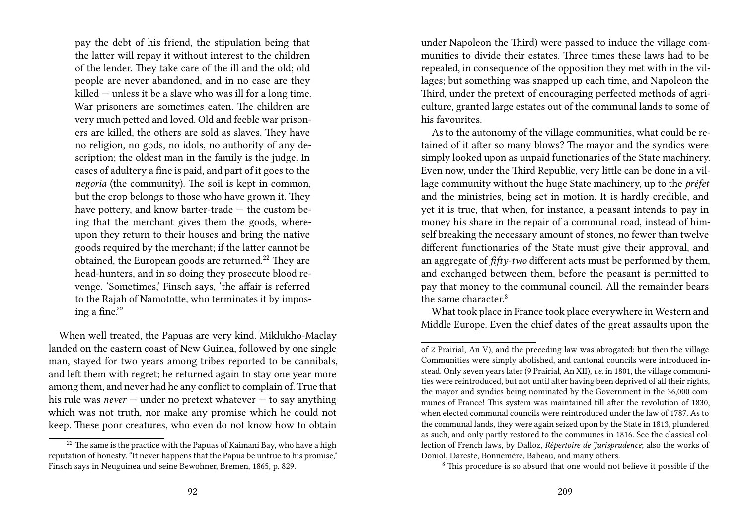pay the debt of his friend, the stipulation being that the latter will repay it without interest to the children of the lender. They take care of the ill and the old; old people are never abandoned, and in no case are they killed — unless it be a slave who was ill for a long time. War prisoners are sometimes eaten. The children are very much petted and loved. Old and feeble war prisoners are killed, the others are sold as slaves. They have no religion, no gods, no idols, no authority of any description; the oldest man in the family is the judge. In cases of adultery a fine is paid, and part of it goes to the *negoria* (the community). The soil is kept in common, but the crop belongs to those who have grown it. They have pottery, and know barter-trade — the custom being that the merchant gives them the goods, whereupon they return to their houses and bring the native goods required by the merchant; if the latter cannot be obtained, the European goods are returned.<sup>22</sup> They are head-hunters, and in so doing they prosecute blood revenge. 'Sometimes,' Finsch says, 'the affair is referred to the Rajah of Namototte, who terminates it by imposing a fine.'"

When well treated, the Papuas are very kind. Miklukho-Maclay landed on the eastern coast of New Guinea, followed by one single man, stayed for two years among tribes reported to be cannibals, and left them with regret; he returned again to stay one year more among them, and never had he any conflict to complain of. True that his rule was *never* — under no pretext whatever — to say anything which was not truth, nor make any promise which he could not keep. These poor creatures, who even do not know how to obtain

under Napoleon the Third) were passed to induce the village communities to divide their estates. Three times these laws had to be repealed, in consequence of the opposition they met with in the villages; but something was snapped up each time, and Napoleon the Third, under the pretext of encouraging perfected methods of agriculture, granted large estates out of the communal lands to some of his favourites.

As to the autonomy of the village communities, what could be retained of it after so many blows? The mayor and the syndics were simply looked upon as unpaid functionaries of the State machinery. Even now, under the Third Republic, very little can be done in a village community without the huge State machinery, up to the *préfet* and the ministries, being set in motion. It is hardly credible, and yet it is true, that when, for instance, a peasant intends to pay in money his share in the repair of a communal road, instead of himself breaking the necessary amount of stones, no fewer than twelve different functionaries of the State must give their approval, and an aggregate of *fifty-two* different acts must be performed by them, and exchanged between them, before the peasant is permitted to pay that money to the communal council. All the remainder bears the same character  $8$ 

What took place in France took place everywhere in Western and Middle Europe. Even the chief dates of the great assaults upon the

 $22$  The same is the practice with the Papuas of Kaimani Bay, who have a high reputation of honesty. "It never happens that the Papua be untrue to his promise," Finsch says in Neuguinea und seine Bewohner, Bremen, 1865, p. 829.

of 2 Prairial, An V), and the preceding law was abrogated; but then the village Communities were simply abolished, and cantonal councils were introduced instead. Only seven years later (9 Prairial, An XII), *i.e.* in 1801, the village communities were reintroduced, but not until after having been deprived of all their rights, the mayor and syndics being nominated by the Government in the 36,000 communes of France! This system was maintained till after the revolution of 1830, when elected communal councils were reintroduced under the law of 1787. As to the communal lands, they were again seized upon by the State in 1813, plundered as such, and only partly restored to the communes in 1816. See the classical collection of French laws, by Dalloz, *Répertoire de Jurisprudence*; also the works of Doniol, Dareste, Bonnemère, Babeau, and many others.

<sup>&</sup>lt;sup>8</sup> This procedure is so absurd that one would not believe it possible if the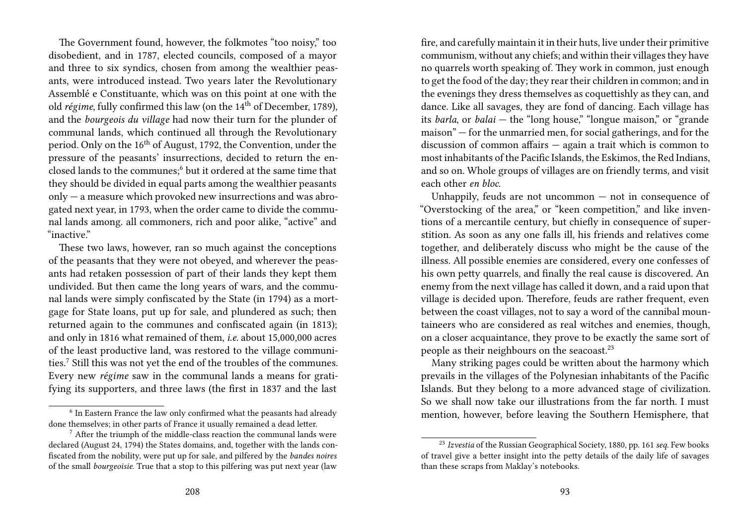The Government found, however, the folkmotes "too noisy," too disobedient, and in 1787, elected councils, composed of a mayor and three to six syndics, chosen from among the wealthier peasants, were introduced instead. Two years later the Revolutionary Assemblé e Constituante, which was on this point at one with the old *régime*, fully confirmed this law (on the 14th of December, 1789), and the *bourgeois du village* had now their turn for the plunder of communal lands, which continued all through the Revolutionary period. Only on the 16<sup>th</sup> of August, 1792, the Convention, under the pressure of the peasants' insurrections, decided to return the enclosed lands to the communes;<sup>6</sup> but it ordered at the same time that they should be divided in equal parts among the wealthier peasants only — a measure which provoked new insurrections and was abrogated next year, in 1793, when the order came to divide the communal lands among. all commoners, rich and poor alike, "active" and "inactive."

These two laws, however, ran so much against the conceptions of the peasants that they were not obeyed, and wherever the peasants had retaken possession of part of their lands they kept them undivided. But then came the long years of wars, and the communal lands were simply confiscated by the State (in 1794) as a mortgage for State loans, put up for sale, and plundered as such; then returned again to the communes and confiscated again (in 1813); and only in 1816 what remained of them, *i.e.* about 15,000,000 acres of the least productive land, was restored to the village communities.<sup>7</sup> Still this was not yet the end of the troubles of the communes. Every new *régime* saw in the communal lands a means for gratifying its supporters, and three laws (the first in 1837 and the last

fire, and carefully maintain it in their huts, live under their primitive communism, without any chiefs; and within their villages they have no quarrels worth speaking of. They work in common, just enough to get the food of the day; they rear their children in common; and in the evenings they dress themselves as coquettishly as they can, and dance. Like all savages, they are fond of dancing. Each village has its *barla*, or *balai* — the "long house," "longue maison," or "grande maison" — for the unmarried men, for social gatherings, and for the discussion of common affairs — again a trait which is common to most inhabitants of the Pacific Islands, the Eskimos, the Red Indians, and so on. Whole groups of villages are on friendly terms, and visit each other *en bloc*.

Unhappily, feuds are not uncommon — not in consequence of "Overstocking of the area," or "keen competition," and like inventions of a mercantile century, but chiefly in consequence of superstition. As soon as any one falls ill, his friends and relatives come together, and deliberately discuss who might be the cause of the illness. All possible enemies are considered, every one confesses of his own petty quarrels, and finally the real cause is discovered. An enemy from the next village has called it down, and a raid upon that village is decided upon. Therefore, feuds are rather frequent, even between the coast villages, not to say a word of the cannibal mountaineers who are considered as real witches and enemies, though, on a closer acquaintance, they prove to be exactly the same sort of people as their neighbours on the seacoast.<sup>23</sup>

Many striking pages could be written about the harmony which prevails in the villages of the Polynesian inhabitants of the Pacific Islands. But they belong to a more advanced stage of civilization. So we shall now take our illustrations from the far north. I must mention, however, before leaving the Southern Hemisphere, that

<sup>&</sup>lt;sup>6</sup> In Eastern France the law only confirmed what the peasants had already done themselves; in other parts of France it usually remained a dead letter.

 $7$  After the triumph of the middle-class reaction the communal lands were declared (August 24, 1794) the States domains, and, together with the lands confiscated from the nobility, were put up for sale, and pilfered by the *bandes noires* of the small *bourgeoisie*. True that a stop to this pilfering was put next year (law

<sup>23</sup> *Izvestia* of the Russian Geographical Society, 1880, pp. 161 *seq*. Few books of travel give a better insight into the petty details of the daily life of savages than these scraps from Maklay's notebooks.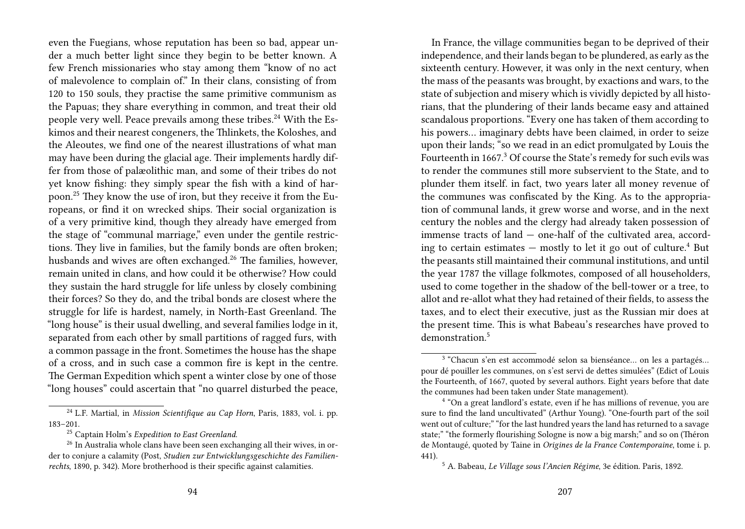even the Fuegians, whose reputation has been so bad, appear under a much better light since they begin to be better known. A few French missionaries who stay among them "know of no act of malevolence to complain of." In their clans, consisting of from 120 to 150 souls, they practise the same primitive communism as the Papuas; they share everything in common, and treat their old people very well. Peace prevails among these tribes.<sup>24</sup> With the Eskimos and their nearest congeners, the Thlinkets, the Koloshes, and the Aleoutes, we find one of the nearest illustrations of what man may have been during the glacial age. Their implements hardly differ from those of palæolithic man, and some of their tribes do not yet know fishing: they simply spear the fish with a kind of harpoon.<sup>25</sup> They know the use of iron, but they receive it from the Europeans, or find it on wrecked ships. Their social organization is of a very primitive kind, though they already have emerged from the stage of "communal marriage," even under the gentile restrictions. They live in families, but the family bonds are often broken; husbands and wives are often exchanged.<sup>26</sup> The families, however, remain united in clans, and how could it be otherwise? How could they sustain the hard struggle for life unless by closely combining their forces? So they do, and the tribal bonds are closest where the struggle for life is hardest, namely, in North-East Greenland. The "long house" is their usual dwelling, and several families lodge in it, separated from each other by small partitions of ragged furs, with a common passage in the front. Sometimes the house has the shape of a cross, and in such case a common fire is kept in the centre. The German Expedition which spent a winter close by one of those "long houses" could ascertain that "no quarrel disturbed the peace,

In France, the village communities began to be deprived of their independence, and their lands began to be plundered, as early as the sixteenth century. However, it was only in the next century, when the mass of the peasants was brought, by exactions and wars, to the state of subjection and misery which is vividly depicted by all historians, that the plundering of their lands became easy and attained scandalous proportions. "Every one has taken of them according to his powers… imaginary debts have been claimed, in order to seize upon their lands; "so we read in an edict promulgated by Louis the Fourteenth in 1667.<sup>3</sup> Of course the State's remedy for such evils was to render the communes still more subservient to the State, and to plunder them itself. in fact, two years later all money revenue of the communes was confiscated by the King. As to the appropriation of communal lands, it grew worse and worse, and in the next century the nobles and the clergy had already taken possession of immense tracts of land — one-half of the cultivated area, according to certain estimates  $-$  mostly to let it go out of culture.<sup>4</sup> But the peasants still maintained their communal institutions, and until the year 1787 the village folkmotes, composed of all householders, used to come together in the shadow of the bell-tower or a tree, to allot and re-allot what they had retained of their fields, to assess the taxes, and to elect their executive, just as the Russian mir does at the present time. This is what Babeau's researches have proved to demonstration<sup>5</sup>

<sup>24</sup> L.F. Martial, in *Mission Scientifique au Cap Horn*, Paris, 1883, vol. i. pp. 183–201.

<sup>25</sup> Captain Holm's *Expedition to East Greenland*.

<sup>&</sup>lt;sup>26</sup> In Australia whole clans have been seen exchanging all their wives, in order to conjure a calamity (Post, *Studien zur Entwicklungsgeschichte des Familienrechts*, 1890, p. 342). More brotherhood is their specific against calamities.

<sup>&</sup>lt;sup>3</sup> "Chacun s'en est accommodé selon sa bienséance... on les a partagés... pour dé pouiller les communes, on s'est servi de dettes simulées" (Edict of Louis the Fourteenth, of 1667, quoted by several authors. Eight years before that date the communes had been taken under State management).

<sup>&</sup>lt;sup>4</sup> "On a great landlord's estate, even if he has millions of revenue, you are sure to find the land uncultivated" (Arthur Young). "One-fourth part of the soil went out of culture;" "for the last hundred years the land has returned to a savage state;" "the formerly flourishing Sologne is now a big marsh;" and so on (Théron de Montaugé, quoted by Taine in *Origines de la France Contemporaine*, tome i. p. 441).

<sup>5</sup> A. Babeau, *Le Village sous l'Ancien Régime*, 3e édition. Paris, 1892.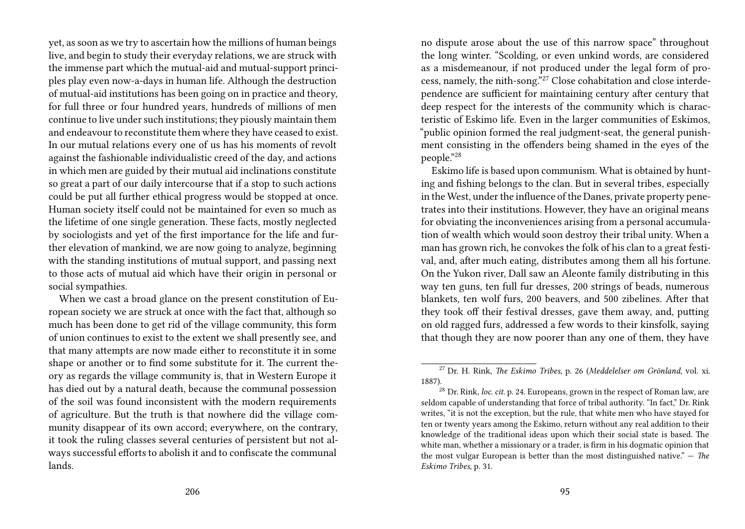yet, as soon as we try to ascertain how the millions of human beings live, and begin to study their everyday relations, we are struck with the immense part which the mutual-aid and mutual-support principles play even now-a-days in human life. Although the destruction of mutual-aid institutions has been going on in practice and theory, for full three or four hundred years, hundreds of millions of men continue to live under such institutions; they piously maintain them and endeavour to reconstitute them where they have ceased to exist. In our mutual relations every one of us has his moments of revolt against the fashionable individualistic creed of the day, and actions in which men are guided by their mutual aid inclinations constitute so great a part of our daily intercourse that if a stop to such actions could be put all further ethical progress would be stopped at once. Human society itself could not be maintained for even so much as the lifetime of one single generation. These facts, mostly neglected by sociologists and yet of the first importance for the life and further elevation of mankind, we are now going to analyze, beginning with the standing institutions of mutual support, and passing next to those acts of mutual aid which have their origin in personal or social sympathies.

When we cast a broad glance on the present constitution of European society we are struck at once with the fact that, although so much has been done to get rid of the village community, this form of union continues to exist to the extent we shall presently see, and that many attempts are now made either to reconstitute it in some shape or another or to find some substitute for it. The current theory as regards the village community is, that in Western Europe it has died out by a natural death, because the communal possession of the soil was found inconsistent with the modern requirements of agriculture. But the truth is that nowhere did the village community disappear of its own accord; everywhere, on the contrary, it took the ruling classes several centuries of persistent but not always successful efforts to abolish it and to confiscate the communal lands.

no dispute arose about the use of this narrow space" throughout the long winter. "Scolding, or even unkind words, are considered as a misdemeanour, if not produced under the legal form of process, namely, the nith-song."<sup>27</sup> Close cohabitation and close interdependence are sufficient for maintaining century after century that deep respect for the interests of the community which is characteristic of Eskimo life. Even in the larger communities of Eskimos, "public opinion formed the real judgment-seat, the general punishment consisting in the offenders being shamed in the eyes of the people."<sup>28</sup>

Eskimo life is based upon communism. What is obtained by hunting and fishing belongs to the clan. But in several tribes, especially in the West, under the influence of the Danes, private property penetrates into their institutions. However, they have an original means for obviating the inconveniences arising from a personal accumulation of wealth which would soon destroy their tribal unity. When a man has grown rich, he convokes the folk of his clan to a great festival, and, after much eating, distributes among them all his fortune. On the Yukon river, Dall saw an Aleonte family distributing in this way ten guns, ten full fur dresses, 200 strings of beads, numerous blankets, ten wolf furs, 200 beavers, and 500 zibelines. After that they took off their festival dresses, gave them away, and, putting on old ragged furs, addressed a few words to their kinsfolk, saying that though they are now poorer than any one of them, they have

<sup>27</sup> Dr. H. Rink, *The Eskimo Tribes*, p. 26 (*Meddelelser om Grönland*, vol. xi. 1887).

<sup>28</sup> Dr. Rink, *loc. cit.* p. 24. Europeans, grown in the respect of Roman law, are seldom capable of understanding that force of tribal authority. "In fact," Dr. Rink writes, "it is not the exception, but the rule, that white men who have stayed for ten or twenty years among the Eskimo, return without any real addition to their knowledge of the traditional ideas upon which their social state is based. The white man, whether a missionary or a trader, is firm in his dogmatic opinion that the most vulgar European is better than the most distinguished native." — *The Eskimo Tribes*, p. 31.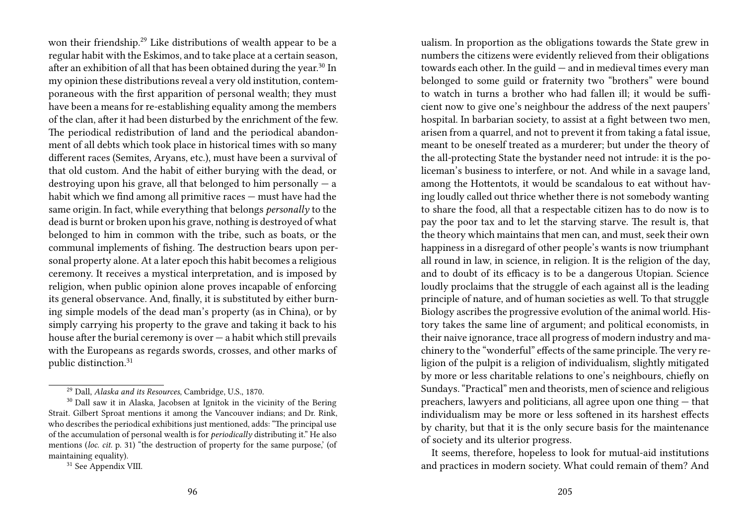won their friendship.<sup>29</sup> Like distributions of wealth appear to be a regular habit with the Eskimos, and to take place at a certain season, after an exhibition of all that has been obtained during the year.<sup>30</sup> In my opinion these distributions reveal a very old institution, contemporaneous with the first apparition of personal wealth; they must have been a means for re-establishing equality among the members of the clan, after it had been disturbed by the enrichment of the few. The periodical redistribution of land and the periodical abandonment of all debts which took place in historical times with so many different races (Semites, Aryans, etc.), must have been a survival of that old custom. And the habit of either burying with the dead, or destroying upon his grave, all that belonged to him personally  $-$  a habit which we find among all primitive races — must have had the same origin. In fact, while everything that belongs *personally* to the dead is burnt or broken upon his grave, nothing is destroyed of what belonged to him in common with the tribe, such as boats, or the communal implements of fishing. The destruction bears upon personal property alone. At a later epoch this habit becomes a religious ceremony. It receives a mystical interpretation, and is imposed by religion, when public opinion alone proves incapable of enforcing its general observance. And, finally, it is substituted by either burning simple models of the dead man's property (as in China), or by simply carrying his property to the grave and taking it back to his house after the burial ceremony is over — a habit which still prevails with the Europeans as regards swords, crosses, and other marks of public distinction.<sup>31</sup>

ualism. In proportion as the obligations towards the State grew in numbers the citizens were evidently relieved from their obligations towards each other. In the guild — and in medieval times every man belonged to some guild or fraternity two "brothers" were bound to watch in turns a brother who had fallen ill; it would be sufficient now to give one's neighbour the address of the next paupers' hospital. In barbarian society, to assist at a fight between two men, arisen from a quarrel, and not to prevent it from taking a fatal issue, meant to be oneself treated as a murderer; but under the theory of the all-protecting State the bystander need not intrude: it is the policeman's business to interfere, or not. And while in a savage land, among the Hottentots, it would be scandalous to eat without having loudly called out thrice whether there is not somebody wanting to share the food, all that a respectable citizen has to do now is to pay the poor tax and to let the starving starve. The result is, that the theory which maintains that men can, and must, seek their own happiness in a disregard of other people's wants is now triumphant all round in law, in science, in religion. It is the religion of the day, and to doubt of its efficacy is to be a dangerous Utopian. Science loudly proclaims that the struggle of each against all is the leading principle of nature, and of human societies as well. To that struggle Biology ascribes the progressive evolution of the animal world. History takes the same line of argument; and political economists, in their naive ignorance, trace all progress of modern industry and machinery to the "wonderful" effects of the same principle. The very religion of the pulpit is a religion of individualism, slightly mitigated by more or less charitable relations to one's neighbours, chiefly on Sundays. "Practical" men and theorists, men of science and religious preachers, lawyers and politicians, all agree upon one thing — that individualism may be more or less softened in its harshest effects by charity, but that it is the only secure basis for the maintenance of society and its ulterior progress.

It seems, therefore, hopeless to look for mutual-aid institutions and practices in modern society. What could remain of them? And

<sup>29</sup> Dall, *Alaska and its Resources*, Cambridge, U.S., 1870.

<sup>30</sup> Dall saw it in Alaska, Jacobsen at Ignitok in the vicinity of the Bering Strait. Gilbert Sproat mentions it among the Vancouver indians; and Dr. Rink, who describes the periodical exhibitions just mentioned, adds: "The principal use of the accumulation of personal wealth is for *periodically* distributing it." He also mentions (*loc. cit.* p. 31) "the destruction of property for the same purpose,' (of maintaining equality).

<sup>31</sup> See Appendix VIII.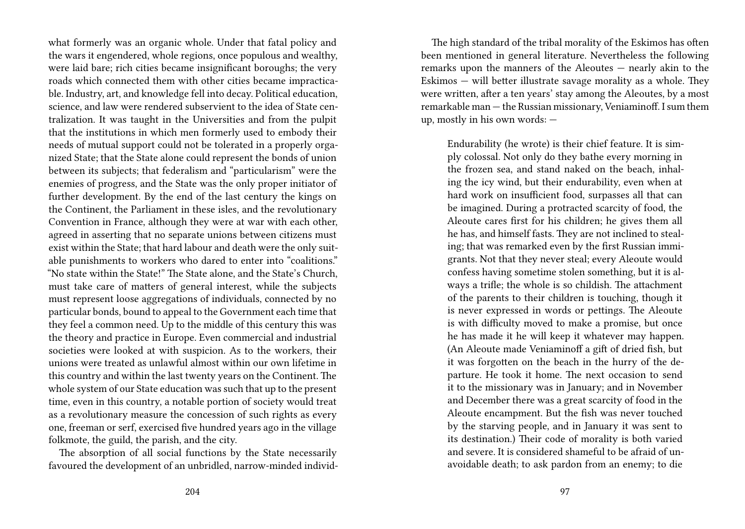what formerly was an organic whole. Under that fatal policy and the wars it engendered, whole regions, once populous and wealthy, were laid bare; rich cities became insignificant boroughs; the very roads which connected them with other cities became impracticable. Industry, art, and knowledge fell into decay. Political education, science, and law were rendered subservient to the idea of State centralization. It was taught in the Universities and from the pulpit that the institutions in which men formerly used to embody their needs of mutual support could not be tolerated in a properly organized State; that the State alone could represent the bonds of union between its subjects; that federalism and "particularism" were the enemies of progress, and the State was the only proper initiator of further development. By the end of the last century the kings on the Continent, the Parliament in these isles, and the revolutionary Convention in France, although they were at war with each other, agreed in asserting that no separate unions between citizens must exist within the State; that hard labour and death were the only suitable punishments to workers who dared to enter into "coalitions." "No state within the State!" The State alone, and the State's Church, must take care of matters of general interest, while the subjects must represent loose aggregations of individuals, connected by no particular bonds, bound to appeal to the Government each time that they feel a common need. Up to the middle of this century this was the theory and practice in Europe. Even commercial and industrial societies were looked at with suspicion. As to the workers, their unions were treated as unlawful almost within our own lifetime in this country and within the last twenty years on the Continent. The whole system of our State education was such that up to the present time, even in this country, a notable portion of society would treat as a revolutionary measure the concession of such rights as every one, freeman or serf, exercised five hundred years ago in the village folkmote, the guild, the parish, and the city.

The absorption of all social functions by the State necessarily favoured the development of an unbridled, narrow-minded individ-

The high standard of the tribal morality of the Eskimos has often been mentioned in general literature. Nevertheless the following remarks upon the manners of the Aleoutes — nearly akin to the Eskimos — will better illustrate savage morality as a whole. They were written, after a ten years' stay among the Aleoutes, by a most remarkable man — the Russian missionary, Veniaminoff. I sum them up, mostly in his own words: —

Endurability (he wrote) is their chief feature. It is simply colossal. Not only do they bathe every morning in the frozen sea, and stand naked on the beach, inhaling the icy wind, but their endurability, even when at hard work on insufficient food, surpasses all that can be imagined. During a protracted scarcity of food, the Aleoute cares first for his children; he gives them all he has, and himself fasts. They are not inclined to stealing; that was remarked even by the first Russian immigrants. Not that they never steal; every Aleoute would confess having sometime stolen something, but it is always a trifle; the whole is so childish. The attachment of the parents to their children is touching, though it is never expressed in words or pettings. The Aleoute is with difficulty moved to make a promise, but once he has made it he will keep it whatever may happen. (An Aleoute made Veniaminoff a gift of dried fish, but it was forgotten on the beach in the hurry of the departure. He took it home. The next occasion to send it to the missionary was in January; and in November and December there was a great scarcity of food in the Aleoute encampment. But the fish was never touched by the starving people, and in January it was sent to its destination.) Their code of morality is both varied and severe. It is considered shameful to be afraid of unavoidable death; to ask pardon from an enemy; to die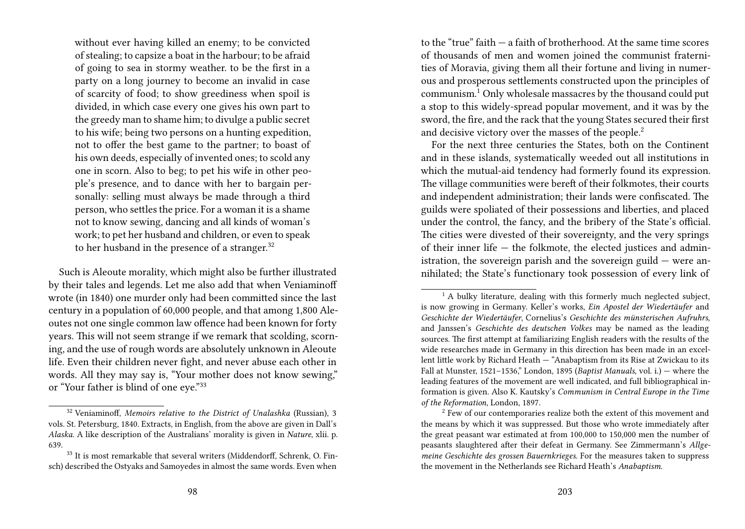without ever having killed an enemy; to be convicted of stealing; to capsize a boat in the harbour; to be afraid of going to sea in stormy weather. to be the first in a party on a long journey to become an invalid in case of scarcity of food; to show greediness when spoil is divided, in which case every one gives his own part to the greedy man to shame him; to divulge a public secret to his wife; being two persons on a hunting expedition, not to offer the best game to the partner; to boast of his own deeds, especially of invented ones; to scold any one in scorn. Also to beg; to pet his wife in other people's presence, and to dance with her to bargain personally: selling must always be made through a third person, who settles the price. For a woman it is a shame not to know sewing, dancing and all kinds of woman's work; to pet her husband and children, or even to speak to her husband in the presence of a stranger.<sup>32</sup>

Such is Aleoute morality, which might also be further illustrated by their tales and legends. Let me also add that when Veniaminoff wrote (in 1840) one murder only had been committed since the last century in a population of 60,000 people, and that among 1,800 Aleoutes not one single common law offence had been known for forty years. This will not seem strange if we remark that scolding, scorning, and the use of rough words are absolutely unknown in Aleoute life. Even their children never fight, and never abuse each other in words. All they may say is, "Your mother does not know sewing," or "Your father is blind of one eye."<sup>33</sup>

to the "true" faith — a faith of brotherhood. At the same time scores of thousands of men and women joined the communist fraternities of Moravia, giving them all their fortune and living in numerous and prosperous settlements constructed upon the principles of communism.<sup>1</sup> Only wholesale massacres by the thousand could put a stop to this widely-spread popular movement, and it was by the sword, the fire, and the rack that the young States secured their first and decisive victory over the masses of the people.<sup>2</sup>

For the next three centuries the States, both on the Continent and in these islands, systematically weeded out all institutions in which the mutual-aid tendency had formerly found its expression. The village communities were bereft of their folkmotes, their courts and independent administration; their lands were confiscated. The guilds were spoliated of their possessions and liberties, and placed under the control, the fancy, and the bribery of the State's official. The cities were divested of their sovereignty, and the very springs of their inner life — the folkmote, the elected justices and administration, the sovereign parish and the sovereign guild  $-$  were annihilated; the State's functionary took possession of every link of

<sup>32</sup> Veniaminoff, *Memoirs relative to the District of Unalashka* (Russian), 3 vols. St. Petersburg, 1840. Extracts, in English, from the above are given in Dall's *Alaska*. A like description of the Australians' morality is given in *Nature*, xlii. p. 639.

<sup>&</sup>lt;sup>33</sup> It is most remarkable that several writers (Middendorff, Schrenk, O. Finsch) described the Ostyaks and Samoyedes in almost the same words. Even when

 $1 A$  bulky literature, dealing with this formerly much neglected subject, is now growing in Germany. Keller's works, *Ein Apostel der Wiedertäufer* and *Geschichte der Wiedertäufer*, Cornelius's *Geschichte des münsterischen Aufruhrs*, and Janssen's *Geschichte des deutschen Volkes* may be named as the leading sources. The first attempt at familiarizing English readers with the results of the wide researches made in Germany in this direction has been made in an excellent little work by Richard Heath — "Anabaptism from its Rise at Zwickau to its Fall at Munster, 1521–1536," London, 1895 (*Baptist Manuals*, vol. i.) — where the leading features of the movement are well indicated, and full bibliographical information is given. Also K. Kautsky's *Communism in Central Europe in the Time of the Reformation*, London, 1897.

<sup>&</sup>lt;sup>2</sup> Few of our contemporaries realize both the extent of this movement and the means by which it was suppressed. But those who wrote immediately after the great peasant war estimated at from 100,000 to 150,000 men the number of peasants slaughtered after their defeat in Germany. See Zimmermann's *Allgemeine Geschichte des grossen Bauernkrieges*. For the measures taken to suppress the movement in the Netherlands see Richard Heath's *Anabaptism*.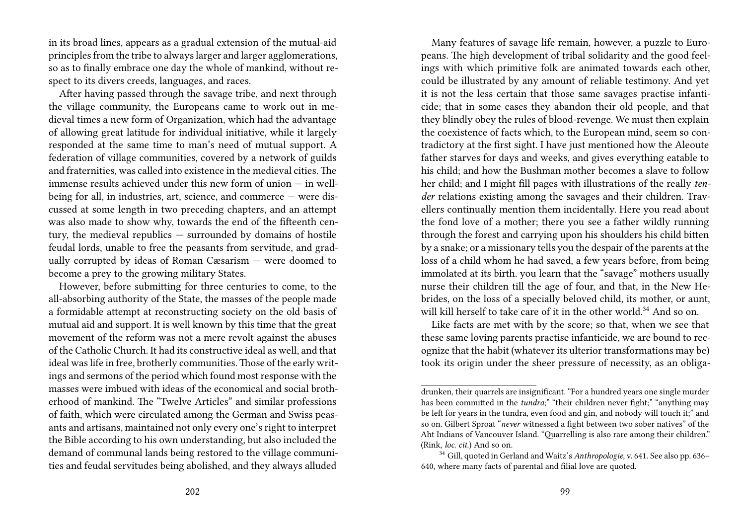in its broad lines, appears as a gradual extension of the mutual-aid principles from the tribe to always larger and larger agglomerations, so as to finally embrace one day the whole of mankind, without respect to its divers creeds, languages, and races.

After having passed through the savage tribe, and next through the village community, the Europeans came to work out in medieval times a new form of Organization, which had the advantage of allowing great latitude for individual initiative, while it largely responded at the same time to man's need of mutual support. A federation of village communities, covered by a network of guilds and fraternities, was called into existence in the medieval cities. The immense results achieved under this new form of union — in wellbeing for all, in industries, art, science, and commerce — were discussed at some length in two preceding chapters, and an attempt was also made to show why, towards the end of the fifteenth century, the medieval republics — surrounded by domains of hostile feudal lords, unable to free the peasants from servitude, and gradually corrupted by ideas of Roman Cæsarism — were doomed to become a prey to the growing military States.

However, before submitting for three centuries to come, to the all-absorbing authority of the State, the masses of the people made a formidable attempt at reconstructing society on the old basis of mutual aid and support. It is well known by this time that the great movement of the reform was not a mere revolt against the abuses of the Catholic Church. It had its constructive ideal as well, and that ideal was life in free, brotherly communities. Those of the early writings and sermons of the period which found most response with the masses were imbued with ideas of the economical and social brotherhood of mankind. The "Twelve Articles" and similar professions of faith, which were circulated among the German and Swiss peasants and artisans, maintained not only every one's right to interpret the Bible according to his own understanding, but also included the demand of communal lands being restored to the village communities and feudal servitudes being abolished, and they always alluded

Many features of savage life remain, however, a puzzle to Europeans. The high development of tribal solidarity and the good feelings with which primitive folk are animated towards each other, could be illustrated by any amount of reliable testimony. And yet it is not the less certain that those same savages practise infanticide; that in some cases they abandon their old people, and that they blindly obey the rules of blood-revenge. We must then explain the coexistence of facts which, to the European mind, seem so contradictory at the first sight. I have just mentioned how the Aleoute father starves for days and weeks, and gives everything eatable to his child; and how the Bushman mother becomes a slave to follow her child; and I might fill pages with illustrations of the really *tender* relations existing among the savages and their children. Travellers continually mention them incidentally. Here you read about the fond love of a mother; there you see a father wildly running through the forest and carrying upon his shoulders his child bitten by a snake; or a missionary tells you the despair of the parents at the loss of a child whom he had saved, a few years before, from being immolated at its birth. you learn that the "savage" mothers usually nurse their children till the age of four, and that, in the New Hebrides, on the loss of a specially beloved child, its mother, or aunt, will kill herself to take care of it in the other world.<sup>34</sup> And so on.

Like facts are met with by the score; so that, when we see that these same loving parents practise infanticide, we are bound to recognize that the habit (whatever its ulterior transformations may be) took its origin under the sheer pressure of necessity, as an obliga-

drunken, their quarrels are insignificant. "For a hundred years one single murder has been committed in the *tundra*;" "their children never fight;" "anything may be left for years in the tundra, even food and gin, and nobody will touch it;" and so on. Gilbert Sproat "*never* witnessed a fight between two sober natives" of the Aht Indians of Vancouver Island. "Quarrelling is also rare among their children." (Rink, *loc. cit.*) And so on.

<sup>34</sup> Gill, quoted in Gerland and Waitz's *Anthropologie*, v. 641. See also pp. 636– 640, where many facts of parental and filial love are quoted.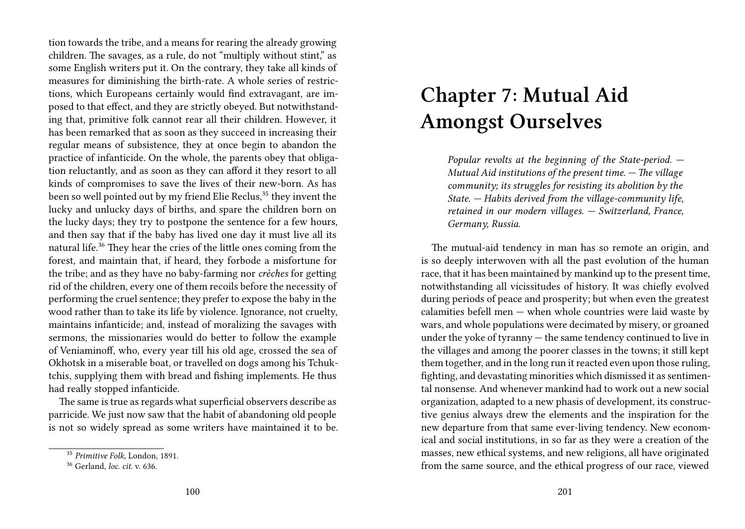tion towards the tribe, and a means for rearing the already growing children. The savages, as a rule, do not "multiply without stint," as some English writers put it. On the contrary, they take all kinds of measures for diminishing the birth-rate. A whole series of restrictions, which Europeans certainly would find extravagant, are imposed to that effect, and they are strictly obeyed. But notwithstanding that, primitive folk cannot rear all their children. However, it has been remarked that as soon as they succeed in increasing their regular means of subsistence, they at once begin to abandon the practice of infanticide. On the whole, the parents obey that obligation reluctantly, and as soon as they can afford it they resort to all kinds of compromises to save the lives of their new-born. As has been so well pointed out by my friend Elie Reclus,<sup>35</sup> they invent the lucky and unlucky days of births, and spare the children born on the lucky days; they try to postpone the sentence for a few hours, and then say that if the baby has lived one day it must live all its natural life.<sup>36</sup> They hear the cries of the little ones coming from the forest, and maintain that, if heard, they forbode a misfortune for the tribe; and as they have no baby-farming nor *crèches* for getting rid of the children, every one of them recoils before the necessity of performing the cruel sentence; they prefer to expose the baby in the wood rather than to take its life by violence. Ignorance, not cruelty, maintains infanticide; and, instead of moralizing the savages with sermons, the missionaries would do better to follow the example of Veniaminoff, who, every year till his old age, crossed the sea of Okhotsk in a miserable boat, or travelled on dogs among his Tchuktchis, supplying them with bread and fishing implements. He thus had really stopped infanticide.

The same is true as regards what superficial observers describe as parricide. We just now saw that the habit of abandoning old people is not so widely spread as some writers have maintained it to be.

## **Chapter 7: Mutual Aid Amongst Ourselves**

*Popular revolts at the beginning of the State-period. — Mutual Aid institutions of the present time. — The village community; its struggles for resisting its abolition by the State. — Habits derived from the village-community life, retained in our modern villages. — Switzerland, France, Germany, Russia.*

The mutual-aid tendency in man has so remote an origin, and is so deeply interwoven with all the past evolution of the human race, that it has been maintained by mankind up to the present time, notwithstanding all vicissitudes of history. It was chiefly evolved during periods of peace and prosperity; but when even the greatest calamities befell men — when whole countries were laid waste by wars, and whole populations were decimated by misery, or groaned under the yoke of tyranny — the same tendency continued to live in the villages and among the poorer classes in the towns; it still kept them together, and in the long run it reacted even upon those ruling, fighting, and devastating minorities which dismissed it as sentimental nonsense. And whenever mankind had to work out a new social organization, adapted to a new phasis of development, its constructive genius always drew the elements and the inspiration for the new departure from that same ever-living tendency. New economical and social institutions, in so far as they were a creation of the masses, new ethical systems, and new religions, all have originated from the same source, and the ethical progress of our race, viewed

<sup>35</sup> *Primitive Folk*, London, 1891.

<sup>36</sup> Gerland, *loc. cit.* v. 636.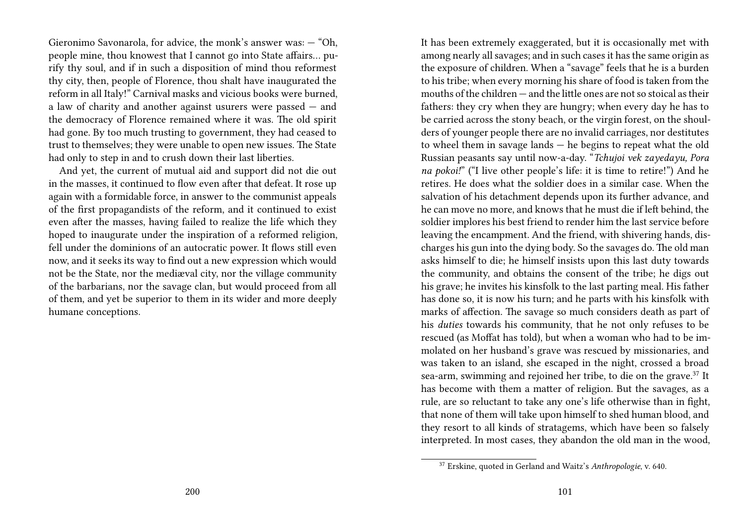Gieronimo Savonarola, for advice, the monk's answer was: — "Oh, people mine, thou knowest that I cannot go into State affairs… purify thy soul, and if in such a disposition of mind thou reformest thy city, then, people of Florence, thou shalt have inaugurated the reform in all Italy!" Carnival masks and vicious books were burned, a law of charity and another against usurers were passed — and the democracy of Florence remained where it was. The old spirit had gone. By too much trusting to government, they had ceased to trust to themselves; they were unable to open new issues. The State had only to step in and to crush down their last liberties.

And yet, the current of mutual aid and support did not die out in the masses, it continued to flow even after that defeat. It rose up again with a formidable force, in answer to the communist appeals of the first propagandists of the reform, and it continued to exist even after the masses, having failed to realize the life which they hoped to inaugurate under the inspiration of a reformed religion, fell under the dominions of an autocratic power. It flows still even now, and it seeks its way to find out a new expression which would not be the State, nor the mediæval city, nor the village community of the barbarians, nor the savage clan, but would proceed from all of them, and yet be superior to them in its wider and more deeply humane conceptions.

It has been extremely exaggerated, but it is occasionally met with among nearly all savages; and in such cases it has the same origin as the exposure of children. When a "savage" feels that he is a burden to his tribe; when every morning his share of food is taken from the mouths of the children — and the little ones are not so stoical as their fathers: they cry when they are hungry; when every day he has to be carried across the stony beach, or the virgin forest, on the shoulders of younger people there are no invalid carriages, nor destitutes to wheel them in savage lands — he begins to repeat what the old Russian peasants say until now-a-day. "*Tchujoi vek zayedayu, Pora na pokoi!*" ("I live other people's life: it is time to retire!") And he retires. He does what the soldier does in a similar case. When the salvation of his detachment depends upon its further advance, and he can move no more, and knows that he must die if left behind, the soldier implores his best friend to render him the last service before leaving the encampment. And the friend, with shivering hands, discharges his gun into the dying body. So the savages do. The old man asks himself to die; he himself insists upon this last duty towards the community, and obtains the consent of the tribe; he digs out his grave; he invites his kinsfolk to the last parting meal. His father has done so, it is now his turn; and he parts with his kinsfolk with marks of affection. The savage so much considers death as part of his *duties* towards his community, that he not only refuses to be rescued (as Moffat has told), but when a woman who had to be immolated on her husband's grave was rescued by missionaries, and was taken to an island, she escaped in the night, crossed a broad sea-arm, swimming and rejoined her tribe, to die on the grave.<sup>37</sup> It has become with them a matter of religion. But the savages, as a rule, are so reluctant to take any one's life otherwise than in fight, that none of them will take upon himself to shed human blood, and they resort to all kinds of stratagems, which have been so falsely interpreted. In most cases, they abandon the old man in the wood,

<sup>37</sup> Erskine, quoted in Gerland and Waitz's *Anthropologie*, v. 640.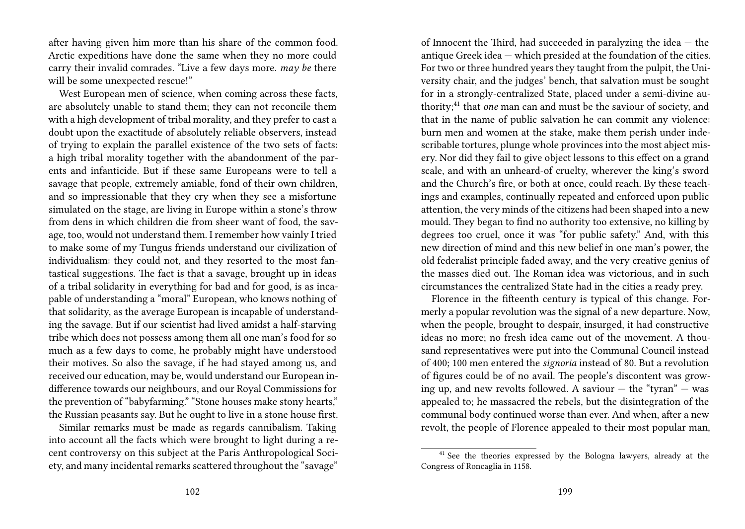after having given him more than his share of the common food. Arctic expeditions have done the same when they no more could carry their invalid comrades. "Live a few days more. *may be* there will be some unexpected rescue!"

West European men of science, when coming across these facts, are absolutely unable to stand them; they can not reconcile them with a high development of tribal morality, and they prefer to cast a doubt upon the exactitude of absolutely reliable observers, instead of trying to explain the parallel existence of the two sets of facts: a high tribal morality together with the abandonment of the parents and infanticide. But if these same Europeans were to tell a savage that people, extremely amiable, fond of their own children, and so impressionable that they cry when they see a misfortune simulated on the stage, are living in Europe within a stone's throw from dens in which children die from sheer want of food, the savage, too, would not understand them. I remember how vainly I tried to make some of my Tungus friends understand our civilization of individualism: they could not, and they resorted to the most fantastical suggestions. The fact is that a savage, brought up in ideas of a tribal solidarity in everything for bad and for good, is as incapable of understanding a "moral" European, who knows nothing of that solidarity, as the average European is incapable of understanding the savage. But if our scientist had lived amidst a half-starving tribe which does not possess among them all one man's food for so much as a few days to come, he probably might have understood their motives. So also the savage, if he had stayed among us, and received our education, may be, would understand our European indifference towards our neighbours, and our Royal Commissions for the prevention of "babyfarming." "Stone houses make stony hearts," the Russian peasants say. But he ought to live in a stone house first.

Similar remarks must be made as regards cannibalism. Taking into account all the facts which were brought to light during a recent controversy on this subject at the Paris Anthropological Society, and many incidental remarks scattered throughout the "savage"

of Innocent the Third, had succeeded in paralyzing the idea — the antique Greek idea — which presided at the foundation of the cities. For two or three hundred years they taught from the pulpit, the University chair, and the judges' bench, that salvation must be sought for in a strongly-centralized State, placed under a semi-divine authority;<sup>41</sup> that *one* man can and must be the saviour of society, and that in the name of public salvation he can commit any violence: burn men and women at the stake, make them perish under indescribable tortures, plunge whole provinces into the most abject misery. Nor did they fail to give object lessons to this effect on a grand scale, and with an unheard-of cruelty, wherever the king's sword and the Church's fire, or both at once, could reach. By these teachings and examples, continually repeated and enforced upon public attention, the very minds of the citizens had been shaped into a new mould. They began to find no authority too extensive, no killing by degrees too cruel, once it was "for public safety." And, with this new direction of mind and this new belief in one man's power, the old federalist principle faded away, and the very creative genius of the masses died out. The Roman idea was victorious, and in such circumstances the centralized State had in the cities a ready prey.

Florence in the fifteenth century is typical of this change. Formerly a popular revolution was the signal of a new departure. Now, when the people, brought to despair, insurged, it had constructive ideas no more; no fresh idea came out of the movement. A thousand representatives were put into the Communal Council instead of 400; 100 men entered the *signoria* instead of 80. But a revolution of figures could be of no avail. The people's discontent was growing up, and new revolts followed. A saviour  $-$  the "tyran"  $-$  was appealed to; he massacred the rebels, but the disintegration of the communal body continued worse than ever. And when, after a new revolt, the people of Florence appealed to their most popular man,

<sup>&</sup>lt;sup>41</sup> See the theories expressed by the Bologna lawyers, already at the Congress of Roncaglia in 1158.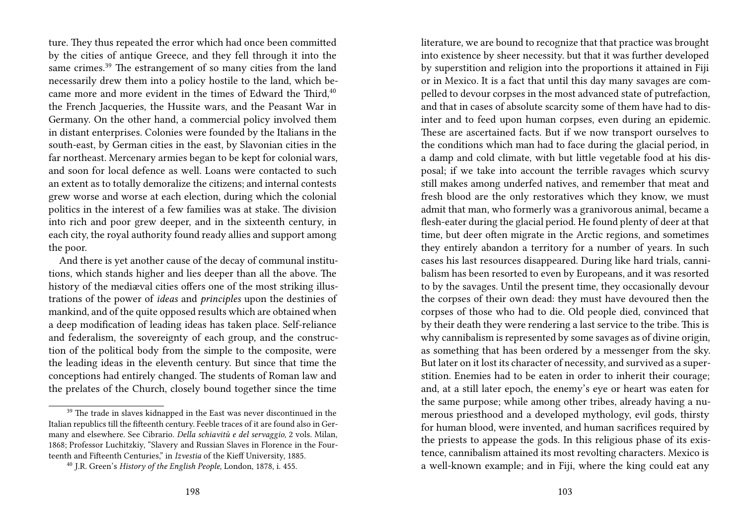ture. They thus repeated the error which had once been committed by the cities of antique Greece, and they fell through it into the same crimes.<sup>39</sup> The estrangement of so many cities from the land necessarily drew them into a policy hostile to the land, which became more and more evident in the times of Edward the Third.<sup>40</sup> the French Jacqueries, the Hussite wars, and the Peasant War in Germany. On the other hand, a commercial policy involved them in distant enterprises. Colonies were founded by the Italians in the south-east, by German cities in the east, by Slavonian cities in the far northeast. Mercenary armies began to be kept for colonial wars, and soon for local defence as well. Loans were contacted to such an extent as to totally demoralize the citizens; and internal contests grew worse and worse at each election, during which the colonial politics in the interest of a few families was at stake. The division into rich and poor grew deeper, and in the sixteenth century, in each city, the royal authority found ready allies and support among the poor.

And there is yet another cause of the decay of communal institutions, which stands higher and lies deeper than all the above. The history of the mediæval cities offers one of the most striking illustrations of the power of *ideas* and *principles* upon the destinies of mankind, and of the quite opposed results which are obtained when a deep modification of leading ideas has taken place. Self-reliance and federalism, the sovereignty of each group, and the construction of the political body from the simple to the composite, were the leading ideas in the eleventh century. But since that time the conceptions had entirely changed. The students of Roman law and the prelates of the Church, closely bound together since the time

literature, we are bound to recognize that that practice was brought into existence by sheer necessity. but that it was further developed by superstition and religion into the proportions it attained in Fiji or in Mexico. It is a fact that until this day many savages are compelled to devour corpses in the most advanced state of putrefaction, and that in cases of absolute scarcity some of them have had to disinter and to feed upon human corpses, even during an epidemic. These are ascertained facts. But if we now transport ourselves to the conditions which man had to face during the glacial period, in a damp and cold climate, with but little vegetable food at his disposal; if we take into account the terrible ravages which scurvy still makes among underfed natives, and remember that meat and fresh blood are the only restoratives which they know, we must admit that man, who formerly was a granivorous animal, became a flesh-eater during the glacial period. He found plenty of deer at that time, but deer often migrate in the Arctic regions, and sometimes they entirely abandon a territory for a number of years. In such cases his last resources disappeared. During like hard trials, cannibalism has been resorted to even by Europeans, and it was resorted to by the savages. Until the present time, they occasionally devour the corpses of their own dead: they must have devoured then the corpses of those who had to die. Old people died, convinced that by their death they were rendering a last service to the tribe. This is why cannibalism is represented by some savages as of divine origin, as something that has been ordered by a messenger from the sky. But later on it lost its character of necessity, and survived as a superstition. Enemies had to be eaten in order to inherit their courage; and, at a still later epoch, the enemy's eye or heart was eaten for the same purpose; while among other tribes, already having a numerous priesthood and a developed mythology, evil gods, thirsty for human blood, were invented, and human sacrifices required by the priests to appease the gods. In this religious phase of its existence, cannibalism attained its most revolting characters. Mexico is a well-known example; and in Fiji, where the king could eat any

<sup>&</sup>lt;sup>39</sup> The trade in slaves kidnapped in the East was never discontinued in the Italian republics till the fifteenth century. Feeble traces of it are found also in Germany and elsewhere. See Cibrario. *Della schiavitù e del servaggio*, 2 vols. Milan, 1868; Professor Luchitzkiy, "Slavery and Russian Slaves in Florence in the Fourteenth and Fifteenth Centuries," in *Izvestia* of the Kieff University, 1885.

<sup>40</sup> J.R. Green's *History of the English People*, London, 1878, i. 455.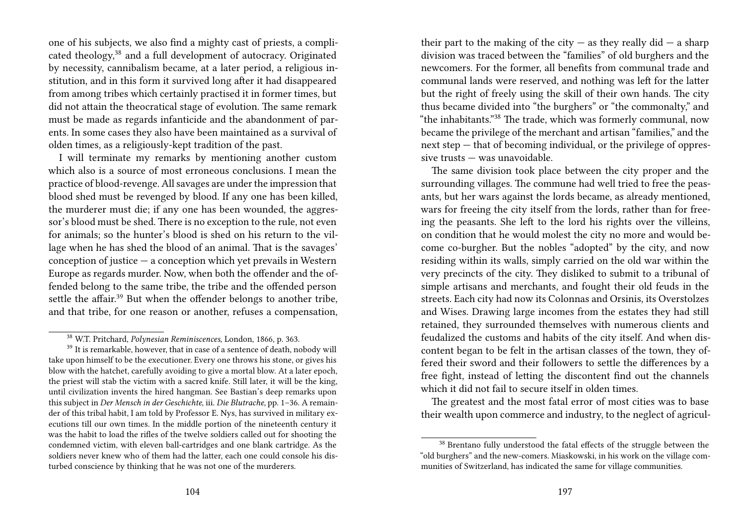one of his subjects, we also find a mighty cast of priests, a complicated theology,<sup>38</sup> and a full development of autocracy. Originated by necessity, cannibalism became, at a later period, a religious institution, and in this form it survived long after it had disappeared from among tribes which certainly practised it in former times, but did not attain the theocratical stage of evolution. The same remark must be made as regards infanticide and the abandonment of parents. In some cases they also have been maintained as a survival of olden times, as a religiously-kept tradition of the past.

I will terminate my remarks by mentioning another custom which also is a source of most erroneous conclusions. I mean the practice of blood-revenge. All savages are under the impression that blood shed must be revenged by blood. If any one has been killed, the murderer must die; if any one has been wounded, the aggressor's blood must be shed. There is no exception to the rule, not even for animals; so the hunter's blood is shed on his return to the village when he has shed the blood of an animal. That is the savages' conception of justice  $-$  a conception which yet prevails in Western Europe as regards murder. Now, when both the offender and the offended belong to the same tribe, the tribe and the offended person settle the affair.<sup>39</sup> But when the offender belongs to another tribe, and that tribe, for one reason or another, refuses a compensation,

their part to the making of the city  $-$  as they really did  $-$  a sharp division was traced between the "families" of old burghers and the newcomers. For the former, all benefits from communal trade and communal lands were reserved, and nothing was left for the latter but the right of freely using the skill of their own hands. The city thus became divided into "the burghers" or "the commonalty," and "the inhabitants."<sup>38</sup> The trade, which was formerly communal, now became the privilege of the merchant and artisan "families," and the next step — that of becoming individual, or the privilege of oppressive trusts — was unavoidable.

The same division took place between the city proper and the surrounding villages. The commune had well tried to free the peasants, but her wars against the lords became, as already mentioned, wars for freeing the city itself from the lords, rather than for freeing the peasants. She left to the lord his rights over the villeins, on condition that he would molest the city no more and would become co-burgher. But the nobles "adopted" by the city, and now residing within its walls, simply carried on the old war within the very precincts of the city. They disliked to submit to a tribunal of simple artisans and merchants, and fought their old feuds in the streets. Each city had now its Colonnas and Orsinis, its Overstolzes and Wises. Drawing large incomes from the estates they had still retained, they surrounded themselves with numerous clients and feudalized the customs and habits of the city itself. And when discontent began to be felt in the artisan classes of the town, they offered their sword and their followers to settle the differences by a free fight, instead of letting the discontent find out the channels which it did not fail to secure itself in olden times.

The greatest and the most fatal error of most cities was to base their wealth upon commerce and industry, to the neglect of agricul-

<sup>38</sup> W.T. Pritchard, *Polynesian Reminiscences*, London, 1866, p. 363.

<sup>&</sup>lt;sup>39</sup> It is remarkable, however, that in case of a sentence of death, nobody will take upon himself to be the executioner. Every one throws his stone, or gives his blow with the hatchet, carefully avoiding to give a mortal blow. At a later epoch, the priest will stab the victim with a sacred knife. Still later, it will be the king, until civilization invents the hired hangman. See Bastian's deep remarks upon this subject in *Der Mensch in der Geschichte*, iii. *Die Blutrache*, pp. 1–36. A remainder of this tribal habit, I am told by Professor E. Nys, has survived in military executions till our own times. In the middle portion of the nineteenth century it was the habit to load the rifles of the twelve soldiers called out for shooting the condemned victim, with eleven ball-cartridges and one blank cartridge. As the soldiers never knew who of them had the latter, each one could console his disturbed conscience by thinking that he was not one of the murderers.

<sup>&</sup>lt;sup>38</sup> Brentano fully understood the fatal effects of the struggle between the "old burghers" and the new-comers. Miaskowski, in his work on the village communities of Switzerland, has indicated the same for village communities.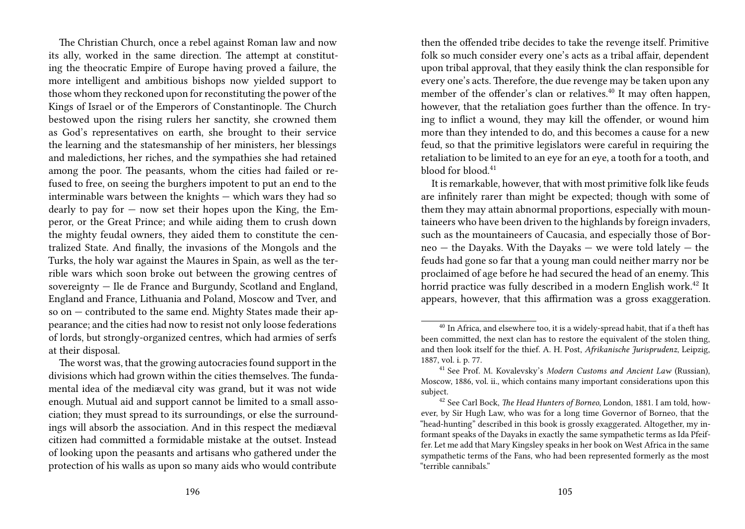The Christian Church, once a rebel against Roman law and now its ally, worked in the same direction. The attempt at constituting the theocratic Empire of Europe having proved a failure, the more intelligent and ambitious bishops now yielded support to those whom they reckoned upon for reconstituting the power of the Kings of Israel or of the Emperors of Constantinople. The Church bestowed upon the rising rulers her sanctity, she crowned them as God's representatives on earth, she brought to their service the learning and the statesmanship of her ministers, her blessings and maledictions, her riches, and the sympathies she had retained among the poor. The peasants, whom the cities had failed or refused to free, on seeing the burghers impotent to put an end to the interminable wars between the knights — which wars they had so dearly to pay for  $-$  now set their hopes upon the King, the Emperor, or the Great Prince; and while aiding them to crush down the mighty feudal owners, they aided them to constitute the centralized State. And finally, the invasions of the Mongols and the Turks, the holy war against the Maures in Spain, as well as the terrible wars which soon broke out between the growing centres of sovereignty — Ile de France and Burgundy, Scotland and England, England and France, Lithuania and Poland, Moscow and Tver, and so on — contributed to the same end. Mighty States made their appearance; and the cities had now to resist not only loose federations of lords, but strongly-organized centres, which had armies of serfs at their disposal.

The worst was, that the growing autocracies found support in the divisions which had grown within the cities themselves. The fundamental idea of the mediæval city was grand, but it was not wide enough. Mutual aid and support cannot be limited to a small association; they must spread to its surroundings, or else the surroundings will absorb the association. And in this respect the mediæval citizen had committed a formidable mistake at the outset. Instead of looking upon the peasants and artisans who gathered under the protection of his walls as upon so many aids who would contribute

then the offended tribe decides to take the revenge itself. Primitive folk so much consider every one's acts as a tribal affair, dependent upon tribal approval, that they easily think the clan responsible for every one's acts. Therefore, the due revenge may be taken upon any member of the offender's clan or relatives.<sup>40</sup> It may often happen, however, that the retaliation goes further than the offence. In trying to inflict a wound, they may kill the offender, or wound him more than they intended to do, and this becomes a cause for a new feud, so that the primitive legislators were careful in requiring the retaliation to be limited to an eye for an eye, a tooth for a tooth, and blood for blood.<sup>41</sup>

It is remarkable, however, that with most primitive folk like feuds are infinitely rarer than might be expected; though with some of them they may attain abnormal proportions, especially with mountaineers who have been driven to the highlands by foreign invaders, such as the mountaineers of Caucasia, and especially those of Bor $neo - the$  Dayaks. With the Dayaks  $-$  we were told lately  $-$  the feuds had gone so far that a young man could neither marry nor be proclaimed of age before he had secured the head of an enemy. This horrid practice was fully described in a modern English work.<sup>42</sup> It appears, however, that this affirmation was a gross exaggeration.

 $40$  In Africa, and elsewhere too, it is a widely-spread habit, that if a theft has been committed, the next clan has to restore the equivalent of the stolen thing, and then look itself for the thief. A. H. Post, *Afrikanische Jurisprudenz*, Leipzig, 1887, vol. i. p. 77.

<sup>41</sup> See Prof. M. Kovalevsky's *Modern Customs and Ancient Law* (Russian), Moscow, 1886, vol. ii., which contains many important considerations upon this subject.

<sup>42</sup> See Carl Bock, *The Head Hunters of Borneo*, London, 1881. I am told, however, by Sir Hugh Law, who was for a long time Governor of Borneo, that the "head-hunting" described in this book is grossly exaggerated. Altogether, my informant speaks of the Dayaks in exactly the same sympathetic terms as Ida Pfeiffer. Let me add that Mary Kingsley speaks in her book on West Africa in the same sympathetic terms of the Fans, who had been represented formerly as the most "terrible cannibals."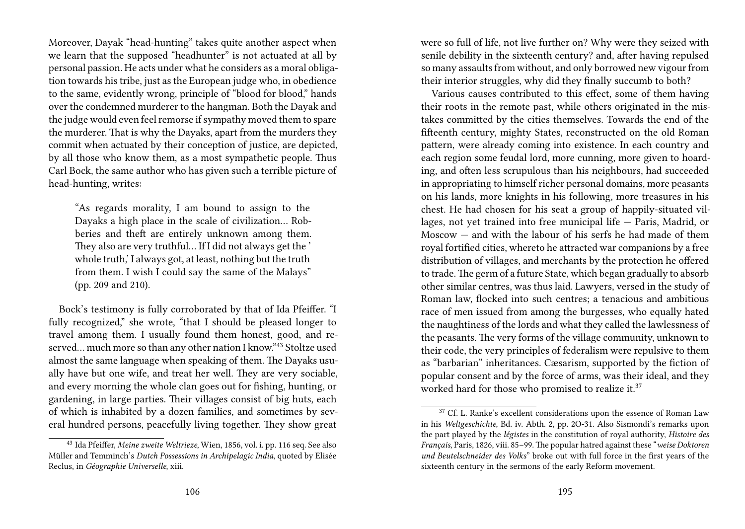Moreover, Dayak "head-hunting" takes quite another aspect when we learn that the supposed "headhunter" is not actuated at all by personal passion. He acts under what he considers as a moral obligation towards his tribe, just as the European judge who, in obedience to the same, evidently wrong, principle of "blood for blood," hands over the condemned murderer to the hangman. Both the Dayak and the judge would even feel remorse if sympathy moved them to spare the murderer. That is why the Dayaks, apart from the murders they commit when actuated by their conception of justice, are depicted, by all those who know them, as a most sympathetic people. Thus Carl Bock, the same author who has given such a terrible picture of head-hunting, writes:

"As regards morality, I am bound to assign to the Dayaks a high place in the scale of civilization… Robberies and theft are entirely unknown among them. They also are very truthful… If I did not always get the ' whole truth,' I always got, at least, nothing but the truth from them. I wish I could say the same of the Malays" (pp. 209 and 210).

Bock's testimony is fully corroborated by that of Ida Pfeiffer. "I fully recognized," she wrote, "that I should be pleased longer to travel among them. I usually found them honest, good, and reserved… much more so than any other nation I know."<sup>43</sup> Stoltze used almost the same language when speaking of them. The Dayaks usually have but one wife, and treat her well. They are very sociable, and every morning the whole clan goes out for fishing, hunting, or gardening, in large parties. Their villages consist of big huts, each of which is inhabited by a dozen families, and sometimes by several hundred persons, peacefully living together. They show great

were so full of life, not live further on? Why were they seized with senile debility in the sixteenth century? and, after having repulsed so many assaults from without, and only borrowed new vigour from their interior struggles, why did they finally succumb to both?

Various causes contributed to this effect, some of them having their roots in the remote past, while others originated in the mistakes committed by the cities themselves. Towards the end of the fifteenth century, mighty States, reconstructed on the old Roman pattern, were already coming into existence. In each country and each region some feudal lord, more cunning, more given to hoarding, and often less scrupulous than his neighbours, had succeeded in appropriating to himself richer personal domains, more peasants on his lands, more knights in his following, more treasures in his chest. He had chosen for his seat a group of happily-situated villages, not yet trained into free municipal life — Paris, Madrid, or  $M$ oscow  $-$  and with the labour of his serfs he had made of them royal fortified cities, whereto he attracted war companions by a free distribution of villages, and merchants by the protection he offered to trade.The germ of a future State, which began gradually to absorb other similar centres, was thus laid. Lawyers, versed in the study of Roman law, flocked into such centres; a tenacious and ambitious race of men issued from among the burgesses, who equally hated the naughtiness of the lords and what they called the lawlessness of the peasants. The very forms of the village community, unknown to their code, the very principles of federalism were repulsive to them as "barbarian" inheritances. Cæsarism, supported by the fiction of popular consent and by the force of arms, was their ideal, and they worked hard for those who promised to realize it.<sup>37</sup>

<sup>43</sup> Ida Pfeiffer, *Meine zweite Weltrieze*, Wien, 1856, vol. i. pp. 116 seq. See also Müller and Temminch's *Dutch Possessions in Archipelagic India*, quoted by Elisée Reclus, in *Géographie Universelle*, xiii.

<sup>&</sup>lt;sup>37</sup> Cf. L. Ranke's excellent considerations upon the essence of Roman Law in his *Weltgeschichte*, Bd. iv. Abth. 2, pp. 2O-31. Also Sismondi's remarks upon the part played by the *légistes* in the constitution of royal authority, *Histoire des Français*, Paris, 1826, viii. 85–99. The popular hatred against these "*weise Doktoren und Beutelschneider des Volks*" broke out with full force in the first years of the sixteenth century in the sermons of the early Reform movement.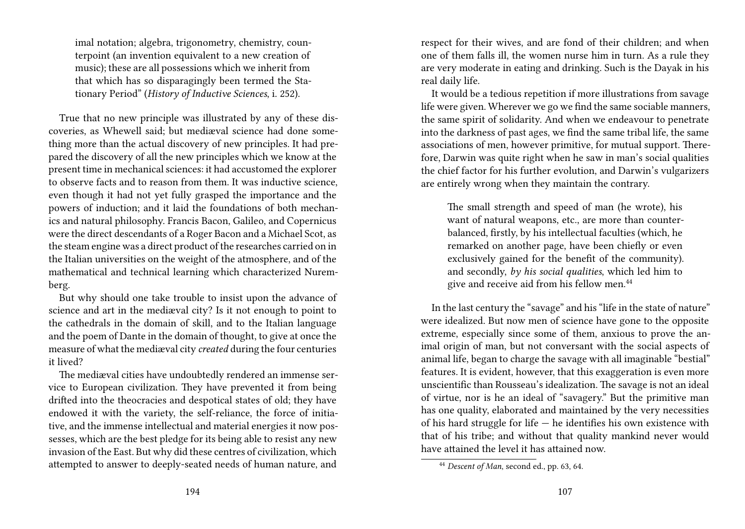imal notation; algebra, trigonometry, chemistry, counterpoint (an invention equivalent to a new creation of music); these are all possessions which we inherit from that which has so disparagingly been termed the Stationary Period" (*History of Inductive Sciences*, i. 252).

True that no new principle was illustrated by any of these discoveries, as Whewell said; but mediæval science had done something more than the actual discovery of new principles. It had prepared the discovery of all the new principles which we know at the present time in mechanical sciences: it had accustomed the explorer to observe facts and to reason from them. It was inductive science, even though it had not yet fully grasped the importance and the powers of induction; and it laid the foundations of both mechanics and natural philosophy. Francis Bacon, Galileo, and Copernicus were the direct descendants of a Roger Bacon and a Michael Scot, as the steam engine was a direct product of the researches carried on in the Italian universities on the weight of the atmosphere, and of the mathematical and technical learning which characterized Nuremberg.

But why should one take trouble to insist upon the advance of science and art in the mediæval city? Is it not enough to point to the cathedrals in the domain of skill, and to the Italian language and the poem of Dante in the domain of thought, to give at once the measure of what the mediæval city *created* during the four centuries it lived?

The mediæval cities have undoubtedly rendered an immense service to European civilization. They have prevented it from being drifted into the theocracies and despotical states of old; they have endowed it with the variety, the self-reliance, the force of initiative, and the immense intellectual and material energies it now possesses, which are the best pledge for its being able to resist any new invasion of the East. But why did these centres of civilization, which attempted to answer to deeply-seated needs of human nature, and

respect for their wives, and are fond of their children; and when one of them falls ill, the women nurse him in turn. As a rule they are very moderate in eating and drinking. Such is the Dayak in his real daily life.

It would be a tedious repetition if more illustrations from savage life were given. Wherever we go we find the same sociable manners, the same spirit of solidarity. And when we endeavour to penetrate into the darkness of past ages, we find the same tribal life, the same associations of men, however primitive, for mutual support. Therefore, Darwin was quite right when he saw in man's social qualities the chief factor for his further evolution, and Darwin's vulgarizers are entirely wrong when they maintain the contrary.

The small strength and speed of man (he wrote), his want of natural weapons, etc., are more than counterbalanced, firstly, by his intellectual faculties (which, he remarked on another page, have been chiefly or even exclusively gained for the benefit of the community). and secondly, *by his social qualities*, which led him to give and receive aid from his fellow men.<sup>44</sup>

In the last century the "savage" and his "life in the state of nature" were idealized. But now men of science have gone to the opposite extreme, especially since some of them, anxious to prove the animal origin of man, but not conversant with the social aspects of animal life, began to charge the savage with all imaginable "bestial" features. It is evident, however, that this exaggeration is even more unscientific than Rousseau's idealization. The savage is not an ideal of virtue, nor is he an ideal of "savagery." But the primitive man has one quality, elaborated and maintained by the very necessities of his hard struggle for life — he identifies his own existence with that of his tribe; and without that quality mankind never would have attained the level it has attained now.

<sup>44</sup> *Descent of Man*, second ed., pp. 63, 64.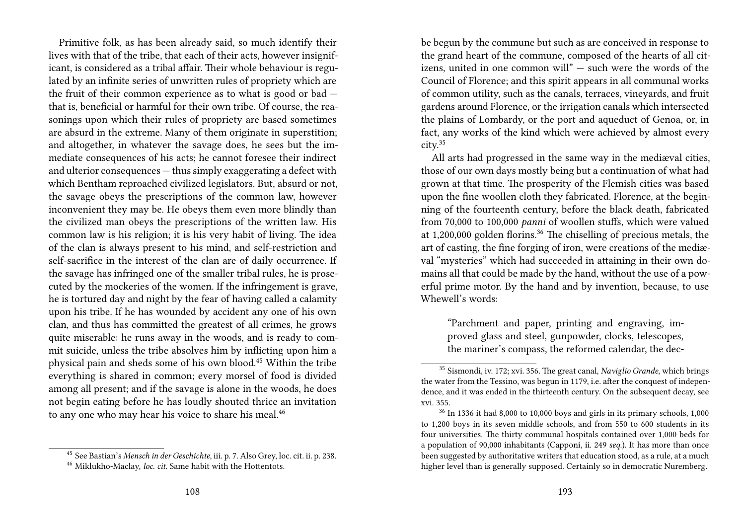Primitive folk, as has been already said, so much identify their lives with that of the tribe, that each of their acts, however insignificant, is considered as a tribal affair. Their whole behaviour is regulated by an infinite series of unwritten rules of propriety which are the fruit of their common experience as to what is good or bad that is, beneficial or harmful for their own tribe. Of course, the reasonings upon which their rules of propriety are based sometimes are absurd in the extreme. Many of them originate in superstition; and altogether, in whatever the savage does, he sees but the immediate consequences of his acts; he cannot foresee their indirect and ulterior consequences — thus simply exaggerating a defect with which Bentham reproached civilized legislators. But, absurd or not, the savage obeys the prescriptions of the common law, however inconvenient they may be. He obeys them even more blindly than the civilized man obeys the prescriptions of the written law. His common law is his religion; it is his very habit of living. The idea of the clan is always present to his mind, and self-restriction and self-sacrifice in the interest of the clan are of daily occurrence. If the savage has infringed one of the smaller tribal rules, he is prosecuted by the mockeries of the women. If the infringement is grave, he is tortured day and night by the fear of having called a calamity upon his tribe. If he has wounded by accident any one of his own clan, and thus has committed the greatest of all crimes, he grows quite miserable: he runs away in the woods, and is ready to commit suicide, unless the tribe absolves him by inflicting upon him a physical pain and sheds some of his own blood.<sup>45</sup> Within the tribe everything is shared in common; every morsel of food is divided among all present; and if the savage is alone in the woods, he does not begin eating before he has loudly shouted thrice an invitation to any one who may hear his voice to share his meal.<sup>46</sup>

<sup>45</sup> See Bastian's *Mensch in der Geschichte*, iii. p. 7. Also Grey, loc. cit. ii. p. 238.

be begun by the commune but such as are conceived in response to the grand heart of the commune, composed of the hearts of all citizens, united in one common will" — such were the words of the Council of Florence; and this spirit appears in all communal works of common utility, such as the canals, terraces, vineyards, and fruit gardens around Florence, or the irrigation canals which intersected the plains of Lombardy, or the port and aqueduct of Genoa, or, in fact, any works of the kind which were achieved by almost every city.<sup>35</sup>

All arts had progressed in the same way in the mediæval cities, those of our own days mostly being but a continuation of what had grown at that time. The prosperity of the Flemish cities was based upon the fine woollen cloth they fabricated. Florence, at the beginning of the fourteenth century, before the black death, fabricated from 70,000 to 100,000 *panni* of woollen stuffs, which were valued at 1,200,000 golden florins. $36$  The chiselling of precious metals, the art of casting, the fine forging of iron, were creations of the mediæval "mysteries" which had succeeded in attaining in their own domains all that could be made by the hand, without the use of a powerful prime motor. By the hand and by invention, because, to use Whewell's words:

"Parchment and paper, printing and engraving, improved glass and steel, gunpowder, clocks, telescopes, the mariner's compass, the reformed calendar, the dec-

<sup>46</sup> Miklukho-Maclay, *loc. cit.* Same habit with the Hottentots.

<sup>35</sup> Sismondi, iv. 172; xvi. 356. The great canal, *Naviglio Grande*, which brings the water from the Tessino, was begun in 1179, i.e. after the conquest of independence, and it was ended in the thirteenth century. On the subsequent decay, see xvi. 355.

<sup>36</sup> In 1336 it had 8,000 to 10,000 boys and girls in its primary schools, 1,000 to 1,200 boys in its seven middle schools, and from 550 to 600 students in its four universities. The thirty communal hospitals contained over 1,000 beds for a population of 90,000 inhabitants (Capponi, ii. 249 *seq*.). It has more than once been suggested by authoritative writers that education stood, as a rule, at a much higher level than is generally supposed. Certainly so in democratic Nuremberg.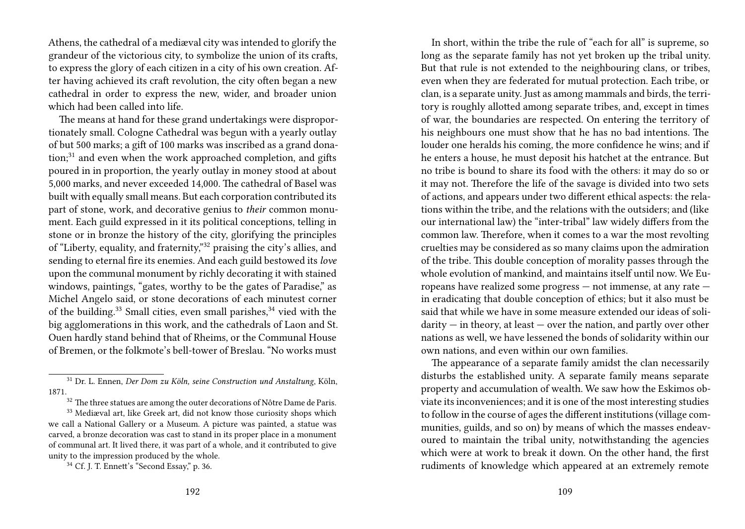Athens, the cathedral of a mediæval city was intended to glorify the grandeur of the victorious city, to symbolize the union of its crafts, to express the glory of each citizen in a city of his own creation. After having achieved its craft revolution, the city often began a new cathedral in order to express the new, wider, and broader union which had been called into life.

The means at hand for these grand undertakings were disproportionately small. Cologne Cathedral was begun with a yearly outlay of but 500 marks; a gift of 100 marks was inscribed as a grand dona- $\chi$  tion;<sup>31</sup> and even when the work approached completion, and gifts poured in in proportion, the yearly outlay in money stood at about 5,000 marks, and never exceeded 14,000. The cathedral of Basel was built with equally small means. But each corporation contributed its part of stone, work, and decorative genius to *their* common monument. Each guild expressed in it its political conceptions, telling in stone or in bronze the history of the city, glorifying the principles of "Liberty, equality, and fraternity,"<sup>32</sup> praising the city's allies, and sending to eternal fire its enemies. And each guild bestowed its *love* upon the communal monument by richly decorating it with stained windows, paintings, "gates, worthy to be the gates of Paradise," as Michel Angelo said, or stone decorations of each minutest corner of the building. $33$  Small cities, even small parishes, $34$  vied with the big agglomerations in this work, and the cathedrals of Laon and St. Ouen hardly stand behind that of Rheims, or the Communal House of Bremen, or the folkmote's bell-tower of Breslau. "No works must

In short, within the tribe the rule of "each for all" is supreme, so long as the separate family has not yet broken up the tribal unity. But that rule is not extended to the neighbouring clans, or tribes, even when they are federated for mutual protection. Each tribe, or clan, is a separate unity. Just as among mammals and birds, the territory is roughly allotted among separate tribes, and, except in times of war, the boundaries are respected. On entering the territory of his neighbours one must show that he has no bad intentions. The louder one heralds his coming, the more confidence he wins; and if he enters a house, he must deposit his hatchet at the entrance. But no tribe is bound to share its food with the others: it may do so or it may not. Therefore the life of the savage is divided into two sets of actions, and appears under two different ethical aspects: the relations within the tribe, and the relations with the outsiders; and (like our international law) the "inter-tribal" law widely differs from the common law. Therefore, when it comes to a war the most revolting cruelties may be considered as so many claims upon the admiration of the tribe. This double conception of morality passes through the whole evolution of mankind, and maintains itself until now. We Europeans have realized some progress — not immense, at any rate in eradicating that double conception of ethics; but it also must be said that while we have in some measure extended our ideas of soli $d$ arity  $-$  in theory, at least  $-$  over the nation, and partly over other nations as well, we have lessened the bonds of solidarity within our own nations, and even within our own families.

The appearance of a separate family amidst the clan necessarily disturbs the established unity. A separate family means separate property and accumulation of wealth. We saw how the Eskimos obviate its inconveniences; and it is one of the most interesting studies to follow in the course of ages the different institutions (village communities, guilds, and so on) by means of which the masses endeavoured to maintain the tribal unity, notwithstanding the agencies which were at work to break it down. On the other hand, the first rudiments of knowledge which appeared at an extremely remote

<sup>31</sup> Dr. L. Ennen, *Der Dom zu Köln, seine Construction und Anstaltung*, Köln, 1871.

 $32$  The three statues are among the outer decorations of Nôtre Dame de Paris.

<sup>&</sup>lt;sup>33</sup> Mediæval art, like Greek art, did not know those curiosity shops which we call a National Gallery or a Museum. A picture was painted, a statue was carved, a bronze decoration was cast to stand in its proper place in a monument of communal art. It lived there, it was part of a whole, and it contributed to give unity to the impression produced by the whole.

<sup>&</sup>lt;sup>34</sup> Cf. J. T. Ennett's "Second Essay," p. 36.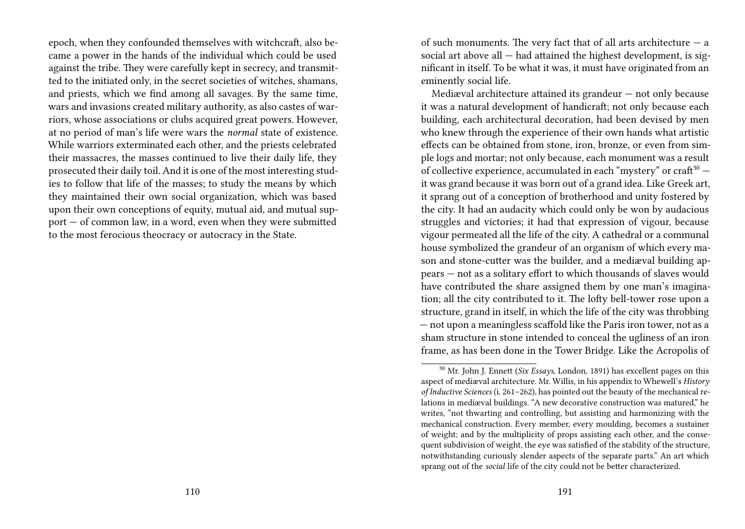epoch, when they confounded themselves with witchcraft, also became a power in the hands of the individual which could be used against the tribe. They were carefully kept in secrecy, and transmitted to the initiated only, in the secret societies of witches, shamans, and priests, which we find among all savages. By the same time, wars and invasions created military authority, as also castes of warriors, whose associations or clubs acquired great powers. However, at no period of man's life were wars the *normal* state of existence. While warriors exterminated each other, and the priests celebrated their massacres, the masses continued to live their daily life, they prosecuted their daily toil. And it is one of the most interesting studies to follow that life of the masses; to study the means by which they maintained their own social organization, which was based upon their own conceptions of equity, mutual aid, and mutual support — of common law, in a word, even when they were submitted to the most ferocious theocracy or autocracy in the State.

of such monuments. The very fact that of all arts architecture  $-$  a social art above all  $-$  had attained the highest development, is significant in itself. To be what it was, it must have originated from an eminently social life.

Mediæval architecture attained its grandeur — not only because it was a natural development of handicraft; not only because each building, each architectural decoration, had been devised by men who knew through the experience of their own hands what artistic effects can be obtained from stone, iron, bronze, or even from simple logs and mortar; not only because, each monument was a result of collective experience, accumulated in each "mystery" or craft $30$ it was grand because it was born out of a grand idea. Like Greek art, it sprang out of a conception of brotherhood and unity fostered by the city. It had an audacity which could only be won by audacious struggles and victories; it had that expression of vigour, because vigour permeated all the life of the city. A cathedral or a communal house symbolized the grandeur of an organism of which every mason and stone-cutter was the builder, and a mediæval building appears — not as a solitary effort to which thousands of slaves would have contributed the share assigned them by one man's imagination; all the city contributed to it. The lofty bell-tower rose upon a structure, grand in itself, in which the life of the city was throbbing — not upon a meaningless scaffold like the Paris iron tower, not as a sham structure in stone intended to conceal the ugliness of an iron frame, as has been done in the Tower Bridge. Like the Acropolis of

<sup>30</sup> Mr. John J. Ennett (*Six Essays*, London, 1891) has excellent pages on this aspect of mediæval architecture. Mr. Willis, in his appendix to Whewell's *History of Inductive Sciences* (i. 261–262), has pointed out the beauty of the mechanical relations in mediæval buildings. "A new decorative construction was matured," he writes, "not thwarting and controlling, but assisting and harmonizing with the mechanical construction. Every member, every moulding, becomes a sustainer of weight; and by the multiplicity of props assisting each other, and the consequent subdivision of weight, the eye was satisfied of the stability of the structure, notwithstanding curiously slender aspects of the separate parts." An art which sprang out of the *social* life of the city could not be better characterized.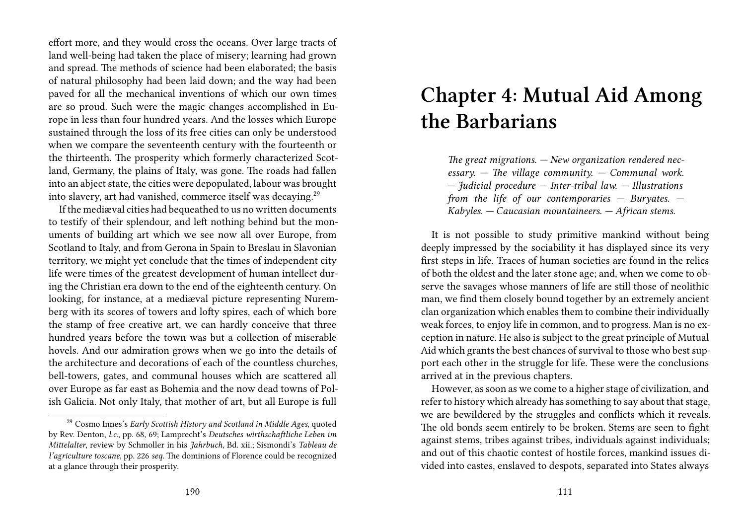effort more, and they would cross the oceans. Over large tracts of land well-being had taken the place of misery; learning had grown and spread. The methods of science had been elaborated; the basis of natural philosophy had been laid down; and the way had been paved for all the mechanical inventions of which our own times are so proud. Such were the magic changes accomplished in Europe in less than four hundred years. And the losses which Europe sustained through the loss of its free cities can only be understood when we compare the seventeenth century with the fourteenth or the thirteenth. The prosperity which formerly characterized Scotland, Germany, the plains of Italy, was gone. The roads had fallen into an abject state, the cities were depopulated, labour was brought into slavery, art had vanished, commerce itself was decaying.<sup>29</sup>

If the mediæval cities had bequeathed to us no written documents to testify of their splendour, and left nothing behind but the monuments of building art which we see now all over Europe, from Scotland to Italy, and from Gerona in Spain to Breslau in Slavonian territory, we might yet conclude that the times of independent city life were times of the greatest development of human intellect during the Christian era down to the end of the eighteenth century. On looking, for instance, at a mediæval picture representing Nuremberg with its scores of towers and lofty spires, each of which bore the stamp of free creative art, we can hardly conceive that three hundred years before the town was but a collection of miserable hovels. And our admiration grows when we go into the details of the architecture and decorations of each of the countless churches, bell-towers, gates, and communal houses which are scattered all over Europe as far east as Bohemia and the now dead towns of Polish Galicia. Not only Italy, that mother of art, but all Europe is full

## **Chapter 4: Mutual Aid Among the Barbarians**

*The great migrations. — New organization rendered necessary. — The village community. — Communal work. — Judicial procedure — Inter-tribal law. — Illustrations from the life of our contemporaries — Buryates. — Kabyles. — Caucasian mountaineers. — African stems.*

It is not possible to study primitive mankind without being deeply impressed by the sociability it has displayed since its very first steps in life. Traces of human societies are found in the relics of both the oldest and the later stone age; and, when we come to observe the savages whose manners of life are still those of neolithic man, we find them closely bound together by an extremely ancient clan organization which enables them to combine their individually weak forces, to enjoy life in common, and to progress. Man is no exception in nature. He also is subject to the great principle of Mutual Aid which grants the best chances of survival to those who best support each other in the struggle for life. These were the conclusions arrived at in the previous chapters.

However, as soon as we come to a higher stage of civilization, and refer to history which already has something to say about that stage, we are bewildered by the struggles and conflicts which it reveals. The old bonds seem entirely to be broken. Stems are seen to fight against stems, tribes against tribes, individuals against individuals; and out of this chaotic contest of hostile forces, mankind issues divided into castes, enslaved to despots, separated into States always

<sup>29</sup> Cosmo Innes's *Early Scottish History and Scotland in Middle Ages*, quoted by Rev. Denton, *l.c.*, pp. 68, 69; Lamprecht's *Deutsches wirthschaftliche Leben im Mittelalter*, review by Schmoller in his *Jahrbuch*, Bd. xii.; Sismondi's *Tableau de l'agriculture toscane*, pp. 226 *seq*. The dominions of Florence could be recognized at a glance through their prosperity.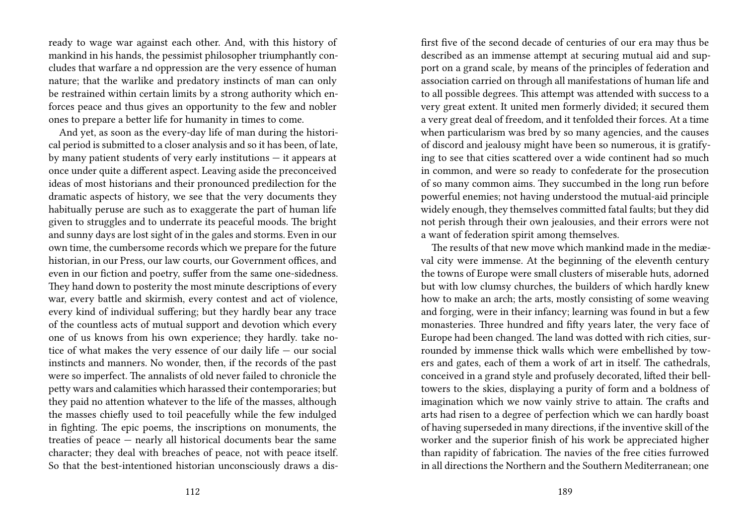ready to wage war against each other. And, with this history of mankind in his hands, the pessimist philosopher triumphantly concludes that warfare a nd oppression are the very essence of human nature; that the warlike and predatory instincts of man can only be restrained within certain limits by a strong authority which enforces peace and thus gives an opportunity to the few and nobler ones to prepare a better life for humanity in times to come.

And yet, as soon as the every-day life of man during the historical period is submitted to a closer analysis and so it has been, of late, by many patient students of very early institutions — it appears at once under quite a different aspect. Leaving aside the preconceived ideas of most historians and their pronounced predilection for the dramatic aspects of history, we see that the very documents they habitually peruse are such as to exaggerate the part of human life given to struggles and to underrate its peaceful moods. The bright and sunny days are lost sight of in the gales and storms. Even in our own time, the cumbersome records which we prepare for the future historian, in our Press, our law courts, our Government offices, and even in our fiction and poetry, suffer from the same one-sidedness. They hand down to posterity the most minute descriptions of every war, every battle and skirmish, every contest and act of violence, every kind of individual suffering; but they hardly bear any trace of the countless acts of mutual support and devotion which every one of us knows from his own experience; they hardly. take notice of what makes the very essence of our daily life — our social instincts and manners. No wonder, then, if the records of the past were so imperfect. The annalists of old never failed to chronicle the petty wars and calamities which harassed their contemporaries; but they paid no attention whatever to the life of the masses, although the masses chiefly used to toil peacefully while the few indulged in fighting. The epic poems, the inscriptions on monuments, the treaties of peace — nearly all historical documents bear the same character; they deal with breaches of peace, not with peace itself. So that the best-intentioned historian unconsciously draws a dis-

first five of the second decade of centuries of our era may thus be described as an immense attempt at securing mutual aid and support on a grand scale, by means of the principles of federation and association carried on through all manifestations of human life and to all possible degrees. This attempt was attended with success to a very great extent. It united men formerly divided; it secured them a very great deal of freedom, and it tenfolded their forces. At a time when particularism was bred by so many agencies, and the causes of discord and jealousy might have been so numerous, it is gratifying to see that cities scattered over a wide continent had so much in common, and were so ready to confederate for the prosecution of so many common aims. They succumbed in the long run before powerful enemies; not having understood the mutual-aid principle widely enough, they themselves committed fatal faults; but they did not perish through their own jealousies, and their errors were not a want of federation spirit among themselves.

The results of that new move which mankind made in the mediæval city were immense. At the beginning of the eleventh century the towns of Europe were small clusters of miserable huts, adorned but with low clumsy churches, the builders of which hardly knew how to make an arch; the arts, mostly consisting of some weaving and forging, were in their infancy; learning was found in but a few monasteries. Three hundred and fifty years later, the very face of Europe had been changed. The land was dotted with rich cities, surrounded by immense thick walls which were embellished by towers and gates, each of them a work of art in itself. The cathedrals, conceived in a grand style and profusely decorated, lifted their belltowers to the skies, displaying a purity of form and a boldness of imagination which we now vainly strive to attain. The crafts and arts had risen to a degree of perfection which we can hardly boast of having superseded in many directions, if the inventive skill of the worker and the superior finish of his work be appreciated higher than rapidity of fabrication. The navies of the free cities furrowed in all directions the Northern and the Southern Mediterranean; one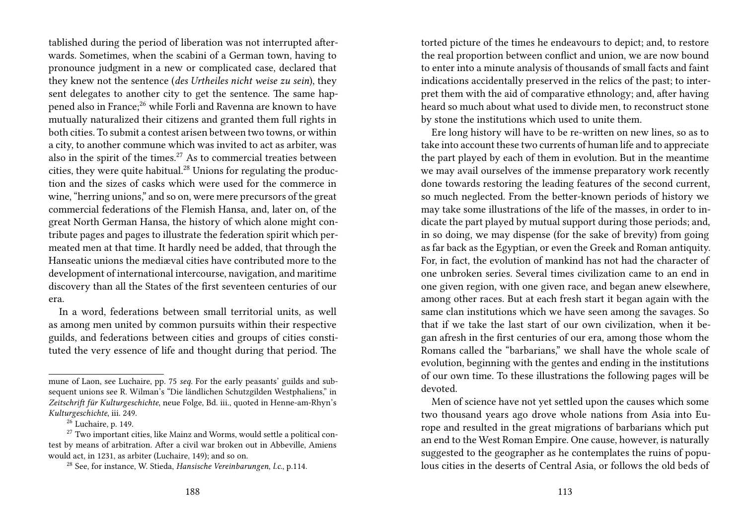tablished during the period of liberation was not interrupted afterwards. Sometimes, when the scabini of a German town, having to pronounce judgment in a new or complicated case, declared that they knew not the sentence (*des Urtheiles nicht weise zu sein*), they sent delegates to another city to get the sentence. The same happened also in France;<sup>26</sup> while Forli and Ravenna are known to have mutually naturalized their citizens and granted them full rights in both cities. To submit a contest arisen between two towns, or within a city, to another commune which was invited to act as arbiter, was also in the spirit of the times.<sup>27</sup> As to commercial treaties between cities, they were quite habitual.<sup>28</sup> Unions for regulating the production and the sizes of casks which were used for the commerce in wine, "herring unions," and so on, were mere precursors of the great commercial federations of the Flemish Hansa, and, later on, of the great North German Hansa, the history of which alone might contribute pages and pages to illustrate the federation spirit which permeated men at that time. It hardly need be added, that through the Hanseatic unions the mediæval cities have contributed more to the development of international intercourse, navigation, and maritime discovery than all the States of the first seventeen centuries of our era.

In a word, federations between small territorial units, as well as among men united by common pursuits within their respective guilds, and federations between cities and groups of cities constituted the very essence of life and thought during that period. The

torted picture of the times he endeavours to depict; and, to restore the real proportion between conflict and union, we are now bound to enter into a minute analysis of thousands of small facts and faint indications accidentally preserved in the relics of the past; to interpret them with the aid of comparative ethnology; and, after having heard so much about what used to divide men, to reconstruct stone by stone the institutions which used to unite them.

Ere long history will have to be re-written on new lines, so as to take into account these two currents of human life and to appreciate the part played by each of them in evolution. But in the meantime we may avail ourselves of the immense preparatory work recently done towards restoring the leading features of the second current, so much neglected. From the better-known periods of history we may take some illustrations of the life of the masses, in order to indicate the part played by mutual support during those periods; and, in so doing, we may dispense (for the sake of brevity) from going as far back as the Egyptian, or even the Greek and Roman antiquity. For, in fact, the evolution of mankind has not had the character of one unbroken series. Several times civilization came to an end in one given region, with one given race, and began anew elsewhere, among other races. But at each fresh start it began again with the same clan institutions which we have seen among the savages. So that if we take the last start of our own civilization, when it began afresh in the first centuries of our era, among those whom the Romans called the "barbarians," we shall have the whole scale of evolution, beginning with the gentes and ending in the institutions of our own time. To these illustrations the following pages will be devoted.

Men of science have not yet settled upon the causes which some two thousand years ago drove whole nations from Asia into Europe and resulted in the great migrations of barbarians which put an end to the West Roman Empire. One cause, however, is naturally suggested to the geographer as he contemplates the ruins of populous cities in the deserts of Central Asia, or follows the old beds of

mune of Laon, see Luchaire, pp. 75 *seq*. For the early peasants' guilds and subsequent unions see R. Wilman's "Die ländlichen Schutzgilden Westphaliens," in *Zeitschrift für Kulturgeschichte*, neue Folge, Bd. iii., quoted in Henne-am-Rhyn's *Kulturgeschichte*, iii. 249.

 $26$  Luchaire, p. 149.

 $27$  Two important cities, like Mainz and Worms, would settle a political contest by means of arbitration. After a civil war broken out in Abbeville, Amiens would act, in 1231, as arbiter (Luchaire, 149); and so on.

<sup>28</sup> See, for instance, W. Stieda, *Hansische Vereinbarungen*, *l.c.*, p.114.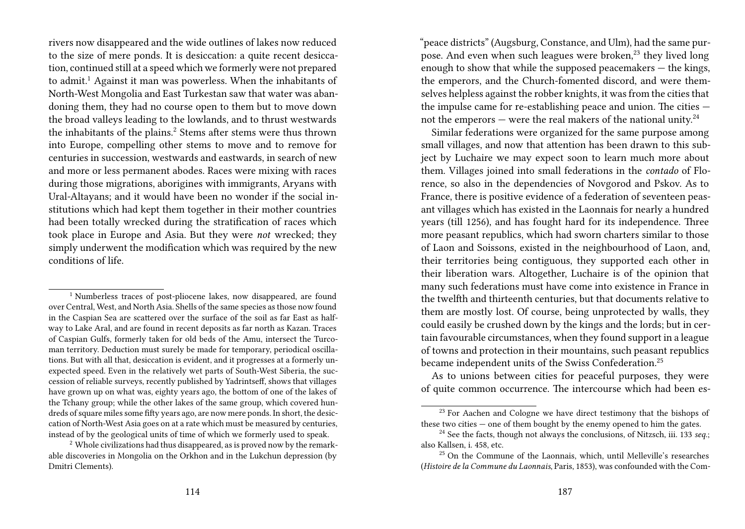rivers now disappeared and the wide outlines of lakes now reduced to the size of mere ponds. It is desiccation: a quite recent desiccation, continued still at a speed which we formerly were not prepared to admit.<sup>1</sup> Against it man was powerless. When the inhabitants of North-West Mongolia and East Turkestan saw that water was abandoning them, they had no course open to them but to move down the broad valleys leading to the lowlands, and to thrust westwards the inhabitants of the plains.<sup>2</sup> Stems after stems were thus thrown into Europe, compelling other stems to move and to remove for centuries in succession, westwards and eastwards, in search of new and more or less permanent abodes. Races were mixing with races during those migrations, aborigines with immigrants, Aryans with Ural-Altayans; and it would have been no wonder if the social institutions which had kept them together in their mother countries had been totally wrecked during the stratification of races which took place in Europe and Asia. But they were *not* wrecked; they simply underwent the modification which was required by the new conditions of life.

"peace districts" (Augsburg, Constance, and Ulm), had the same purpose. And even when such leagues were broken,<sup>23</sup> they lived long enough to show that while the supposed peacemakers  $-$  the kings, the emperors, and the Church-fomented discord, and were themselves helpless against the robber knights, it was from the cities that the impulse came for re-establishing peace and union. The cities not the emperors — were the real makers of the national unity.<sup>24</sup>

Similar federations were organized for the same purpose among small villages, and now that attention has been drawn to this subject by Luchaire we may expect soon to learn much more about them. Villages joined into small federations in the *contado* of Florence, so also in the dependencies of Novgorod and Pskov. As to France, there is positive evidence of a federation of seventeen peasant villages which has existed in the Laonnais for nearly a hundred years (till 1256), and has fought hard for its independence. Three more peasant republics, which had sworn charters similar to those of Laon and Soissons, existed in the neighbourhood of Laon, and, their territories being contiguous, they supported each other in their liberation wars. Altogether, Luchaire is of the opinion that many such federations must have come into existence in France in the twelfth and thirteenth centuries, but that documents relative to them are mostly lost. Of course, being unprotected by walls, they could easily be crushed down by the kings and the lords; but in certain favourable circumstances, when they found support in a league of towns and protection in their mountains, such peasant republics became independent units of the Swiss Confederation.<sup>25</sup>

As to unions between cities for peaceful purposes, they were of quite common occurrence. The intercourse which had been es-

<sup>&</sup>lt;sup>1</sup> Numberless traces of post-pliocene lakes, now disappeared, are found over Central, West, and North Asia. Shells of the same species as those now found in the Caspian Sea are scattered over the surface of the soil as far East as halfway to Lake Aral, and are found in recent deposits as far north as Kazan. Traces of Caspian Gulfs, formerly taken for old beds of the Amu, intersect the Turcoman territory. Deduction must surely be made for temporary, periodical oscillations. But with all that, desiccation is evident, and it progresses at a formerly unexpected speed. Even in the relatively wet parts of South-West Siberia, the succession of reliable surveys, recently published by Yadrintseff, shows that villages have grown up on what was, eighty years ago, the bottom of one of the lakes of the Tchany group; while the other lakes of the same group, which covered hundreds of square miles some fifty years ago, are now mere ponds. In short, the desiccation of North-West Asia goes on at a rate which must be measured by centuries, instead of by the geological units of time of which we formerly used to speak.

<sup>&</sup>lt;sup>2</sup> Whole civilizations had thus disappeared, as is proved now by the remarkable discoveries in Mongolia on the Orkhon and in the Lukchun depression (by Dmitri Clements).

 $23$  For Aachen and Cologne we have direct testimony that the bishops of these two cities — one of them bought by the enemy opened to him the gates.

<sup>&</sup>lt;sup>24</sup> See the facts, though not always the conclusions, of Nitzsch, iii. 133 *seq.*; also Kallsen, i. 458, etc.

<sup>&</sup>lt;sup>25</sup> On the Commune of the Laonnais, which, until Melleville's researches (*Histoire de la Commune du Laonnais*, Paris, 1853), was confounded with the Com-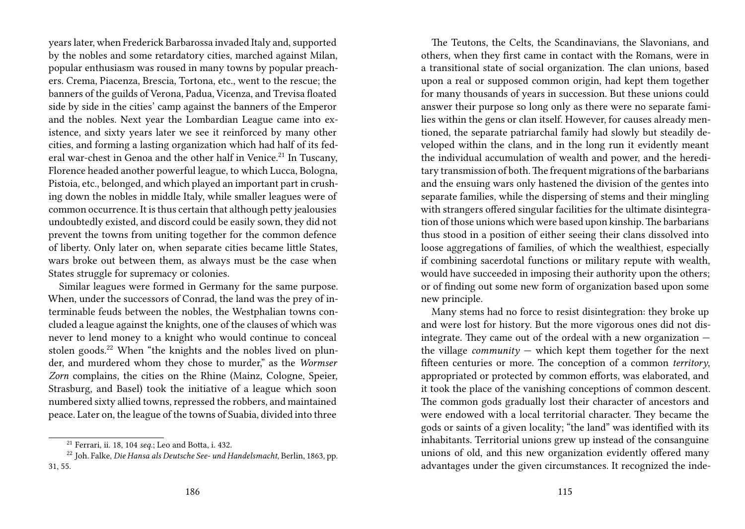years later, when Frederick Barbarossa invaded Italy and, supported by the nobles and some retardatory cities, marched against Milan, popular enthusiasm was roused in many towns by popular preachers. Crema, Piacenza, Brescia, Tortona, etc., went to the rescue; the banners of the guilds of Verona, Padua, Vicenza, and Trevisa floated side by side in the cities' camp against the banners of the Emperor and the nobles. Next year the Lombardian League came into existence, and sixty years later we see it reinforced by many other cities, and forming a lasting organization which had half of its federal war-chest in Genoa and the other half in Venice.<sup>21</sup> In Tuscany, Florence headed another powerful league, to which Lucca, Bologna, Pistoia, etc., belonged, and which played an important part in crushing down the nobles in middle Italy, while smaller leagues were of common occurrence. It is thus certain that although petty jealousies undoubtedly existed, and discord could be easily sown, they did not prevent the towns from uniting together for the common defence of liberty. Only later on, when separate cities became little States, wars broke out between them, as always must be the case when States struggle for supremacy or colonies.

Similar leagues were formed in Germany for the same purpose. When, under the successors of Conrad, the land was the prey of interminable feuds between the nobles, the Westphalian towns concluded a league against the knights, one of the clauses of which was never to lend money to a knight who would continue to conceal stolen goods.<sup>22</sup> When "the knights and the nobles lived on plunder, and murdered whom they chose to murder," as the *Wormser Zorn* complains, the cities on the Rhine (Mainz, Cologne, Speier, Strasburg, and Basel) took the initiative of a league which soon numbered sixty allied towns, repressed the robbers, and maintained peace. Later on, the league of the towns of Suabia, divided into three

The Teutons, the Celts, the Scandinavians, the Slavonians, and others, when they first came in contact with the Romans, were in a transitional state of social organization. The clan unions, based upon a real or supposed common origin, had kept them together for many thousands of years in succession. But these unions could answer their purpose so long only as there were no separate families within the gens or clan itself. However, for causes already mentioned, the separate patriarchal family had slowly but steadily developed within the clans, and in the long run it evidently meant the individual accumulation of wealth and power, and the hereditary transmission of both.The frequent migrations of the barbarians and the ensuing wars only hastened the division of the gentes into separate families, while the dispersing of stems and their mingling with strangers offered singular facilities for the ultimate disintegration of those unions which were based upon kinship.The barbarians thus stood in a position of either seeing their clans dissolved into loose aggregations of families, of which the wealthiest, especially if combining sacerdotal functions or military repute with wealth, would have succeeded in imposing their authority upon the others; or of finding out some new form of organization based upon some new principle.

Many stems had no force to resist disintegration: they broke up and were lost for history. But the more vigorous ones did not disintegrate. They came out of the ordeal with a new organization the village *community*  $-$  which kept them together for the next fifteen centuries or more. The conception of a common *territory*, appropriated or protected by common efforts, was elaborated, and it took the place of the vanishing conceptions of common descent. The common gods gradually lost their character of ancestors and were endowed with a local territorial character. They became the gods or saints of a given locality; "the land" was identified with its inhabitants. Territorial unions grew up instead of the consanguine unions of old, and this new organization evidently offered many advantages under the given circumstances. It recognized the inde-

<sup>21</sup> Ferrari, ii. 18, 104 *seq.*; Leo and Botta, i. 432.

<sup>22</sup> Joh. Falke, *Die Hansa als Deutsche See- und Handelsmacht*, Berlin, 1863, pp. 31, 55.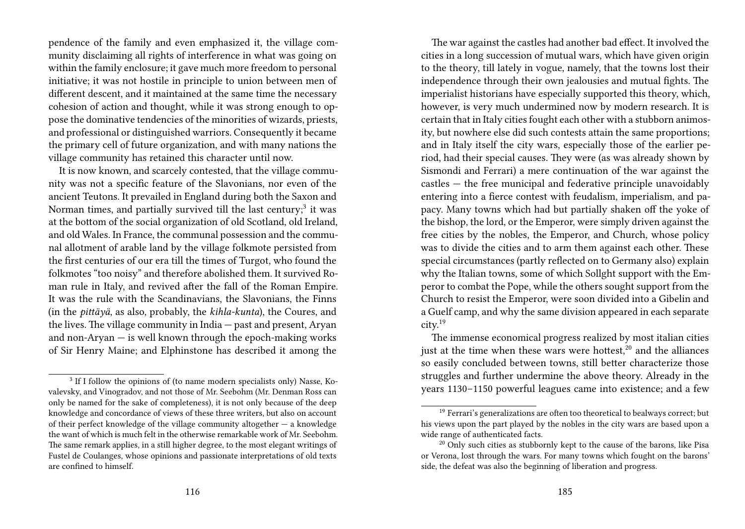pendence of the family and even emphasized it, the village community disclaiming all rights of interference in what was going on within the family enclosure; it gave much more freedom to personal initiative; it was not hostile in principle to union between men of different descent, and it maintained at the same time the necessary cohesion of action and thought, while it was strong enough to oppose the dominative tendencies of the minorities of wizards, priests, and professional or distinguished warriors. Consequently it became the primary cell of future organization, and with many nations the village community has retained this character until now.

It is now known, and scarcely contested, that the village community was not a specific feature of the Slavonians, nor even of the ancient Teutons. It prevailed in England during both the Saxon and Norman times, and partially survived till the last century;<sup>3</sup> it was at the bottom of the social organization of old Scotland, old Ireland, and old Wales. In France, the communal possession and the communal allotment of arable land by the village folkmote persisted from the first centuries of our era till the times of Turgot, who found the folkmotes "too noisy" and therefore abolished them. It survived Roman rule in Italy, and revived after the fall of the Roman Empire. It was the rule with the Scandinavians, the Slavonians, the Finns (in the *pittäyä*, as also, probably, the *kihla-kunta*), the Coures, and the lives. The village community in India — past and present, Aryan and non-Aryan — is well known through the epoch-making works of Sir Henry Maine; and Elphinstone has described it among the

The war against the castles had another bad effect. It involved the cities in a long succession of mutual wars, which have given origin to the theory, till lately in vogue, namely, that the towns lost their independence through their own jealousies and mutual fights. The imperialist historians have especially supported this theory, which, however, is very much undermined now by modern research. It is certain that in Italy cities fought each other with a stubborn animosity, but nowhere else did such contests attain the same proportions; and in Italy itself the city wars, especially those of the earlier period, had their special causes. They were (as was already shown by Sismondi and Ferrari) a mere continuation of the war against the castles — the free municipal and federative principle unavoidably entering into a fierce contest with feudalism, imperialism, and papacy. Many towns which had but partially shaken off the yoke of the bishop, the lord, or the Emperor, were simply driven against the free cities by the nobles, the Emperor, and Church, whose policy was to divide the cities and to arm them against each other. These special circumstances (partly reflected on to Germany also) explain why the Italian towns, some of which Sollght support with the Emperor to combat the Pope, while the others sought support from the Church to resist the Emperor, were soon divided into a Gibelin and a Guelf camp, and why the same division appeared in each separate city.<sup>19</sup>

The immense economical progress realized by most italian cities just at the time when these wars were hottest, $20$  and the alliances so easily concluded between towns, still better characterize those struggles and further undermine the above theory. Already in the years 1130–1150 powerful leagues came into existence; and a few

<sup>&</sup>lt;sup>3</sup> If I follow the opinions of (to name modern specialists only) Nasse, Kovalevsky, and Vinogradov, and not those of Mr. Seebohm (Mr. Denman Ross can only be named for the sake of completeness), it is not only because of the deep knowledge and concordance of views of these three writers, but also on account of their perfect knowledge of the village community altogether — a knowledge the want of which is much felt in the otherwise remarkable work of Mr. Seebohm. The same remark applies, in a still higher degree, to the most elegant writings of Fustel de Coulanges, whose opinions and passionate interpretations of old texts are confined to himself.

<sup>&</sup>lt;sup>19</sup> Ferrari's generalizations are often too theoretical to bealways correct; but his views upon the part played by the nobles in the city wars are based upon a wide range of authenticated facts.

 $20$  Only such cities as stubbornly kept to the cause of the barons, like Pisa or Verona, lost through the wars. For many towns which fought on the barons' side, the defeat was also the beginning of liberation and progress.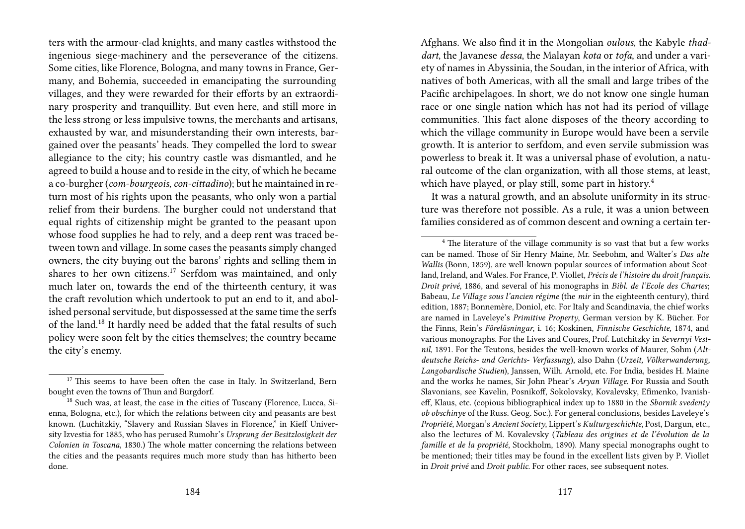ters with the armour-clad knights, and many castles withstood the ingenious siege-machinery and the perseverance of the citizens. Some cities, like Florence, Bologna, and many towns in France, Germany, and Bohemia, succeeded in emancipating the surrounding villages, and they were rewarded for their efforts by an extraordinary prosperity and tranquillity. But even here, and still more in the less strong or less impulsive towns, the merchants and artisans, exhausted by war, and misunderstanding their own interests, bargained over the peasants' heads. They compelled the lord to swear allegiance to the city; his country castle was dismantled, and he agreed to build a house and to reside in the city, of which he became a co-burgher (*com-bourgeois, con-cittadino*); but he maintained in return most of his rights upon the peasants, who only won a partial relief from their burdens. The burgher could not understand that equal rights of citizenship might be granted to the peasant upon whose food supplies he had to rely, and a deep rent was traced between town and village. In some cases the peasants simply changed owners, the city buying out the barons' rights and selling them in shares to her own citizens.<sup>17</sup> Serfdom was maintained, and only much later on, towards the end of the thirteenth century, it was the craft revolution which undertook to put an end to it, and abolished personal servitude, but dispossessed at the same time the serfs of the land.<sup>18</sup> It hardly need be added that the fatal results of such policy were soon felt by the cities themselves; the country became the city's enemy.

Afghans. We also find it in the Mongolian *oulous*, the Kabyle *thaddart*, the Javanese *dessa*, the Malayan *kota* or *tofa*, and under a variety of names in Abyssinia, the Soudan, in the interior of Africa, with natives of both Americas, with all the small and large tribes of the Pacific archipelagoes. In short, we do not know one single human race or one single nation which has not had its period of village communities. This fact alone disposes of the theory according to which the village community in Europe would have been a servile growth. It is anterior to serfdom, and even servile submission was powerless to break it. It was a universal phase of evolution, a natural outcome of the clan organization, with all those stems, at least, which have played, or play still, some part in history.<sup>4</sup>

It was a natural growth, and an absolute uniformity in its structure was therefore not possible. As a rule, it was a union between families considered as of common descent and owning a certain ter-

<sup>&</sup>lt;sup>17</sup> This seems to have been often the case in Italy. In Switzerland, Bern bought even the towns of Thun and Burgdorf.

<sup>&</sup>lt;sup>18</sup> Such was, at least, the case in the cities of Tuscany (Florence, Lucca, Sienna, Bologna, etc.), for which the relations between city and peasants are best known. (Luchitzkiy, "Slavery and Russian Slaves in Florence," in Kieff University Izvestia for 1885, who has perused Rumohr's *Ursprung der Besitzlosigkeit der Colonien in Toscana*, 1830.) The whole matter concerning the relations between the cities and the peasants requires much more study than has hitherto been done.

<sup>&</sup>lt;sup>4</sup> The literature of the village community is so vast that but a few works can be named. Those of Sir Henry Maine, Mr. Seebohm, and Walter's *Das alte Wallis* (Bonn, 1859), are well-known popular sources of information about Scotland, Ireland, and Wales. For France, P. Viollet, *Précis de l'histoire du droit français. Droit privé*, 1886, and several of his monographs in *Bibl. de l'Ecole des Chartes*; Babeau, *Le Village sous l'ancien régime* (the *mir* in the eighteenth century), third edition, 1887; Bonnemère, Doniol, etc. For Italy and Scandinavia, the chief works are named in Laveleye's *Primitive Property*, German version by K. Bücher. For the Finns, Rein's *Föreläsningar*, i. 16; Koskinen, *Finnische Geschichte,* 1874, and various monographs. For the Lives and Coures, Prof. Lutchitzky in *Severnyi Vestnil*, 1891. For the Teutons, besides the well-known works of Maurer, Sohm (*Altdeutsche Reichs- und Gerichts- Verfassung*), also Dahn (*Urzeit, Völkerwanderung, Langobardische Studien*), Janssen, Wilh. Arnold, etc. For India, besides H. Maine and the works he names, Sir John Phear's *Aryan Village*. For Russia and South Slavonians, see Kavelin, Posnikoff, Sokolovsky, Kovalevsky, Efimenko, Ivanisheff, Klaus, etc. (copious bibliographical index up to 1880 in the *Sbornik svedeniy ob obschinye* of the Russ. Geog. Soc.). For general conclusions, besides Laveleye's *Propriété*, Morgan's *Ancient Society*, Lippert's *Kulturgeschichte*, Post, Dargun, etc., also the lectures of M. Kovalevsky (*Tableau des origines et de l'évolution de la famille et de la propriété*, Stockholm, 1890). Many special monographs ought to be mentioned; their titles may be found in the excellent lists given by P. Viollet in *Droit privé* and *Droit public*. For other races, see subsequent notes.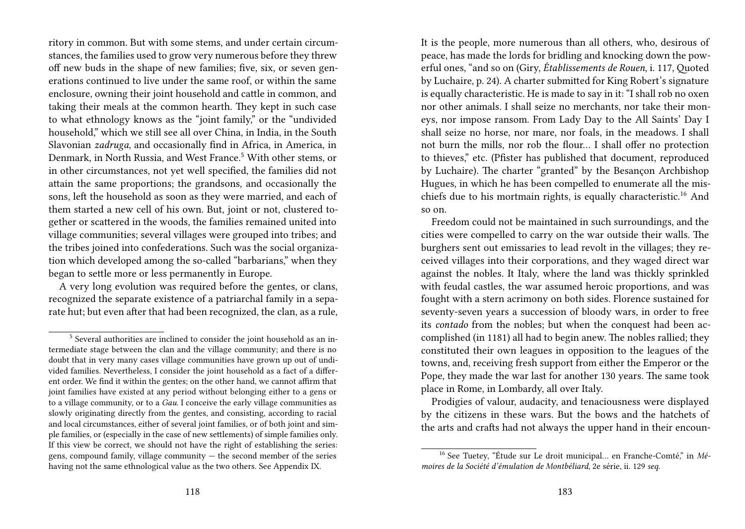ritory in common. But with some stems, and under certain circumstances, the families used to grow very numerous before they threw off new buds in the shape of new families; five, six, or seven generations continued to live under the same roof, or within the same enclosure, owning their joint household and cattle in common, and taking their meals at the common hearth. They kept in such case to what ethnology knows as the "joint family," or the "undivided household," which we still see all over China, in India, in the South Slavonian *zadruga*, and occasionally find in Africa, in America, in Denmark, in North Russia, and West France.<sup>5</sup> With other stems, or in other circumstances, not yet well specified, the families did not attain the same proportions; the grandsons, and occasionally the sons, left the household as soon as they were married, and each of them started a new cell of his own. But, joint or not, clustered together or scattered in the woods, the families remained united into village communities; several villages were grouped into tribes; and the tribes joined into confederations. Such was the social organization which developed among the so-called "barbarians," when they began to settle more or less permanently in Europe.

A very long evolution was required before the gentes, or clans, recognized the separate existence of a patriarchal family in a separate hut; but even after that had been recognized, the clan, as a rule, It is the people, more numerous than all others, who, desirous of peace, has made the lords for bridling and knocking down the powerful ones, "and so on (Giry, *Établissements de Rouen*, i. 117, Quoted by Luchaire, p. 24). A charter submitted for King Robert's signature is equally characteristic. He is made to say in it: "I shall rob no oxen nor other animals. I shall seize no merchants, nor take their moneys, nor impose ransom. From Lady Day to the All Saints' Day I shall seize no horse, nor mare, nor foals, in the meadows. I shall not burn the mills, nor rob the flour… I shall offer no protection to thieves," etc. (Pfister has published that document, reproduced by Luchaire). The charter "granted" by the Besançon Archbishop Hugues, in which he has been compelled to enumerate all the mischiefs due to his mortmain rights, is equally characteristic.<sup>16</sup> And so on.

Freedom could not be maintained in such surroundings, and the cities were compelled to carry on the war outside their walls. The burghers sent out emissaries to lead revolt in the villages; they received villages into their corporations, and they waged direct war against the nobles. It Italy, where the land was thickly sprinkled with feudal castles, the war assumed heroic proportions, and was fought with a stern acrimony on both sides. Florence sustained for seventy-seven years a succession of bloody wars, in order to free its *contado* from the nobles; but when the conquest had been accomplished (in 1181) all had to begin anew. The nobles rallied; they constituted their own leagues in opposition to the leagues of the towns, and, receiving fresh support from either the Emperor or the Pope, they made the war last for another 130 years. The same took place in Rome, in Lombardy, all over Italy.

Prodigies of valour, audacity, and tenaciousness were displayed by the citizens in these wars. But the bows and the hatchets of the arts and crafts had not always the upper hand in their encoun-

<sup>5</sup> Several authorities are inclined to consider the joint household as an intermediate stage between the clan and the village community; and there is no doubt that in very many cases village communities have grown up out of undivided families. Nevertheless, I consider the joint household as a fact of a different order. We find it within the gentes; on the other hand, we cannot affirm that joint families have existed at any period without belonging either to a gens or to a village community, or to a *Gau*. I conceive the early village communities as slowly originating directly from the gentes, and consisting, according to racial and local circumstances, either of several joint families, or of both joint and simple families, or (especially in the case of new settlements) of simple families only. If this view be correct, we should not have the right of establishing the series: gens, compound family, village community  $-$  the second member of the series having not the same ethnological value as the two others. See Appendix IX.

<sup>16</sup> See Tuetey, "Étude sur Le droit municipal… en Franche-Comté," in *Mémoires de la Société d'émulation de Montbéliard*, 2e série, ii. 129 *seq*.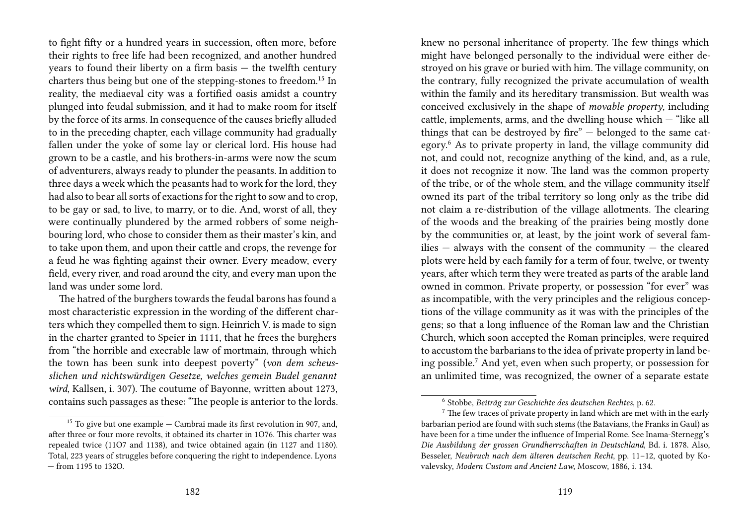to fight fifty or a hundred years in succession, often more, before their rights to free life had been recognized, and another hundred years to found their liberty on a firm basis — the twelfth century charters thus being but one of the stepping-stones to freedom.<sup>15</sup> In reality, the mediaeval city was a fortified oasis amidst a country plunged into feudal submission, and it had to make room for itself by the force of its arms. In consequence of the causes briefly alluded to in the preceding chapter, each village community had gradually fallen under the yoke of some lay or clerical lord. His house had grown to be a castle, and his brothers-in-arms were now the scum of adventurers, always ready to plunder the peasants. In addition to three days a week which the peasants had to work for the lord, they had also to bear all sorts of exactions for the right to sow and to crop, to be gay or sad, to live, to marry, or to die. And, worst of all, they were continually plundered by the armed robbers of some neighbouring lord, who chose to consider them as their master's kin, and to take upon them, and upon their cattle and crops, the revenge for a feud he was fighting against their owner. Every meadow, every field, every river, and road around the city, and every man upon the land was under some lord.

The hatred of the burghers towards the feudal barons has found a most characteristic expression in the wording of the different charters which they compelled them to sign. Heinrich V. is made to sign in the charter granted to Speier in 1111, that he frees the burghers from "the horrible and execrable law of mortmain, through which the town has been sunk into deepest poverty" (*von dem scheusslichen und nichtswürdigen Gesetze, welches gemein Budel genannt wird*, Kallsen, i. 307). The coutume of Bayonne, written about 1273, contains such passages as these: "The people is anterior to the lords.

knew no personal inheritance of property. The few things which might have belonged personally to the individual were either destroyed on his grave or buried with him. The village community, on the contrary, fully recognized the private accumulation of wealth within the family and its hereditary transmission. But wealth was conceived exclusively in the shape of *movable property*, including cattle, implements, arms, and the dwelling house which — "like all things that can be destroyed by fire" — belonged to the same category.<sup>6</sup> As to private property in land, the village community did not, and could not, recognize anything of the kind, and, as a rule, it does not recognize it now. The land was the common property of the tribe, or of the whole stem, and the village community itself owned its part of the tribal territory so long only as the tribe did not claim a re-distribution of the village allotments. The clearing of the woods and the breaking of the prairies being mostly done by the communities or, at least, by the joint work of several families  $-$  always with the consent of the community  $-$  the cleared plots were held by each family for a term of four, twelve, or twenty years, after which term they were treated as parts of the arable land owned in common. Private property, or possession "for ever" was as incompatible, with the very principles and the religious conceptions of the village community as it was with the principles of the gens; so that a long influence of the Roman law and the Christian Church, which soon accepted the Roman principles, were required to accustom the barbarians to the idea of private property in land being possible.<sup>7</sup> And yet, even when such property, or possession for an unlimited time, was recognized, the owner of a separate estate

 $15$  To give but one example – Cambrai made its first revolution in 907, and, after three or four more revolts, it obtained its charter in 1O76. This charter was repealed twice (11O7 and 1138), and twice obtained again (in 1127 and 1180). Total, 223 years of struggles before conquering the right to independence. Lyons — from 1195 to 132O.

<sup>6</sup> Stobbe, *Beiträg zur Geschichte des deutschen Rechtes*, p. 62.

 $<sup>7</sup>$  The few traces of private property in land which are met with in the early</sup> barbarian period are found with such stems (the Batavians, the Franks in Gaul) as have been for a time under the influence of Imperial Rome. See Inama-Sternegg's *Die Ausbildung der grossen Grundherrschaften in Deutschland*, Bd. i. 1878. Also, Besseler, *Neubruch nach dem älteren deutschen Recht*, pp. 11–12, quoted by Kovalevsky, *Modern Custom and Ancient Law*, Moscow, 1886, i. 134.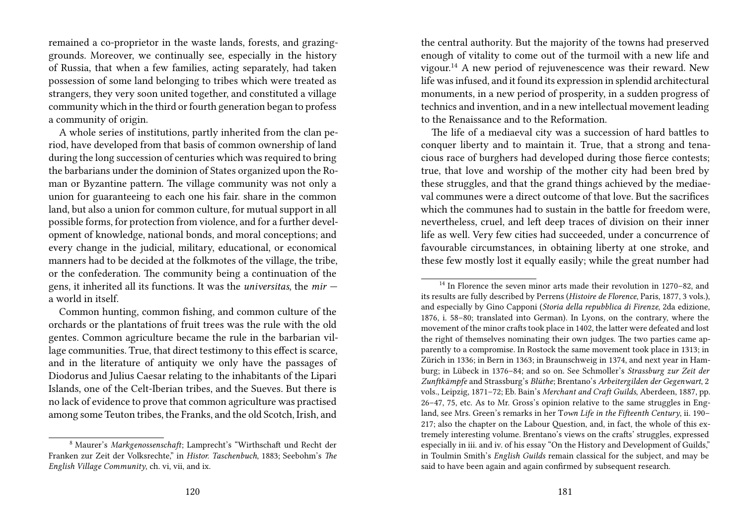remained a co-proprietor in the waste lands, forests, and grazinggrounds. Moreover, we continually see, especially in the history of Russia, that when a few families, acting separately, had taken possession of some land belonging to tribes which were treated as strangers, they very soon united together, and constituted a village community which in the third or fourth generation began to profess a community of origin.

A whole series of institutions, partly inherited from the clan period, have developed from that basis of common ownership of land during the long succession of centuries which was required to bring the barbarians under the dominion of States organized upon the Roman or Byzantine pattern. The village community was not only a union for guaranteeing to each one his fair. share in the common land, but also a union for common culture, for mutual support in all possible forms, for protection from violence, and for a further development of knowledge, national bonds, and moral conceptions; and every change in the judicial, military, educational, or economical manners had to be decided at the folkmotes of the village, the tribe, or the confederation. The community being a continuation of the gens, it inherited all its functions. It was the *universitas*, the *mir* a world in itself.

Common hunting, common fishing, and common culture of the orchards or the plantations of fruit trees was the rule with the old gentes. Common agriculture became the rule in the barbarian village communities. True, that direct testimony to this effect is scarce, and in the literature of antiquity we only have the passages of Diodorus and Julius Caesar relating to the inhabitants of the Lipari Islands, one of the Celt-Iberian tribes, and the Sueves. But there is no lack of evidence to prove that common agriculture was practised among some Teuton tribes, the Franks, and the old Scotch, Irish, and

the central authority. But the majority of the towns had preserved enough of vitality to come out of the turmoil with a new life and vigour.<sup>14</sup> A new period of rejuvenescence was their reward. New life was infused, and it found its expression in splendid architectural monuments, in a new period of prosperity, in a sudden progress of technics and invention, and in a new intellectual movement leading to the Renaissance and to the Reformation.

The life of a mediaeval city was a succession of hard battles to conquer liberty and to maintain it. True, that a strong and tenacious race of burghers had developed during those fierce contests; true, that love and worship of the mother city had been bred by these struggles, and that the grand things achieved by the mediaeval communes were a direct outcome of that love. But the sacrifices which the communes had to sustain in the battle for freedom were, nevertheless, cruel, and left deep traces of division on their inner life as well. Very few cities had succeeded, under a concurrence of favourable circumstances, in obtaining liberty at one stroke, and these few mostly lost it equally easily; while the great number had

<sup>8</sup> Maurer's *Markgenossenschaft*; Lamprecht's "Wirthschaft und Recht der Franken zur Zeit der Volksrechte," in *Histor. Taschenbuch*, 1883; Seebohm's *The English Village Community*, ch. vi, vii, and ix.

<sup>14</sup> In Florence the seven minor arts made their revolution in 1270–82, and its results are fully described by Perrens (*Histoire de Florence*, Paris, 1877, 3 vols.), and especially by Gino Capponi (*Storia della repubblica di Firenze*, 2da edizione, 1876, i. 58–80; translated into German). In Lyons, on the contrary, where the movement of the minor crafts took place in 1402, the latter were defeated and lost the right of themselves nominating their own judges. The two parties came apparently to a compromise. In Rostock the same movement took place in 1313; in Zürich in 1336; in Bern in 1363; in Braunschweig in 1374, and next year in Hamburg; in Lübeck in 1376–84; and so on. See Schmoller's *Strassburg zur Zeit der Zunftkämpfe* and Strassburg's *Blüthe*; Brentano's *Arbeitergilden der Gegenwart*, 2 vols., Leipzig, 1871–72; Eb. Bain's *Merchant and Craft Guilds*, Aberdeen, 1887, pp. 26–47, 75, etc. As to Mr. Gross's opinion relative to the same struggles in England, see Mrs. Green's remarks in her T*own Life in the Fifteenth Century*, ii. 190– 217; also the chapter on the Labour Question, and, in fact, the whole of this extremely interesting volume. Brentano's views on the crafts' struggles, expressed especially in iii. and iv. of his essay "On the History and Development of Guilds," in Toulmin Smith's *English Guilds* remain classical for the subject, and may be said to have been again and again confirmed by subsequent research.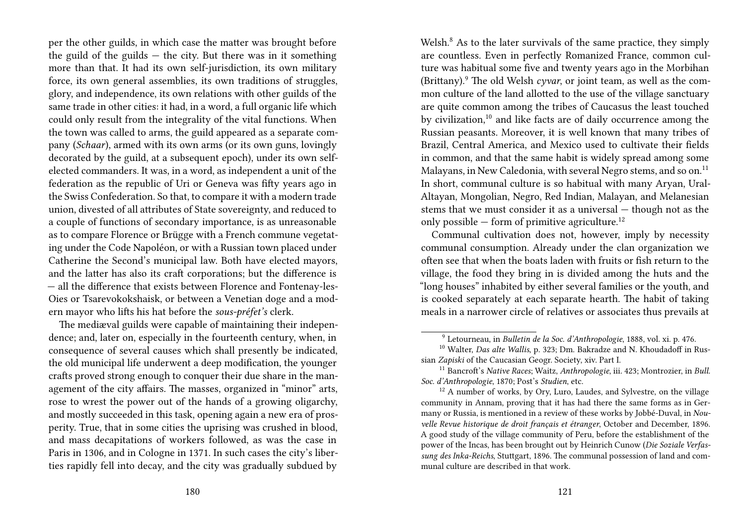per the other guilds, in which case the matter was brought before the guild of the guilds  $-$  the city. But there was in it something more than that. It had its own self-jurisdiction, its own military force, its own general assemblies, its own traditions of struggles, glory, and independence, its own relations with other guilds of the same trade in other cities: it had, in a word, a full organic life which could only result from the integrality of the vital functions. When the town was called to arms, the guild appeared as a separate company (*Schaar*), armed with its own arms (or its own guns, lovingly decorated by the guild, at a subsequent epoch), under its own selfelected commanders. It was, in a word, as independent a unit of the federation as the republic of Uri or Geneva was fifty years ago in the Swiss Confederation. So that, to compare it with a modern trade union, divested of all attributes of State sovereignty, and reduced to a couple of functions of secondary importance, is as unreasonable as to compare Florence or Brügge with a French commune vegetating under the Code Napoléon, or with a Russian town placed under Catherine the Second's municipal law. Both have elected mayors, and the latter has also its craft corporations; but the difference is — all the difference that exists between Florence and Fontenay-les-Oies or Tsarevokokshaisk, or between a Venetian doge and a modern mayor who lifts his hat before the *sous-préfet's* clerk.

The mediæval guilds were capable of maintaining their independence; and, later on, especially in the fourteenth century, when, in consequence of several causes which shall presently be indicated, the old municipal life underwent a deep modification, the younger crafts proved strong enough to conquer their due share in the management of the city affairs. The masses, organized in "minor" arts, rose to wrest the power out of the hands of a growing oligarchy, and mostly succeeded in this task, opening again a new era of prosperity. True, that in some cities the uprising was crushed in blood, and mass decapitations of workers followed, as was the case in Paris in 1306, and in Cologne in 1371. In such cases the city's liberties rapidly fell into decay, and the city was gradually subdued by

Welsh.<sup>8</sup> As to the later survivals of the same practice, they simply are countless. Even in perfectly Romanized France, common culture was habitual some five and twenty years ago in the Morbihan (Brittany).<sup>9</sup> The old Welsh *cyvar*, or joint team, as well as the common culture of the land allotted to the use of the village sanctuary are quite common among the tribes of Caucasus the least touched by civilization, $10$  and like facts are of daily occurrence among the Russian peasants. Moreover, it is well known that many tribes of Brazil, Central America, and Mexico used to cultivate their fields in common, and that the same habit is widely spread among some Malayans, in New Caledonia, with several Negro stems, and so on.<sup>11</sup> In short, communal culture is so habitual with many Aryan, Ural-Altayan, Mongolian, Negro, Red Indian, Malayan, and Melanesian stems that we must consider it as a universal — though not as the only possible  $-$  form of primitive agriculture.<sup>12</sup>

Communal cultivation does not, however, imply by necessity communal consumption. Already under the clan organization we often see that when the boats laden with fruits or fish return to the village, the food they bring in is divided among the huts and the "long houses" inhabited by either several families or the youth, and is cooked separately at each separate hearth. The habit of taking meals in a narrower circle of relatives or associates thus prevails at

<sup>9</sup> Letourneau, in *Bulletin de la Soc. d'Anthropologie*, 1888, vol. xi. p. 476.

<sup>&</sup>lt;sup>10</sup> Walter, *Das alte Wallis*, p. 323; Dm. Bakradze and N. Khoudadoff in Russian *Zapiski* of the Caucasian Geogr. Society, xiv. Part I.

<sup>11</sup> Bancroft's *Native Races*; Waitz, *Anthropologie*, iii. 423; Montrozier, in *Bull. Soc. d'Anthropologie*, 1870; Post's *Studien*, etc.

<sup>&</sup>lt;sup>12</sup> A number of works, by Ory, Luro, Laudes, and Sylvestre, on the village community in Annam, proving that it has had there the same forms as in Germany or Russia, is mentioned in a review of these works by Jobbé-Duval, in *Nouvelle Revue historique de droit français et étranger*, October and December, 1896. A good study of the village community of Peru, before the establishment of the power of the Incas, has been brought out by Heinrich Cunow (*Die Soziale Verfassung des Inka-Reichs*, Stuttgart, 1896. The communal possession of land and communal culture are described in that work.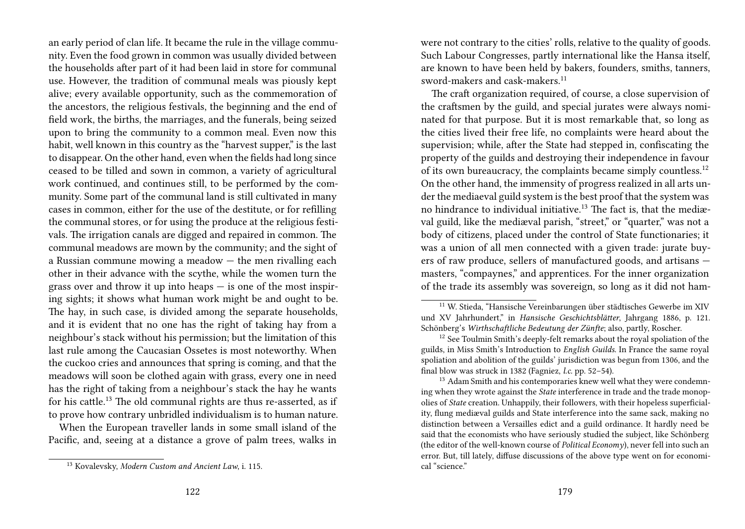an early period of clan life. It became the rule in the village community. Even the food grown in common was usually divided between the households after part of it had been laid in store for communal use. However, the tradition of communal meals was piously kept alive; every available opportunity, such as the commemoration of the ancestors, the religious festivals, the beginning and the end of field work, the births, the marriages, and the funerals, being seized upon to bring the community to a common meal. Even now this habit, well known in this country as the "harvest supper," is the last to disappear. On the other hand, even when the fields had long since ceased to be tilled and sown in common, a variety of agricultural work continued, and continues still, to be performed by the community. Some part of the communal land is still cultivated in many cases in common, either for the use of the destitute, or for refilling the communal stores, or for using the produce at the religious festivals. The irrigation canals are digged and repaired in common. The communal meadows are mown by the community; and the sight of a Russian commune mowing a meadow — the men rivalling each other in their advance with the scythe, while the women turn the grass over and throw it up into heaps  $-$  is one of the most inspiring sights; it shows what human work might be and ought to be. The hay, in such case, is divided among the separate households, and it is evident that no one has the right of taking hay from a neighbour's stack without his permission; but the limitation of this last rule among the Caucasian Ossetes is most noteworthy. When the cuckoo cries and announces that spring is coming, and that the meadows will soon be clothed again with grass, every one in need has the right of taking from a neighbour's stack the hay he wants for his cattle.<sup>13</sup> The old communal rights are thus re-asserted, as if to prove how contrary unbridled individualism is to human nature.

When the European traveller lands in some small island of the Pacific, and, seeing at a distance a grove of palm trees, walks in were not contrary to the cities' rolls, relative to the quality of goods. Such Labour Congresses, partly international like the Hansa itself, are known to have been held by bakers, founders, smiths, tanners, sword-makers and cask-makers.<sup>11</sup>

The craft organization required, of course, a close supervision of the craftsmen by the guild, and special jurates were always nominated for that purpose. But it is most remarkable that, so long as the cities lived their free life, no complaints were heard about the supervision; while, after the State had stepped in, confiscating the property of the guilds and destroying their independence in favour of its own bureaucracy, the complaints became simply countless.<sup>12</sup> On the other hand, the immensity of progress realized in all arts under the mediaeval guild system is the best proof that the system was no hindrance to individual initiative.<sup>13</sup> The fact is, that the mediæval guild, like the mediæval parish, "street," or "quarter," was not a body of citizens, placed under the control of State functionaries; it was a union of all men connected with a given trade: jurate buyers of raw produce, sellers of manufactured goods, and artisans masters, "compaynes," and apprentices. For the inner organization of the trade its assembly was sovereign, so long as it did not ham-

<sup>13</sup> Kovalevsky, *Modern Custom and Ancient Law*, i. 115.

<sup>11</sup> W. Stieda, "Hansische Vereinbarungen über städtisches Gewerbe im XIV und XV Jahrhundert," in *Hansische Geschichtsblätter*, Jahrgang 1886, p. 121. Schönberg's *Wirthschaftliche Bedeutung der Zünfte*; also, partly, Roscher.

<sup>&</sup>lt;sup>12</sup> See Toulmin Smith's deeply-felt remarks about the royal spoliation of the guilds, in Miss Smith's Introduction to *English Guilds*. In France the same royal spoliation and abolition of the guilds' jurisdiction was begun from 1306, and the final blow was struck in 1382 (Fagniez, *l.c.* pp. 52–54).

<sup>&</sup>lt;sup>13</sup> Adam Smith and his contemporaries knew well what they were condemning when they wrote against the *State* interference in trade and the trade monopolies of *State* creation. Unhappily, their followers, with their hopeless superficiality, flung mediæval guilds and State interference into the same sack, making no distinction between a Versailles edict and a guild ordinance. It hardly need be said that the economists who have seriously studied the subject, like Schönberg (the editor of the well-known course of *Political Economy*), never fell into such an error. But, till lately, diffuse discussions of the above type went on for economical "science."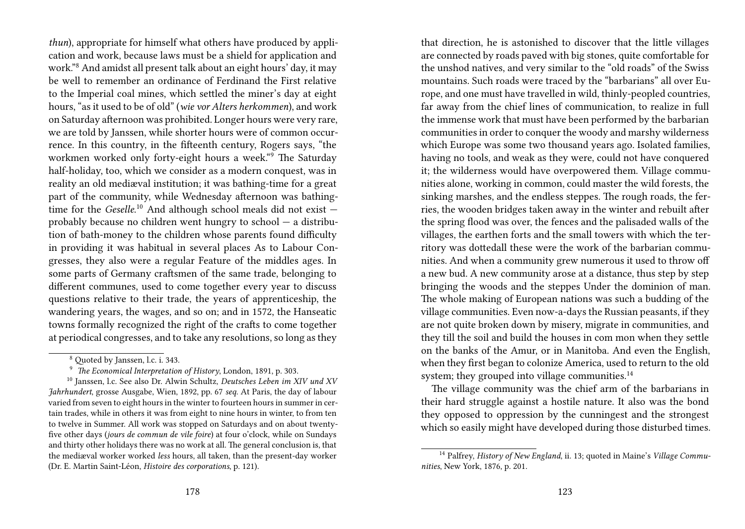*thun*), appropriate for himself what others have produced by application and work, because laws must be a shield for application and work."<sup>8</sup> And amidst all present talk about an eight hours' day, it may be well to remember an ordinance of Ferdinand the First relative to the Imperial coal mines, which settled the miner's day at eight hours, "as it used to be of old" (*wie vor Alters herkommen*), and work on Saturday afternoon was prohibited. Longer hours were very rare, we are told by Janssen, while shorter hours were of common occurrence. In this country, in the fifteenth century, Rogers says, "the workmen worked only forty-eight hours a week."<sup>9</sup> The Saturday half-holiday, too, which we consider as a modern conquest, was in reality an old mediæval institution; it was bathing-time for a great part of the community, while Wednesday afternoon was bathingtime for the *Geselle*.<sup>10</sup> And although school meals did not exist probably because no children went hungry to school — a distribution of bath-money to the children whose parents found difficulty in providing it was habitual in several places As to Labour Congresses, they also were a regular Feature of the middles ages. In some parts of Germany craftsmen of the same trade, belonging to different communes, used to come together every year to discuss questions relative to their trade, the years of apprenticeship, the wandering years, the wages, and so on; and in 1572, the Hanseatic towns formally recognized the right of the crafts to come together at periodical congresses, and to take any resolutions, so long as they

<sup>10</sup> Janssen, l.c. See also Dr. Alwin Schultz, *Deutsches Leben im XIV und XV Jahrhundert*, grosse Ausgabe, Wien, 1892, pp. 67 *seq*. At Paris, the day of labour varied from seven to eight hours in the winter to fourteen hours in summer in certain trades, while in others it was from eight to nine hours in winter, to from ten to twelve in Summer. All work was stopped on Saturdays and on about twentyfive other days (*jours de commun de vile foire*) at four o'clock, while on Sundays and thirty other holidays there was no work at all. The general conclusion is, that the mediæval worker worked *less* hours, all taken, than the present-day worker (Dr. E. Martin Saint-Léon, *Histoire des corporations*, p. 121).

that direction, he is astonished to discover that the little villages are connected by roads paved with big stones, quite comfortable for the unshod natives, and very similar to the "old roads" of the Swiss mountains. Such roads were traced by the "barbarians" all over Europe, and one must have travelled in wild, thinly-peopled countries, far away from the chief lines of communication, to realize in full the immense work that must have been performed by the barbarian communities in order to conquer the woody and marshy wilderness which Europe was some two thousand years ago. Isolated families, having no tools, and weak as they were, could not have conquered it; the wilderness would have overpowered them. Village communities alone, working in common, could master the wild forests, the sinking marshes, and the endless steppes. The rough roads, the ferries, the wooden bridges taken away in the winter and rebuilt after the spring flood was over, the fences and the palisaded walls of the villages, the earthen forts and the small towers with which the territory was dottedall these were the work of the barbarian communities. And when a community grew numerous it used to throw off a new bud. A new community arose at a distance, thus step by step bringing the woods and the steppes Under the dominion of man. The whole making of European nations was such a budding of the village communities. Even now-a-days the Russian peasants, if they are not quite broken down by misery, migrate in communities, and they till the soil and build the houses in com mon when they settle on the banks of the Amur, or in Manitoba. And even the English, when they first began to colonize America, used to return to the old system; they grouped into village communities. $14$ 

The village community was the chief arm of the barbarians in their hard struggle against a hostile nature. It also was the bond they opposed to oppression by the cunningest and the strongest which so easily might have developed during those disturbed times.

<sup>8</sup> Quoted by Janssen, l.c. i. 343.

<sup>9</sup> *The Economical Interpretation of History*, London, 1891, p. 303.

<sup>14</sup> Palfrey, *History of New England*, ii. 13; quoted in Maine's *Village Communities*, New York, 1876, p. 201.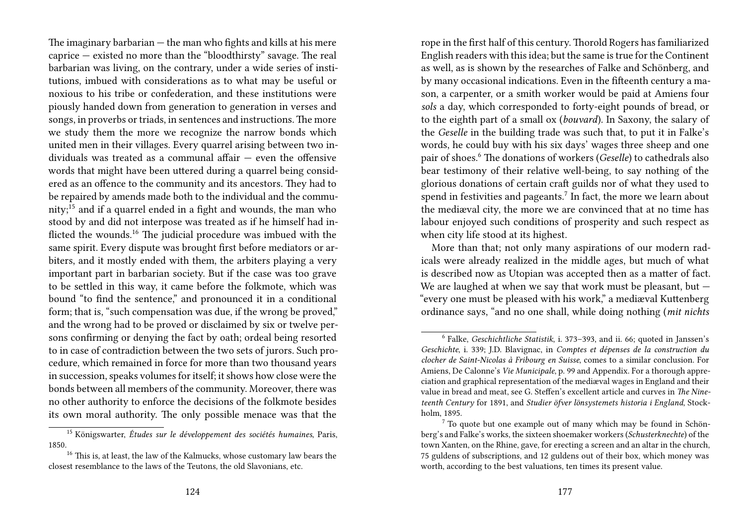The imaginary barbarian — the man who fights and kills at his mere caprice — existed no more than the "bloodthirsty" savage. The real barbarian was living, on the contrary, under a wide series of institutions, imbued with considerations as to what may be useful or noxious to his tribe or confederation, and these institutions were piously handed down from generation to generation in verses and songs, in proverbs or triads, in sentences and instructions. The more we study them the more we recognize the narrow bonds which united men in their villages. Every quarrel arising between two individuals was treated as a communal affair — even the offensive words that might have been uttered during a quarrel being considered as an offence to the community and its ancestors. They had to be repaired by amends made both to the individual and the community;<sup>15</sup> and if a quarrel ended in a fight and wounds, the man who stood by and did not interpose was treated as if he himself had inflicted the wounds.<sup>16</sup> The judicial procedure was imbued with the same spirit. Every dispute was brought first before mediators or arbiters, and it mostly ended with them, the arbiters playing a very important part in barbarian society. But if the case was too grave to be settled in this way, it came before the folkmote, which was bound "to find the sentence," and pronounced it in a conditional form; that is, "such compensation was due, if the wrong be proved," and the wrong had to be proved or disclaimed by six or twelve persons confirming or denying the fact by oath; ordeal being resorted to in case of contradiction between the two sets of jurors. Such procedure, which remained in force for more than two thousand years in succession, speaks volumes for itself; it shows how close were the bonds between all members of the community. Moreover, there was no other authority to enforce the decisions of the folkmote besides its own moral authority. The only possible menace was that the

rope in the first half of this century. Thorold Rogers has familiarized English readers with this idea; but the same is true for the Continent as well, as is shown by the researches of Falke and Schönberg, and by many occasional indications. Even in the fifteenth century a mason, a carpenter, or a smith worker would be paid at Amiens four *sols* a day, which corresponded to forty-eight pounds of bread, or to the eighth part of a small ox (*bouvard*). In Saxony, the salary of the *Geselle* in the building trade was such that, to put it in Falke's words, he could buy with his six days' wages three sheep and one pair of shoes.<sup>6</sup> The donations of workers (*Geselle*) to cathedrals also bear testimony of their relative well-being, to say nothing of the glorious donations of certain craft guilds nor of what they used to spend in festivities and pageants.<sup>7</sup> In fact, the more we learn about the mediæval city, the more we are convinced that at no time has labour enjoyed such conditions of prosperity and such respect as when city life stood at its highest.

More than that; not only many aspirations of our modern radicals were already realized in the middle ages, but much of what is described now as Utopian was accepted then as a matter of fact. We are laughed at when we say that work must be pleasant, but  $-$ "every one must be pleased with his work," a mediæval Kuttenberg ordinance says, "and no one shall, while doing nothing (*mit nichts*

<sup>15</sup> Königswarter, *Études sur le développement des sociétés humaines*, Paris, 1850.

<sup>&</sup>lt;sup>16</sup> This is, at least, the law of the Kalmucks, whose customary law bears the closest resemblance to the laws of the Teutons, the old Slavonians, etc.

<sup>6</sup> Falke, *Geschichtliche Statistik*, i. 373–393, and ii. 66; quoted in Janssen's *Geschichte*, i. 339; J.D. Blavignac, in *Comptes et dépenses de la construction du clocher de Saint-Nicolas à Fribourg en Suisse*, comes to a similar conclusion. For Amiens, De Calonne's *Vie Municipale*, p. 99 and Appendix. For a thorough appreciation and graphical representation of the mediæval wages in England and their value in bread and meat, see G. Steffen's excellent article and curves in *The Nineteenth Century* for 1891, and *Studier öfver lönsystemets historia i England*, Stockholm, 1895.

<sup>7</sup> To quote but one example out of many which may be found in Schönberg's and Falke's works, the sixteen shoemaker workers (*Schusterknechte*) of the town Xanten, on the Rhine, gave, for erecting a screen and an altar in the church, 75 guldens of subscriptions, and 12 guldens out of their box, which money was worth, according to the best valuations, ten times its present value.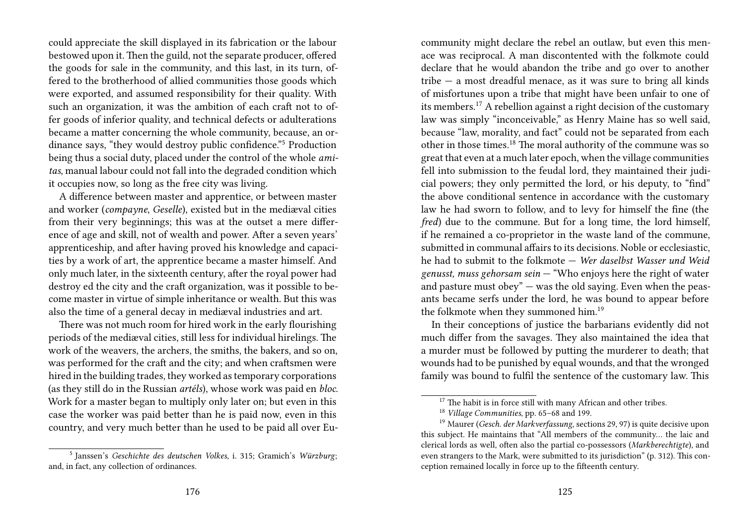could appreciate the skill displayed in its fabrication or the labour bestowed upon it. Then the guild, not the separate producer, offered the goods for sale in the community, and this last, in its turn, offered to the brotherhood of allied communities those goods which were exported, and assumed responsibility for their quality. With such an organization, it was the ambition of each craft not to offer goods of inferior quality, and technical defects or adulterations became a matter concerning the whole community, because, an ordinance says, "they would destroy public confidence."<sup>5</sup> Production being thus a social duty, placed under the control of the whole *amitas*, manual labour could not fall into the degraded condition which it occupies now, so long as the free city was living.

A difference between master and apprentice, or between master and worker (*compayne*, *Geselle*), existed but in the mediæval cities from their very beginnings; this was at the outset a mere difference of age and skill, not of wealth and power. After a seven years' apprenticeship, and after having proved his knowledge and capacities by a work of art, the apprentice became a master himself. And only much later, in the sixteenth century, after the royal power had destroy ed the city and the craft organization, was it possible to become master in virtue of simple inheritance or wealth. But this was also the time of a general decay in mediæval industries and art.

There was not much room for hired work in the early flourishing periods of the mediæval cities, still less for individual hirelings. The work of the weavers, the archers, the smiths, the bakers, and so on, was performed for the craft and the city; and when craftsmen were hired in the building trades, they worked as temporary corporations (as they still do in the Russian *artéls*), whose work was paid en *bloc*. Work for a master began to multiply only later on; but even in this case the worker was paid better than he is paid now, even in this country, and very much better than he used to be paid all over Eu-

community might declare the rebel an outlaw, but even this menace was reciprocal. A man discontented with the folkmote could declare that he would abandon the tribe and go over to another tribe  $-$  a most dreadful menace, as it was sure to bring all kinds of misfortunes upon a tribe that might have been unfair to one of its members.<sup>17</sup> A rebellion against a right decision of the customary law was simply "inconceivable," as Henry Maine has so well said, because "law, morality, and fact" could not be separated from each other in those times.<sup>18</sup> The moral authority of the commune was so great that even at a much later epoch, when the village communities fell into submission to the feudal lord, they maintained their judicial powers; they only permitted the lord, or his deputy, to "find" the above conditional sentence in accordance with the customary law he had sworn to follow, and to levy for himself the fine (the *fred*) due to the commune. But for a long time, the lord himself, if he remained a co-proprietor in the waste land of the commune, submitted in communal affairs to its decisions. Noble or ecclesiastic, he had to submit to the folkmote — *Wer daselbst Wasser und Weid genusst, muss gehorsam sein* — "Who enjoys here the right of water and pasture must obey" — was the old saying. Even when the peasants became serfs under the lord, he was bound to appear before the folkmote when they summoned him.<sup>19</sup>

In their conceptions of justice the barbarians evidently did not much differ from the savages. They also maintained the idea that a murder must be followed by putting the murderer to death; that wounds had to be punished by equal wounds, and that the wronged family was bound to fulfil the sentence of the customary law. This

<sup>5</sup> Janssen's *Geschichte des deutschen Volkes*, i. 315; Gramich's *Würzburg*; and, in fact, any collection of ordinances.

<sup>&</sup>lt;sup>17</sup> The habit is in force still with many African and other tribes.

<sup>18</sup> *Village Communities*, pp. 65–68 and 199.

<sup>19</sup> Maurer (*Gesch. der Markverfassung*, sections 29, 97) is quite decisive upon this subject. He maintains that "All members of the community… the laic and clerical lords as well, often also the partial co-possessors (*Markberechtigte*), and even strangers to the Mark, were submitted to its jurisdiction" (p. 312). This conception remained locally in force up to the fifteenth century.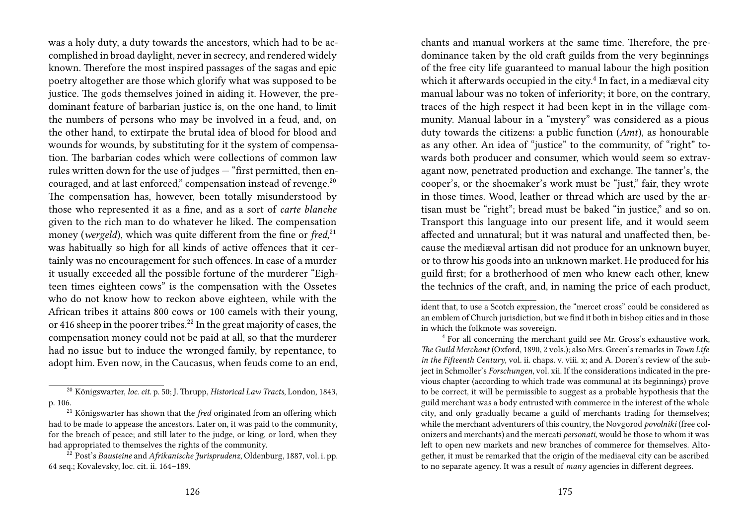was a holy duty, a duty towards the ancestors, which had to be accomplished in broad daylight, never in secrecy, and rendered widely known. Therefore the most inspired passages of the sagas and epic poetry altogether are those which glorify what was supposed to be justice. The gods themselves joined in aiding it. However, the predominant feature of barbarian justice is, on the one hand, to limit the numbers of persons who may be involved in a feud, and, on the other hand, to extirpate the brutal idea of blood for blood and wounds for wounds, by substituting for it the system of compensation. The barbarian codes which were collections of common law rules written down for the use of judges — "first permitted, then encouraged, and at last enforced," compensation instead of revenge.<sup>20</sup> The compensation has, however, been totally misunderstood by those who represented it as a fine, and as a sort of *carte blanche* given to the rich man to do whatever he liked. The compensation money (*wergeld*), which was quite different from the fine or *fred*, 21 was habitually so high for all kinds of active offences that it certainly was no encouragement for such offences. In case of a murder it usually exceeded all the possible fortune of the murderer "Eighteen times eighteen cows" is the compensation with the Ossetes who do not know how to reckon above eighteen, while with the African tribes it attains 800 cows or 100 camels with their young, or 416 sheep in the poorer tribes.<sup>22</sup> In the great majority of cases, the compensation money could not be paid at all, so that the murderer had no issue but to induce the wronged family, by repentance, to adopt him. Even now, in the Caucasus, when feuds come to an end,

chants and manual workers at the same time. Therefore, the predominance taken by the old craft guilds from the very beginnings of the free city life guaranteed to manual labour the high position which it afterwards occupied in the city.<sup>4</sup> In fact, in a mediæval city manual labour was no token of inferiority; it bore, on the contrary, traces of the high respect it had been kept in in the village community. Manual labour in a "mystery" was considered as a pious duty towards the citizens: a public function (*Amt*), as honourable as any other. An idea of "justice" to the community, of "right" towards both producer and consumer, which would seem so extravagant now, penetrated production and exchange. The tanner's, the cooper's, or the shoemaker's work must be "just," fair, they wrote in those times. Wood, leather or thread which are used by the artisan must be "right"; bread must be baked "in justice," and so on. Transport this language into our present life, and it would seem affected and unnatural; but it was natural and unaffected then, because the mediæval artisan did not produce for an unknown buyer, or to throw his goods into an unknown market. He produced for his guild first; for a brotherhood of men who knew each other, knew the technics of the craft, and, in naming the price of each product,

<sup>20</sup> Königswarter, *loc. cit.* p. 50; J. Thrupp, *Historical Law Tracts*, London, 1843, p. 106.

<sup>&</sup>lt;sup>21</sup> Königswarter has shown that the *fred* originated from an offering which had to be made to appease the ancestors. Later on, it was paid to the community, for the breach of peace; and still later to the judge, or king, or lord, when they had appropriated to themselves the rights of the community.

<sup>22</sup> Post's *Bausteine* and *Afrikanische Jurisprudenz*, Oldenburg, 1887, vol. i. pp. 64 seq.; Kovalevsky, loc. cit. ii. 164–189.

ident that, to use a Scotch expression, the "mercet cross" could be considered as an emblem of Church jurisdiction, but we find it both in bishop cities and in those in which the folkmote was sovereign.

<sup>4</sup> For all concerning the merchant guild see Mr. Gross's exhaustive work, *The Guild Merchant* (Oxford, 1890, 2 vols.); also Mrs. Green's remarks in *Town Life in the Fifteenth Century*, vol. ii. chaps. v. viii. x; and A. Doren's review of the subject in Schmoller's *Forschungen*, vol. xii. If the considerations indicated in the previous chapter (according to which trade was communal at its beginnings) prove to be correct, it will be permissible to suggest as a probable hypothesis that the guild merchant was a body entrusted with commerce in the interest of the whole city, and only gradually became a guild of merchants trading for themselves; while the merchant adventurers of this country, the Novgorod *povolniki* (free colonizers and merchants) and the mercati *personati*, would be those to whom it was left to open new markets and new branches of commerce for themselves. Altogether, it must be remarked that the origin of the mediaeval city can be ascribed to no separate agency. It was a result of *many* agencies in different degrees.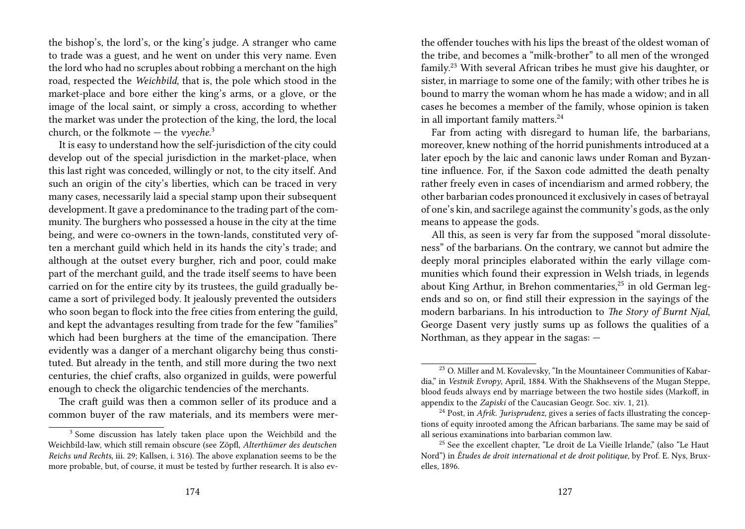the bishop's, the lord's, or the king's judge. A stranger who came to trade was a guest, and he went on under this very name. Even the lord who had no scruples about robbing a merchant on the high road, respected the *Weichbild*, that is, the pole which stood in the market-place and bore either the king's arms, or a glove, or the image of the local saint, or simply a cross, according to whether the market was under the protection of the king, the lord, the local church, or the folkmote — the *vyeche*. 3

It is easy to understand how the self-jurisdiction of the city could develop out of the special jurisdiction in the market-place, when this last right was conceded, willingly or not, to the city itself. And such an origin of the city's liberties, which can be traced in very many cases, necessarily laid a special stamp upon their subsequent development. It gave a predominance to the trading part of the community. The burghers who possessed a house in the city at the time being, and were co-owners in the town-lands, constituted very often a merchant guild which held in its hands the city's trade; and although at the outset every burgher, rich and poor, could make part of the merchant guild, and the trade itself seems to have been carried on for the entire city by its trustees, the guild gradually became a sort of privileged body. It jealously prevented the outsiders who soon began to flock into the free cities from entering the guild, and kept the advantages resulting from trade for the few "families" which had been burghers at the time of the emancipation. There evidently was a danger of a merchant oligarchy being thus constituted. But already in the tenth, and still more during the two next centuries, the chief crafts, also organized in guilds, were powerful enough to check the oligarchic tendencies of the merchants.

The craft guild was then a common seller of its produce and a common buyer of the raw materials, and its members were merthe offender touches with his lips the breast of the oldest woman of the tribe, and becomes a "milk-brother" to all men of the wronged family.<sup>23</sup> With several African tribes he must give his daughter, or sister, in marriage to some one of the family; with other tribes he is bound to marry the woman whom he has made a widow; and in all cases he becomes a member of the family, whose opinion is taken in all important family matters.<sup>24</sup>

Far from acting with disregard to human life, the barbarians, moreover, knew nothing of the horrid punishments introduced at a later epoch by the laic and canonic laws under Roman and Byzantine influence. For, if the Saxon code admitted the death penalty rather freely even in cases of incendiarism and armed robbery, the other barbarian codes pronounced it exclusively in cases of betrayal of one's kin, and sacrilege against the community's gods, as the only means to appease the gods.

All this, as seen is very far from the supposed "moral dissoluteness" of the barbarians. On the contrary, we cannot but admire the deeply moral principles elaborated within the early village communities which found their expression in Welsh triads, in legends about King Arthur, in Brehon commentaries, $^{25}$  in old German legends and so on, or find still their expression in the sayings of the modern barbarians. In his introduction to *The Story of Burnt Njal*, George Dasent very justly sums up as follows the qualities of a Northman, as they appear in the sagas: —

<sup>&</sup>lt;sup>3</sup> Some discussion has lately taken place upon the Weichbild and the Weichbild-law, which still remain obscure (see Zöpfl, *Alterthümer des deutschen Reichs und Rechts*, iii. 29; Kallsen, i. 316). The above explanation seems to be the more probable, but, of course, it must be tested by further research. It is also ev-

<sup>23</sup> O. Miller and M. Kovalevsky, "In the Mountaineer Communities of Kabardia," in *Vestnik Evropy*, April, 1884. With the Shakhsevens of the Mugan Steppe, blood feuds always end by marriage between the two hostile sides (Markoff, in appendix to the *Zapiski* of the Caucasian Geogr. Soc. xiv. 1, 21).

<sup>24</sup> Post, in *Afrik. Jurisprudenz*, gives a series of facts illustrating the conceptions of equity inrooted among the African barbarians. The same may be said of all serious examinations into barbarian common law.

<sup>&</sup>lt;sup>25</sup> See the excellent chapter, "Le droit de La Vieille Irlande," (also "Le Haut Nord") in *Études de droit international et de droit politique*, by Prof. E. Nys, Bruxelles, 1896.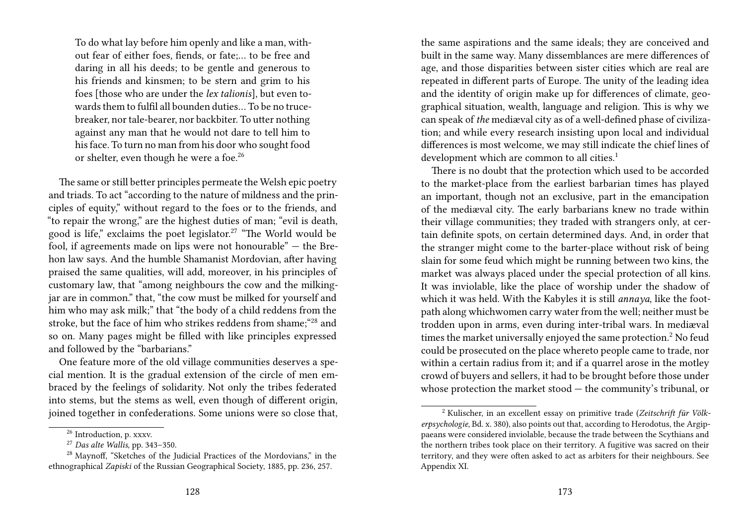To do what lay before him openly and like a man, without fear of either foes, fiends, or fate;… to be free and daring in all his deeds; to be gentle and generous to his friends and kinsmen; to be stern and grim to his foes [those who are under the *lex talionis*], but even towards them to fulfil all bounden duties… To be no trucebreaker, nor tale-bearer, nor backbiter. To utter nothing against any man that he would not dare to tell him to his face. To turn no man from his door who sought food or shelter, even though he were a foe.<sup>26</sup>

The same or still better principles permeate the Welsh epic poetry and triads. To act "according to the nature of mildness and the principles of equity," without regard to the foes or to the friends, and "to repair the wrong," are the highest duties of man; "evil is death, good is life," exclaims the poet legislator.<sup>27</sup> "The World would be fool, if agreements made on lips were not honourable" — the Brehon law says. And the humble Shamanist Mordovian, after having praised the same qualities, will add, moreover, in his principles of customary law, that "among neighbours the cow and the milkingjar are in common." that, "the cow must be milked for yourself and him who may ask milk;" that "the body of a child reddens from the stroke, but the face of him who strikes reddens from shame;"<sup>28</sup> and so on. Many pages might be filled with like principles expressed and followed by the "barbarians."

One feature more of the old village communities deserves a special mention. It is the gradual extension of the circle of men embraced by the feelings of solidarity. Not only the tribes federated into stems, but the stems as well, even though of different origin, joined together in confederations. Some unions were so close that, the same aspirations and the same ideals; they are conceived and built in the same way. Many dissemblances are mere differences of age, and those disparities between sister cities which are real are repeated in different parts of Europe. The unity of the leading idea and the identity of origin make up for differences of climate, geographical situation, wealth, language and religion. This is why we can speak of *the* mediæval city as of a well-defined phase of civilization; and while every research insisting upon local and individual differences is most welcome, we may still indicate the chief lines of development which are common to all cities.<sup>1</sup>

There is no doubt that the protection which used to be accorded to the market-place from the earliest barbarian times has played an important, though not an exclusive, part in the emancipation of the mediæval city. The early barbarians knew no trade within their village communities; they traded with strangers only, at certain definite spots, on certain determined days. And, in order that the stranger might come to the barter-place without risk of being slain for some feud which might be running between two kins, the market was always placed under the special protection of all kins. It was inviolable, like the place of worship under the shadow of which it was held. With the Kabyles it is still *annaya*, like the footpath along whichwomen carry water from the well; neither must be trodden upon in arms, even during inter-tribal wars. In mediæval times the market universally enjoyed the same protection.<sup>2</sup> No feud could be prosecuted on the place whereto people came to trade, nor within a certain radius from it; and if a quarrel arose in the motley crowd of buyers and sellers, it had to be brought before those under whose protection the market stood — the community's tribunal, or

<sup>26</sup> Introduction, p. xxxv.

<sup>27</sup> *Das alte Wallis*, pp. 343–350.

<sup>&</sup>lt;sup>28</sup> Maynoff, "Sketches of the Judicial Practices of the Mordovians," in the ethnographical *Zapiski* of the Russian Geographical Society, 1885, pp. 236, 257.

<sup>2</sup> Kulischer, in an excellent essay on primitive trade (*Zeitschrift für Völkerpsychologie*, Bd. x. 380), also points out that, according to Herodotus, the Argippaeans were considered inviolable, because the trade between the Scythians and the northern tribes took place on their territory. A fugitive was sacred on their territory, and they were often asked to act as arbiters for their neighbours. See Appendix XI.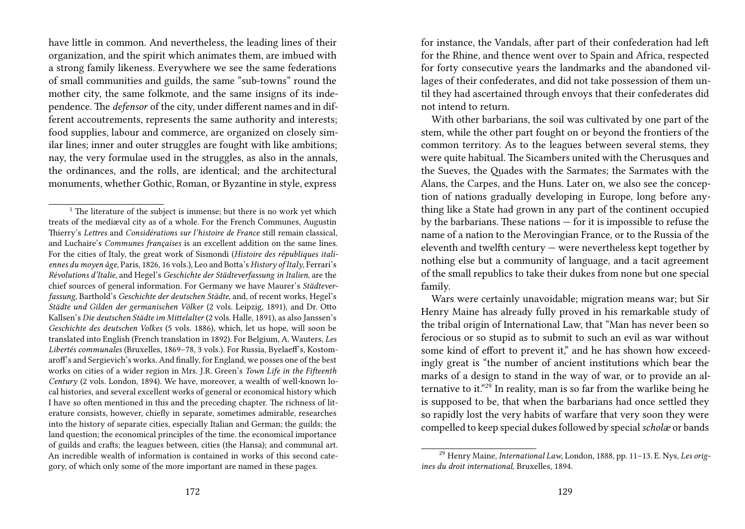have little in common. And nevertheless, the leading lines of their organization, and the spirit which animates them, are imbued with a strong family likeness. Everywhere we see the same federations of small communities and guilds, the same "sub-towns" round the mother city, the same folkmote, and the same insigns of its independence. The *defensor* of the city, under different names and in different accoutrements, represents the same authority and interests; food supplies, labour and commerce, are organized on closely similar lines; inner and outer struggles are fought with like ambitions; nay, the very formulae used in the struggles, as also in the annals, the ordinances, and the rolls, are identical; and the architectural monuments, whether Gothic, Roman, or Byzantine in style, express

for instance, the Vandals, after part of their confederation had left for the Rhine, and thence went over to Spain and Africa, respected for forty consecutive years the landmarks and the abandoned villages of their confederates, and did not take possession of them until they had ascertained through envoys that their confederates did not intend to return.

With other barbarians, the soil was cultivated by one part of the stem, while the other part fought on or beyond the frontiers of the common territory. As to the leagues between several stems, they were quite habitual. The Sicambers united with the Cherusques and the Sueves, the Quades with the Sarmates; the Sarmates with the Alans, the Carpes, and the Huns. Later on, we also see the conception of nations gradually developing in Europe, long before anything like a State had grown in any part of the continent occupied by the barbarians. These nations — for it is impossible to refuse the name of a nation to the Merovingian France, or to the Russia of the eleventh and twelfth century — were nevertheless kept together by nothing else but a community of language, and a tacit agreement of the small republics to take their dukes from none but one special family.

Wars were certainly unavoidable; migration means war; but Sir Henry Maine has already fully proved in his remarkable study of the tribal origin of International Law, that "Man has never been so ferocious or so stupid as to submit to such an evil as war without some kind of effort to prevent it," and he has shown how exceedingly great is "the number of ancient institutions which bear the marks of a design to stand in the way of war, or to provide an alternative to it."<sup>29</sup> In reality, man is so far from the warlike being he is supposed to be, that when the barbarians had once settled they so rapidly lost the very habits of warfare that very soon they were compelled to keep special dukes followed by special*scholæ* or bands

 $1$ <sup>1</sup> The literature of the subject is immense; but there is no work yet which treats of the mediæval city as of a whole. For the French Communes, Augustin Thierry's *Lettres* and *Considérations sur l'histoire de France* still remain classical, and Luchaire's *Communes françaises* is an excellent addition on the same lines. For the cities of Italy, the great work of Sismondi (*Histoire des républiques italiennes du moyen âge*, Paris, 1826, 16 vols.), Leo and Botta's *History of Italy*, Ferrari's *Révolutions d'Italie*, and Hegel's *Geschichte der Städteverfassung in Italien*, are the chief sources of general information. For Germany we have Maurer's *Städteverfassung*, Barthold's *Geschichte der deutschen Städte*, and, of recent works, Hegel's *Städte und Gilden der germanischen Völker* (2 vols. Leipzig, 1891), and Dr. Otto Kallsen's *Die deutschen Städte im Mittelalter* (2 vols. Halle, 1891), as also Janssen's *Geschichte des deutschen Volkes* (5 vols. 1886), which, let us hope, will soon be translated into English (French translation in 1892). For Belgium, A. Wauters, *Les Libertés communales* (Bruxelles, 1869–78, 3 vols.). For Russia, Byelaeff's, Kostomaroff's and Sergievich's works. And finally, for England, we posses one of the best works on cities of a wider region in Mrs. J.R. Green's *Town Life in the Fifteenth Century* (2 vols. London, 1894). We have, moreover, a wealth of well-known local histories, and several excellent works of general or economical history which I have so often mentioned in this and the preceding chapter. The richness of literature consists, however, chiefly in separate, sometimes admirable, researches into the history of separate cities, especially Italian and German; the guilds; the land question; the economical principles of the time. the economical importance of guilds and crafts; the leagues between, cities (the Hansa); and communal art. An incredible wealth of information is contained in works of this second category, of which only some of the more important are named in these pages.

<sup>29</sup> Henry Maine, *International Law*, London, 1888, pp. 11–13. E. Nys, *Les origines du droit international*, Bruxelles, 1894.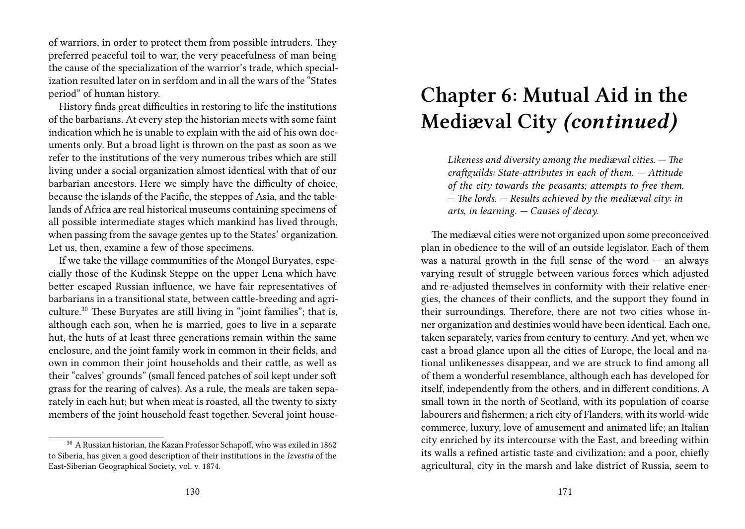of warriors, in order to protect them from possible intruders. They preferred peaceful toil to war, the very peacefulness of man being the cause of the specialization of the warrior's trade, which specialization resulted later on in serfdom and in all the wars of the "States period" of human history.

History finds great difficulties in restoring to life the institutions of the barbarians. At every step the historian meets with some faint indication which he is unable to explain with the aid of his own documents only. But a broad light is thrown on the past as soon as we refer to the institutions of the very numerous tribes which are still living under a social organization almost identical with that of our barbarian ancestors. Here we simply have the difficulty of choice, because the islands of the Pacific, the steppes of Asia, and the tablelands of Africa are real historical museums containing specimens of all possible intermediate stages which mankind has lived through, when passing from the savage gentes up to the States' organization. Let us, then, examine a few of those specimens.

If we take the village communities of the Mongol Buryates, especially those of the Kudinsk Steppe on the upper Lena which have better escaped Russian influence, we have fair representatives of barbarians in a transitional state, between cattle-breeding and agriculture.<sup>30</sup> These Buryates are still living in "joint families"; that is, although each son, when he is married, goes to live in a separate hut, the huts of at least three generations remain within the same enclosure, and the joint family work in common in their fields, and own in common their joint households and their cattle, as well as their "calves' grounds" (small fenced patches of soil kept under soft grass for the rearing of calves). As a rule, the meals are taken separately in each hut; but when meat is roasted, all the twenty to sixty members of the joint household feast together. Several joint house-

## **Chapter 6: Mutual Aid in the Mediæval City** *(continued)*

*Likeness and diversity among the mediæval cities. — The craftguilds: State-attributes in each of them. — Attitude of the city towards the peasants; attempts to free them. — The lords. — Results achieved by the mediæval city: in arts, in learning. — Causes of decay.*

The mediæval cities were not organized upon some preconceived plan in obedience to the will of an outside legislator. Each of them was a natural growth in the full sense of the word  $-$  an always varying result of struggle between various forces which adjusted and re-adjusted themselves in conformity with their relative energies, the chances of their conflicts, and the support they found in their surroundings. Therefore, there are not two cities whose inner organization and destinies would have been identical. Each one, taken separately, varies from century to century. And yet, when we cast a broad glance upon all the cities of Europe, the local and national unlikenesses disappear, and we are struck to find among all of them a wonderful resemblance, although each has developed for itself, independently from the others, and in different conditions. A small town in the north of Scotland, with its population of coarse labourers and fishermen; a rich city of Flanders, with its world-wide commerce, luxury, love of amusement and animated life; an Italian city enriched by its intercourse with the East, and breeding within its walls a refined artistic taste and civilization; and a poor, chiefly agricultural, city in the marsh and lake district of Russia, seem to

<sup>30</sup> A Russian historian, the Kazan Professor Schapoff, who was exiled in 1862 to Siberia, has given a good description of their institutions in the *Izvestia* of the East-Siberian Geographical Society, vol. v. 1874.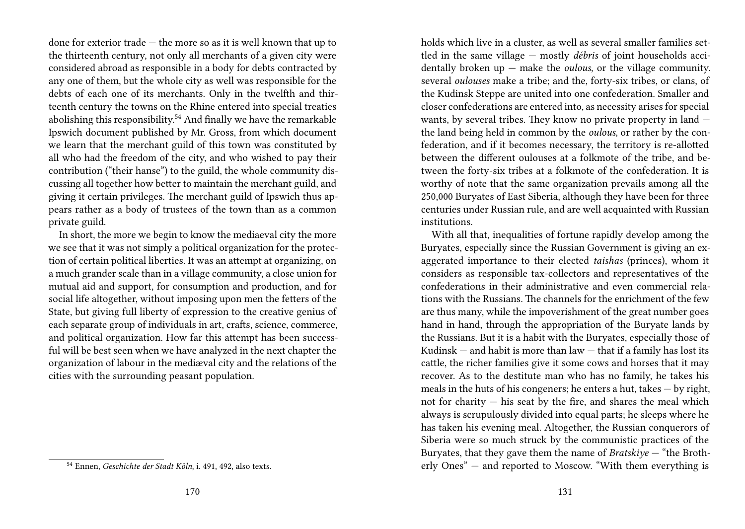done for exterior trade — the more so as it is well known that up to the thirteenth century, not only all merchants of a given city were considered abroad as responsible in a body for debts contracted by any one of them, but the whole city as well was responsible for the debts of each one of its merchants. Only in the twelfth and thirteenth century the towns on the Rhine entered into special treaties abolishing this responsibility.<sup>54</sup> And finally we have the remarkable Ipswich document published by Mr. Gross, from which document we learn that the merchant guild of this town was constituted by all who had the freedom of the city, and who wished to pay their contribution ("their hanse") to the guild, the whole community discussing all together how better to maintain the merchant guild, and giving it certain privileges. The merchant guild of Ipswich thus appears rather as a body of trustees of the town than as a common private guild.

In short, the more we begin to know the mediaeval city the more we see that it was not simply a political organization for the protection of certain political liberties. It was an attempt at organizing, on a much grander scale than in a village community, a close union for mutual aid and support, for consumption and production, and for social life altogether, without imposing upon men the fetters of the State, but giving full liberty of expression to the creative genius of each separate group of individuals in art, crafts, science, commerce, and political organization. How far this attempt has been successful will be best seen when we have analyzed in the next chapter the organization of labour in the mediæval city and the relations of the cities with the surrounding peasant population.

<sup>54</sup> Ennen, *Geschichte der Stadt Köln*, i. 491, 492, also texts.

holds which live in a cluster, as well as several smaller families settled in the same village — mostly *débris* of joint households accidentally broken up — make the *oulous*, or the village community. several *oulouses* make a tribe; and the, forty-six tribes, or clans, of the Kudinsk Steppe are united into one confederation. Smaller and closer confederations are entered into, as necessity arises for special wants, by several tribes. They know no private property in land the land being held in common by the *oulous*, or rather by the confederation, and if it becomes necessary, the territory is re-allotted between the different oulouses at a folkmote of the tribe, and between the forty-six tribes at a folkmote of the confederation. It is worthy of note that the same organization prevails among all the 250,000 Buryates of East Siberia, although they have been for three centuries under Russian rule, and are well acquainted with Russian institutions.

With all that, inequalities of fortune rapidly develop among the Buryates, especially since the Russian Government is giving an exaggerated importance to their elected *taishas* (princes), whom it considers as responsible tax-collectors and representatives of the confederations in their administrative and even commercial relations with the Russians. The channels for the enrichment of the few are thus many, while the impoverishment of the great number goes hand in hand, through the appropriation of the Buryate lands by the Russians. But it is a habit with the Buryates, especially those of Kudinsk — and habit is more than  $law - that$  if a family has lost its cattle, the richer families give it some cows and horses that it may recover. As to the destitute man who has no family, he takes his meals in the huts of his congeners; he enters a hut, takes — by right, not for charity — his seat by the fire, and shares the meal which always is scrupulously divided into equal parts; he sleeps where he has taken his evening meal. Altogether, the Russian conquerors of Siberia were so much struck by the communistic practices of the Buryates, that they gave them the name of *Bratskiye* — "the Brotherly Ones" — and reported to Moscow. "With them everything is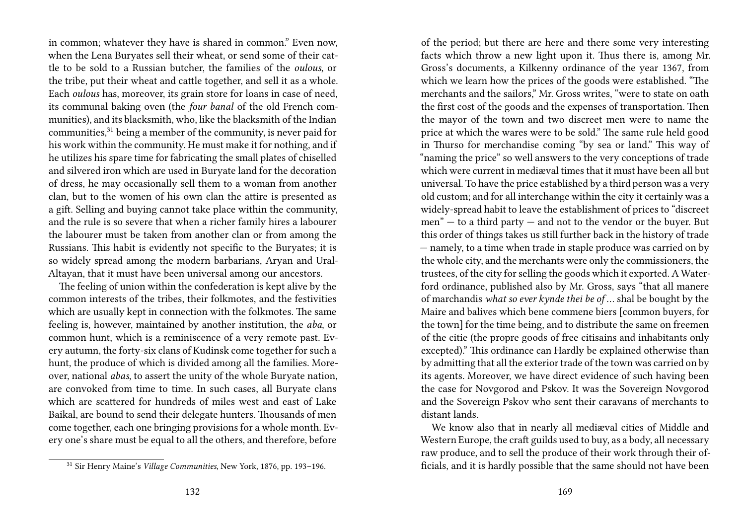in common; whatever they have is shared in common." Even now, when the Lena Buryates sell their wheat, or send some of their cattle to be sold to a Russian butcher, the families of the *oulous*, or the tribe, put their wheat and cattle together, and sell it as a whole. Each *oulous* has, moreover, its grain store for loans in case of need, its communal baking oven (the *four banal* of the old French communities), and its blacksmith, who, like the blacksmith of the Indian communities,<sup>31</sup> being a member of the community, is never paid for his work within the community. He must make it for nothing, and if he utilizes his spare time for fabricating the small plates of chiselled and silvered iron which are used in Buryate land for the decoration of dress, he may occasionally sell them to a woman from another clan, but to the women of his own clan the attire is presented as a gift. Selling and buying cannot take place within the community, and the rule is so severe that when a richer family hires a labourer the labourer must be taken from another clan or from among the Russians. This habit is evidently not specific to the Buryates; it is so widely spread among the modern barbarians, Aryan and Ural-Altayan, that it must have been universal among our ancestors.

The feeling of union within the confederation is kept alive by the common interests of the tribes, their folkmotes, and the festivities which are usually kept in connection with the folkmotes. The same feeling is, however, maintained by another institution, the *aba*, or common hunt, which is a reminiscence of a very remote past. Every autumn, the forty-six clans of Kudinsk come together for such a hunt, the produce of which is divided among all the families. Moreover, national *abas*, to assert the unity of the whole Buryate nation, are convoked from time to time. In such cases, all Buryate clans which are scattered for hundreds of miles west and east of Lake Baikal, are bound to send their delegate hunters. Thousands of men come together, each one bringing provisions for a whole month. Every one's share must be equal to all the others, and therefore, before

of the period; but there are here and there some very interesting facts which throw a new light upon it. Thus there is, among Mr. Gross's documents, a Kilkenny ordinance of the year 1367, from which we learn how the prices of the goods were established. "The merchants and the sailors," Mr. Gross writes, "were to state on oath the first cost of the goods and the expenses of transportation. Then the mayor of the town and two discreet men were to name the price at which the wares were to be sold." The same rule held good in Thurso for merchandise coming "by sea or land." This way of "naming the price" so well answers to the very conceptions of trade which were current in mediæval times that it must have been all but universal. To have the price established by a third person was a very old custom; and for all interchange within the city it certainly was a widely-spread habit to leave the establishment of prices to "discreet  $men^* - to a third party - and not to the vendor or the buyer. But$ this order of things takes us still further back in the history of trade — namely, to a time when trade in staple produce was carried on by the whole city, and the merchants were only the commissioners, the trustees, of the city for selling the goods which it exported. A Waterford ordinance, published also by Mr. Gross, says "that all manere of marchandis *what so ever kynde thei be of* … shal be bought by the Maire and balives which bene commene biers [common buyers, for the town] for the time being, and to distribute the same on freemen of the citie (the propre goods of free citisains and inhabitants only excepted)." This ordinance can Hardly be explained otherwise than by admitting that all the exterior trade of the town was carried on by its agents. Moreover, we have direct evidence of such having been the case for Novgorod and Pskov. It was the Sovereign Novgorod and the Sovereign Pskov who sent their caravans of merchants to distant lands.

We know also that in nearly all mediæval cities of Middle and Western Europe, the craft guilds used to buy, as a body, all necessary raw produce, and to sell the produce of their work through their officials, and it is hardly possible that the same should not have been

<sup>31</sup> Sir Henry Maine's *Village Communities*, New York, 1876, pp. 193–196.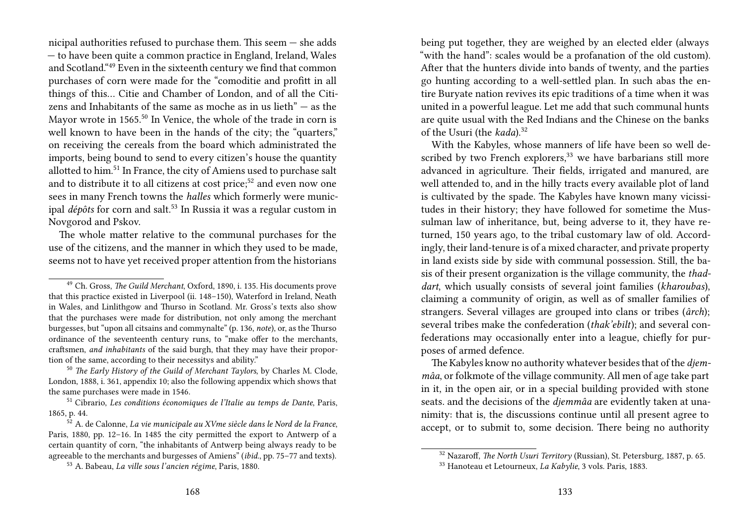nicipal authorities refused to purchase them. This seem — she adds — to have been quite a common practice in England, Ireland, Wales and Scotland."<sup>49</sup> Even in the sixteenth century we find that common purchases of corn were made for the "comoditie and profitt in all things of this… Citie and Chamber of London, and of all the Citizens and Inhabitants of the same as moche as in us lieth" — as the Mayor wrote in 1565.<sup>50</sup> In Venice, the whole of the trade in corn is well known to have been in the hands of the city; the "quarters," on receiving the cereals from the board which administrated the imports, being bound to send to every citizen's house the quantity allotted to him.<sup>51</sup> In France, the city of Amiens used to purchase salt and to distribute it to all citizens at cost price;<sup>52</sup> and even now one sees in many French towns the *halles* which formerly were municipal *dépôts* for corn and salt.<sup>53</sup> In Russia it was a regular custom in Novgorod and Pskov.

The whole matter relative to the communal purchases for the use of the citizens, and the manner in which they used to be made, seems not to have yet received proper attention from the historians

<sup>51</sup> Cibrario, *Les conditions économiques de l'Italie au temps de Dante*, Paris, 1865, p. 44.

being put together, they are weighed by an elected elder (always "with the hand": scales would be a profanation of the old custom). After that the hunters divide into bands of twenty, and the parties go hunting according to a well-settled plan. In such abas the entire Buryate nation revives its epic traditions of a time when it was united in a powerful league. Let me add that such communal hunts are quite usual with the Red Indians and the Chinese on the banks of the Usuri (the *kada*).<sup>32</sup>

With the Kabyles, whose manners of life have been so well described by two French explorers, $33$  we have barbarians still more advanced in agriculture. Their fields, irrigated and manured, are well attended to, and in the hilly tracts every available plot of land is cultivated by the spade. The Kabyles have known many vicissitudes in their history; they have followed for sometime the Mussulman law of inheritance, but, being adverse to it, they have returned, 150 years ago, to the tribal customary law of old. Accordingly, their land-tenure is of a mixed character, and private property in land exists side by side with communal possession. Still, the basis of their present organization is the village community, the *thaddart*, which usually consists of several joint families (*kharoubas*), claiming a community of origin, as well as of smaller families of strangers. Several villages are grouped into clans or tribes (*ârch*); several tribes make the confederation (*thak'ebilt*); and several confederations may occasionally enter into a league, chiefly for purposes of armed defence.

The Kabyles know no authority whatever besides that of the *djemmâa*, or folkmote of the village community. All men of age take part in it, in the open air, or in a special building provided with stone seats. and the decisions of the *djemmâa* are evidently taken at unanimity: that is, the discussions continue until all present agree to accept, or to submit to, some decision. There being no authority

<sup>49</sup> Ch. Gross, *The Guild Merchant*, Oxford, 1890, i. 135. His documents prove that this practice existed in Liverpool (ii. 148–150), Waterford in Ireland, Neath in Wales, and Linlithgow and Thurso in Scotland. Mr. Gross's texts also show that the purchases were made for distribution, not only among the merchant burgesses, but "upon all citsains and commynalte" (p. 136, *note*), or, as the Thurso ordinance of the seventeenth century runs, to "make offer to the merchants, craftsmen, *and inhabitants* of the said burgh, that they may have their proportion of the same, according to their necessitys and ability."

<sup>50</sup> *The Early History of the Guild of Merchant Taylors*, by Charles M. Clode, London, 1888, i. 361, appendix 10; also the following appendix which shows that the same purchases were made in 1546.

<sup>52</sup> A. de Calonne, *La vie municipale au XVme siècle dans le Nord de la France*, Paris, 1880, pp. 12–16. In 1485 the city permitted the export to Antwerp of a certain quantity of corn, "the inhabitants of Antwerp being always ready to be agreeable to the merchants and burgesses of Amiens" (*ibid.*, pp. 75–77 and texts).

<sup>53</sup> A. Babeau, *La ville sous l'ancien régime*, Paris, 1880.

<sup>32</sup> Nazaroff, *The North Usuri Territory* (Russian), St. Petersburg, 1887, p. 65.

<sup>33</sup> Hanoteau et Letourneux, *La Kabylie*, 3 vols. Paris, 1883.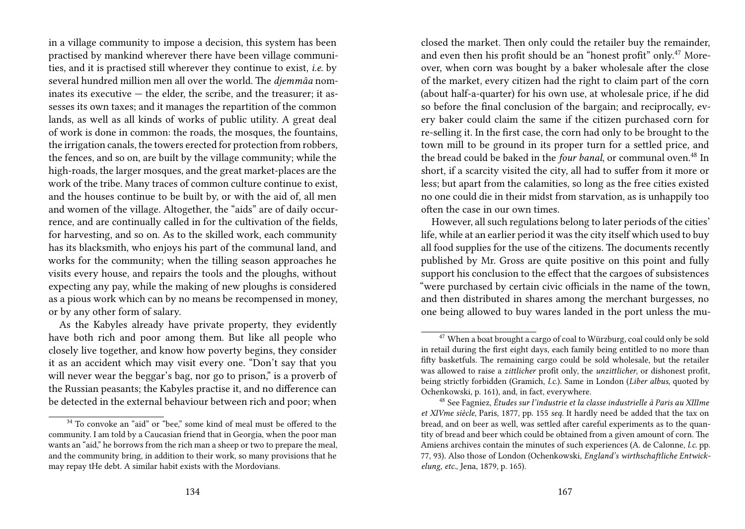in a village community to impose a decision, this system has been practised by mankind wherever there have been village communities, and it is practised still wherever they continue to exist, *i.e.* by several hundred million men all over the world. The *djemmâa* nominates its executive  $-$  the elder, the scribe, and the treasurer; it assesses its own taxes; and it manages the repartition of the common lands, as well as all kinds of works of public utility. A great deal of work is done in common: the roads, the mosques, the fountains, the irrigation canals, the towers erected for protection from robbers, the fences, and so on, are built by the village community; while the high-roads, the larger mosques, and the great market-places are the work of the tribe. Many traces of common culture continue to exist, and the houses continue to be built by, or with the aid of, all men and women of the village. Altogether, the "aids" are of daily occurrence, and are continually called in for the cultivation of the fields, for harvesting, and so on. As to the skilled work, each community has its blacksmith, who enjoys his part of the communal land, and works for the community; when the tilling season approaches he visits every house, and repairs the tools and the ploughs, without expecting any pay, while the making of new ploughs is considered as a pious work which can by no means be recompensed in money, or by any other form of salary.

As the Kabyles already have private property, they evidently have both rich and poor among them. But like all people who closely live together, and know how poverty begins, they consider it as an accident which may visit every one. "Don't say that you will never wear the beggar's bag, nor go to prison," is a proverb of the Russian peasants; the Kabyles practise it, and no difference can be detected in the external behaviour between rich and poor; when

closed the market. Then only could the retailer buy the remainder, and even then his profit should be an "honest profit" only.<sup>47</sup> Moreover, when corn was bought by a baker wholesale after the close of the market, every citizen had the right to claim part of the corn (about half-a-quarter) for his own use, at wholesale price, if he did so before the final conclusion of the bargain; and reciprocally, every baker could claim the same if the citizen purchased corn for re-selling it. In the first case, the corn had only to be brought to the town mill to be ground in its proper turn for a settled price, and the bread could be baked in the *four banal*, or communal oven.<sup>48</sup> In short, if a scarcity visited the city, all had to suffer from it more or less; but apart from the calamities, so long as the free cities existed no one could die in their midst from starvation, as is unhappily too often the case in our own times.

However, all such regulations belong to later periods of the cities' life, while at an earlier period it was the city itself which used to buy all food supplies for the use of the citizens. The documents recently published by Mr. Gross are quite positive on this point and fully support his conclusion to the effect that the cargoes of subsistences "were purchased by certain civic officials in the name of the town, and then distributed in shares among the merchant burgesses, no one being allowed to buy wares landed in the port unless the mu-

<sup>&</sup>lt;sup>34</sup> To convoke an "aid" or "bee," some kind of meal must be offered to the community. I am told by a Caucasian friend that in Georgia, when the poor man wants an "aid," he borrows from the rich man a sheep or two to prepare the meal, and the community bring, in addition to their work, so many provisions that he may repay tHe debt. A similar habit exists with the Mordovians.

<sup>&</sup>lt;sup>47</sup> When a boat brought a cargo of coal to Würzburg, coal could only be sold in retail during the first eight days, each family being entitled to no more than fifty basketfuls. The remaining cargo could be sold wholesale, but the retailer was allowed to raise a *zittlicher* profit only, the *unzittlicher*, or dishonest profit, being strictly forbidden (Gramich, *l.c.*). Same in London (*Liber albus*, quoted by Ochenkowski, p. 161), and, in fact, everywhere.

<sup>48</sup> See Fagniez, *Études sur l'industrie et la classe industrielle à Paris au XIIIme et XIVme siècle*, Paris, 1877, pp. 155 *seq*. It hardly need be added that the tax on bread, and on beer as well, was settled after careful experiments as to the quantity of bread and beer which could be obtained from a given amount of corn. The Amiens archives contain the minutes of such experiences (A. de Calonne, *l.c.* pp. 77, 93). Also those of London (Ochenkowski, *England's wirthschaftliche Entwickelung, etc.*, Jena, 1879, p. 165).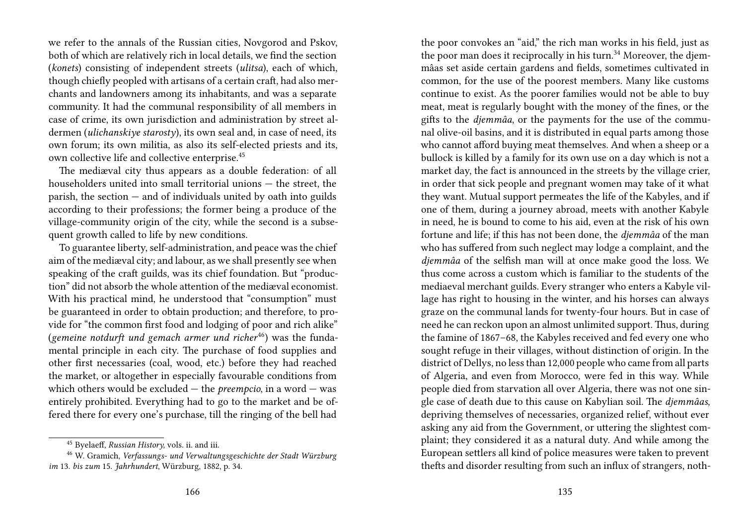we refer to the annals of the Russian cities, Novgorod and Pskov, both of which are relatively rich in local details, we find the section (*konets*) consisting of independent streets (*ulitsa*), each of which, though chiefly peopled with artisans of a certain craft, had also merchants and landowners among its inhabitants, and was a separate community. It had the communal responsibility of all members in case of crime, its own jurisdiction and administration by street aldermen (*ulichanskiye starosty*), its own seal and, in case of need, its own forum; its own militia, as also its self-elected priests and its, own collective life and collective enterprise.<sup>45</sup>

The mediæval city thus appears as a double federation: of all householders united into small territorial unions — the street, the parish, the section  $-$  and of individuals united by oath into guilds according to their professions; the former being a produce of the village-community origin of the city, while the second is a subsequent growth called to life by new conditions.

To guarantee liberty, self-administration, and peace was the chief aim of the mediæval city; and labour, as we shall presently see when speaking of the craft guilds, was its chief foundation. But "production" did not absorb the whole attention of the mediæval economist. With his practical mind, he understood that "consumption" must be guaranteed in order to obtain production; and therefore, to provide for "the common first food and lodging of poor and rich alike" (*gemeine notdurft und gemach armer und richer*<sup>46</sup>) was the fundamental principle in each city. The purchase of food supplies and other first necessaries (coal, wood, etc.) before they had reached the market, or altogether in especially favourable conditions from which others would be excluded — the *preempcio*, in a word — was entirely prohibited. Everything had to go to the market and be offered there for every one's purchase, till the ringing of the bell had

the poor convokes an "aid," the rich man works in his field, just as the poor man does it reciprocally in his turn.<sup>34</sup> Moreover, the diemmâas set aside certain gardens and fields, sometimes cultivated in common, for the use of the poorest members. Many like customs continue to exist. As the poorer families would not be able to buy meat, meat is regularly bought with the money of the fines, or the gifts to the *djemmâa*, or the payments for the use of the communal olive-oil basins, and it is distributed in equal parts among those who cannot afford buying meat themselves. And when a sheep or a bullock is killed by a family for its own use on a day which is not a market day, the fact is announced in the streets by the village crier, in order that sick people and pregnant women may take of it what they want. Mutual support permeates the life of the Kabyles, and if one of them, during a journey abroad, meets with another Kabyle in need, he is bound to come to his aid, even at the risk of his own fortune and life; if this has not been done, the *djemmâa* of the man who has suffered from such neglect may lodge a complaint, and the *djemmâa* of the selfish man will at once make good the loss. We thus come across a custom which is familiar to the students of the mediaeval merchant guilds. Every stranger who enters a Kabyle village has right to housing in the winter, and his horses can always graze on the communal lands for twenty-four hours. But in case of need he can reckon upon an almost unlimited support. Thus, during the famine of 1867–68, the Kabyles received and fed every one who sought refuge in their villages, without distinction of origin. In the district of Dellys, no less than 12,000 people who came from all parts of Algeria, and even from Morocco, were fed in this way. While people died from starvation all over Algeria, there was not one single case of death due to this cause on Kabylian soil. The *djemmâas*, depriving themselves of necessaries, organized relief, without ever asking any aid from the Government, or uttering the slightest complaint; they considered it as a natural duty. And while among the European settlers all kind of police measures were taken to prevent thefts and disorder resulting from such an influx of strangers, noth-

<sup>45</sup> Byelaeff, *Russian History,* vols. ii. and iii.

<sup>46</sup> W. Gramich, *Verfassungs- und Verwaltungsgeschichte der Stadt Würzburg im* 13. *bis zum* 15. *Jahrhundert*, Würzburg, 1882, p. 34.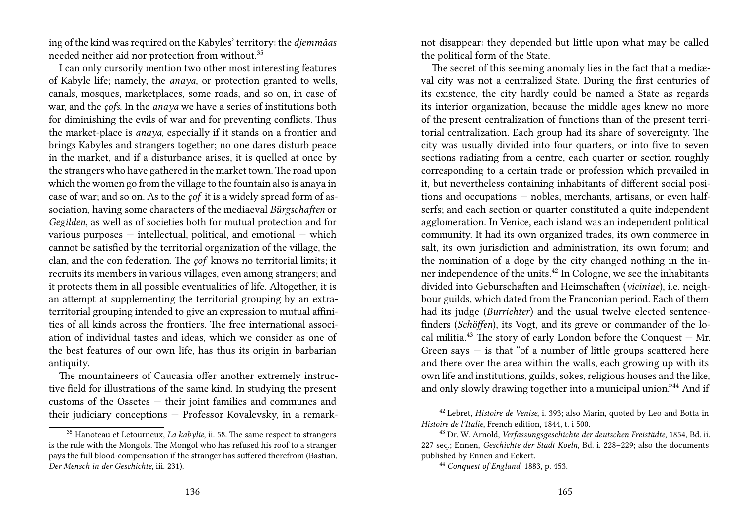ing of the kind was required on the Kabyles' territory: the *djemmâas* needed neither aid nor protection from without.<sup>35</sup>

I can only cursorily mention two other most interesting features of Kabyle life; namely, the *anaya*, or protection granted to wells, canals, mosques, marketplaces, some roads, and so on, in case of war, and the *çofs*. In the *anaya* we have a series of institutions both for diminishing the evils of war and for preventing conflicts. Thus the market-place is *anaya*, especially if it stands on a frontier and brings Kabyles and strangers together; no one dares disturb peace in the market, and if a disturbance arises, it is quelled at once by the strangers who have gathered in the market town. The road upon which the women go from the village to the fountain also is anaya in case of war; and so on. As to the *çof* it is a widely spread form of association, having some characters of the mediaeval *Bürgschaften* or *Gegilden*, as well as of societies both for mutual protection and for various purposes — intellectual, political, and emotional — which cannot be satisfied by the territorial organization of the village, the clan, and the con federation. The *çof* knows no territorial limits; it recruits its members in various villages, even among strangers; and it protects them in all possible eventualities of life. Altogether, it is an attempt at supplementing the territorial grouping by an extraterritorial grouping intended to give an expression to mutual affinities of all kinds across the frontiers. The free international association of individual tastes and ideas, which we consider as one of the best features of our own life, has thus its origin in barbarian antiquity.

The mountaineers of Caucasia offer another extremely instructive field for illustrations of the same kind. In studying the present customs of the Ossetes — their joint families and communes and their judiciary conceptions — Professor Kovalevsky, in a remarknot disappear: they depended but little upon what may be called the political form of the State.

The secret of this seeming anomaly lies in the fact that a mediæval city was not a centralized State. During the first centuries of its existence, the city hardly could be named a State as regards its interior organization, because the middle ages knew no more of the present centralization of functions than of the present territorial centralization. Each group had its share of sovereignty. The city was usually divided into four quarters, or into five to seven sections radiating from a centre, each quarter or section roughly corresponding to a certain trade or profession which prevailed in it, but nevertheless containing inhabitants of different social positions and occupations — nobles, merchants, artisans, or even halfserfs; and each section or quarter constituted a quite independent agglomeration. In Venice, each island was an independent political community. It had its own organized trades, its own commerce in salt, its own jurisdiction and administration, its own forum; and the nomination of a doge by the city changed nothing in the inner independence of the units.<sup>42</sup> In Cologne, we see the inhabitants divided into Geburschaften and Heimschaften (*viciniae*), i.e. neighbour guilds, which dated from the Franconian period. Each of them had its judge (*Burrichter*) and the usual twelve elected sentencefinders (*Schöffen*), its Vogt, and its greve or commander of the local militia. $43$  The story of early London before the Conquest  $-$  Mr. Green says  $-$  is that "of a number of little groups scattered here and there over the area within the walls, each growing up with its own life and institutions, guilds, sokes, religious houses and the like, and only slowly drawing together into a municipal union."<sup>44</sup> And if

<sup>35</sup> Hanoteau et Letourneux, *La kabylie*, ii. 58. The same respect to strangers is the rule with the Mongols. The Mongol who has refused his roof to a stranger pays the full blood-compensation if the stranger has suffered therefrom (Bastian, *Der Mensch in der Geschichte*, iii. 231).

<sup>42</sup> Lebret, *Histoire de Venise*, i. 393; also Marin, quoted by Leo and Botta in *Histoire de l'Italie*, French edition, 1844, t. i 500.

<sup>43</sup> Dr. W. Arnold, *Verfassungsgeschichte der deutschen Freistädte*, 1854, Bd. ii. 227 seq.; Ennen, *Geschichte der Stadt Koeln*, Bd. i. 228–229; also the documents published by Ennen and Eckert.

<sup>44</sup> *Conquest of England*, 1883, p. 453.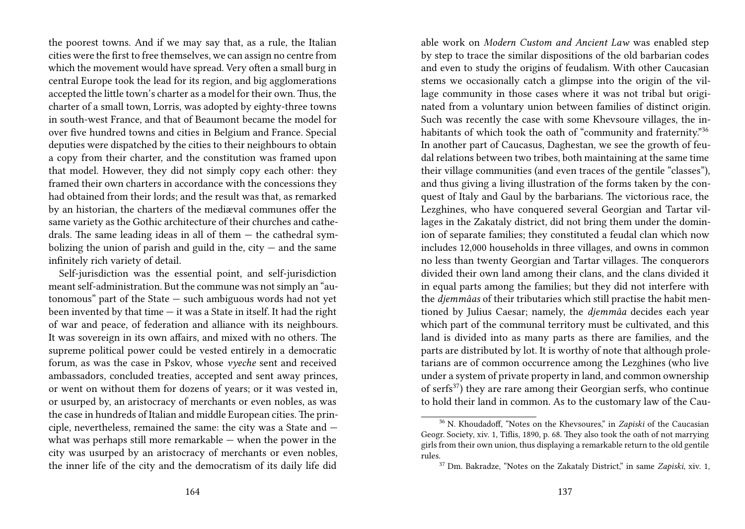the poorest towns. And if we may say that, as a rule, the Italian cities were the first to free themselves, we can assign no centre from which the movement would have spread. Very often a small burg in central Europe took the lead for its region, and big agglomerations accepted the little town's charter as a model for their own. Thus, the charter of a small town, Lorris, was adopted by eighty-three towns in south-west France, and that of Beaumont became the model for over five hundred towns and cities in Belgium and France. Special deputies were dispatched by the cities to their neighbours to obtain a copy from their charter, and the constitution was framed upon that model. However, they did not simply copy each other: they framed their own charters in accordance with the concessions they had obtained from their lords; and the result was that, as remarked by an historian, the charters of the mediæval communes offer the same variety as the Gothic architecture of their churches and cathedrals. The same leading ideas in all of them  $-$  the cathedral symbolizing the union of parish and guild in the,  $city$  — and the same infinitely rich variety of detail.

Self-jurisdiction was the essential point, and self-jurisdiction meant self-administration. But the commune was not simply an "autonomous" part of the State — such ambiguous words had not yet been invented by that time  $-$  it was a State in itself. It had the right of war and peace, of federation and alliance with its neighbours. It was sovereign in its own affairs, and mixed with no others. The supreme political power could be vested entirely in a democratic forum, as was the case in Pskov, whose *vyeche* sent and received ambassadors, concluded treaties, accepted and sent away princes, or went on without them for dozens of years; or it was vested in, or usurped by, an aristocracy of merchants or even nobles, as was the case in hundreds of Italian and middle European cities. The principle, nevertheless, remained the same: the city was a State and what was perhaps still more remarkable  $-$  when the power in the city was usurped by an aristocracy of merchants or even nobles, the inner life of the city and the democratism of its daily life did

able work on *Modern Custom and Ancient Law* was enabled step by step to trace the similar dispositions of the old barbarian codes and even to study the origins of feudalism. With other Caucasian stems we occasionally catch a glimpse into the origin of the village community in those cases where it was not tribal but originated from a voluntary union between families of distinct origin. Such was recently the case with some Khevsoure villages, the inhabitants of which took the oath of "community and fraternity."<sup>36</sup> In another part of Caucasus, Daghestan, we see the growth of feudal relations between two tribes, both maintaining at the same time their village communities (and even traces of the gentile "classes"), and thus giving a living illustration of the forms taken by the conquest of Italy and Gaul by the barbarians. The victorious race, the Lezghines, who have conquered several Georgian and Tartar villages in the Zakataly district, did not bring them under the dominion of separate families; they constituted a feudal clan which now includes 12,000 households in three villages, and owns in common no less than twenty Georgian and Tartar villages. The conquerors divided their own land among their clans, and the clans divided it in equal parts among the families; but they did not interfere with the *djemmâas* of their tributaries which still practise the habit mentioned by Julius Caesar; namely, the *djemmâa* decides each year which part of the communal territory must be cultivated, and this land is divided into as many parts as there are families, and the parts are distributed by lot. It is worthy of note that although proletarians are of common occurrence among the Lezghines (who live under a system of private property in land, and common ownership of serfs<sup>37</sup>) they are rare among their Georgian serfs, who continue to hold their land in common. As to the customary law of the Cau-

<sup>36</sup> N. Khoudadoff, "Notes on the Khevsoures," in *Zapiski* of the Caucasian Geogr. Society, xiv. 1, Tiflis, 1890, p. 68. They also took the oath of not marrying girls from their own union, thus displaying a remarkable return to the old gentile rules.

<sup>37</sup> Dm. Bakradze, "Notes on the Zakataly District," in same *Zapiski*, xiv. 1,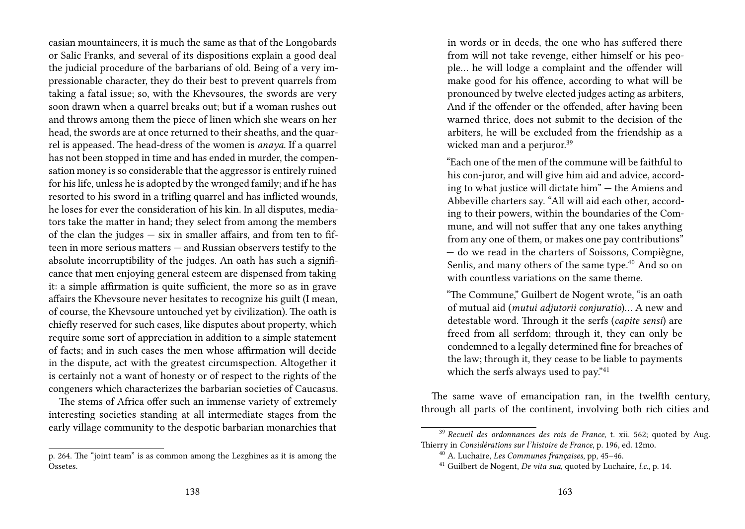casian mountaineers, it is much the same as that of the Longobards or Salic Franks, and several of its dispositions explain a good deal the judicial procedure of the barbarians of old. Being of a very impressionable character, they do their best to prevent quarrels from taking a fatal issue; so, with the Khevsoures, the swords are very soon drawn when a quarrel breaks out; but if a woman rushes out and throws among them the piece of linen which she wears on her head, the swords are at once returned to their sheaths, and the quarrel is appeased. The head-dress of the women is *anaya*. If a quarrel has not been stopped in time and has ended in murder, the compensation money is so considerable that the aggressor is entirely ruined for his life, unless he is adopted by the wronged family; and if he has resorted to his sword in a trifling quarrel and has inflicted wounds, he loses for ever the consideration of his kin. In all disputes, mediators take the matter in hand; they select from among the members of the clan the judges  $-$  six in smaller affairs, and from ten to fifteen in more serious matters — and Russian observers testify to the absolute incorruptibility of the judges. An oath has such a significance that men enjoying general esteem are dispensed from taking it: a simple affirmation is quite sufficient, the more so as in grave affairs the Khevsoure never hesitates to recognize his guilt (I mean, of course, the Khevsoure untouched yet by civilization). The oath is chiefly reserved for such cases, like disputes about property, which require some sort of appreciation in addition to a simple statement of facts; and in such cases the men whose affirmation will decide in the dispute, act with the greatest circumspection. Altogether it is certainly not a want of honesty or of respect to the rights of the congeners which characterizes the barbarian societies of Caucasus.

The stems of Africa offer such an immense variety of extremely interesting societies standing at all intermediate stages from the early village community to the despotic barbarian monarchies that in words or in deeds, the one who has suffered there from will not take revenge, either himself or his people… he will lodge a complaint and the offender will make good for his offence, according to what will be pronounced by twelve elected judges acting as arbiters, And if the offender or the offended, after having been warned thrice, does not submit to the decision of the arbiters, he will be excluded from the friendship as a wicked man and a perjuror.<sup>39</sup>

"Each one of the men of the commune will be faithful to his con-juror, and will give him aid and advice, according to what justice will dictate him" — the Amiens and Abbeville charters say. "All will aid each other, according to their powers, within the boundaries of the Commune, and will not suffer that any one takes anything from any one of them, or makes one pay contributions" — do we read in the charters of Soissons, Compiègne, Senlis, and many others of the same type.<sup>40</sup> And so on with countless variations on the same theme.

"The Commune," Guilbert de Nogent wrote, "is an oath of mutual aid (*mutui adjutorii conjuratio*)… A new and detestable word. Through it the serfs (*capite sensi*) are freed from all serfdom; through it, they can only be condemned to a legally determined fine for breaches of the law; through it, they cease to be liable to payments which the serfs always used to pay."<sup>41</sup>

The same wave of emancipation ran, in the twelfth century, through all parts of the continent, involving both rich cities and

p. 264. The "joint team" is as common among the Lezghines as it is among the Ossetes.

<sup>39</sup> *Recueil des ordonnances des rois de France*, t. xii. 562; quoted by Aug. Thierry in *Considérations sur l'histoire de France*, p. 196, ed. 12mo.

<sup>40</sup> A. Luchaire, *Les Communes françaises*, pp, 45–46.

<sup>41</sup> Guilbert de Nogent, *De vita sua*, quoted by Luchaire, *l.c.*, p. 14.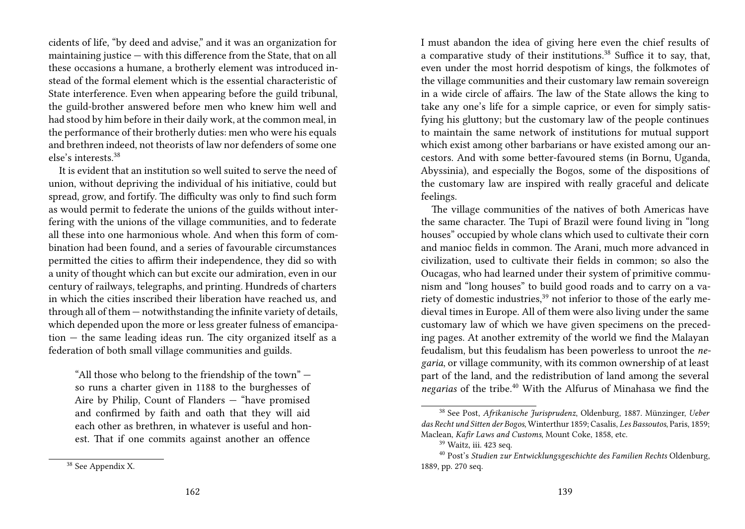cidents of life, "by deed and advise," and it was an organization for maintaining justice — with this difference from the State, that on all these occasions a humane, a brotherly element was introduced instead of the formal element which is the essential characteristic of State interference. Even when appearing before the guild tribunal, the guild-brother answered before men who knew him well and had stood by him before in their daily work, at the common meal, in the performance of their brotherly duties: men who were his equals and brethren indeed, not theorists of law nor defenders of some one else's interests<sup>38</sup>

It is evident that an institution so well suited to serve the need of union, without depriving the individual of his initiative, could but spread, grow, and fortify. The difficulty was only to find such form as would permit to federate the unions of the guilds without interfering with the unions of the village communities, and to federate all these into one harmonious whole. And when this form of combination had been found, and a series of favourable circumstances permitted the cities to affirm their independence, they did so with a unity of thought which can but excite our admiration, even in our century of railways, telegraphs, and printing. Hundreds of charters in which the cities inscribed their liberation have reached us, and through all of them — notwithstanding the infinite variety of details, which depended upon the more or less greater fulness of emancipation — the same leading ideas run. The city organized itself as a federation of both small village communities and guilds.

"All those who belong to the friendship of the town" so runs a charter given in 1188 to the burghesses of Aire by Philip, Count of Flanders — "have promised and confirmed by faith and oath that they will aid each other as brethren, in whatever is useful and honest. That if one commits against another an offence

I must abandon the idea of giving here even the chief results of a comparative study of their institutions.<sup>38</sup> Suffice it to say, that, even under the most horrid despotism of kings, the folkmotes of the village communities and their customary law remain sovereign in a wide circle of affairs. The law of the State allows the king to take any one's life for a simple caprice, or even for simply satisfying his gluttony; but the customary law of the people continues to maintain the same network of institutions for mutual support which exist among other barbarians or have existed among our ancestors. And with some better-favoured stems (in Bornu, Uganda, Abyssinia), and especially the Bogos, some of the dispositions of the customary law are inspired with really graceful and delicate feelings.

The village communities of the natives of both Americas have the same character. The Tupi of Brazil were found living in "long houses" occupied by whole clans which used to cultivate their corn and manioc fields in common. The Arani, much more advanced in civilization, used to cultivate their fields in common; so also the Oucagas, who had learned under their system of primitive communism and "long houses" to build good roads and to carry on a variety of domestic industries,<sup>39</sup> not inferior to those of the early medieval times in Europe. All of them were also living under the same customary law of which we have given specimens on the preceding pages. At another extremity of the world we find the Malayan feudalism, but this feudalism has been powerless to unroot the *negaria*, or village community, with its common ownership of at least part of the land, and the redistribution of land among the several *negarias* of the tribe.<sup>40</sup> With the Alfurus of Minahasa we find the

<sup>38</sup> See Post, *Afrikanische Jurisprudenz*, Oldenburg, 1887. Münzinger, *Ueber das Recht und Sitten der Bogos*, Winterthur 1859; Casalis, *Les Bassoutos*, Paris, 1859; Maclean, *Kafir Laws and Customs*, Mount Coke, 1858, etc.

<sup>39</sup> Waitz, iii. 423 seq.

<sup>40</sup> Post's *Studien zur Entwicklungsgeschichte des Familien Rechts* Oldenburg, 1889, pp. 270 seq.

<sup>38</sup> See Appendix X.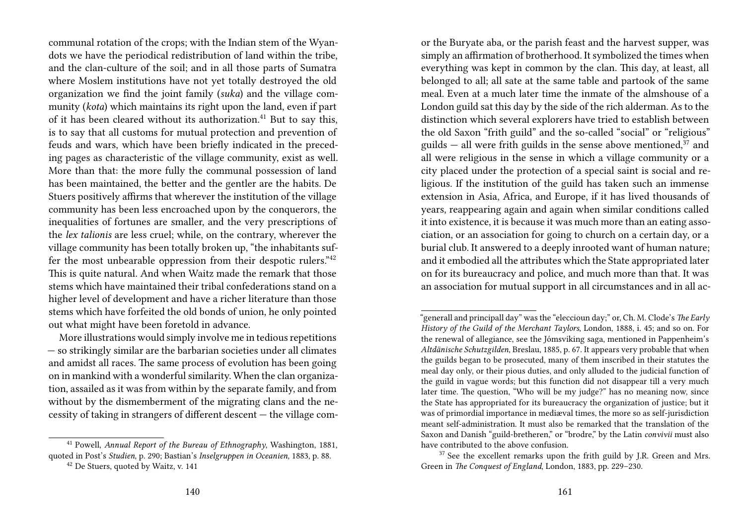communal rotation of the crops; with the Indian stem of the Wyandots we have the periodical redistribution of land within the tribe, and the clan-culture of the soil; and in all those parts of Sumatra where Moslem institutions have not yet totally destroyed the old organization we find the joint family (*suka*) and the village community (*kota*) which maintains its right upon the land, even if part of it has been cleared without its authorization.<sup>41</sup> But to say this, is to say that all customs for mutual protection and prevention of feuds and wars, which have been briefly indicated in the preceding pages as characteristic of the village community, exist as well. More than that: the more fully the communal possession of land has been maintained, the better and the gentler are the habits. De Stuers positively affirms that wherever the institution of the village community has been less encroached upon by the conquerors, the inequalities of fortunes are smaller, and the very prescriptions of the *lex talionis* are less cruel; while, on the contrary, wherever the village community has been totally broken up, "the inhabitants suffer the most unbearable oppression from their despotic rulers."<sup>42</sup> This is quite natural. And when Waitz made the remark that those stems which have maintained their tribal confederations stand on a higher level of development and have a richer literature than those stems which have forfeited the old bonds of union, he only pointed out what might have been foretold in advance.

More illustrations would simply involve me in tedious repetitions — so strikingly similar are the barbarian societies under all climates and amidst all races. The same process of evolution has been going on in mankind with a wonderful similarity. When the clan organization, assailed as it was from within by the separate family, and from without by the dismemberment of the migrating clans and the necessity of taking in strangers of different descent — the village com-

<sup>41</sup> Powell, *Annual Report of the Bureau of Ethnography*, Washington, 1881, quoted in Post's *Studien*, p. 290; Bastian's *Inselgruppen in Oceanien*, 1883, p. 88.

or the Buryate aba, or the parish feast and the harvest supper, was simply an affirmation of brotherhood. It symbolized the times when everything was kept in common by the clan. This day, at least, all belonged to all; all sate at the same table and partook of the same meal. Even at a much later time the inmate of the almshouse of a London guild sat this day by the side of the rich alderman. As to the distinction which several explorers have tried to establish between the old Saxon "frith guild" and the so-called "social" or "religious" guilds  $-$  all were frith guilds in the sense above mentioned,  $37$  and all were religious in the sense in which a village community or a city placed under the protection of a special saint is social and religious. If the institution of the guild has taken such an immense extension in Asia, Africa, and Europe, if it has lived thousands of years, reappearing again and again when similar conditions called it into existence, it is because it was much more than an eating association, or an association for going to church on a certain day, or a burial club. It answered to a deeply inrooted want of human nature; and it embodied all the attributes which the State appropriated later on for its bureaucracy and police, and much more than that. It was an association for mutual support in all circumstances and in all ac-

<sup>42</sup> De Stuers, quoted by Waitz, v. 141

<sup>&</sup>quot;generall and principall day" was the "eleccioun day;" or, Ch. M. Clode's *The Early History of the Guild of the Merchant Taylors*, London, 1888, i. 45; and so on. For the renewal of allegiance, see the Jómsviking saga, mentioned in Pappenheim's *Altdänische Schutzgilden*, Breslau, 1885, p. 67. It appears very probable that when the guilds began to be prosecuted, many of them inscribed in their statutes the meal day only, or their pious duties, and only alluded to the judicial function of the guild in vague words; but this function did not disappear till a very much later time. The question, "Who will be my judge?" has no meaning now, since the State has appropriated for its bureaucracy the organization of justice; but it was of primordial importance in mediæval times, the more so as self-jurisdiction meant self-administration. It must also be remarked that the translation of the Saxon and Danish "guild-bretheren," or "brodre," by the Latin *convivii* must also have contributed to the above confusion.

 $37$  See the excellent remarks upon the frith guild by J.R. Green and Mrs. Green in *The Conquest of England*, London, 1883, pp. 229–230.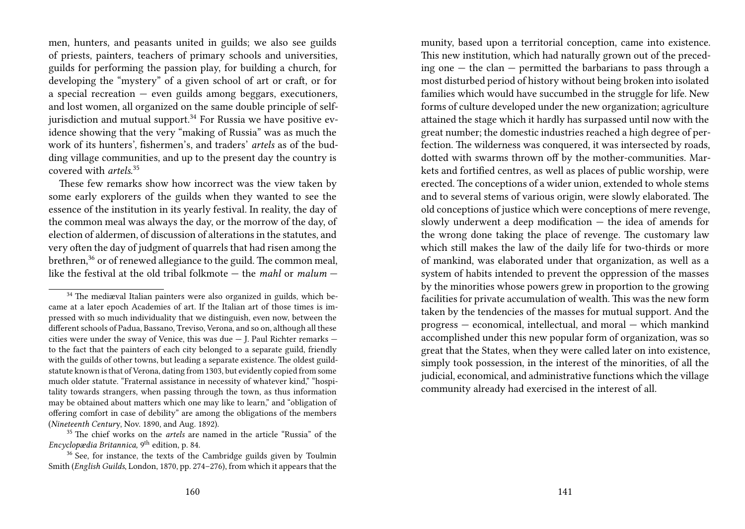men, hunters, and peasants united in guilds; we also see guilds of priests, painters, teachers of primary schools and universities, guilds for performing the passion play, for building a church, for developing the "mystery" of a given school of art or craft, or for a special recreation  $-$  even guilds among beggars, executioners, and lost women, all organized on the same double principle of selfjurisdiction and mutual support.<sup>34</sup> For Russia we have positive evidence showing that the very "making of Russia" was as much the work of its hunters', fishermen's, and traders' *artels* as of the budding village communities, and up to the present day the country is covered with *artels*. 35

These few remarks show how incorrect was the view taken by some early explorers of the guilds when they wanted to see the essence of the institution in its yearly festival. In reality, the day of the common meal was always the day, or the morrow of the day, of election of aldermen, of discussion of alterations in the statutes, and very often the day of judgment of quarrels that had risen among the brethren,<sup>36</sup> or of renewed allegiance to the guild. The common meal, like the festival at the old tribal folkmote — the *mahl* or *malum* —

munity, based upon a territorial conception, came into existence. This new institution, which had naturally grown out of the preceding one  $-$  the clan  $-$  permitted the barbarians to pass through a most disturbed period of history without being broken into isolated families which would have succumbed in the struggle for life. New forms of culture developed under the new organization; agriculture attained the stage which it hardly has surpassed until now with the great number; the domestic industries reached a high degree of perfection. The wilderness was conquered, it was intersected by roads, dotted with swarms thrown off by the mother-communities. Markets and fortified centres, as well as places of public worship, were erected. The conceptions of a wider union, extended to whole stems and to several stems of various origin, were slowly elaborated. The old conceptions of justice which were conceptions of mere revenge, slowly underwent a deep modification — the idea of amends for the wrong done taking the place of revenge. The customary law which still makes the law of the daily life for two-thirds or more of mankind, was elaborated under that organization, as well as a system of habits intended to prevent the oppression of the masses by the minorities whose powers grew in proportion to the growing facilities for private accumulation of wealth. This was the new form taken by the tendencies of the masses for mutual support. And the progress — economical, intellectual, and moral — which mankind accomplished under this new popular form of organization, was so great that the States, when they were called later on into existence, simply took possession, in the interest of the minorities, of all the judicial, economical, and administrative functions which the village community already had exercised in the interest of all.

<sup>&</sup>lt;sup>34</sup> The mediæval Italian painters were also organized in guilds, which became at a later epoch Academies of art. If the Italian art of those times is impressed with so much individuality that we distinguish, even now, between the different schools of Padua, Bassano, Treviso, Verona, and so on, although all these cities were under the sway of Venice, this was due — J. Paul Richter remarks to the fact that the painters of each city belonged to a separate guild, friendly with the guilds of other towns, but leading a separate existence. The oldest guildstatute known is that of Verona, dating from 1303, but evidently copied from some much older statute. "Fraternal assistance in necessity of whatever kind," "hospitality towards strangers, when passing through the town, as thus information may be obtained about matters which one may like to learn," and "obligation of offering comfort in case of debility" are among the obligations of the members (*Nineteenth Centur*y, Nov. 1890, and Aug. 1892).

<sup>35</sup> The chief works on the *artels* are named in the article "Russia" of the *Encyclopædia Britannica,* 9 th edition, p. 84.

<sup>&</sup>lt;sup>36</sup> See, for instance, the texts of the Cambridge guilds given by Toulmin Smith (*English Guilds*, London, 1870, pp. 274–276), from which it appears that the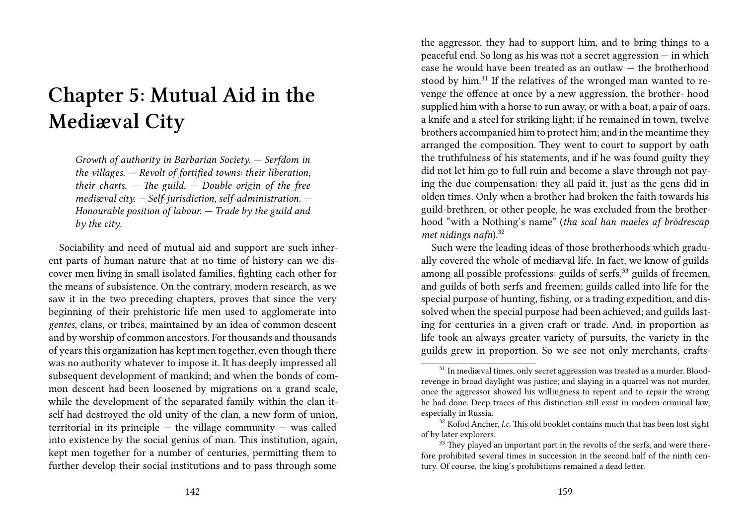## **Chapter 5: Mutual Aid in the Mediæval City**

*Growth of authority in Barbarian Society. — Serfdom in the villages. — Revolt of fortified towns: their liberation; their charts. — The guild. — Double origin of the free mediæval city. — Self-jurisdiction, self-administration. — Honourable position of labour. — Trade by the guild and by the city.*

Sociability and need of mutual aid and support are such inherent parts of human nature that at no time of history can we discover men living in small isolated families, fighting each other for the means of subsistence. On the contrary, modern research, as we saw it in the two preceding chapters, proves that since the very beginning of their prehistoric life men used to agglomerate into *gentes*, clans, or tribes, maintained by an idea of common descent and by worship of common ancestors. For thousands and thousands of years this organization has kept men together, even though there was no authority whatever to impose it. It has deeply impressed all subsequent development of mankind; and when the bonds of common descent had been loosened by migrations on a grand scale, while the development of the separated family within the clan itself had destroyed the old unity of the clan, a new form of union, territorial in its principle  $-$  the village community  $-$  was called into existence by the social genius of man. This institution, again, kept men together for a number of centuries, permitting them to further develop their social institutions and to pass through some

the aggressor, they had to support him, and to bring things to a peaceful end. So long as his was not a secret aggression — in which case he would have been treated as an outlaw — the brotherhood stood by him.<sup>31</sup> If the relatives of the wronged man wanted to revenge the offence at once by a new aggression, the brother- hood supplied him with a horse to run away, or with a boat, a pair of oars, a knife and a steel for striking light; if he remained in town, twelve brothers accompanied him to protect him; and in the meantime they arranged the composition. They went to court to support by oath the truthfulness of his statements, and if he was found guilty they did not let him go to full ruin and become a slave through not paying the due compensation: they all paid it, just as the gens did in olden times. Only when a brother had broken the faith towards his guild-brethren, or other people, he was excluded from the brotherhood "with a Nothing's name" (*tha scal han maeles af brödrescap met nidings nafn*).<sup>32</sup>

Such were the leading ideas of those brotherhoods which gradually covered the whole of mediæval life. In fact, we know of guilds among all possible professions: guilds of serfs, $33$  guilds of freemen, and guilds of both serfs and freemen; guilds called into life for the special purpose of hunting, fishing, or a trading expedition, and dissolved when the special purpose had been achieved; and guilds lasting for centuries in a given craft or trade. And, in proportion as life took an always greater variety of pursuits, the variety in the guilds grew in proportion. So we see not only merchants, crafts-

<sup>31</sup> In mediæval times, only secret aggression was treated as a murder. Bloodrevenge in broad daylight was justice; and slaying in a quarrel was not murder, once the aggressor showed his willingness to repent and to repair the wrong he had done. Deep traces of this distinction still exist in modern criminal law, especially in Russia.

<sup>&</sup>lt;sup>32</sup> Kofod Ancher, *l.c.* This old booklet contains much that has been lost sight of by later explorers.

 $33$  They played an important part in the revolts of the serfs, and were therefore prohibited several times in succession in the second half of the ninth century. Of course, the king's prohibitions remained a dead letter.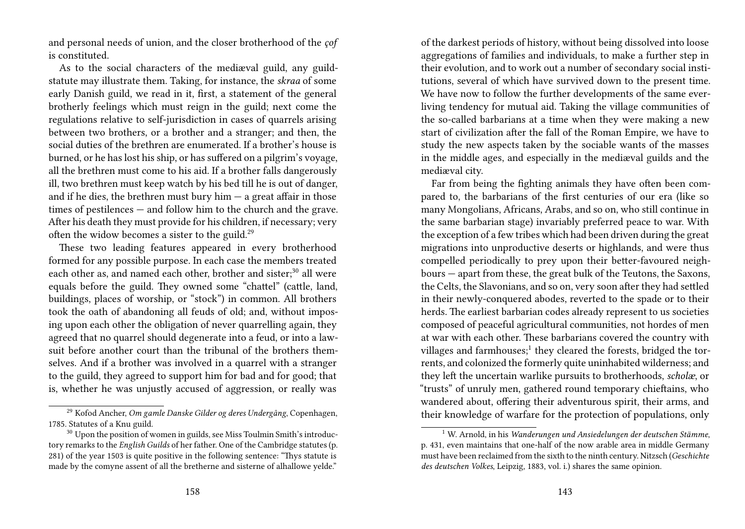and personal needs of union, and the closer brotherhood of the *çof* is constituted.

As to the social characters of the mediæval guild, any guildstatute may illustrate them. Taking, for instance, the *skraa* of some early Danish guild, we read in it, first, a statement of the general brotherly feelings which must reign in the guild; next come the regulations relative to self-jurisdiction in cases of quarrels arising between two brothers, or a brother and a stranger; and then, the social duties of the brethren are enumerated. If a brother's house is burned, or he has lost his ship, or has suffered on a pilgrim's voyage, all the brethren must come to his aid. If a brother falls dangerously ill, two brethren must keep watch by his bed till he is out of danger, and if he dies, the brethren must bury him  $-$  a great affair in those times of pestilences — and follow him to the church and the grave. After his death they must provide for his children, if necessary; very often the widow becomes a sister to the guild.<sup>29</sup>

These two leading features appeared in every brotherhood formed for any possible purpose. In each case the members treated each other as, and named each other, brother and sister;<sup>30</sup> all were equals before the guild. They owned some "chattel" (cattle, land, buildings, places of worship, or "stock") in common. All brothers took the oath of abandoning all feuds of old; and, without imposing upon each other the obligation of never quarrelling again, they agreed that no quarrel should degenerate into a feud, or into a lawsuit before another court than the tribunal of the brothers themselves. And if a brother was involved in a quarrel with a stranger to the guild, they agreed to support him for bad and for good; that is, whether he was unjustly accused of aggression, or really was

of the darkest periods of history, without being dissolved into loose aggregations of families and individuals, to make a further step in their evolution, and to work out a number of secondary social institutions, several of which have survived down to the present time. We have now to follow the further developments of the same everliving tendency for mutual aid. Taking the village communities of the so-called barbarians at a time when they were making a new start of civilization after the fall of the Roman Empire, we have to study the new aspects taken by the sociable wants of the masses in the middle ages, and especially in the mediæval guilds and the mediæval city.

Far from being the fighting animals they have often been compared to, the barbarians of the first centuries of our era (like so many Mongolians, Africans, Arabs, and so on, who still continue in the same barbarian stage) invariably preferred peace to war. With the exception of a few tribes which had been driven during the great migrations into unproductive deserts or highlands, and were thus compelled periodically to prey upon their better-favoured neighbours — apart from these, the great bulk of the Teutons, the Saxons, the Celts, the Slavonians, and so on, very soon after they had settled in their newly-conquered abodes, reverted to the spade or to their herds. The earliest barbarian codes already represent to us societies composed of peaceful agricultural communities, not hordes of men at war with each other. These barbarians covered the country with villages and farmhouses;<sup>1</sup> they cleared the forests, bridged the torrents, and colonized the formerly quite uninhabited wilderness; and they left the uncertain warlike pursuits to brotherhoods, *scholæ*, or "trusts" of unruly men, gathered round temporary chieftains, who wandered about, offering their adventurous spirit, their arms, and their knowledge of warfare for the protection of populations, only

<sup>29</sup> Kofod Ancher, *Om gamle Danske Gilder og deres Undergâng*, Copenhagen, 1785. Statutes of a Knu guild.

<sup>&</sup>lt;sup>30</sup> Upon the position of women in guilds, see Miss Toulmin Smith's introductory remarks to the *English Guilds* of her father. One of the Cambridge statutes (p. 281) of the year 1503 is quite positive in the following sentence: "Thys statute is made by the comyne assent of all the bretherne and sisterne of alhallowe yelde."

<sup>1</sup> W. Arnold, in his *Wanderungen und Ansiedelungen der deutschen Stämme*, p. 431, even maintains that one-half of the now arable area in middle Germany must have been reclaimed from the sixth to the ninth century. Nitzsch (*Geschichte des deutschen Volkes*, Leipzig, 1883, vol. i.) shares the same opinion.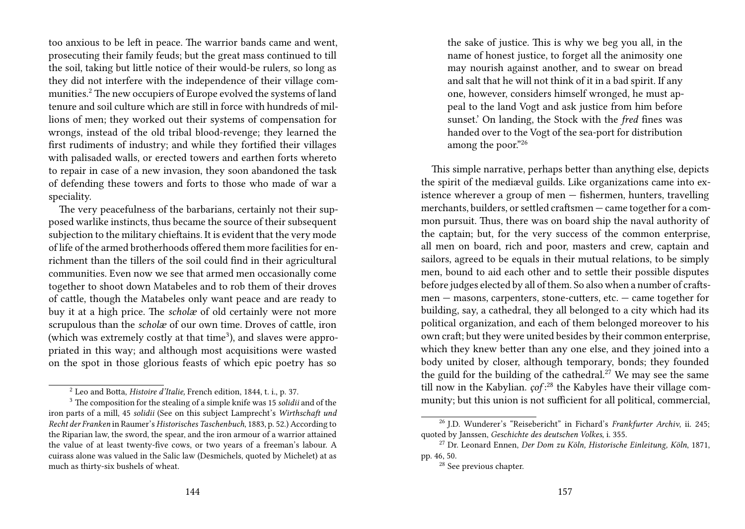too anxious to be left in peace. The warrior bands came and went, prosecuting their family feuds; but the great mass continued to till the soil, taking but little notice of their would-be rulers, so long as they did not interfere with the independence of their village communities.<sup>2</sup> The new occupiers of Europe evolved the systems of land tenure and soil culture which are still in force with hundreds of millions of men; they worked out their systems of compensation for wrongs, instead of the old tribal blood-revenge; they learned the first rudiments of industry; and while they fortified their villages with palisaded walls, or erected towers and earthen forts whereto to repair in case of a new invasion, they soon abandoned the task of defending these towers and forts to those who made of war a speciality.

The very peacefulness of the barbarians, certainly not their supposed warlike instincts, thus became the source of their subsequent subjection to the military chieftains. It is evident that the very mode of life of the armed brotherhoods offered them more facilities for enrichment than the tillers of the soil could find in their agricultural communities. Even now we see that armed men occasionally come together to shoot down Matabeles and to rob them of their droves of cattle, though the Matabeles only want peace and are ready to buy it at a high price. The *scholæ* of old certainly were not more scrupulous than the *scholæ* of our own time. Droves of cattle, iron (which was extremely costly at that time<sup>3</sup>), and slaves were appropriated in this way; and although most acquisitions were wasted on the spot in those glorious feasts of which epic poetry has so

the sake of justice. This is why we beg you all, in the name of honest justice, to forget all the animosity one may nourish against another, and to swear on bread and salt that he will not think of it in a bad spirit. If any one, however, considers himself wronged, he must appeal to the land Vogt and ask justice from him before sunset.' On landing, the Stock with the *fred* fines was handed over to the Vogt of the sea-port for distribution among the poor."<sup>26</sup>

This simple narrative, perhaps better than anything else, depicts the spirit of the mediæval guilds. Like organizations came into existence wherever a group of men — fishermen, hunters, travelling merchants, builders, or settled craftsmen — came together for a common pursuit. Thus, there was on board ship the naval authority of the captain; but, for the very success of the common enterprise, all men on board, rich and poor, masters and crew, captain and sailors, agreed to be equals in their mutual relations, to be simply men, bound to aid each other and to settle their possible disputes before judges elected by all of them. So also when a number of craftsmen — masons, carpenters, stone-cutters, etc. — came together for building, say, a cathedral, they all belonged to a city which had its political organization, and each of them belonged moreover to his own craft; but they were united besides by their common enterprise, which they knew better than any one else, and they joined into a body united by closer, although temporary, bonds; they founded the guild for the building of the cathedral.<sup>27</sup> We may see the same till now in the Kabylian. *çof*:<sup>28</sup> the Kabyles have their village community; but this union is not sufficient for all political, commercial,

<sup>2</sup> Leo and Botta, *Histoire d'Italie,* French edition, 1844, t. i., p. 37.

<sup>3</sup> The composition for the stealing of a simple knife was 15 *solidii* and of the iron parts of a mill, 45 *solidii* (See on this subject Lamprecht's *Wirthschaft und Recht der Franken* in Raumer's *Historisches Taschenbuch*, 1883, p. 52.) According to the Riparian law, the sword, the spear, and the iron armour of a warrior attained the value of at least twenty-five cows, or two years of a freeman's labour. A cuirass alone was valued in the Salic law (Desmichels, quoted by Michelet) at as much as thirty-six bushels of wheat.

<sup>26</sup> J.D. Wunderer's "Reisebericht" in Fichard's *Frankfurter Archiv*, ii. 245; quoted by Janssen, *Geschichte des deutschen Volkes*, i. 355.

<sup>27</sup> Dr. Leonard Ennen, *Der Dom zu Köln, Historische Einleitung, Köln*, 1871, pp. 46, 50.

<sup>28</sup> See previous chapter.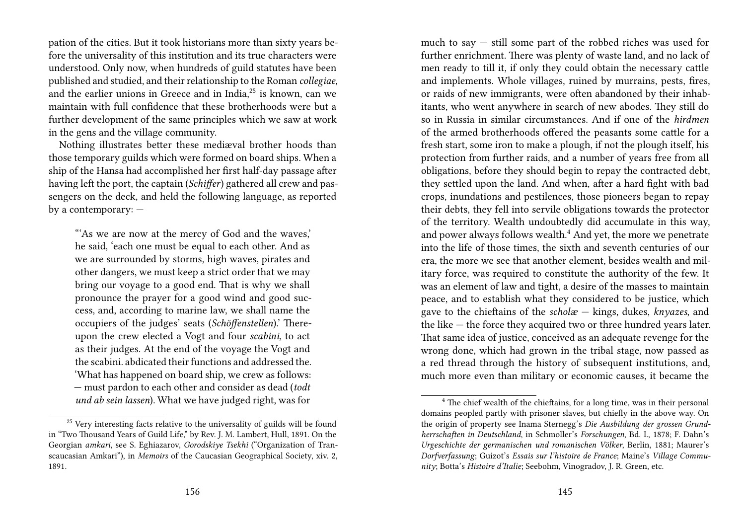pation of the cities. But it took historians more than sixty years before the universality of this institution and its true characters were understood. Only now, when hundreds of guild statutes have been published and studied, and their relationship to the Roman *collegiae*, and the earlier unions in Greece and in India,<sup>25</sup> is known, can we maintain with full confidence that these brotherhoods were but a further development of the same principles which we saw at work in the gens and the village community.

Nothing illustrates better these mediæval brother hoods than those temporary guilds which were formed on board ships. When a ship of the Hansa had accomplished her first half-day passage after having left the port, the captain (*Schiffer*) gathered all crew and passengers on the deck, and held the following language, as reported by a contemporary: —

"'As we are now at the mercy of God and the waves,' he said, 'each one must be equal to each other. And as we are surrounded by storms, high waves, pirates and other dangers, we must keep a strict order that we may bring our voyage to a good end. That is why we shall pronounce the prayer for a good wind and good success, and, according to marine law, we shall name the occupiers of the judges' seats (*Schöffenstellen*).' Thereupon the crew elected a Vogt and four *scabini*, to act as their judges. At the end of the voyage the Vogt and the scabini. abdicated their functions and addressed the. 'What has happened on board ship, we crew as follows: — must pardon to each other and consider as dead (*todt und ab sein lassen*). What we have judged right, was for

much to say — still some part of the robbed riches was used for further enrichment. There was plenty of waste land, and no lack of men ready to till it, if only they could obtain the necessary cattle and implements. Whole villages, ruined by murrains, pests, fires, or raids of new immigrants, were often abandoned by their inhabitants, who went anywhere in search of new abodes. They still do so in Russia in similar circumstances. And if one of the *hirdmen* of the armed brotherhoods offered the peasants some cattle for a fresh start, some iron to make a plough, if not the plough itself, his protection from further raids, and a number of years free from all obligations, before they should begin to repay the contracted debt, they settled upon the land. And when, after a hard fight with bad crops, inundations and pestilences, those pioneers began to repay their debts, they fell into servile obligations towards the protector of the territory. Wealth undoubtedly did accumulate in this way, and power always follows wealth.<sup>4</sup> And yet, the more we penetrate into the life of those times, the sixth and seventh centuries of our era, the more we see that another element, besides wealth and military force, was required to constitute the authority of the few. It was an element of law and tight, a desire of the masses to maintain peace, and to establish what they considered to be justice, which gave to the chieftains of the *scholæ* — kings, dukes, *knyazes*, and the like — the force they acquired two or three hundred years later. That same idea of justice, conceived as an adequate revenge for the wrong done, which had grown in the tribal stage, now passed as a red thread through the history of subsequent institutions, and, much more even than military or economic causes, it became the

 $25$  Very interesting facts relative to the universality of guilds will be found in "Two Thousand Years of Guild Life," by Rev. J. M. Lambert, Hull, 1891. On the Georgian *amkari*, see S. Eghiazarov, *Gorodskiye Tsekhi* ("Organization of Transcaucasian Amkari"), in *Memoirs* of the Caucasian Geographical Society, xiv. 2, 1891.

<sup>&</sup>lt;sup>4</sup> The chief wealth of the chieftains, for a long time, was in their personal domains peopled partly with prisoner slaves, but chiefly in the above way. On the origin of property see Inama Sternegg's *Die Ausbildung der grossen Grundherrschaften in Deutschland*, in Schmoller's *Forschungen*, Bd. I., 1878; F. Dahn's *Urgeschichte der germanischen und romanischen Völker*, Berlin, 1881; Maurer's *Dorfverfassung*; Guizot's *Essais sur l'histoire de France*; Maine's *Village Community*; Botta's *Histoire d'Italie*; Seebohm, Vinogradov, J. R. Green, etc.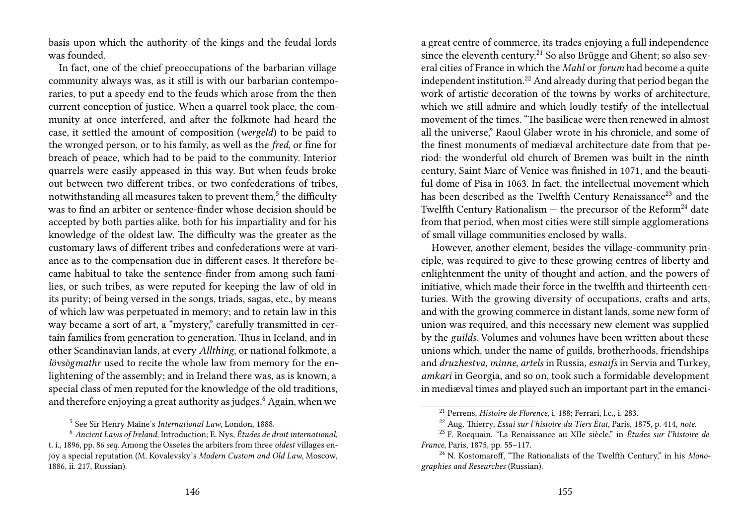basis upon which the authority of the kings and the feudal lords was founded.

In fact, one of the chief preoccupations of the barbarian village community always was, as it still is with our barbarian contemporaries, to put a speedy end to the feuds which arose from the then current conception of justice. When a quarrel took place, the community at once interfered, and after the folkmote had heard the case, it settled the amount of composition (*wergeld*) to be paid to the wronged person, or to his family, as well as the *fred*, or fine for breach of peace, which had to be paid to the community. Interior quarrels were easily appeased in this way. But when feuds broke out between two different tribes, or two confederations of tribes, notwithstanding all measures taken to prevent them, $^5$  the difficulty was to find an arbiter or sentence-finder whose decision should be accepted by both parties alike, both for his impartiality and for his knowledge of the oldest law. The difficulty was the greater as the customary laws of different tribes and confederations were at variance as to the compensation due in different cases. It therefore became habitual to take the sentence-finder from among such families, or such tribes, as were reputed for keeping the law of old in its purity; of being versed in the songs, triads, sagas, etc., by means of which law was perpetuated in memory; and to retain law in this way became a sort of art, a "mystery," carefully transmitted in certain families from generation to generation. Thus in Iceland, and in other Scandinavian lands, at every *Allthing*, or national folkmote, a *lövsögmathr* used to recite the whole law from memory for the enlightening of the assembly; and in Ireland there was, as is known, a special class of men reputed for the knowledge of the old traditions, and therefore enjoying a great authority as judges.<sup>6</sup> Again, when we

a great centre of commerce, its trades enjoying a full independence since the eleventh century.<sup>21</sup> So also Brügge and Ghent; so also several cities of France in which the *Mahl* or *forum* had become a quite independent institution.<sup>22</sup> And already during that period began the work of artistic decoration of the towns by works of architecture, which we still admire and which loudly testify of the intellectual movement of the times. "The basilicae were then renewed in almost all the universe," Raoul Glaber wrote in his chronicle, and some of the finest monuments of mediæval architecture date from that period: the wonderful old church of Bremen was built in the ninth century, Saint Marc of Venice was finished in 1071, and the beautiful dome of Pisa in 1063. In fact, the intellectual movement which has been described as the Twelfth Century Renaissance<sup>23</sup> and the Twelfth Century Rationalism  $-$  the precursor of the Reform<sup>24</sup> date from that period, when most cities were still simple agglomerations of small village communities enclosed by walls.

However, another element, besides the village-community principle, was required to give to these growing centres of liberty and enlightenment the unity of thought and action, and the powers of initiative, which made their force in the twelfth and thirteenth centuries. With the growing diversity of occupations, crafts and arts, and with the growing commerce in distant lands, some new form of union was required, and this necessary new element was supplied by the *guilds*. Volumes and volumes have been written about these unions which, under the name of guilds, brotherhoods, friendships and *druzhestva*, *minne*, *artels* in Russia, *esnaifs* in Servia and Turkey, *amkari* in Georgia, and so on, took such a formidable development in mediæval times and played such an important part in the emanci-

<sup>5</sup> See Sir Henry Maine's *International Law*, London, 1888.

<sup>6</sup> *Ancient Laws of Ireland*, Introduction; E. Nys, *Études de droit international*, t. i., 1896, pp. 86 *seq*. Among the Ossetes the arbiters from three *oldest* villages enjoy a special reputation (M. Kovalevsky's *Modern Custom and Old Law*, Moscow, 1886, ii. 217, Russian).

<sup>21</sup> Perrens, *Histoire de Florence*, i. 188; Ferrari, l.c., i. 283.

<sup>22</sup> Aug. Thierry, *Essai sur l'histoire du Tiers État*, Paris, 1875, p. 414, *note*.

<sup>23</sup> F. Rocquain, "La Renaissance au XIIe siècle," in *Études sur l'histoire de France*, Paris, 1875, pp. 55–117.

<sup>24</sup> N. Kostomaroff, "The Rationalists of the Twelfth Century," in his *Monographies and Researches* (Russian).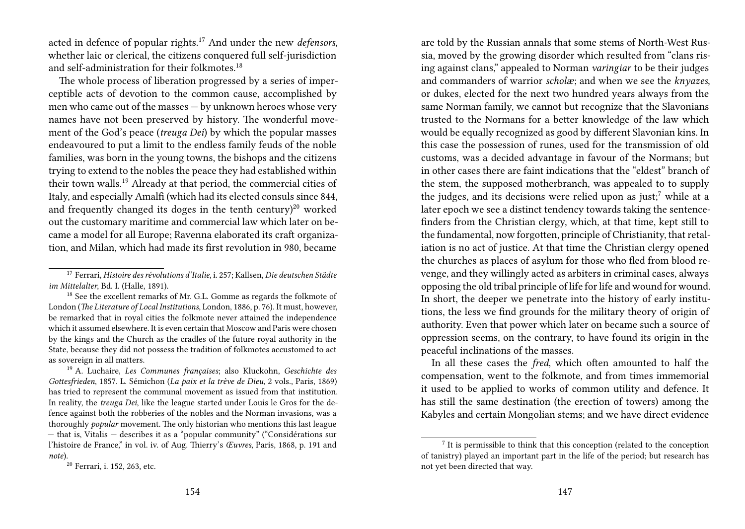acted in defence of popular rights.<sup>17</sup> And under the new *defensors*, whether laic or clerical, the citizens conquered full self-jurisdiction and self-administration for their folkmotes.<sup>18</sup>

The whole process of liberation progressed by a series of imperceptible acts of devotion to the common cause, accomplished by men who came out of the masses — by unknown heroes whose very names have not been preserved by history. The wonderful movement of the God's peace (*treuga Dei*) by which the popular masses endeavoured to put a limit to the endless family feuds of the noble families, was born in the young towns, the bishops and the citizens trying to extend to the nobles the peace they had established within their town walls.<sup>19</sup> Already at that period, the commercial cities of Italy, and especially Amalfi (which had its elected consuls since 844, and frequently changed its doges in the tenth century)<sup>20</sup> worked out the customary maritime and commercial law which later on became a model for all Europe; Ravenna elaborated its craft organization, and Milan, which had made its first revolution in 980, became

are told by the Russian annals that some stems of North-West Russia, moved by the growing disorder which resulted from "clans rising against clans," appealed to Norman *varingiar* to be their judges and commanders of warrior *scholæ*; and when we see the *knyazes*, or dukes, elected for the next two hundred years always from the same Norman family, we cannot but recognize that the Slavonians trusted to the Normans for a better knowledge of the law which would be equally recognized as good by different Slavonian kins. In this case the possession of runes, used for the transmission of old customs, was a decided advantage in favour of the Normans; but in other cases there are faint indications that the "eldest" branch of the stem, the supposed motherbranch, was appealed to to supply the judges, and its decisions were relied upon as just; $<sup>7</sup>$  while at a</sup> later epoch we see a distinct tendency towards taking the sentencefinders from the Christian clergy, which, at that time, kept still to the fundamental, now forgotten, principle of Christianity, that retaliation is no act of justice. At that time the Christian clergy opened the churches as places of asylum for those who fled from blood revenge, and they willingly acted as arbiters in criminal cases, always opposing the old tribal principle of life for life and wound for wound. In short, the deeper we penetrate into the history of early institutions, the less we find grounds for the military theory of origin of authority. Even that power which later on became such a source of oppression seems, on the contrary, to have found its origin in the peaceful inclinations of the masses.

In all these cases the *fred*, which often amounted to half the compensation, went to the folkmote, and from times immemorial it used to be applied to works of common utility and defence. It has still the same destination (the erection of towers) among the Kabyles and certain Mongolian stems; and we have direct evidence

<sup>17</sup> Ferrari, *Histoire des révolutions d'Italie*, i. 257; Kallsen, *Die deutschen Städte im Mittelalter*, Bd. I. (Halle, 1891).

<sup>&</sup>lt;sup>18</sup> See the excellent remarks of Mr. G.L. Gomme as regards the folkmote of London (*The Literature of Local Institutions*, London, 1886, p. 76). It must, however, be remarked that in royal cities the folkmote never attained the independence which it assumed elsewhere. It is even certain that Moscow and Paris were chosen by the kings and the Church as the cradles of the future royal authority in the State, because they did not possess the tradition of folkmotes accustomed to act as sovereign in all matters.

<sup>19</sup> A. Luchaire, *Les Communes françaises*; also Kluckohn, *Geschichte des Gottesfrieden*, 1857. L. Sémichon (*La paix et la trève de Dieu*, 2 vols., Paris, 1869) has tried to represent the communal movement as issued from that institution. In reality, the *treuga Dei*, like the league started under Louis le Gros for the defence against both the robberies of the nobles and the Norman invasions, was a thoroughly *popular* movement. The only historian who mentions this last league — that is, Vitalis — describes it as a "popular community" ("Considérations sur l'histoire de France," in vol. iv. of Aug. Thierry's *Œuvres*, Paris, 1868, p. 191 and *note*).

<sup>&</sup>lt;sup>20</sup> Ferrari, i. 152, 263, etc.

<sup>&</sup>lt;sup>7</sup> It is permissible to think that this conception (related to the conception of tanistry) played an important part in the life of the period; but research has not yet been directed that way.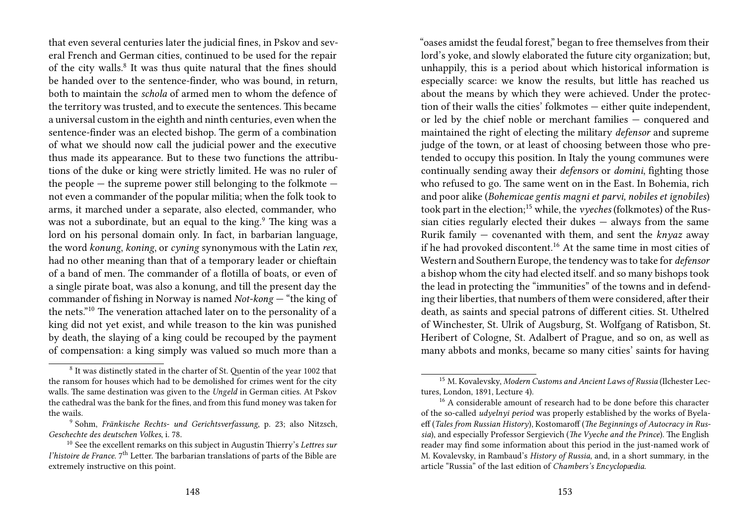that even several centuries later the judicial fines, in Pskov and several French and German cities, continued to be used for the repair of the city walls.<sup>8</sup> It was thus quite natural that the fines should be handed over to the sentence-finder, who was bound, in return, both to maintain the *schola* of armed men to whom the defence of the territory was trusted, and to execute the sentences. This became a universal custom in the eighth and ninth centuries, even when the sentence-finder was an elected bishop. The germ of a combination of what we should now call the judicial power and the executive thus made its appearance. But to these two functions the attributions of the duke or king were strictly limited. He was no ruler of the people  $-$  the supreme power still belonging to the folkmote  $$ not even a commander of the popular militia; when the folk took to arms, it marched under a separate, also elected, commander, who was not a subordinate, but an equal to the king.<sup>9</sup> The king was a lord on his personal domain only. In fact, in barbarian language, the word *konung*, *koning*, or *cyning* synonymous with the Latin *rex*, had no other meaning than that of a temporary leader or chieftain of a band of men. The commander of a flotilla of boats, or even of a single pirate boat, was also a konung, and till the present day the commander of fishing in Norway is named *Not-kong* — "the king of the nets."<sup>10</sup> The veneration attached later on to the personality of a king did not yet exist, and while treason to the kin was punished by death, the slaying of a king could be recouped by the payment of compensation: a king simply was valued so much more than a

"oases amidst the feudal forest," began to free themselves from their lord's yoke, and slowly elaborated the future city organization; but, unhappily, this is a period about which historical information is especially scarce: we know the results, but little has reached us about the means by which they were achieved. Under the protection of their walls the cities' folkmotes — either quite independent, or led by the chief noble or merchant families — conquered and maintained the right of electing the military *defensor* and supreme judge of the town, or at least of choosing between those who pretended to occupy this position. In Italy the young communes were continually sending away their *defensors* or *domini*, fighting those who refused to go. The same went on in the East. In Bohemia, rich and poor alike (*Bohemicae gentis magni et parvi, nobiles et ignobiles*) took part in the election;<sup>15</sup> while, the *vyeches* (folkmotes) of the Russian cities regularly elected their dukes — always from the same Rurik family — covenanted with them, and sent the *knyaz* away if he had provoked discontent.<sup>16</sup> At the same time in most cities of Western and Southern Europe, the tendency was to take for *defensor* a bishop whom the city had elected itself. and so many bishops took the lead in protecting the "immunities" of the towns and in defending their liberties, that numbers of them were considered, after their death, as saints and special patrons of different cities. St. Uthelred of Winchester, St. Ulrik of Augsburg, St. Wolfgang of Ratisbon, St. Heribert of Cologne, St. Adalbert of Prague, and so on, as well as many abbots and monks, became so many cities' saints for having

<sup>&</sup>lt;sup>8</sup> It was distinctly stated in the charter of St. Quentin of the year 1002 that the ransom for houses which had to be demolished for crimes went for the city walls. The same destination was given to the *Ungeld* in German cities. At Pskov the cathedral was the bank for the fines, and from this fund money was taken for the wails.

<sup>9</sup> Sohm, *Fränkische Rechts- und Gerichtsverfassung*, p. 23; also Nitzsch, *Geschechte des deutschen Volkes*, i. 78.

<sup>10</sup> See the excellent remarks on this subject in Augustin Thierry's *Lettres sur l'histoire de France*. 7<sup>th</sup> Letter. The barbarian translations of parts of the Bible are extremely instructive on this point.

<sup>15</sup> M. Kovalevsky, *Modern Customs and Ancient Laws of Russia* (Ilchester Lectures, London, 1891, Lecture 4).

<sup>&</sup>lt;sup>16</sup> A considerable amount of research had to be done before this character of the so-called *udyelnyi period* was properly established by the works of Byelaeff (*Tales from Russian History*), Kostomaroff (*The Beginnings of Autocracy in Russia*), and especially Professor Sergievich (*The Vyeche and the Prince*). The English reader may find some information about this period in the just-named work of M. Kovalevsky, in Rambaud's *History of Russia*, and, in a short summary, in the article "Russia" of the last edition of *Chambers's Encyclopædia*.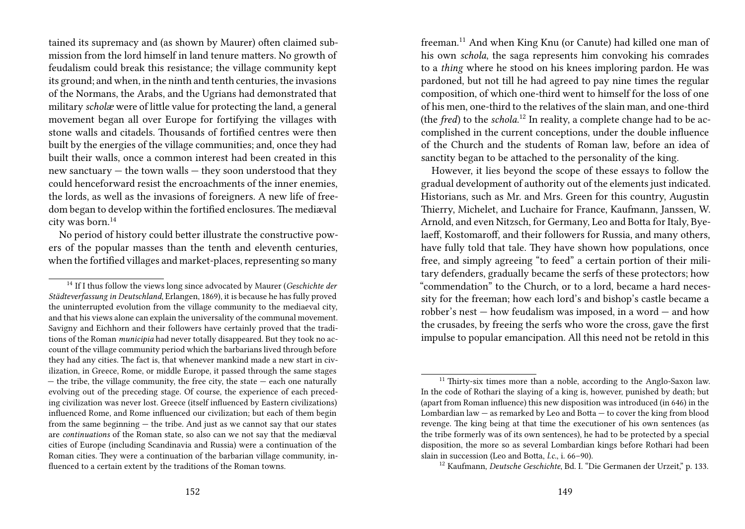tained its supremacy and (as shown by Maurer) often claimed submission from the lord himself in land tenure matters. No growth of feudalism could break this resistance; the village community kept its ground; and when, in the ninth and tenth centuries, the invasions of the Normans, the Arabs, and the Ugrians had demonstrated that military *scholæ* were of little value for protecting the land, a general movement began all over Europe for fortifying the villages with stone walls and citadels. Thousands of fortified centres were then built by the energies of the village communities; and, once they had built their walls, once a common interest had been created in this new sanctuary — the town walls — they soon understood that they could henceforward resist the encroachments of the inner enemies, the lords, as well as the invasions of foreigners. A new life of freedom began to develop within the fortified enclosures. The mediæval city was born.<sup>14</sup>

No period of history could better illustrate the constructive powers of the popular masses than the tenth and eleventh centuries, when the fortified villages and market-places, representing so many

freeman.<sup>11</sup> And when King Knu (or Canute) had killed one man of his own *schola*, the saga represents him convoking his comrades to a *thing* where he stood on his knees imploring pardon. He was pardoned, but not till he had agreed to pay nine times the regular composition, of which one-third went to himself for the loss of one of his men, one-third to the relatives of the slain man, and one-third (the *fred*) to the *schola*. <sup>12</sup> In reality, a complete change had to be accomplished in the current conceptions, under the double influence of the Church and the students of Roman law, before an idea of sanctity began to be attached to the personality of the king.

However, it lies beyond the scope of these essays to follow the gradual development of authority out of the elements just indicated. Historians, such as Mr. and Mrs. Green for this country, Augustin Thierry, Michelet, and Luchaire for France, Kaufmann, Janssen, W. Arnold, and even Nitzsch, for Germany, Leo and Botta for Italy, Byelaeff, Kostomaroff, and their followers for Russia, and many others, have fully told that tale. They have shown how populations, once free, and simply agreeing "to feed" a certain portion of their military defenders, gradually became the serfs of these protectors; how "commendation" to the Church, or to a lord, became a hard necessity for the freeman; how each lord's and bishop's castle became a robber's nest — how feudalism was imposed, in a word — and how the crusades, by freeing the serfs who wore the cross, gave the first impulse to popular emancipation. All this need not be retold in this

<sup>14</sup> If I thus follow the views long since advocated by Maurer (*Geschichte der Städteverfassung in Deutschland*, Erlangen, 1869), it is because he has fully proved the uninterrupted evolution from the village community to the mediaeval city, and that his views alone can explain the universality of the communal movement. Savigny and Eichhorn and their followers have certainly proved that the traditions of the Roman *municipia* had never totally disappeared. But they took no account of the village community period which the barbarians lived through before they had any cities. The fact is, that whenever mankind made a new start in civilization, in Greece, Rome, or middle Europe, it passed through the same stages — the tribe, the village community, the free city, the state — each one naturally evolving out of the preceding stage. Of course, the experience of each preceding civilization was never lost. Greece (itself influenced by Eastern civilizations) influenced Rome, and Rome influenced our civilization; but each of them begin from the same beginning — the tribe. And just as we cannot say that our states are *continuations* of the Roman state, so also can we not say that the mediæval cities of Europe (including Scandinavia and Russia) were a continuation of the Roman cities. They were a continuation of the barbarian village community, influenced to a certain extent by the traditions of the Roman towns.

<sup>&</sup>lt;sup>11</sup> Thirty-six times more than a noble, according to the Anglo-Saxon law. In the code of Rothari the slaying of a king is, however, punished by death; but (apart from Roman influence) this new disposition was introduced (in 646) in the Lombardian law  $-$  as remarked by Leo and Botta  $-$  to cover the king from blood revenge. The king being at that time the executioner of his own sentences (as the tribe formerly was of its own sentences), he had to be protected by a special disposition, the more so as several Lombardian kings before Rothari had been slain in succession (Leo and Botta, *l.c.*, i. 66–90).

<sup>12</sup> Kaufmann, *Deutsche Geschichte*, Bd. I. "Die Germanen der Urzeit," p. 133.